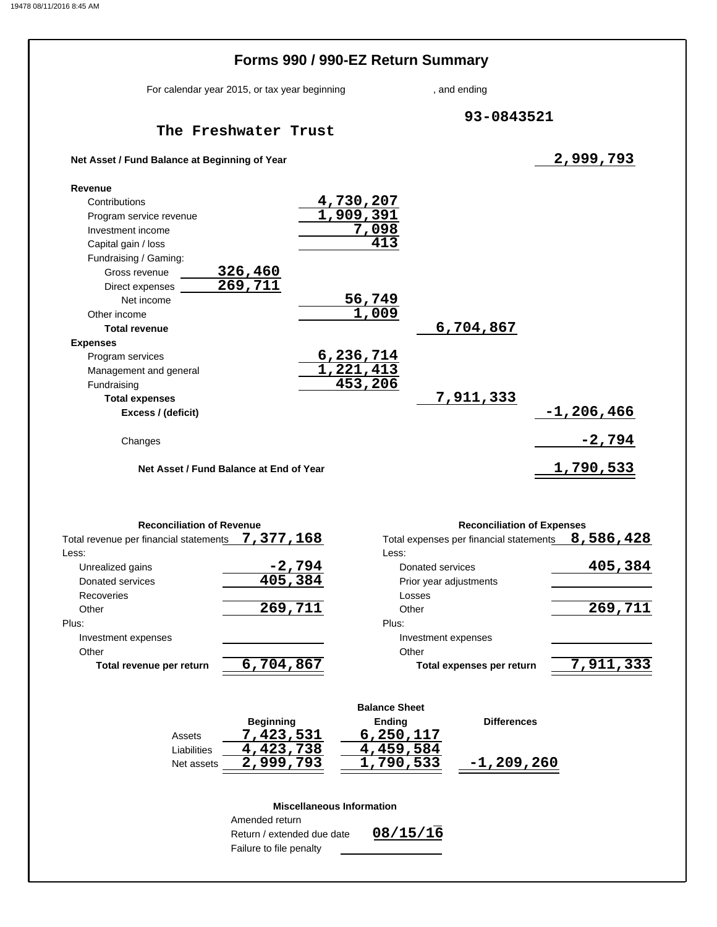|                                               | Forms 990 / 990-EZ Return Summary |              |               |
|-----------------------------------------------|-----------------------------------|--------------|---------------|
| For calendar year 2015, or tax year beginning |                                   | , and ending |               |
| The Freshwater Trust                          |                                   | 93-0843521   |               |
| Net Asset / Fund Balance at Beginning of Year |                                   |              | 2,999,793     |
| Revenue                                       |                                   |              |               |
| Contributions                                 | <u>4,730,207</u>                  |              |               |
| Program service revenue                       | 1,909,391                         |              |               |
| Investment income                             | 7,098                             |              |               |
| Capital gain / loss                           | 413                               |              |               |
| Fundraising / Gaming:                         |                                   |              |               |
| 326,460<br>Gross revenue                      |                                   |              |               |
| 269,711<br>Direct expenses                    |                                   |              |               |
| Net income                                    | <u>56,749</u>                     |              |               |
| Other income                                  | 1,009                             |              |               |
| <b>Total revenue</b>                          |                                   | 6,704,867    |               |
| <b>Expenses</b>                               |                                   |              |               |
| Program services                              | 6,236,714                         |              |               |
| Management and general                        | 1,221,413                         |              |               |
| Fundraising                                   | 453,206                           | 7,911,333    |               |
| <b>Total expenses</b><br>Excess / (deficit)   |                                   |              | $-1,206,466$  |
|                                               |                                   |              |               |
| Changes                                       |                                   |              | <u>-2,794</u> |
| Net Asset / Fund Balance at End of Year       |                                   |              | 1,790,533     |

| <b>Reconciliation of Revenue</b>       |           | <b>Reconciliation of Expenses</b>       |           |  |  |
|----------------------------------------|-----------|-----------------------------------------|-----------|--|--|
| Total revenue per financial statements | 7,377,168 | Total expenses per financial statements | 8,586,428 |  |  |
| Less:                                  |           | Less:                                   |           |  |  |
| Unrealized gains                       | $-2,794$  | Donated services                        | 405,384   |  |  |
| Donated services                       | 405, 384  | Prior year adjustments                  |           |  |  |
| Recoveries                             |           | Losses                                  |           |  |  |
| Other                                  | 269,711   | Other                                   | 269,711   |  |  |
| Plus:                                  |           | Plus:                                   |           |  |  |
| Investment expenses                    |           | Investment expenses                     |           |  |  |
| Other                                  |           | Other                                   |           |  |  |
| Total revenue per return               | 6,704,867 | Total expenses per return               | 7,911,333 |  |  |

|             |                  | <b>Balance Sheet</b> |                    |
|-------------|------------------|----------------------|--------------------|
|             | <b>Beginning</b> | <b>Ending</b>        | <b>Differences</b> |
| Assets      | 7,423,531        | 6,250,117            |                    |
| Liabilities | 4,423,738        | 4,459,584            |                    |
| Net assets  | 2,999,793        | 1,790,533            | $-1,209,260$       |

### **Miscellaneous Information**

Return / extended due date **08/15/16** Failure to file penalty Amended return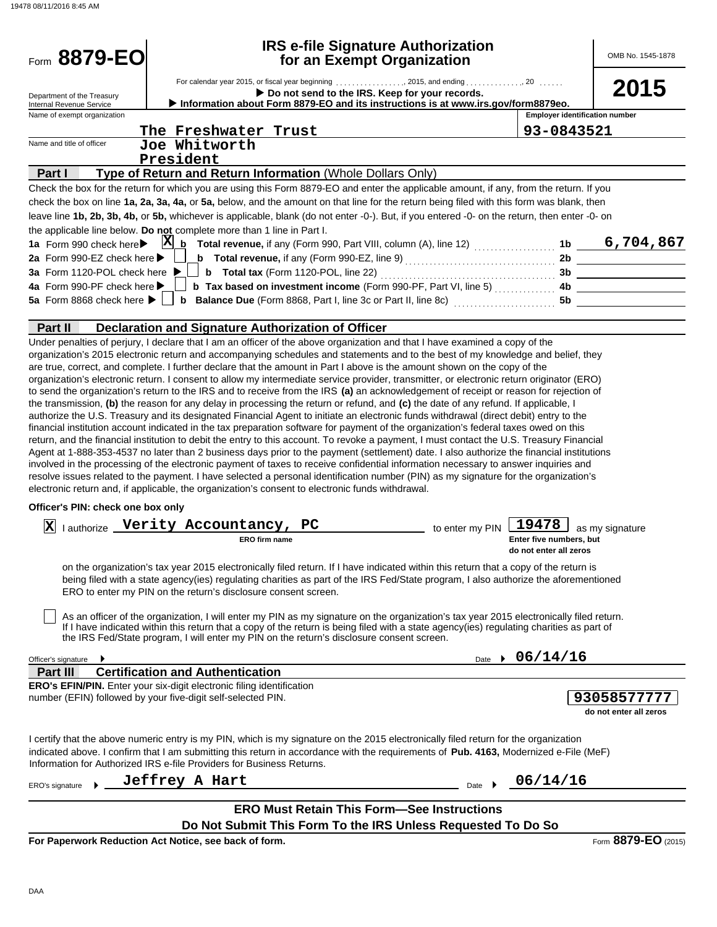| Form 8879-EO                                                 |                                                                                                                                                                                                                                                                                                                                                                                                                                                                                                                                                                                                                                                                                                                                                                                                                                                                                                                                                                                                                                                                                                                                                                                                                                            | <b>IRS e-file Signature Authorization</b><br>for an Exempt Organization |                            |                                                   | OMB No. 1545-1878                    |
|--------------------------------------------------------------|--------------------------------------------------------------------------------------------------------------------------------------------------------------------------------------------------------------------------------------------------------------------------------------------------------------------------------------------------------------------------------------------------------------------------------------------------------------------------------------------------------------------------------------------------------------------------------------------------------------------------------------------------------------------------------------------------------------------------------------------------------------------------------------------------------------------------------------------------------------------------------------------------------------------------------------------------------------------------------------------------------------------------------------------------------------------------------------------------------------------------------------------------------------------------------------------------------------------------------------------|-------------------------------------------------------------------------|----------------------------|---------------------------------------------------|--------------------------------------|
| Department of the Treasury<br>Internal Revenue Service       | For calendar year 2015, or fiscal year beginning 2015, and ending 20<br>Information about Form 8879-EO and its instructions is at www.irs.gov/form8879eo.                                                                                                                                                                                                                                                                                                                                                                                                                                                                                                                                                                                                                                                                                                                                                                                                                                                                                                                                                                                                                                                                                  | Do not send to the IRS. Keep for your records.                          |                            |                                                   | 2015                                 |
| Name of exempt organization                                  |                                                                                                                                                                                                                                                                                                                                                                                                                                                                                                                                                                                                                                                                                                                                                                                                                                                                                                                                                                                                                                                                                                                                                                                                                                            |                                                                         |                            | <b>Employer identification number</b>             |                                      |
|                                                              | The Freshwater Trust                                                                                                                                                                                                                                                                                                                                                                                                                                                                                                                                                                                                                                                                                                                                                                                                                                                                                                                                                                                                                                                                                                                                                                                                                       |                                                                         |                            | 93-0843521                                        |                                      |
| Name and title of officer                                    | Joe Whitworth                                                                                                                                                                                                                                                                                                                                                                                                                                                                                                                                                                                                                                                                                                                                                                                                                                                                                                                                                                                                                                                                                                                                                                                                                              |                                                                         |                            |                                                   |                                      |
|                                                              | President                                                                                                                                                                                                                                                                                                                                                                                                                                                                                                                                                                                                                                                                                                                                                                                                                                                                                                                                                                                                                                                                                                                                                                                                                                  |                                                                         |                            |                                                   |                                      |
| Part I                                                       | Type of Return and Return Information (Whole Dollars Only)                                                                                                                                                                                                                                                                                                                                                                                                                                                                                                                                                                                                                                                                                                                                                                                                                                                                                                                                                                                                                                                                                                                                                                                 |                                                                         |                            |                                                   |                                      |
|                                                              | Check the box for the return for which you are using this Form 8879-EO and enter the applicable amount, if any, from the return. If you                                                                                                                                                                                                                                                                                                                                                                                                                                                                                                                                                                                                                                                                                                                                                                                                                                                                                                                                                                                                                                                                                                    |                                                                         |                            |                                                   |                                      |
|                                                              | check the box on line 1a, 2a, 3a, 4a, or 5a, below, and the amount on that line for the return being filed with this form was blank, then<br>leave line 1b, 2b, 3b, 4b, or 5b, whichever is applicable, blank (do not enter -0-). But, if you entered -0- on the return, then enter -0- on                                                                                                                                                                                                                                                                                                                                                                                                                                                                                                                                                                                                                                                                                                                                                                                                                                                                                                                                                 |                                                                         |                            |                                                   |                                      |
|                                                              | the applicable line below. Do not complete more than 1 line in Part I.                                                                                                                                                                                                                                                                                                                                                                                                                                                                                                                                                                                                                                                                                                                                                                                                                                                                                                                                                                                                                                                                                                                                                                     |                                                                         |                            |                                                   |                                      |
| 1a Form 990 check here                                       | $X_{b}$ Total revenue, if any (Form 990, Part VIII, column (A), line 12) $\ldots$                                                                                                                                                                                                                                                                                                                                                                                                                                                                                                                                                                                                                                                                                                                                                                                                                                                                                                                                                                                                                                                                                                                                                          |                                                                         |                            |                                                   | 6,704,867                            |
| 2a Form 990-EZ check here ▶                                  |                                                                                                                                                                                                                                                                                                                                                                                                                                                                                                                                                                                                                                                                                                                                                                                                                                                                                                                                                                                                                                                                                                                                                                                                                                            |                                                                         |                            |                                                   | 2b                                   |
|                                                              |                                                                                                                                                                                                                                                                                                                                                                                                                                                                                                                                                                                                                                                                                                                                                                                                                                                                                                                                                                                                                                                                                                                                                                                                                                            |                                                                         |                            |                                                   | 3b                                   |
| 4a Form 990-PF check here >                                  |                                                                                                                                                                                                                                                                                                                                                                                                                                                                                                                                                                                                                                                                                                                                                                                                                                                                                                                                                                                                                                                                                                                                                                                                                                            | <b>b</b> Tax based on investment income (Form 990-PF, Part VI, line 5)  |                            |                                                   | 4b                                   |
| 5a Form 8868 check here $\blacktriangleright$                | <b>b</b> Balance Due (Form 8868, Part I, line 3c or Part II, line 8c) <i>[[[[[[[[[[[[[[]]]]</i>                                                                                                                                                                                                                                                                                                                                                                                                                                                                                                                                                                                                                                                                                                                                                                                                                                                                                                                                                                                                                                                                                                                                            |                                                                         |                            | <b>5b</b>                                         |                                      |
|                                                              |                                                                                                                                                                                                                                                                                                                                                                                                                                                                                                                                                                                                                                                                                                                                                                                                                                                                                                                                                                                                                                                                                                                                                                                                                                            |                                                                         |                            |                                                   |                                      |
| <b>Part II</b>                                               | Declaration and Signature Authorization of Officer<br>Under penalties of perjury, I declare that I am an officer of the above organization and that I have examined a copy of the                                                                                                                                                                                                                                                                                                                                                                                                                                                                                                                                                                                                                                                                                                                                                                                                                                                                                                                                                                                                                                                          |                                                                         |                            |                                                   |                                      |
|                                                              | to send the organization's return to the IRS and to receive from the IRS (a) an acknowledgement of receipt or reason for rejection of<br>the transmission, (b) the reason for any delay in processing the return or refund, and (c) the date of any refund. If applicable, I<br>authorize the U.S. Treasury and its designated Financial Agent to initiate an electronic funds withdrawal (direct debit) entry to the<br>financial institution account indicated in the tax preparation software for payment of the organization's federal taxes owed on this<br>return, and the financial institution to debit the entry to this account. To revoke a payment, I must contact the U.S. Treasury Financial<br>Agent at 1-888-353-4537 no later than 2 business days prior to the payment (settlement) date. I also authorize the financial institutions<br>involved in the processing of the electronic payment of taxes to receive confidential information necessary to answer inquiries and<br>resolve issues related to the payment. I have selected a personal identification number (PIN) as my signature for the organization's<br>electronic return and, if applicable, the organization's consent to electronic funds withdrawal. |                                                                         |                            |                                                   |                                      |
| Officer's PIN: check one box only                            |                                                                                                                                                                                                                                                                                                                                                                                                                                                                                                                                                                                                                                                                                                                                                                                                                                                                                                                                                                                                                                                                                                                                                                                                                                            |                                                                         |                            |                                                   |                                      |
| x                                                            | lauthorize Verity Accountancy, PC                                                                                                                                                                                                                                                                                                                                                                                                                                                                                                                                                                                                                                                                                                                                                                                                                                                                                                                                                                                                                                                                                                                                                                                                          |                                                                         |                            | 19478                                             |                                      |
|                                                              | <b>ERO firm name</b>                                                                                                                                                                                                                                                                                                                                                                                                                                                                                                                                                                                                                                                                                                                                                                                                                                                                                                                                                                                                                                                                                                                                                                                                                       |                                                                         | to enter my PIN            | Enter five numbers, but<br>do not enter all zeros | as my signature                      |
|                                                              | on the organization's tax year 2015 electronically filed return. If I have indicated within this return that a copy of the return is<br>being filed with a state agency(ies) regulating charities as part of the IRS Fed/State program, I also authorize the aforementioned<br>ERO to enter my PIN on the return's disclosure consent screen.<br>As an officer of the organization, I will enter my PIN as my signature on the organization's tax year 2015 electronically filed return.<br>If I have indicated within this return that a copy of the return is being filed with a state agency(ies) regulating charities as part of                                                                                                                                                                                                                                                                                                                                                                                                                                                                                                                                                                                                       |                                                                         |                            |                                                   |                                      |
|                                                              | the IRS Fed/State program, I will enter my PIN on the return's disclosure consent screen.                                                                                                                                                                                                                                                                                                                                                                                                                                                                                                                                                                                                                                                                                                                                                                                                                                                                                                                                                                                                                                                                                                                                                  |                                                                         |                            |                                                   |                                      |
| Officer's signature                                          |                                                                                                                                                                                                                                                                                                                                                                                                                                                                                                                                                                                                                                                                                                                                                                                                                                                                                                                                                                                                                                                                                                                                                                                                                                            |                                                                         | Date $\blacktriangleright$ | 06/14/16                                          |                                      |
| Part II                                                      | <b>Certification and Authentication</b>                                                                                                                                                                                                                                                                                                                                                                                                                                                                                                                                                                                                                                                                                                                                                                                                                                                                                                                                                                                                                                                                                                                                                                                                    |                                                                         |                            |                                                   |                                      |
| number (EFIN) followed by your five-digit self-selected PIN. | <b>ERO's EFIN/PIN.</b> Enter your six-digit electronic filing identification                                                                                                                                                                                                                                                                                                                                                                                                                                                                                                                                                                                                                                                                                                                                                                                                                                                                                                                                                                                                                                                                                                                                                               |                                                                         |                            |                                                   | 9305857777<br>do not enter all zeros |
|                                                              | I certify that the above numeric entry is my PIN, which is my signature on the 2015 electronically filed return for the organization<br>indicated above. I confirm that I am submitting this return in accordance with the requirements of Pub. 4163, Modernized e-File (MeF)<br>Information for Authorized IRS e-file Providers for Business Returns.                                                                                                                                                                                                                                                                                                                                                                                                                                                                                                                                                                                                                                                                                                                                                                                                                                                                                     |                                                                         |                            |                                                   |                                      |
| ERO's signature                                              | Jeffrey A Hart                                                                                                                                                                                                                                                                                                                                                                                                                                                                                                                                                                                                                                                                                                                                                                                                                                                                                                                                                                                                                                                                                                                                                                                                                             |                                                                         | Date $\rightarrow$         | 06/14/16                                          |                                      |
|                                                              |                                                                                                                                                                                                                                                                                                                                                                                                                                                                                                                                                                                                                                                                                                                                                                                                                                                                                                                                                                                                                                                                                                                                                                                                                                            | <b>ERO Must Retain This Form-See Instructions</b>                       |                            |                                                   |                                      |
|                                                              | Do Not Submit This Form To the IRS Unless Requested To Do So                                                                                                                                                                                                                                                                                                                                                                                                                                                                                                                                                                                                                                                                                                                                                                                                                                                                                                                                                                                                                                                                                                                                                                               |                                                                         |                            |                                                   |                                      |
|                                                              | For Paperwork Reduction Act Notice, see back of form.                                                                                                                                                                                                                                                                                                                                                                                                                                                                                                                                                                                                                                                                                                                                                                                                                                                                                                                                                                                                                                                                                                                                                                                      |                                                                         |                            |                                                   | Form 8879-EO (2015)                  |

DAA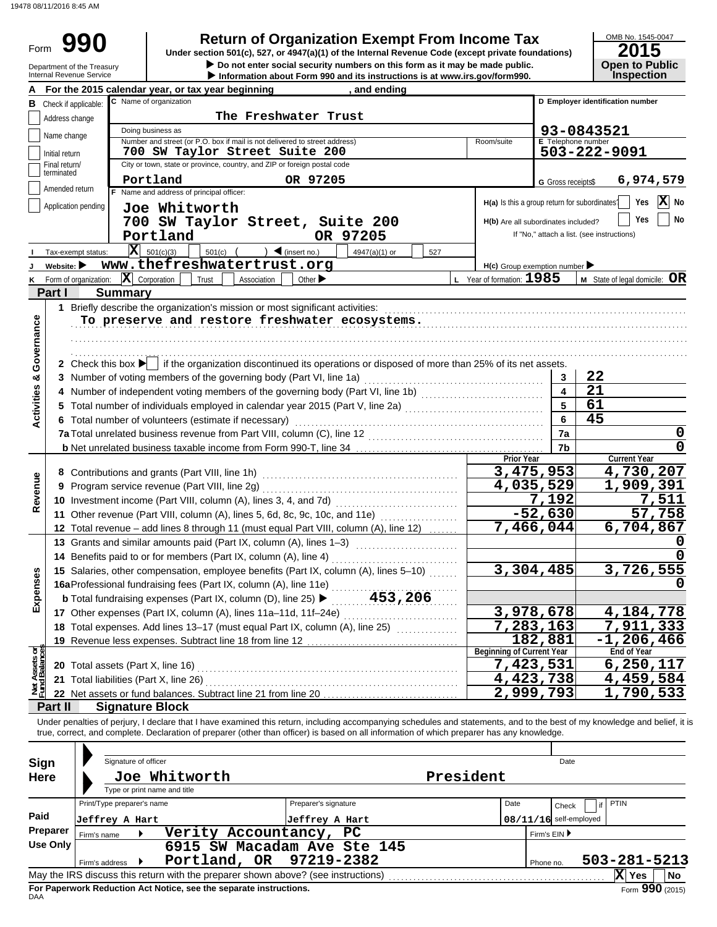Form

**• Do not enter social security numbers on this form as it may be made public. Open to Public 990 a 2015 2016 2016 2016 2016 2016 2016 Direction 501(c), 527, or 4947(a)(1)** of the Internal Revenue Code (except private foundations) **2015** 

# OMB No. 1545-0047

|                                | Department of the Treasury<br>Internal Revenue Service | Do not enter social security numbers on this form as it may be made public.<br>Information about Form 990 and its instructions is at www.irs.gov/form990.                  |                         | <b>Open to Public</b><br><b>Inspection</b> |
|--------------------------------|--------------------------------------------------------|----------------------------------------------------------------------------------------------------------------------------------------------------------------------------|-------------------------|--------------------------------------------|
|                                |                                                        | For the 2015 calendar year, or tax year beginning<br>, and ending                                                                                                          |                         |                                            |
|                                | <b>B</b> Check if applicable:                          | C Name of organization                                                                                                                                                     |                         | D Employer identification number           |
|                                | Address change                                         | The Freshwater Trust                                                                                                                                                       |                         |                                            |
|                                | Name change                                            | Doing business as                                                                                                                                                          |                         | 93-0843521                                 |
|                                |                                                        | Number and street (or P.O. box if mail is not delivered to street address)<br>Room/suite                                                                                   |                         | E Telephone number                         |
|                                | Initial return<br>Final return/                        | 700 SW Taylor Street Suite 200<br>City or town, state or province, country, and ZIP or foreign postal code                                                                 |                         | 503-222-9091                               |
|                                | terminated                                             | Portland                                                                                                                                                                   |                         |                                            |
|                                | Amended return                                         | OR 97205<br>F Name and address of principal officer:                                                                                                                       | G Gross receipts\$      | 6,974,579                                  |
|                                | Application pending                                    | $H(a)$ Is this a group return for subordinates?<br>Joe Whitworth                                                                                                           |                         | X No<br>Yes                                |
|                                |                                                        | 700 SW Taylor Street, Suite 200<br>H(b) Are all subordinates included?                                                                                                     |                         | No<br>Yes                                  |
|                                |                                                        | Portland<br>OR 97205                                                                                                                                                       |                         | If "No," attach a list. (see instructions) |
|                                | Tax-exempt status:                                     | $ \mathbf{X} $ 501(c)(3)<br>$\bigcup$ (insert no.)<br>$501(c)$ (<br>527                                                                                                    |                         |                                            |
|                                | Website:                                               | 4947(a)(1) or<br>www.thefreshwatertrust.org<br>$H(c)$ Group exemption number $\blacktriangleright$                                                                         |                         |                                            |
| κ                              |                                                        | Form of organization: $\ \mathbf{X}\ $ Corporation<br>L Year of formation: 1985<br>Trust<br>Association<br>Other $\blacktriangleright$                                     |                         | <b>M</b> State of legal domicile: $OR$     |
|                                | Part I                                                 | <b>Summary</b>                                                                                                                                                             |                         |                                            |
|                                |                                                        | 1 Briefly describe the organization's mission or most significant activities:                                                                                              |                         |                                            |
|                                |                                                        | To preserve and restore freshwater ecosystems.                                                                                                                             |                         |                                            |
| Governance                     |                                                        |                                                                                                                                                                            |                         |                                            |
|                                |                                                        |                                                                                                                                                                            |                         |                                            |
|                                |                                                        | 2 Check this box $\blacktriangleright$ if the organization discontinued its operations or disposed of more than 25% of its net assets.                                     |                         |                                            |
|                                |                                                        | 3 Number of voting members of the governing body (Part VI, line 1a)                                                                                                        | 3                       | 22                                         |
|                                |                                                        |                                                                                                                                                                            | $\overline{\mathbf{4}}$ | 21                                         |
|                                |                                                        | 5 Total number of individuals employed in calendar year 2015 (Part V, line 2a) [[[[[[[[[[[[[[[[[[[[[[[[[[[[[[[                                                             | 5                       | 61                                         |
| <b>Activities &amp;</b>        |                                                        | 6 Total number of volunteers (estimate if necessary)                                                                                                                       | 6                       | 45                                         |
|                                |                                                        |                                                                                                                                                                            | 7a                      | 0                                          |
|                                |                                                        |                                                                                                                                                                            | 7b                      | 0                                          |
|                                |                                                        | <b>Prior Year</b>                                                                                                                                                          |                         | <b>Current Year</b>                        |
|                                |                                                        | 3,475,953                                                                                                                                                                  |                         | 4,730,207                                  |
| Revenue                        |                                                        | 4,035,529<br>9 Program service revenue (Part VIII, line 2g)                                                                                                                |                         | 1,909,391                                  |
|                                |                                                        |                                                                                                                                                                            | 7,192                   | 7,511                                      |
|                                |                                                        | $-52,630$<br>11 Other revenue (Part VIII, column (A), lines 5, 6d, 8c, 9c, 10c, and 11e)                                                                                   |                         | 57,758                                     |
|                                |                                                        | 7,466,044<br>12 Total revenue - add lines 8 through 11 (must equal Part VIII, column (A), line 12)                                                                         |                         | 6,704,867                                  |
|                                |                                                        | 13 Grants and similar amounts paid (Part IX, column (A), lines 1-3)                                                                                                        |                         |                                            |
|                                |                                                        | 14 Benefits paid to or for members (Part IX, column (A), line 4)                                                                                                           |                         |                                            |
| nses                           |                                                        | 3,304,485<br>15 Salaries, other compensation, employee benefits (Part IX, column (A), lines 5-10)                                                                          |                         | 3,726,555                                  |
|                                |                                                        | 16aProfessional fundraising fees (Part IX, column (A), line 11e)                                                                                                           |                         |                                            |
| Exper                          |                                                        | <b>b</b> Total fundraising expenses (Part IX, column (D), line 25) $\blacktriangleright$ 453, 206                                                                          |                         |                                            |
|                                |                                                        | 3,978,678                                                                                                                                                                  |                         | 4, 184, 778                                |
|                                |                                                        | 7,283,163<br>18 Total expenses. Add lines 13-17 (must equal Part IX, column (A), line 25)                                                                                  |                         | 7,911,333                                  |
|                                |                                                        | 182,881<br>19 Revenue less expenses. Subtract line 18 from line 12<br><b>Beginning of Current Year</b>                                                                     |                         | -1,206,466<br><b>End of Year</b>           |
| Net Assets or<br>Fund Balances |                                                        | 7,423,531<br>20 Total assets (Part X, line 16)                                                                                                                             |                         | 6,250,117                                  |
|                                |                                                        | $\overline{4,423,738}$<br>21 Total liabilities (Part X, line 26)                                                                                                           |                         | 4,459,584                                  |
|                                |                                                        | 2,999,793<br>22 Net assets or fund balances. Subtract line 21 from line 20                                                                                                 |                         | $\overline{1}$ , 790, 533                  |
|                                | Part II                                                | <b>Signature Block</b>                                                                                                                                                     |                         |                                            |
|                                |                                                        | Under penalties of perjury, I declare that I have examined this return, including accompanying schedules and statements, and to the best of my knowledge and belief, it is |                         |                                            |
|                                |                                                        | true, correct, and complete. Declaration of preparer (other than officer) is based on all information of which preparer has any knowledge.                                 |                         |                                            |
|                                |                                                        |                                                                                                                                                                            |                         |                                            |
| Sign                           |                                                        | Signature of officer                                                                                                                                                       | Date                    |                                            |
| <b>Here</b>                    |                                                        | President<br>Joe Whitworth                                                                                                                                                 |                         |                                            |
|                                |                                                        | Type or print name and title                                                                                                                                               |                         |                                            |
|                                |                                                        | Preparer's signature<br>Print/Type preparer's name<br>Date                                                                                                                 | Check                   | <b>PTIN</b><br>if                          |
| Paid                           |                                                        | $08/11/16$ self-employed<br>Jeffrey A Hart<br>Jeffrey A Hart                                                                                                               |                         |                                            |
|                                | <b>Preparer</b><br>Firm's name                         | Verity Accountancy, PC                                                                                                                                                     | Firm's EIN ▶            |                                            |
|                                | Use Only                                               | 6915 SW Macadam Ave Ste 145                                                                                                                                                |                         |                                            |
|                                |                                                        | Portland, OR<br>97219-2382<br>Firm's address ▶                                                                                                                             | Phone no.               | 503-281-5213                               |
|                                |                                                        | May the IRS discuss this return with the preparer shown above? (see instructions)                                                                                          |                         | $\overline{\mathbf{X}}$ Yes<br>No          |

| Sign        | Signature of officer         |                                                                                   |                        |           |              | Date                     |                             |    |
|-------------|------------------------------|-----------------------------------------------------------------------------------|------------------------|-----------|--------------|--------------------------|-----------------------------|----|
| <b>Here</b> | Type or print name and title | Joe Whitworth                                                                     |                        | President |              |                          |                             |    |
|             | Print/Type preparer's name   |                                                                                   | Preparer's signature   | Date      |              | Check                    | <b>PTIN</b>                 |    |
| Paid        | Jeffrey A Hart               |                                                                                   | Jeffrey A Hart         |           |              | $08/11/16$ self-employed |                             |    |
| Preparer    | Firm's name                  | Verity                                                                            | Accountancy,<br>PC.    |           | Firm's EIN ▶ |                          |                             |    |
| Use Only    |                              | 6915                                                                              | SW Macadam Ave Ste 145 |           |              |                          |                             |    |
|             | Firm's address               | Portland, OR 97219-2382                                                           |                        |           | Phone no.    |                          | $503 - 281 - 5213$          |    |
|             |                              | May the IRS discuss this return with the preparer shown above? (see instructions) |                        |           |              |                          | X<br>Yes                    | No |
|             |                              | For Paperwork Reduction Act Notice, see the separate instructions.                |                        |           |              |                          | $F_{\text{OCD}}$ 990 (2015) |    |

DAA **For Paperwork Reduction Act Notice, see the separate instructions.**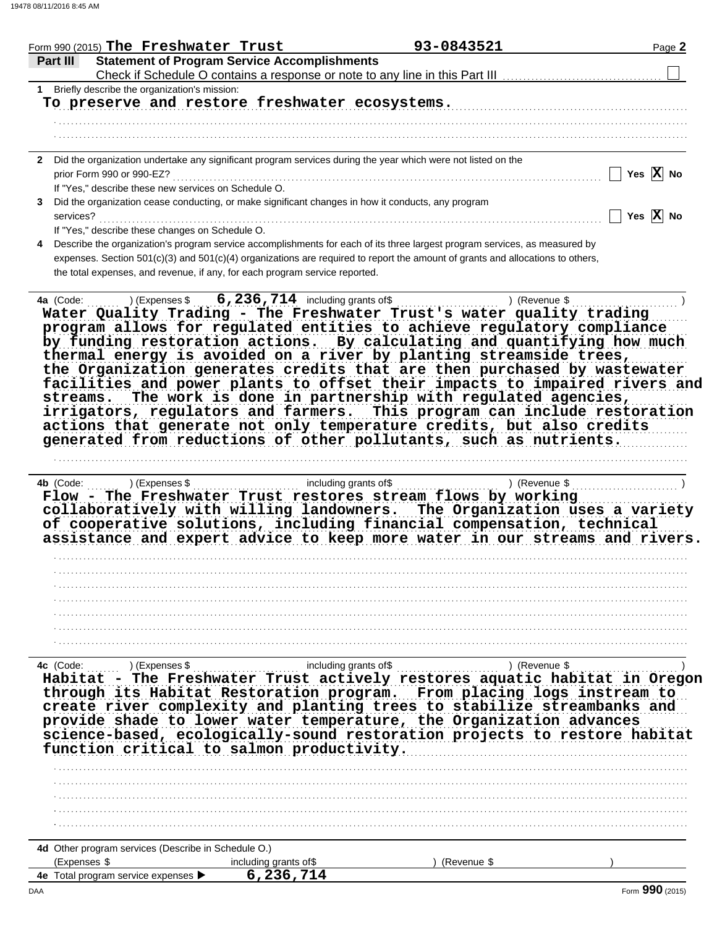| Form 990 (2015) The Freshwater Trust                                                                                                                                                                                                                                                                                                                                                                                                                                                                                                                                                                                   | 93-0843521                                                                                          | Page 2                |
|------------------------------------------------------------------------------------------------------------------------------------------------------------------------------------------------------------------------------------------------------------------------------------------------------------------------------------------------------------------------------------------------------------------------------------------------------------------------------------------------------------------------------------------------------------------------------------------------------------------------|-----------------------------------------------------------------------------------------------------|-----------------------|
| <b>Statement of Program Service Accomplishments</b><br>Part II<br>Check if Schedule O contains a response or note to any line in this Part III                                                                                                                                                                                                                                                                                                                                                                                                                                                                         |                                                                                                     |                       |
| 1 Briefly describe the organization's mission:                                                                                                                                                                                                                                                                                                                                                                                                                                                                                                                                                                         |                                                                                                     |                       |
| To preserve and restore freshwater ecosystems.                                                                                                                                                                                                                                                                                                                                                                                                                                                                                                                                                                         |                                                                                                     |                       |
|                                                                                                                                                                                                                                                                                                                                                                                                                                                                                                                                                                                                                        |                                                                                                     |                       |
|                                                                                                                                                                                                                                                                                                                                                                                                                                                                                                                                                                                                                        |                                                                                                     |                       |
|                                                                                                                                                                                                                                                                                                                                                                                                                                                                                                                                                                                                                        |                                                                                                     |                       |
| 2 Did the organization undertake any significant program services during the year which were not listed on the                                                                                                                                                                                                                                                                                                                                                                                                                                                                                                         |                                                                                                     |                       |
| prior Form 990 or 990-EZ?                                                                                                                                                                                                                                                                                                                                                                                                                                                                                                                                                                                              |                                                                                                     | Yes $X$ No            |
| If "Yes," describe these new services on Schedule O.                                                                                                                                                                                                                                                                                                                                                                                                                                                                                                                                                                   |                                                                                                     |                       |
| 3 Did the organization cease conducting, or make significant changes in how it conducts, any program                                                                                                                                                                                                                                                                                                                                                                                                                                                                                                                   |                                                                                                     |                       |
| services?                                                                                                                                                                                                                                                                                                                                                                                                                                                                                                                                                                                                              |                                                                                                     | Yes $\overline{X}$ No |
| If "Yes," describe these changes on Schedule O.                                                                                                                                                                                                                                                                                                                                                                                                                                                                                                                                                                        |                                                                                                     |                       |
| Describe the organization's program service accomplishments for each of its three largest program services, as measured by<br>4                                                                                                                                                                                                                                                                                                                                                                                                                                                                                        |                                                                                                     |                       |
| expenses. Section 501(c)(3) and 501(c)(4) organizations are required to report the amount of grants and allocations to others,                                                                                                                                                                                                                                                                                                                                                                                                                                                                                         |                                                                                                     |                       |
| the total expenses, and revenue, if any, for each program service reported.                                                                                                                                                                                                                                                                                                                                                                                                                                                                                                                                            |                                                                                                     |                       |
| program allows for regulated entities to achieve regulatory compliance<br>by funding restoration actions. By calculating and quantifying how much<br>thermal energy is avoided on a river by planting streamside trees,<br>the Organization generates credits that are then purchased by wastewater<br>facilities and power plants to offset their impacts to impaired rivers and<br>streams.<br>irrigators, regulators and farmers. This program can include restoration<br>actions that generate not only temperature credits, but also credits<br>generated from reductions of other pollutants, such as nutrients. | The work is done in partnership with regulated agencies,                                            |                       |
| $\frac{1}{2}$ including grants of \$<br>Flow - The Freshwater Trust restores stream flows by working<br>collaboratively with willing landowners. The Organization uses a variety<br>of cooperative solutions, including financial compensation, technical<br>assistance and expert advice to keep more water in our streams and rivers.                                                                                                                                                                                                                                                                                |                                                                                                     |                       |
|                                                                                                                                                                                                                                                                                                                                                                                                                                                                                                                                                                                                                        |                                                                                                     |                       |
|                                                                                                                                                                                                                                                                                                                                                                                                                                                                                                                                                                                                                        |                                                                                                     |                       |
|                                                                                                                                                                                                                                                                                                                                                                                                                                                                                                                                                                                                                        |                                                                                                     |                       |
|                                                                                                                                                                                                                                                                                                                                                                                                                                                                                                                                                                                                                        |                                                                                                     |                       |
| 4c (Code:<br>) (Expenses \$                                                                                                                                                                                                                                                                                                                                                                                                                                                                                                                                                                                            | including grants of\$<br>) (Revenue \$                                                              |                       |
| Habitat<br>through its Habitat Restoration program.<br>create river complexity and planting trees to stabilize streambanks and<br>provide shade to lower water temperature, the Organization advances<br>science-based, ecologically-sound restoration projects to restore habitat<br>function critical to salmon productivity.                                                                                                                                                                                                                                                                                        | - The Freshwater Trust actively restores aquatic habitat in Oregon<br>From placing logs instream to |                       |
|                                                                                                                                                                                                                                                                                                                                                                                                                                                                                                                                                                                                                        |                                                                                                     |                       |
|                                                                                                                                                                                                                                                                                                                                                                                                                                                                                                                                                                                                                        |                                                                                                     |                       |
|                                                                                                                                                                                                                                                                                                                                                                                                                                                                                                                                                                                                                        |                                                                                                     |                       |
|                                                                                                                                                                                                                                                                                                                                                                                                                                                                                                                                                                                                                        |                                                                                                     |                       |
| 4d Other program services (Describe in Schedule O.)                                                                                                                                                                                                                                                                                                                                                                                                                                                                                                                                                                    |                                                                                                     |                       |
| (Expenses \$<br>including grants of \$                                                                                                                                                                                                                                                                                                                                                                                                                                                                                                                                                                                 | (Revenue \$                                                                                         |                       |
| 6,236,714<br>4e Total program service expenses                                                                                                                                                                                                                                                                                                                                                                                                                                                                                                                                                                         |                                                                                                     |                       |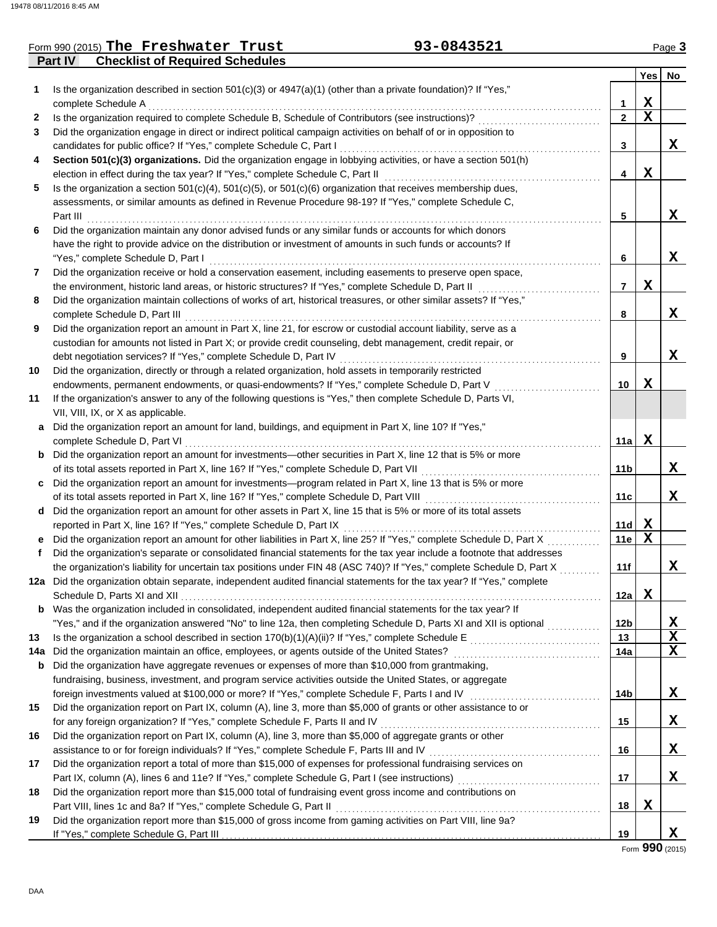### **Part IV Checklist of Required Schedules** Form 990 (2015) Page **3 The Freshwater Trust 93-0843521**

Ť.

|     |                                                                                                                                                   |                | Yes         | No. |
|-----|---------------------------------------------------------------------------------------------------------------------------------------------------|----------------|-------------|-----|
| 1   | Is the organization described in section 501(c)(3) or 4947(a)(1) (other than a private foundation)? If "Yes,"                                     |                |             |     |
|     | complete Schedule A                                                                                                                               | 1              | X           |     |
| 2   | Is the organization required to complete Schedule B, Schedule of Contributors (see instructions)?                                                 | $\mathbf{2}$   | $\mathbf X$ |     |
| 3   | Did the organization engage in direct or indirect political campaign activities on behalf of or in opposition to                                  |                |             |     |
|     | candidates for public office? If "Yes," complete Schedule C, Part I                                                                               | 3              |             | X   |
| 4   | Section 501(c)(3) organizations. Did the organization engage in lobbying activities, or have a section 501(h)                                     |                |             |     |
|     | election in effect during the tax year? If "Yes," complete Schedule C, Part II                                                                    | 4              | x           |     |
| 5   | Is the organization a section $501(c)(4)$ , $501(c)(5)$ , or $501(c)(6)$ organization that receives membership dues,                              |                |             |     |
|     | assessments, or similar amounts as defined in Revenue Procedure 98-19? If "Yes," complete Schedule C,                                             |                |             |     |
|     | Part III                                                                                                                                          | 5              |             | x   |
| 6   | Did the organization maintain any donor advised funds or any similar funds or accounts for which donors                                           |                |             |     |
|     | have the right to provide advice on the distribution or investment of amounts in such funds or accounts? If<br>"Yes," complete Schedule D, Part I | 6              |             | x   |
| 7   | Did the organization receive or hold a conservation easement, including easements to preserve open space,                                         |                |             |     |
|     | the environment, historic land areas, or historic structures? If "Yes," complete Schedule D, Part II                                              | $\overline{7}$ | x           |     |
| 8   | Did the organization maintain collections of works of art, historical treasures, or other similar assets? If "Yes,"                               |                |             |     |
|     | complete Schedule D, Part III                                                                                                                     | 8              |             | X   |
| 9   | Did the organization report an amount in Part X, line 21, for escrow or custodial account liability, serve as a                                   |                |             |     |
|     | custodian for amounts not listed in Part X; or provide credit counseling, debt management, credit repair, or                                      |                |             |     |
|     | debt negotiation services? If "Yes," complete Schedule D, Part IV                                                                                 | 9              |             | x   |
| 10  | Did the organization, directly or through a related organization, hold assets in temporarily restricted                                           |                |             |     |
|     | endowments, permanent endowments, or quasi-endowments? If "Yes," complete Schedule D, Part V                                                      | 10             | x           |     |
| 11  | If the organization's answer to any of the following questions is "Yes," then complete Schedule D, Parts VI,                                      |                |             |     |
|     | VII, VIII, IX, or X as applicable.                                                                                                                |                |             |     |
| a   | Did the organization report an amount for land, buildings, and equipment in Part X, line 10? If "Yes,"                                            |                |             |     |
|     | complete Schedule D, Part VI                                                                                                                      | 11a l          | X           |     |
|     | <b>b</b> Did the organization report an amount for investments—other securities in Part X, line 12 that is 5% or more                             |                |             |     |
|     | of its total assets reported in Part X, line 16? If "Yes," complete Schedule D, Part VII                                                          | 11 b           |             | X   |
| C   | Did the organization report an amount for investments—program related in Part X, line 13 that is 5% or more                                       |                |             |     |
|     | of its total assets reported in Part X, line 16? If "Yes," complete Schedule D, Part VIII                                                         | 11c            |             | X   |
|     | d Did the organization report an amount for other assets in Part X, line 15 that is 5% or more of its total assets                                |                |             |     |
|     | reported in Part X, line 16? If "Yes," complete Schedule D, Part IX                                                                               | 11d            | X           |     |
| e   | Did the organization report an amount for other liabilities in Part X, line 25? If "Yes," complete Schedule D, Part X                             | 11e            | X           |     |
| f.  | Did the organization's separate or consolidated financial statements for the tax year include a footnote that addresses                           |                |             |     |
|     | the organization's liability for uncertain tax positions under FIN 48 (ASC 740)? If "Yes," complete Schedule D, Part X                            | 11f            |             | X   |
|     | 12a Did the organization obtain separate, independent audited financial statements for the tax year? If "Yes," complete                           |                |             |     |
|     | Schedule D. Parts XI and XII                                                                                                                      | 12a            | x           |     |
|     | <b>b</b> Was the organization included in consolidated, independent audited financial statements for the tax year? If                             |                |             |     |
|     |                                                                                                                                                   | 12b            |             | X   |
| 13  |                                                                                                                                                   | 13             |             | X   |
| 14а | Did the organization maintain an office, employees, or agents outside of the United States?                                                       | 14a            |             | x   |
| b   | Did the organization have aggregate revenues or expenses of more than \$10,000 from grantmaking,                                                  |                |             |     |
|     | fundraising, business, investment, and program service activities outside the United States, or aggregate                                         |                |             |     |
|     |                                                                                                                                                   | 14b            |             | X.  |
| 15  | Did the organization report on Part IX, column (A), line 3, more than \$5,000 of grants or other assistance to or                                 |                |             |     |
|     | for any foreign organization? If "Yes," complete Schedule F, Parts II and IV [[[[[[[[[[[[[[[[[[[[[[[[[[[[[[[[                                     | 15             |             | X.  |
| 16  | Did the organization report on Part IX, column (A), line 3, more than \$5,000 of aggregate grants or other                                        |                |             |     |
|     |                                                                                                                                                   | 16             |             | X.  |
| 17  | Did the organization report a total of more than \$15,000 of expenses for professional fundraising services on                                    |                |             |     |
|     | Part IX, column (A), lines 6 and 11e? If "Yes," complete Schedule G, Part I (see instructions) [[[[[[[[[[[[[[[                                    | 17             |             | X.  |
| 18  | Did the organization report more than \$15,000 total of fundraising event gross income and contributions on                                       |                |             |     |
|     | Part VIII, lines 1c and 8a? If "Yes," complete Schedule G, Part II                                                                                | 18             | X           |     |
| 19  | Did the organization report more than \$15,000 of gross income from gaming activities on Part VIII, line 9a?                                      | 19             |             | X.  |
|     |                                                                                                                                                   |                |             |     |

Form **990** (2015)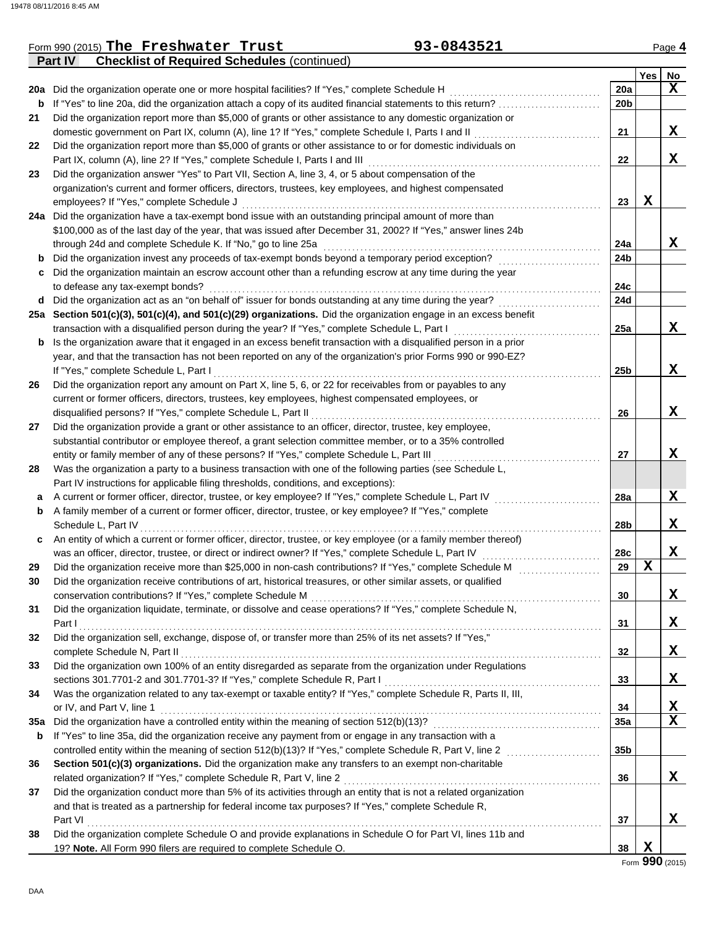|     | <b>Part IV</b><br><b>Checklist of Required Schedules (continued)</b>                                             |     |     |                 |
|-----|------------------------------------------------------------------------------------------------------------------|-----|-----|-----------------|
|     |                                                                                                                  |     | Yes | No              |
|     | 20a Did the organization operate one or more hospital facilities? If "Yes," complete Schedule H                  | 20a |     | X               |
| b   | If "Yes" to line 20a, did the organization attach a copy of its audited financial statements to this return?     | 20b |     |                 |
| 21  | Did the organization report more than \$5,000 of grants or other assistance to any domestic organization or      |     |     |                 |
|     | domestic government on Part IX, column (A), line 1? If "Yes," complete Schedule I, Parts I and II                | 21  |     | X               |
| 22  | Did the organization report more than \$5,000 of grants or other assistance to or for domestic individuals on    |     |     |                 |
|     | Part IX, column (A), line 2? If "Yes," complete Schedule I, Parts I and III                                      | 22  |     | X               |
| 23  | Did the organization answer "Yes" to Part VII, Section A, line 3, 4, or 5 about compensation of the              |     |     |                 |
|     | organization's current and former officers, directors, trustees, key employees, and highest compensated          |     |     |                 |
|     | employees? If "Yes," complete Schedule J                                                                         | 23  | X   |                 |
|     | 24a Did the organization have a tax-exempt bond issue with an outstanding principal amount of more than          |     |     |                 |
|     | \$100,000 as of the last day of the year, that was issued after December 31, 2002? If "Yes," answer lines 24b    |     |     |                 |
|     | through 24d and complete Schedule K. If "No," go to line 25a                                                     | 24a |     | x               |
| b   | Did the organization invest any proceeds of tax-exempt bonds beyond a temporary period exception?                | 24b |     |                 |
| c   | Did the organization maintain an escrow account other than a refunding escrow at any time during the year        |     |     |                 |
|     | to defease any tax-exempt bonds?                                                                                 | 24c |     |                 |
| d   | Did the organization act as an "on behalf of" issuer for bonds outstanding at any time during the year?          | 24d |     |                 |
|     | 25a Section 501(c)(3), 501(c)(4), and 501(c)(29) organizations. Did the organization engage in an excess benefit |     |     |                 |
|     | transaction with a disqualified person during the year? If "Yes," complete Schedule L, Part I                    | 25a |     | X               |
| b   | Is the organization aware that it engaged in an excess benefit transaction with a disqualified person in a prior |     |     |                 |
|     | year, and that the transaction has not been reported on any of the organization's prior Forms 990 or 990-EZ?     |     |     |                 |
|     | If "Yes," complete Schedule L, Part I                                                                            | 25b |     | X               |
| 26  | Did the organization report any amount on Part X, line 5, 6, or 22 for receivables from or payables to any       |     |     |                 |
|     | current or former officers, directors, trustees, key employees, highest compensated employees, or                |     |     |                 |
|     | disqualified persons? If "Yes," complete Schedule L, Part II                                                     | 26  |     | X               |
| 27  | Did the organization provide a grant or other assistance to an officer, director, trustee, key employee,         |     |     |                 |
|     | substantial contributor or employee thereof, a grant selection committee member, or to a 35% controlled          |     |     |                 |
|     | entity or family member of any of these persons? If "Yes," complete Schedule L, Part III                         | 27  |     | X               |
| 28  | Was the organization a party to a business transaction with one of the following parties (see Schedule L,        |     |     |                 |
|     | Part IV instructions for applicable filing thresholds, conditions, and exceptions):                              |     |     |                 |
| а   | A current or former officer, director, trustee, or key employee? If "Yes," complete Schedule L, Part IV          | 28a |     | X               |
| b   | A family member of a current or former officer, director, trustee, or key employee? If "Yes," complete           |     |     |                 |
|     | Schedule L, Part IV                                                                                              | 28b |     | X               |
| c   | An entity of which a current or former officer, director, trustee, or key employee (or a family member thereof)  |     |     |                 |
|     | was an officer, director, trustee, or direct or indirect owner? If "Yes," complete Schedule L, Part IV           | 28c |     | X               |
| 29  | Did the organization receive more than \$25,000 in non-cash contributions? If "Yes," complete Schedule M         | 29  | X   |                 |
|     | Did the organization receive contributions of art, historical treasures, or other similar assets, or qualified   |     |     |                 |
|     | conservation contributions? If "Yes," complete Schedule M                                                        | 30  |     | X               |
| 31  | Did the organization liquidate, terminate, or dissolve and cease operations? If "Yes," complete Schedule N,      |     |     |                 |
|     | Part I                                                                                                           | 31  |     | X               |
| 32  | Did the organization sell, exchange, dispose of, or transfer more than 25% of its net assets? If "Yes,"          |     |     |                 |
|     | complete Schedule N, Part II                                                                                     | 32  |     | X               |
| 33  | Did the organization own 100% of an entity disregarded as separate from the organization under Regulations       |     |     |                 |
|     | sections 301.7701-2 and 301.7701-3? If "Yes," complete Schedule R, Part I                                        | 33  |     | X               |
| 34  | Was the organization related to any tax-exempt or taxable entity? If "Yes," complete Schedule R, Parts II, III,  |     |     |                 |
|     | or IV, and Part V, line 1                                                                                        | 34  |     | X               |
| 35a |                                                                                                                  | 35a |     | $\mathbf x$     |
| b   | If "Yes" to line 35a, did the organization receive any payment from or engage in any transaction with a          |     |     |                 |
|     | controlled entity within the meaning of section 512(b)(13)? If "Yes," complete Schedule R, Part V, line 2        | 35b |     |                 |
| 36  | Section 501(c)(3) organizations. Did the organization make any transfers to an exempt non-charitable             |     |     |                 |
|     | related organization? If "Yes," complete Schedule R, Part V, line 2                                              | 36  |     | X               |
| 37  | Did the organization conduct more than 5% of its activities through an entity that is not a related organization |     |     |                 |
|     | and that is treated as a partnership for federal income tax purposes? If "Yes," complete Schedule R,             |     |     |                 |
|     | Part VI                                                                                                          | 37  |     | x               |
| 38  | Did the organization complete Schedule O and provide explanations in Schedule O for Part VI, lines 11b and       |     |     |                 |
|     | 19? Note. All Form 990 filers are required to complete Schedule O.                                               | 38  | X   |                 |
|     |                                                                                                                  |     |     | Form 990 (2015) |

Form 990 (2015) Page **4 The Freshwater Trust 93-0843521**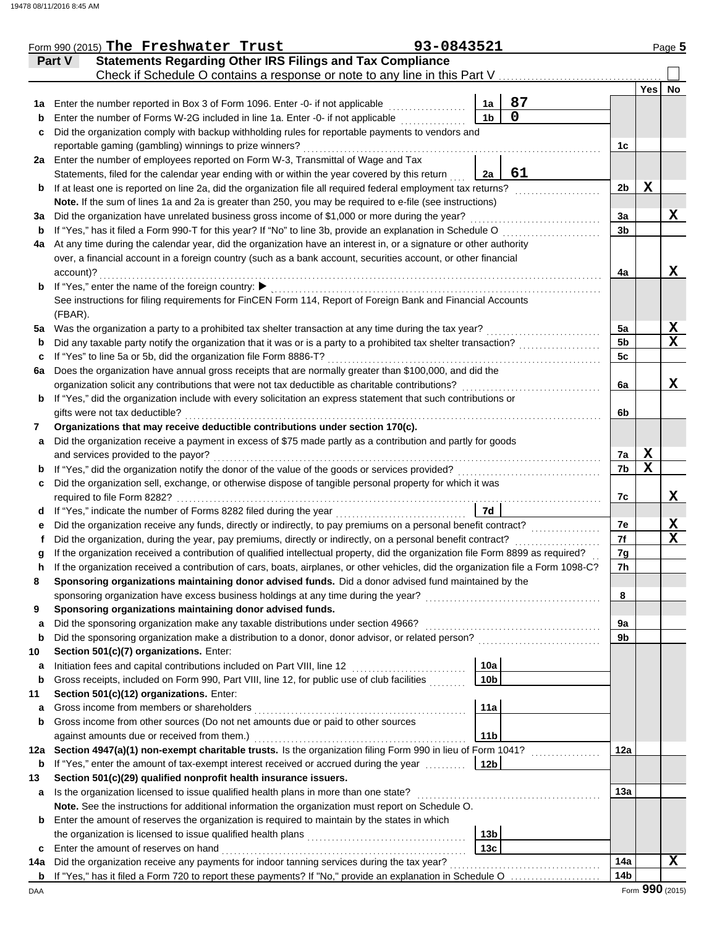|          | Form 990 (2015) The Freshwater Trust                                                                                                                                                                                            | 93-0843521 |                        |                                                                                                                        |                |                 | Page 5           |
|----------|---------------------------------------------------------------------------------------------------------------------------------------------------------------------------------------------------------------------------------|------------|------------------------|------------------------------------------------------------------------------------------------------------------------|----------------|-----------------|------------------|
|          | <b>Statements Regarding Other IRS Filings and Tax Compliance</b><br>Part V                                                                                                                                                      |            |                        |                                                                                                                        |                |                 |                  |
|          | Check if Schedule O contains a response or note to any line in this Part V                                                                                                                                                      |            |                        |                                                                                                                        |                |                 |                  |
|          |                                                                                                                                                                                                                                 |            |                        |                                                                                                                        |                | <b>Yes</b>      | No               |
| 1a       | Enter the number reported in Box 3 of Form 1096. Enter -0- if not applicable                                                                                                                                                    |            | 1a                     | 87<br>$\mathbf 0$                                                                                                      |                |                 |                  |
| b        | Enter the number of Forms W-2G included in line 1a. Enter -0- if not applicable                                                                                                                                                 |            | 1 <sub>b</sub>         |                                                                                                                        |                |                 |                  |
| c        | Did the organization comply with backup withholding rules for reportable payments to vendors and                                                                                                                                |            |                        |                                                                                                                        |                |                 |                  |
|          | reportable gaming (gambling) winnings to prize winners?                                                                                                                                                                         |            |                        |                                                                                                                        | 1 <sub>c</sub> |                 |                  |
|          | 2a Enter the number of employees reported on Form W-3, Transmittal of Wage and Tax                                                                                                                                              |            | 2a                     | 61                                                                                                                     |                |                 |                  |
|          | Statements, filed for the calendar year ending with or within the year covered by this return<br>If at least one is reported on line 2a, did the organization file all required federal employment tax returns?                 |            |                        |                                                                                                                        | 2 <sub>b</sub> | X               |                  |
| b        | Note. If the sum of lines 1a and 2a is greater than 250, you may be required to e-file (see instructions)                                                                                                                       |            |                        |                                                                                                                        |                |                 |                  |
| За       | Did the organization have unrelated business gross income of \$1,000 or more during the year?                                                                                                                                   |            |                        |                                                                                                                        | За             |                 | X                |
| b        | If "Yes," has it filed a Form 990-T for this year? If "No" to line 3b, provide an explanation in Schedule O                                                                                                                     |            |                        |                                                                                                                        | 3b             |                 |                  |
| 4a       | At any time during the calendar year, did the organization have an interest in, or a signature or other authority                                                                                                               |            |                        |                                                                                                                        |                |                 |                  |
|          | over, a financial account in a foreign country (such as a bank account, securities account, or other financial                                                                                                                  |            |                        |                                                                                                                        |                |                 |                  |
|          | account)?                                                                                                                                                                                                                       |            |                        |                                                                                                                        | 4a             |                 | X                |
| b        | If "Yes," enter the name of the foreign country: ▶                                                                                                                                                                              |            |                        |                                                                                                                        |                |                 |                  |
|          | See instructions for filing requirements for FinCEN Form 114, Report of Foreign Bank and Financial Accounts                                                                                                                     |            |                        |                                                                                                                        |                |                 |                  |
|          | (FBAR).                                                                                                                                                                                                                         |            |                        |                                                                                                                        |                |                 |                  |
| 5a       | Was the organization a party to a prohibited tax shelter transaction at any time during the tax year?                                                                                                                           |            |                        |                                                                                                                        | 5a             |                 | X                |
| b        | Did any taxable party notify the organization that it was or is a party to a prohibited tax shelter transaction?                                                                                                                |            |                        |                                                                                                                        | 5 <sub>b</sub> |                 | X                |
| c        | If "Yes" to line 5a or 5b, did the organization file Form 8886-T?                                                                                                                                                               |            |                        |                                                                                                                        | 5c             |                 |                  |
| 6a       | Does the organization have annual gross receipts that are normally greater than \$100,000, and did the                                                                                                                          |            |                        |                                                                                                                        |                |                 |                  |
|          | organization solicit any contributions that were not tax deductible as charitable contributions?                                                                                                                                |            |                        |                                                                                                                        | 6a             |                 | X                |
| b        | If "Yes," did the organization include with every solicitation an express statement that such contributions or                                                                                                                  |            |                        |                                                                                                                        |                |                 |                  |
|          | gifts were not tax deductible?                                                                                                                                                                                                  |            |                        |                                                                                                                        | 6b             |                 |                  |
| 7        | Organizations that may receive deductible contributions under section 170(c).                                                                                                                                                   |            |                        |                                                                                                                        |                |                 |                  |
| a        | Did the organization receive a payment in excess of \$75 made partly as a contribution and partly for goods                                                                                                                     |            |                        |                                                                                                                        |                |                 |                  |
|          | and services provided to the payor?                                                                                                                                                                                             |            |                        |                                                                                                                        | 7a             | X               |                  |
| b        | If "Yes," did the organization notify the donor of the value of the goods or services provided?                                                                                                                                 |            |                        |                                                                                                                        | 7b             | $\mathbf x$     |                  |
| c        | Did the organization sell, exchange, or otherwise dispose of tangible personal property for which it was                                                                                                                        |            |                        |                                                                                                                        |                |                 |                  |
|          | required to file Form 8282?                                                                                                                                                                                                     |            |                        |                                                                                                                        | 7c             |                 | X                |
| d        | If "Yes," indicate the number of Forms 8282 filed during the year                                                                                                                                                               |            | 7d                     |                                                                                                                        |                |                 |                  |
| е        | Did the organization receive any funds, directly or indirectly, to pay premiums on a personal benefit contract?<br>Did the organization, during the year, pay premiums, directly or indirectly, on a personal benefit contract? |            |                        |                                                                                                                        | 7е<br>7f       |                 | X<br>$\mathbf x$ |
|          | If the organization received a contribution of qualified intellectual property, did the organization file Form 8899 as required?                                                                                                |            |                        |                                                                                                                        | 7g             |                 |                  |
|          | If the organization received a contribution of cars, boats, airplanes, or other vehicles, did the organization file a Form 1098-C?                                                                                              |            |                        |                                                                                                                        | 7h             |                 |                  |
| 8        | Sponsoring organizations maintaining donor advised funds. Did a donor advised fund maintained by the                                                                                                                            |            |                        |                                                                                                                        |                |                 |                  |
|          | sponsoring organization have excess business holdings at any time during the year?                                                                                                                                              |            |                        | <u> 1986 - Johann Stoff, deutscher Stoff, der Stoff, deutscher Stoff, der Stoff, der Stoff, der Stoff, der Stoff, </u> | 8              |                 |                  |
| 9        | Sponsoring organizations maintaining donor advised funds.                                                                                                                                                                       |            |                        |                                                                                                                        |                |                 |                  |
| a        | Did the sponsoring organization make any taxable distributions under section 4966?                                                                                                                                              |            |                        |                                                                                                                        | 9а             |                 |                  |
| b        | Did the sponsoring organization make a distribution to a donor, donor advisor, or related person?                                                                                                                               |            |                        |                                                                                                                        | 9b             |                 |                  |
| 10       | Section 501(c)(7) organizations. Enter:                                                                                                                                                                                         |            |                        |                                                                                                                        |                |                 |                  |
| a        | Initiation fees and capital contributions included on Part VIII, line 12                                                                                                                                                        |            | 10a                    |                                                                                                                        |                |                 |                  |
| b        | Gross receipts, included on Form 990, Part VIII, line 12, for public use of club facilities                                                                                                                                     |            | 10 <sub>b</sub>        |                                                                                                                        |                |                 |                  |
| 11       | Section 501(c)(12) organizations. Enter:                                                                                                                                                                                        |            |                        |                                                                                                                        |                |                 |                  |
| a        | Gross income from members or shareholders                                                                                                                                                                                       |            | 11a                    |                                                                                                                        |                |                 |                  |
| b        | Gross income from other sources (Do not net amounts due or paid to other sources                                                                                                                                                |            |                        |                                                                                                                        |                |                 |                  |
|          | against amounts due or received from them.)                                                                                                                                                                                     |            | 11 <sub>b</sub>        |                                                                                                                        |                |                 |                  |
| 12a      | Section 4947(a)(1) non-exempt charitable trusts. Is the organization filing Form 990 in lieu of Form 1041?                                                                                                                      |            |                        |                                                                                                                        | 12a            |                 |                  |
| b        | If "Yes," enter the amount of tax-exempt interest received or accrued during the year                                                                                                                                           |            | 12 <sub>b</sub>        |                                                                                                                        |                |                 |                  |
| 13       | Section 501(c)(29) qualified nonprofit health insurance issuers.                                                                                                                                                                |            |                        |                                                                                                                        |                |                 |                  |
| a        | Is the organization licensed to issue qualified health plans in more than one state?                                                                                                                                            |            |                        |                                                                                                                        | 13a            |                 |                  |
|          | Note. See the instructions for additional information the organization must report on Schedule O.                                                                                                                               |            |                        |                                                                                                                        |                |                 |                  |
| b        | Enter the amount of reserves the organization is required to maintain by the states in which                                                                                                                                    |            |                        |                                                                                                                        |                |                 |                  |
|          | the organization is licensed to issue qualified health plans                                                                                                                                                                    |            | 13 <sub>b</sub><br>13c |                                                                                                                        |                |                 |                  |
| c        | Enter the amount of reserves on hand<br>Did the organization receive any payments for indoor tanning services during the tax year?                                                                                              |            |                        |                                                                                                                        | 14a            |                 | x                |
| 14a<br>b | If "Yes," has it filed a Form 720 to report these payments? If "No," provide an explanation in Schedule O                                                                                                                       |            |                        |                                                                                                                        | 14b            |                 |                  |
| DAA      |                                                                                                                                                                                                                                 |            |                        |                                                                                                                        |                | Form 990 (2015) |                  |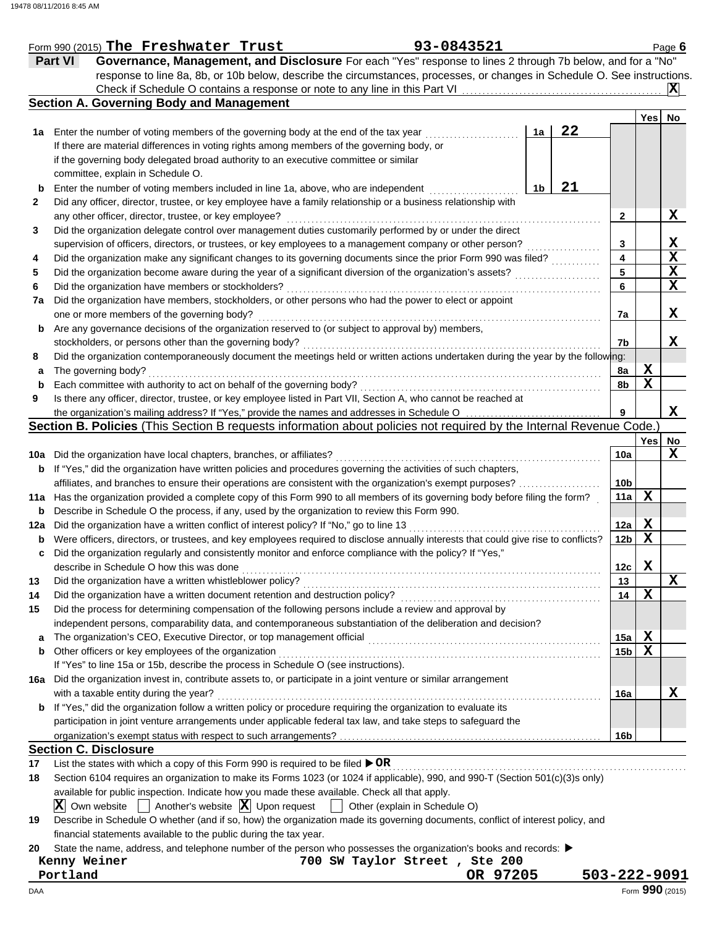|     | Form 990 (2015) The Freshwater Trust                                                                                                                               | 93-0843521 |                |    |                 |                 | Page 6      |
|-----|--------------------------------------------------------------------------------------------------------------------------------------------------------------------|------------|----------------|----|-----------------|-----------------|-------------|
|     | Governance, Management, and Disclosure For each "Yes" response to lines 2 through 7b below, and for a "No"<br><b>Part VI</b>                                       |            |                |    |                 |                 |             |
|     | response to line 8a, 8b, or 10b below, describe the circumstances, processes, or changes in Schedule O. See instructions.                                          |            |                |    |                 |                 |             |
|     |                                                                                                                                                                    |            |                |    |                 |                 | X           |
|     | <b>Section A. Governing Body and Management</b>                                                                                                                    |            |                |    |                 |                 |             |
|     |                                                                                                                                                                    |            |                |    |                 | Yesl            | No          |
|     | 1a Enter the number of voting members of the governing body at the end of the tax year                                                                             |            | 1a             | 22 |                 |                 |             |
|     | If there are material differences in voting rights among members of the governing body, or                                                                         |            |                |    |                 |                 |             |
|     | if the governing body delegated broad authority to an executive committee or similar                                                                               |            |                |    |                 |                 |             |
|     | committee, explain in Schedule O.                                                                                                                                  |            |                |    |                 |                 |             |
| b   | Enter the number of voting members included in line 1a, above, who are independent                                                                                 |            | 1 <sub>b</sub> | 21 |                 |                 |             |
| 2   | Did any officer, director, trustee, or key employee have a family relationship or a business relationship with                                                     |            |                |    |                 |                 |             |
|     | any other officer, director, trustee, or key employee?                                                                                                             |            |                |    | $\mathbf{2}$    |                 | X           |
| 3   | Did the organization delegate control over management duties customarily performed by or under the direct                                                          |            |                |    |                 |                 |             |
|     | supervision of officers, directors, or trustees, or key employees to a management company or other person?                                                         |            |                |    | 3               |                 | X           |
| 4   | Did the organization make any significant changes to its governing documents since the prior Form 990 was filed?                                                   |            |                |    | 4               |                 | $\mathbf x$ |
| 5   | Did the organization become aware during the year of a significant diversion of the organization's assets?                                                         |            |                |    | 5               |                 | X           |
| 6   | Did the organization have members or stockholders?                                                                                                                 |            |                |    | 6               |                 | $\mathbf x$ |
| 7a  | Did the organization have members, stockholders, or other persons who had the power to elect or appoint                                                            |            |                |    |                 |                 |             |
|     | one or more members of the governing body?                                                                                                                         |            |                |    | 7a              |                 | X           |
| b   | Are any governance decisions of the organization reserved to (or subject to approval by) members,                                                                  |            |                |    |                 |                 |             |
|     | stockholders, or persons other than the governing body?                                                                                                            |            |                |    | 7b              |                 | X           |
| 8   | Did the organization contemporaneously document the meetings held or written actions undertaken during the year by the following:                                  |            |                |    |                 |                 |             |
| а   | The governing body?                                                                                                                                                |            |                |    | 8a              | X               |             |
| b   | Each committee with authority to act on behalf of the governing body?                                                                                              |            |                |    | 8b              | $\mathbf X$     |             |
| 9   | Is there any officer, director, trustee, or key employee listed in Part VII, Section A, who cannot be reached at                                                   |            |                |    |                 |                 |             |
|     | the organization's mailing address? If "Yes," provide the names and addresses in Schedule O                                                                        |            |                |    | 9               |                 | X           |
|     | Section B. Policies (This Section B requests information about policies not required by the Internal Revenue Code.)                                                |            |                |    |                 |                 |             |
|     |                                                                                                                                                                    |            |                |    |                 | Yes             | No          |
|     | 10a Did the organization have local chapters, branches, or affiliates?                                                                                             |            |                |    | 10a             |                 | X           |
|     | <b>b</b> If "Yes," did the organization have written policies and procedures governing the activities of such chapters,                                            |            |                |    |                 |                 |             |
|     | affiliates, and branches to ensure their operations are consistent with the organization's exempt purposes?                                                        |            |                |    | 10 <sub>b</sub> |                 |             |
| 11a | Has the organization provided a complete copy of this Form 990 to all members of its governing body before filing the form?                                        |            |                |    | 11a             | $\mathbf X$     |             |
| b   | Describe in Schedule O the process, if any, used by the organization to review this Form 990.                                                                      |            |                |    |                 |                 |             |
| 12a | Did the organization have a written conflict of interest policy? If "No," go to line 13                                                                            |            |                |    | 12a             | X               |             |
| b   | Were officers, directors, or trustees, and key employees required to disclose annually interests that could give rise to conflicts?                                |            |                |    | 12 <sub>b</sub> | $\mathbf X$     |             |
| c   | Did the organization regularly and consistently monitor and enforce compliance with the policy? If "Yes,"                                                          |            |                |    |                 |                 |             |
|     | describe in Schedule O how this was done                                                                                                                           |            |                |    | 12c             | X               |             |
| 13  | Did the organization have a written whistleblower policy?                                                                                                          |            |                |    | 13              |                 | X           |
| 14  | Did the organization have a written document retention and destruction policy?                                                                                     |            |                |    | 14              | $\mathbf X$     |             |
| 15  | Did the process for determining compensation of the following persons include a review and approval by                                                             |            |                |    |                 |                 |             |
|     | independent persons, comparability data, and contemporaneous substantiation of the deliberation and decision?                                                      |            |                |    |                 |                 |             |
| a   | The organization's CEO, Executive Director, or top management official                                                                                             |            |                |    | 15a             | X               |             |
| b   | Other officers or key employees of the organization                                                                                                                |            |                |    | 15 <sub>b</sub> | X               |             |
|     | If "Yes" to line 15a or 15b, describe the process in Schedule O (see instructions).                                                                                |            |                |    |                 |                 |             |
|     | 16a Did the organization invest in, contribute assets to, or participate in a joint venture or similar arrangement                                                 |            |                |    |                 |                 |             |
|     | with a taxable entity during the year?                                                                                                                             |            |                |    | 16a             |                 | X           |
|     | <b>b</b> If "Yes," did the organization follow a written policy or procedure requiring the organization to evaluate its                                            |            |                |    |                 |                 |             |
|     | participation in joint venture arrangements under applicable federal tax law, and take steps to safeguard the                                                      |            |                |    |                 |                 |             |
|     |                                                                                                                                                                    |            |                |    | 16b             |                 |             |
|     | <b>Section C. Disclosure</b>                                                                                                                                       |            |                |    |                 |                 |             |
| 17  | List the states with which a copy of this Form 990 is required to be filed $\triangleright$ OR                                                                     |            |                |    |                 |                 |             |
|     | Section 6104 requires an organization to make its Forms 1023 (or 1024 if applicable), 990, and 990-T (Section 501(c)(3)s only)                                     |            |                |    |                 |                 |             |
| 18  |                                                                                                                                                                    |            |                |    |                 |                 |             |
|     | available for public inspection. Indicate how you made these available. Check all that apply.                                                                      |            |                |    |                 |                 |             |
|     | Another's website $ \mathbf{X} $ Upon request $ \cdot $ Other (explain in Schedule O)<br>$ \mathbf{X} $ Own website                                                |            |                |    |                 |                 |             |
| 19  | Describe in Schedule O whether (and if so, how) the organization made its governing documents, conflict of interest policy, and                                    |            |                |    |                 |                 |             |
|     | financial statements available to the public during the tax year.                                                                                                  |            |                |    |                 |                 |             |
| 20  | State the name, address, and telephone number of the person who possesses the organization's books and records: ▶<br>700 SW Taylor Street, Ste 200<br>Kenny Weiner |            |                |    |                 |                 |             |
|     | Portland                                                                                                                                                           | OR 97205   |                |    | 503-222-9091    |                 |             |
|     |                                                                                                                                                                    |            |                |    |                 | Form 990 (2015) |             |
| DAA |                                                                                                                                                                    |            |                |    |                 |                 |             |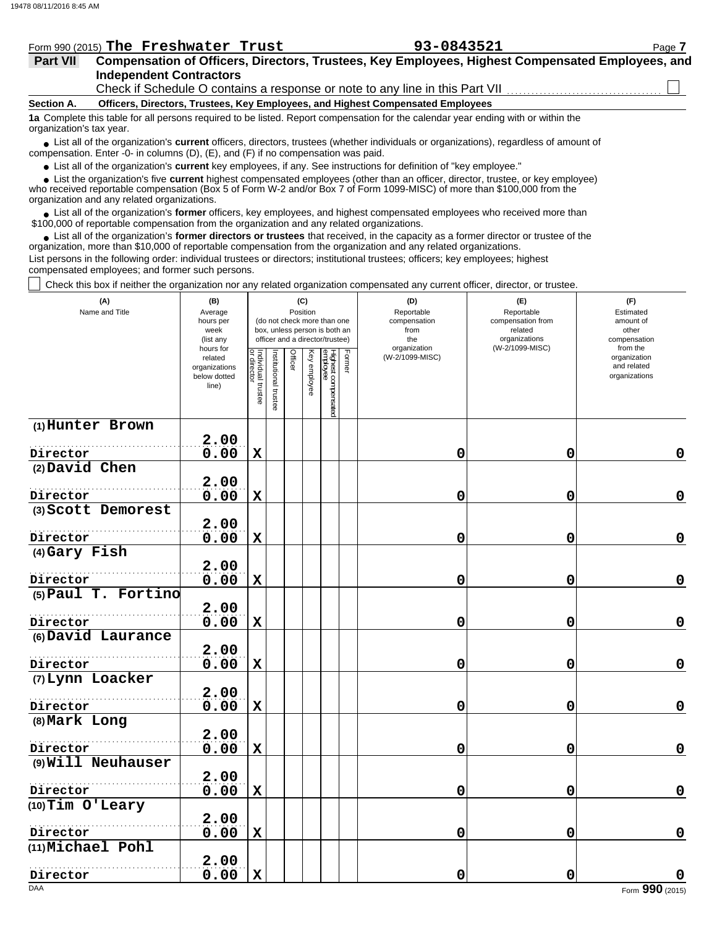|                 | Form 990 (2015) The Freshwater Trust | 93-0843521                                                                                       | Page 7 |
|-----------------|--------------------------------------|--------------------------------------------------------------------------------------------------|--------|
| <b>Part VII</b> |                                      | Compensation of Officers, Directors, Trustees, Key Employees, Highest Compensated Employees, and |        |
|                 | <b>Independent Contractors</b>       |                                                                                                  |        |

Check if Schedule O contains a response or note to any line in this Part VII.

**Section A. Officers, Directors, Trustees, Key Employees, and Highest Compensated Employees**

**1a** Complete this table for all persons required to be listed. Report compensation for the calendar year ending with or within the organization's tax year.

■ List all of the organization's **current** officers, directors, trustees (whether individuals or organizations), regardless of amount of compensation. Enter -0- in columns (D), (E), and (F) if no compensation was paid.

● List all of the organization's **current** key employees, if any. See instructions for definition of "key employee."

who received reportable compensation (Box 5 of Form W-2 and/or Box 7 of Form 1099-MISC) of more than \$100,000 from the  $\bullet$  List the organization's five **current** highest compensated employees (other than an officer, director, trustee, or key employee)<br>a received reportable compensation (Box 5 of Form  $M-2$  and/or Box 7 of Form 1000-MISC)

organization and any related organizations.

● List all of the organization's **former** officers, key employees, and highest compensated employees who received more than<br>00,000 of reportable compensation from the erganization and any related erganizations. \$100,000 of reportable compensation from the organization and any related organizations.

• List all of the organization's **former directors or trustees** that received, in the capacity as a former director or trustee of the organization, more than \$10,000 of reportable compensation from the organization and any related organizations. List persons in the following order: individual trustees or directors; institutional trustees; officers; key employees; highest compensated employees; and former such persons.

Check this box if neither the organization nor any related organization compensated any current officer, director, or trustee.

| (A)<br>Name and Title          | (B)<br>Average<br>hours per<br>week<br>(list any<br>hours for |                                   |                      |         | (C)<br>Position | (do not check more than one<br>box, unless person is both an<br>officer and a director/trustee) |        | (D)<br>Reportable<br>compensation<br>from<br>the<br>organization | (E)<br>Reportable<br>compensation from<br>related<br>organizations<br>(W-2/1099-MISC) | (F)<br>Estimated<br>amount of<br>other<br>compensation<br>from the |  |
|--------------------------------|---------------------------------------------------------------|-----------------------------------|----------------------|---------|-----------------|-------------------------------------------------------------------------------------------------|--------|------------------------------------------------------------------|---------------------------------------------------------------------------------------|--------------------------------------------------------------------|--|
|                                | related<br>organizations<br>below dotted<br>line)             | Individual trustee<br>or director | nstitutional trustee | Officer | Key employee    | Highest compensated<br>employee                                                                 | Former | (W-2/1099-MISC)                                                  |                                                                                       | organization<br>and related<br>organizations                       |  |
| (1) Hunter Brown               | 2.00                                                          |                                   |                      |         |                 |                                                                                                 |        |                                                                  |                                                                                       |                                                                    |  |
| Director                       | 0.00                                                          | $\mathbf x$                       |                      |         |                 |                                                                                                 |        | 0                                                                | 0                                                                                     | $\mathbf 0$                                                        |  |
| (2) David Chen                 |                                                               |                                   |                      |         |                 |                                                                                                 |        |                                                                  |                                                                                       |                                                                    |  |
| Director                       | 2.00<br>0.00                                                  | $\mathbf X$                       |                      |         |                 |                                                                                                 |        | 0                                                                | 0                                                                                     | $\mathbf 0$                                                        |  |
| (3) Scott Demorest             |                                                               |                                   |                      |         |                 |                                                                                                 |        |                                                                  |                                                                                       |                                                                    |  |
|                                | 2.00                                                          |                                   |                      |         |                 |                                                                                                 |        |                                                                  |                                                                                       |                                                                    |  |
| Director                       | 0.00                                                          | $\mathbf X$                       |                      |         |                 |                                                                                                 |        | 0                                                                | $\mathbf 0$                                                                           | $\mathbf 0$                                                        |  |
| (4) Gary Fish                  |                                                               |                                   |                      |         |                 |                                                                                                 |        |                                                                  |                                                                                       |                                                                    |  |
| Director                       | 2.00<br>0.00                                                  | $\mathbf x$                       |                      |         |                 |                                                                                                 |        | 0                                                                | 0                                                                                     | $\mathbf 0$                                                        |  |
| (5) Paul T. Fortino            | 2.00                                                          |                                   |                      |         |                 |                                                                                                 |        |                                                                  |                                                                                       |                                                                    |  |
| Director                       | 0.00                                                          | $\mathbf X$                       |                      |         |                 |                                                                                                 |        | 0                                                                | $\mathbf 0$                                                                           | $\pmb{0}$                                                          |  |
| (6) David Laurance             |                                                               |                                   |                      |         |                 |                                                                                                 |        |                                                                  |                                                                                       |                                                                    |  |
|                                | 2.00                                                          |                                   |                      |         |                 |                                                                                                 |        |                                                                  |                                                                                       | $\mathbf 0$                                                        |  |
| Director<br>(7) Lynn Loacker   | 0.00                                                          | $\mathbf x$                       |                      |         |                 |                                                                                                 |        | 0                                                                | 0                                                                                     |                                                                    |  |
|                                | 2.00                                                          |                                   |                      |         |                 |                                                                                                 |        |                                                                  |                                                                                       |                                                                    |  |
| Director                       | 0.00                                                          | $\mathbf X$                       |                      |         |                 |                                                                                                 |        | 0                                                                | 0                                                                                     | $\mathbf 0$                                                        |  |
| (8) Mark Long                  |                                                               |                                   |                      |         |                 |                                                                                                 |        |                                                                  |                                                                                       |                                                                    |  |
|                                | 2.00                                                          |                                   |                      |         |                 |                                                                                                 |        |                                                                  |                                                                                       |                                                                    |  |
| Director                       | 0.00                                                          | $\mathbf X$                       |                      |         |                 |                                                                                                 |        | 0                                                                | 0                                                                                     | $\mathbf 0$                                                        |  |
| (9) Will Neuhauser             |                                                               |                                   |                      |         |                 |                                                                                                 |        |                                                                  |                                                                                       |                                                                    |  |
|                                | 2.00<br>0.00                                                  | $\mathbf x$                       |                      |         |                 |                                                                                                 |        | 0                                                                | $\mathbf 0$                                                                           | $\mathbf 0$                                                        |  |
| Director<br>$(10)$ Tim O'Leary |                                                               |                                   |                      |         |                 |                                                                                                 |        |                                                                  |                                                                                       |                                                                    |  |
|                                | 2.00                                                          |                                   |                      |         |                 |                                                                                                 |        |                                                                  |                                                                                       |                                                                    |  |
| Director                       | 0.00                                                          | $\mathbf X$                       |                      |         |                 |                                                                                                 |        | 0                                                                | 0                                                                                     | $\mathbf 0$                                                        |  |
| (11)Michael Pohl               | 2.00                                                          |                                   |                      |         |                 |                                                                                                 |        |                                                                  |                                                                                       |                                                                    |  |
| Director                       | 0.00                                                          | $\mathbf x$                       |                      |         |                 |                                                                                                 |        | 0                                                                | 0                                                                                     | 0                                                                  |  |
| <b>DAA</b>                     |                                                               |                                   |                      |         |                 |                                                                                                 |        |                                                                  |                                                                                       | Form 990 (2015)                                                    |  |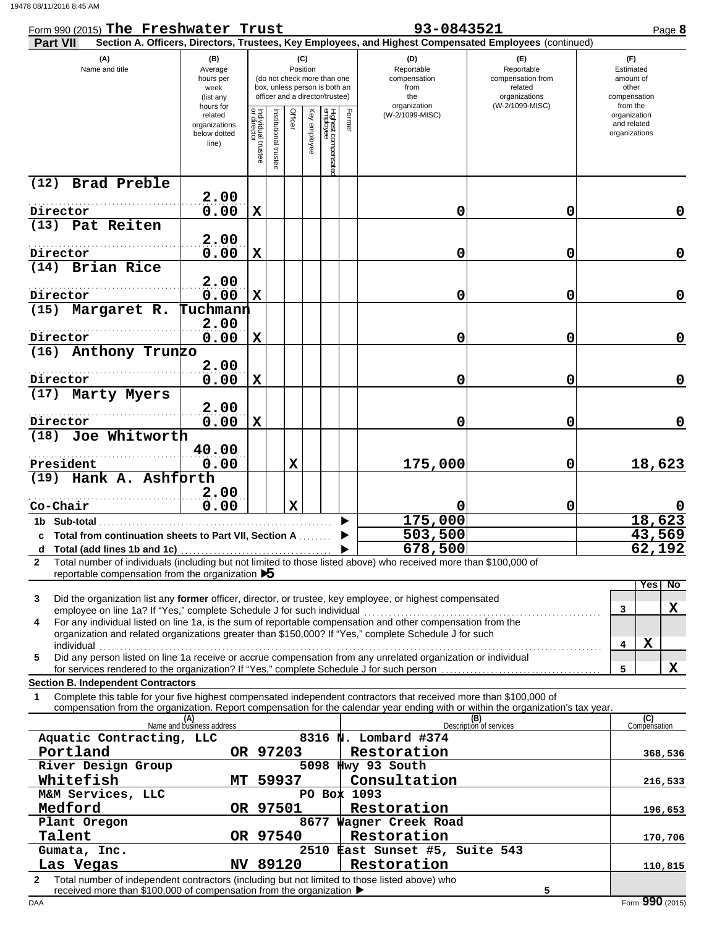| Form 990 (2015) The Freshwater Trust                                                                                                                                                                                                                                                                     |                                                               |                                   |                      |                                                                                                                    |              |                                |      | 93-0843521                                                                                             |                                                                                       | Page 8                                                             |
|----------------------------------------------------------------------------------------------------------------------------------------------------------------------------------------------------------------------------------------------------------------------------------------------------------|---------------------------------------------------------------|-----------------------------------|----------------------|--------------------------------------------------------------------------------------------------------------------|--------------|--------------------------------|------|--------------------------------------------------------------------------------------------------------|---------------------------------------------------------------------------------------|--------------------------------------------------------------------|
| <b>Part VII</b>                                                                                                                                                                                                                                                                                          |                                                               |                                   |                      |                                                                                                                    |              |                                |      | Section A. Officers, Directors, Trustees, Key Employees, and Highest Compensated Employees (continued) |                                                                                       |                                                                    |
| (A)<br>Name and title                                                                                                                                                                                                                                                                                    | (B)<br>Average<br>hours per<br>week<br>(list any<br>hours for |                                   |                      | (C)<br>Position<br>(do not check more than one<br>box, unless person is both an<br>officer and a director/trustee) |              |                                |      | (D)<br>Reportable<br>compensation<br>from<br>the<br>organization                                       | (F)<br>Reportable<br>compensation from<br>related<br>organizations<br>(W-2/1099-MISC) | (F)<br>Estimated<br>amount of<br>other<br>compensation<br>from the |
|                                                                                                                                                                                                                                                                                                          | related<br>organizations<br>below dotted<br>line)             | Individual trustee<br>or director | Institutional truste | Officer                                                                                                            | Key employee | Highest compensate<br>employee | Form | (W-2/1099-MISC)                                                                                        |                                                                                       | organization<br>and related<br>organizations                       |
| Brad Preble<br>(12)                                                                                                                                                                                                                                                                                      | 2.00                                                          |                                   |                      |                                                                                                                    |              |                                |      |                                                                                                        |                                                                                       |                                                                    |
| Director                                                                                                                                                                                                                                                                                                 | 0.00                                                          | $\mathbf X$                       |                      |                                                                                                                    |              |                                |      | 0                                                                                                      | 0                                                                                     | 0                                                                  |
| (13) Pat Reiten                                                                                                                                                                                                                                                                                          |                                                               |                                   |                      |                                                                                                                    |              |                                |      |                                                                                                        |                                                                                       |                                                                    |
| Director                                                                                                                                                                                                                                                                                                 | 2.00<br>0.00                                                  | $\mathbf X$                       |                      |                                                                                                                    |              |                                |      | 0                                                                                                      | 0                                                                                     | 0                                                                  |
| (14) Brian Rice                                                                                                                                                                                                                                                                                          |                                                               |                                   |                      |                                                                                                                    |              |                                |      |                                                                                                        |                                                                                       |                                                                    |
| Director                                                                                                                                                                                                                                                                                                 | 2.00<br>0.00                                                  | $\mathbf X$                       |                      |                                                                                                                    |              |                                |      | 0                                                                                                      | 0                                                                                     | 0                                                                  |
| (15) Margaret R.                                                                                                                                                                                                                                                                                         | Tuchmann                                                      |                                   |                      |                                                                                                                    |              |                                |      |                                                                                                        |                                                                                       |                                                                    |
| Director                                                                                                                                                                                                                                                                                                 | 2.00                                                          |                                   |                      |                                                                                                                    |              |                                |      | 0                                                                                                      | 0                                                                                     | 0                                                                  |
| (16) Anthony Trunzo                                                                                                                                                                                                                                                                                      | 0.00                                                          | $\mathbf X$                       |                      |                                                                                                                    |              |                                |      |                                                                                                        |                                                                                       |                                                                    |
| Director                                                                                                                                                                                                                                                                                                 | 2.00<br>0.00                                                  | $\mathbf X$                       |                      |                                                                                                                    |              |                                |      | 0                                                                                                      | 0                                                                                     | $\mathbf 0$                                                        |
| (17) Marty Myers                                                                                                                                                                                                                                                                                         |                                                               |                                   |                      |                                                                                                                    |              |                                |      |                                                                                                        |                                                                                       |                                                                    |
| Director                                                                                                                                                                                                                                                                                                 | 2.00<br>0.00                                                  | $\mathbf X$                       |                      |                                                                                                                    |              |                                |      | 0                                                                                                      | 0                                                                                     | 0                                                                  |
| (18) Joe Whitworth                                                                                                                                                                                                                                                                                       |                                                               |                                   |                      |                                                                                                                    |              |                                |      |                                                                                                        |                                                                                       |                                                                    |
| President                                                                                                                                                                                                                                                                                                | 40.00<br>0.00                                                 |                                   |                      | $\mathbf X$                                                                                                        |              |                                |      | 175,000                                                                                                | 0                                                                                     | 18,623                                                             |
| (19) Hank A. Ashforth                                                                                                                                                                                                                                                                                    |                                                               |                                   |                      |                                                                                                                    |              |                                |      |                                                                                                        |                                                                                       |                                                                    |
|                                                                                                                                                                                                                                                                                                          | 2.00                                                          |                                   |                      |                                                                                                                    |              |                                |      |                                                                                                        |                                                                                       |                                                                    |
| Co-Chair                                                                                                                                                                                                                                                                                                 | 0.00                                                          |                                   |                      | $\mathbf x$                                                                                                        |              |                                |      |                                                                                                        | 0                                                                                     | 18,623                                                             |
| 1b Sub-total to the Sub-<br>c Total from continuation sheets to Part VII, Section A                                                                                                                                                                                                                      |                                                               |                                   |                      |                                                                                                                    |              |                                |      | 175,000<br>503,500                                                                                     |                                                                                       | 43,569                                                             |
|                                                                                                                                                                                                                                                                                                          |                                                               |                                   |                      |                                                                                                                    |              |                                |      | 678,500                                                                                                |                                                                                       | 62,192                                                             |
| Total number of individuals (including but not limited to those listed above) who received more than \$100,000 of<br>$\mathbf{2}$<br>reportable compensation from the organization $\blacktriangleright$                                                                                                 |                                                               |                                   |                      |                                                                                                                    |              |                                |      |                                                                                                        |                                                                                       |                                                                    |
| Did the organization list any former officer, director, or trustee, key employee, or highest compensated<br>3                                                                                                                                                                                            |                                                               |                                   |                      |                                                                                                                    |              |                                |      |                                                                                                        |                                                                                       | No<br>Yes                                                          |
| employee on line 1a? If "Yes," complete Schedule J for such individual<br>For any individual listed on line 1a, is the sum of reportable compensation and other compensation from the<br>4<br>organization and related organizations greater than \$150,000? If "Yes," complete Schedule J for such      |                                                               |                                   |                      |                                                                                                                    |              |                                |      |                                                                                                        |                                                                                       | X<br>3                                                             |
| individual<br>Did any person listed on line 1a receive or accrue compensation from any unrelated organization or individual<br>5                                                                                                                                                                         |                                                               |                                   |                      |                                                                                                                    |              |                                |      |                                                                                                        |                                                                                       | X<br>4                                                             |
| for services rendered to the organization? If "Yes," complete Schedule J for such person                                                                                                                                                                                                                 |                                                               |                                   |                      |                                                                                                                    |              |                                |      |                                                                                                        |                                                                                       | X<br>5                                                             |
| <b>Section B. Independent Contractors</b><br>Complete this table for your five highest compensated independent contractors that received more than \$100,000 of<br>1<br>compensation from the organization. Report compensation for the calendar year ending with or within the organization's tax year. |                                                               |                                   |                      |                                                                                                                    |              |                                |      |                                                                                                        |                                                                                       |                                                                    |
|                                                                                                                                                                                                                                                                                                          | (A)<br>Name and business address                              |                                   |                      |                                                                                                                    |              |                                |      |                                                                                                        | (B)<br>Description of services                                                        | (C)<br>Compensation                                                |
| Aquatic Contracting, LLC                                                                                                                                                                                                                                                                                 |                                                               |                                   |                      |                                                                                                                    |              |                                |      | 8316 N. Lombard #374                                                                                   |                                                                                       |                                                                    |
| Portland                                                                                                                                                                                                                                                                                                 |                                                               |                                   | OR 97203             |                                                                                                                    |              |                                |      | Restoration                                                                                            |                                                                                       | 368,536                                                            |
| River Design Group<br>Whitefish                                                                                                                                                                                                                                                                          | MT                                                            |                                   | 59937                |                                                                                                                    |              |                                |      | 5098 Hwy 93 South<br>Consultation                                                                      |                                                                                       | 216,533                                                            |
| M&M Services, LLC                                                                                                                                                                                                                                                                                        |                                                               |                                   |                      |                                                                                                                    |              |                                |      | PO Box 1093                                                                                            |                                                                                       |                                                                    |
| Medford                                                                                                                                                                                                                                                                                                  |                                                               |                                   | OR 97501             |                                                                                                                    |              |                                |      | Restoration                                                                                            |                                                                                       | 196,653                                                            |
| Plant Oregon<br>Talent                                                                                                                                                                                                                                                                                   |                                                               |                                   | OR 97540             |                                                                                                                    |              |                                |      | 8677 Wagner Creek Road<br>Restoration                                                                  |                                                                                       |                                                                    |
| Gumata, Inc.                                                                                                                                                                                                                                                                                             |                                                               |                                   |                      |                                                                                                                    |              |                                |      | 2510 East Sunset #5, Suite 543                                                                         |                                                                                       | 170,706                                                            |
| Las Vegas                                                                                                                                                                                                                                                                                                |                                                               |                                   |                      |                                                                                                                    |              |                                |      | Restoration                                                                                            |                                                                                       | 110,815                                                            |
| NV 89120<br>Total number of independent contractors (including but not limited to those listed above) who<br>2<br>received more than \$100,000 of compensation from the organization ▶<br>5                                                                                                              |                                                               |                                   |                      |                                                                                                                    |              |                                |      |                                                                                                        |                                                                                       |                                                                    |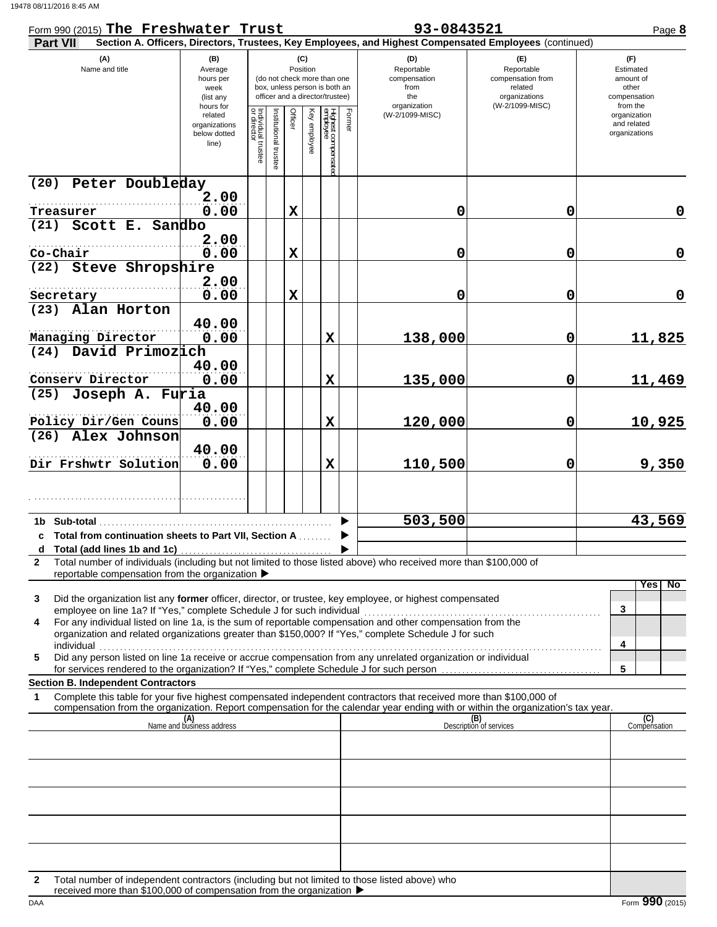| Form 990 (2015) The Freshwater Trust                                                                                                                                                                                                                                                                   |                                                                |                                   |                                                                                                 |                 |              |                                 |           | 93-0843521                                                                                             |                                                                                       | Page 8                                                             |
|--------------------------------------------------------------------------------------------------------------------------------------------------------------------------------------------------------------------------------------------------------------------------------------------------------|----------------------------------------------------------------|-----------------------------------|-------------------------------------------------------------------------------------------------|-----------------|--------------|---------------------------------|-----------|--------------------------------------------------------------------------------------------------------|---------------------------------------------------------------------------------------|--------------------------------------------------------------------|
| <b>Part VII</b>                                                                                                                                                                                                                                                                                        |                                                                |                                   |                                                                                                 |                 |              |                                 |           | Section A. Officers, Directors, Trustees, Key Employees, and Highest Compensated Employees (continued) |                                                                                       |                                                                    |
| (A)<br>Name and title                                                                                                                                                                                                                                                                                  | (B)<br>Average<br>hours per<br>week<br>(list any               |                                   | (do not check more than one<br>box, unless person is both an<br>officer and a director/trustee) | (C)<br>Position |              |                                 |           | (D)<br>Reportable<br>compensation<br>from<br>the                                                       | (F)<br>Reportable<br>compensation from<br>related<br>organizations<br>(W-2/1099-MISC) | (F)<br>Estimated<br>amount of<br>other<br>compensation<br>from the |
|                                                                                                                                                                                                                                                                                                        | hours for<br>related<br>organizations<br>below dotted<br>line) | Individual trustee<br>or director | Institutional truste                                                                            | Officer         | Key employee | Highest compensatec<br>employee | Form<br>₾ | organization<br>(W-2/1099-MISC)                                                                        |                                                                                       | organization<br>and related<br>organizations                       |
| Peter Doubleday<br>(20)                                                                                                                                                                                                                                                                                |                                                                |                                   |                                                                                                 |                 |              |                                 |           |                                                                                                        |                                                                                       |                                                                    |
|                                                                                                                                                                                                                                                                                                        | 2.00                                                           |                                   |                                                                                                 |                 |              |                                 |           |                                                                                                        |                                                                                       |                                                                    |
| Treasurer<br>Scott E. Sandbo<br>(21)                                                                                                                                                                                                                                                                   | 0.00                                                           |                                   |                                                                                                 | $\mathbf X$     |              |                                 |           | 0                                                                                                      | 0                                                                                     | 0                                                                  |
|                                                                                                                                                                                                                                                                                                        | 2.00                                                           |                                   |                                                                                                 |                 |              |                                 |           |                                                                                                        |                                                                                       |                                                                    |
| Co-Chair                                                                                                                                                                                                                                                                                               | 0.00                                                           |                                   |                                                                                                 | $\mathbf X$     |              |                                 |           | 0                                                                                                      | 0                                                                                     | $\mathbf 0$                                                        |
| (22) Steve Shropshire                                                                                                                                                                                                                                                                                  |                                                                |                                   |                                                                                                 |                 |              |                                 |           |                                                                                                        |                                                                                       |                                                                    |
| Secretary                                                                                                                                                                                                                                                                                              | 2.00<br>0.00                                                   |                                   |                                                                                                 | $\mathbf X$     |              |                                 |           | 0                                                                                                      | 0                                                                                     | $\mathbf 0$                                                        |
| (23) Alan Horton                                                                                                                                                                                                                                                                                       |                                                                |                                   |                                                                                                 |                 |              |                                 |           |                                                                                                        |                                                                                       |                                                                    |
|                                                                                                                                                                                                                                                                                                        | 40.00                                                          |                                   |                                                                                                 |                 |              |                                 |           |                                                                                                        |                                                                                       |                                                                    |
| Managing Director                                                                                                                                                                                                                                                                                      | 0.00                                                           |                                   |                                                                                                 |                 |              | $\mathbf x$                     |           | 138,000                                                                                                | 0                                                                                     | 11,825                                                             |
| (24) David Primozich                                                                                                                                                                                                                                                                                   |                                                                |                                   |                                                                                                 |                 |              |                                 |           |                                                                                                        |                                                                                       |                                                                    |
| Conserv Director                                                                                                                                                                                                                                                                                       | 40.00<br>0.00                                                  |                                   |                                                                                                 |                 |              | $\mathbf x$                     |           | 135,000                                                                                                | 0                                                                                     | 11,469                                                             |
| (25) Joseph A. Furia                                                                                                                                                                                                                                                                                   |                                                                |                                   |                                                                                                 |                 |              |                                 |           |                                                                                                        |                                                                                       |                                                                    |
|                                                                                                                                                                                                                                                                                                        | 40.00                                                          |                                   |                                                                                                 |                 |              |                                 |           |                                                                                                        |                                                                                       |                                                                    |
| Policy Dir/Gen Couns                                                                                                                                                                                                                                                                                   | 0.00                                                           |                                   |                                                                                                 |                 |              | $\mathbf x$                     |           | 120,000                                                                                                | 0                                                                                     | 10,925                                                             |
| (26) Alex Johnson                                                                                                                                                                                                                                                                                      | 40.00                                                          |                                   |                                                                                                 |                 |              |                                 |           |                                                                                                        |                                                                                       |                                                                    |
| Dir Frshwtr Solution                                                                                                                                                                                                                                                                                   | 0.00                                                           |                                   |                                                                                                 |                 |              | $\mathbf x$                     |           | 110,500                                                                                                | 0                                                                                     | 9,350                                                              |
|                                                                                                                                                                                                                                                                                                        |                                                                |                                   |                                                                                                 |                 |              |                                 |           |                                                                                                        |                                                                                       |                                                                    |
| 1b Sub-total and the state of the state of the state of the state of the state of the state of the state of the<br>c Total from continuation sheets to Part VII, Section A                                                                                                                             |                                                                |                                   |                                                                                                 |                 |              |                                 |           | 503, 500                                                                                               |                                                                                       | 43,569                                                             |
| Total number of individuals (including but not limited to those listed above) who received more than \$100,000 of<br>$\mathbf{2}$                                                                                                                                                                      |                                                                |                                   |                                                                                                 |                 |              |                                 |           |                                                                                                        |                                                                                       |                                                                    |
| reportable compensation from the organization ▶                                                                                                                                                                                                                                                        |                                                                |                                   |                                                                                                 |                 |              |                                 |           |                                                                                                        |                                                                                       |                                                                    |
| Did the organization list any former officer, director, or trustee, key employee, or highest compensated<br>3<br>employee on line 1a? If "Yes," complete Schedule J for such individual<br>For any individual listed on line 1a, is the sum of reportable compensation and other compensation from the |                                                                |                                   |                                                                                                 |                 |              |                                 |           |                                                                                                        |                                                                                       | No<br>Yes<br>3                                                     |
| 4<br>organization and related organizations greater than \$150,000? If "Yes," complete Schedule J for such<br>individual                                                                                                                                                                               |                                                                |                                   |                                                                                                 |                 |              |                                 |           |                                                                                                        |                                                                                       | 4                                                                  |
| Did any person listed on line 1a receive or accrue compensation from any unrelated organization or individual<br>5                                                                                                                                                                                     |                                                                |                                   |                                                                                                 |                 |              |                                 |           |                                                                                                        |                                                                                       |                                                                    |
| <b>Section B. Independent Contractors</b>                                                                                                                                                                                                                                                              |                                                                |                                   |                                                                                                 |                 |              |                                 |           |                                                                                                        |                                                                                       | 5                                                                  |
| Complete this table for your five highest compensated independent contractors that received more than \$100,000 of<br>1<br>compensation from the organization. Report compensation for the calendar year ending with or within the organization's tax year.                                            |                                                                |                                   |                                                                                                 |                 |              |                                 |           |                                                                                                        |                                                                                       |                                                                    |
|                                                                                                                                                                                                                                                                                                        | (A)<br>Name and business address                               |                                   |                                                                                                 |                 |              |                                 |           |                                                                                                        | (B)<br>Description of services                                                        | (C)<br>Compensation                                                |
|                                                                                                                                                                                                                                                                                                        |                                                                |                                   |                                                                                                 |                 |              |                                 |           |                                                                                                        |                                                                                       |                                                                    |
|                                                                                                                                                                                                                                                                                                        |                                                                |                                   |                                                                                                 |                 |              |                                 |           |                                                                                                        |                                                                                       |                                                                    |
|                                                                                                                                                                                                                                                                                                        |                                                                |                                   |                                                                                                 |                 |              |                                 |           |                                                                                                        |                                                                                       |                                                                    |
|                                                                                                                                                                                                                                                                                                        |                                                                |                                   |                                                                                                 |                 |              |                                 |           |                                                                                                        |                                                                                       |                                                                    |
|                                                                                                                                                                                                                                                                                                        |                                                                |                                   |                                                                                                 |                 |              |                                 |           |                                                                                                        |                                                                                       |                                                                    |
|                                                                                                                                                                                                                                                                                                        |                                                                |                                   |                                                                                                 |                 |              |                                 |           |                                                                                                        |                                                                                       |                                                                    |
| Total number of independent contractors (including but not limited to those listed above) who<br>2                                                                                                                                                                                                     |                                                                |                                   |                                                                                                 |                 |              |                                 |           |                                                                                                        |                                                                                       |                                                                    |
| received more than \$100,000 of compensation from the organization ▶                                                                                                                                                                                                                                   |                                                                |                                   |                                                                                                 |                 |              |                                 |           |                                                                                                        |                                                                                       |                                                                    |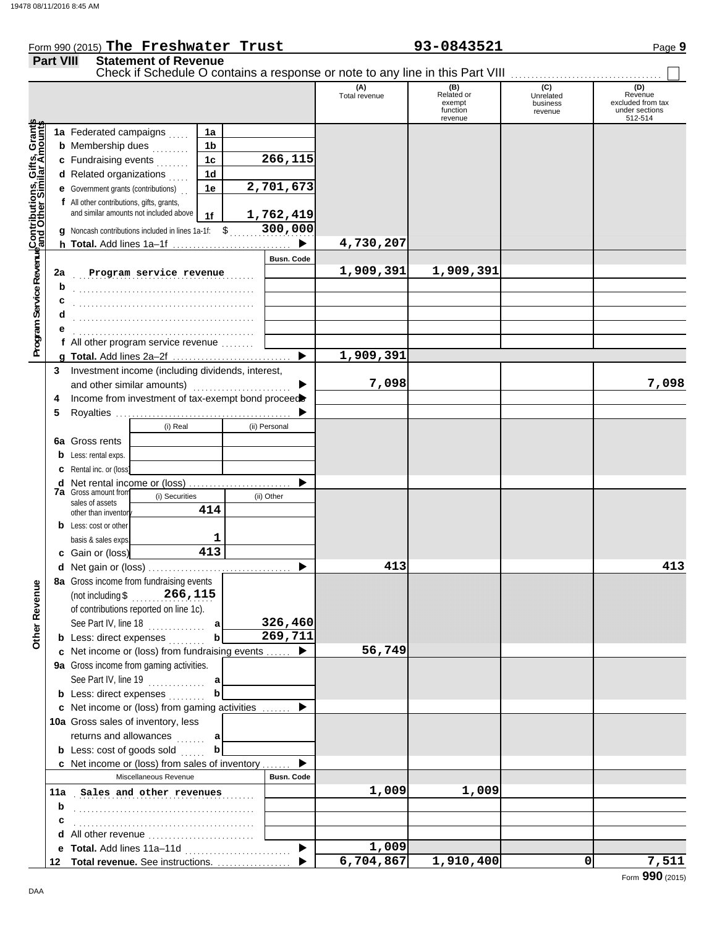### Form 990 (2015) Page **9 The Freshwater Trust 93-0843521 Part VIII Statement of Revenue** Check if Schedule O contains a response or note to any line in this Part VIII **(A)** (B) (B) (C) (D)<br>Total revenue Related or Unrelated Reven Total revenue Related or Unrelated Revenue excluded from tax exempt business function under sections revenue 512-514 revenue **Contributions, Gifts, Grants and Other Similar Amounts Program Service Revenue** Grant<br>mounts **1a 1a** Federated campaigns  $\ldots$ **1b b** Membership dues  $\ldots$ এৰ **1c 266,115 c** Fundraising events <sub>.</sub> . . . . . .  $\overline{\overline{5}}$ **1d d** Related organizations  $\ldots$ Program Service RevenueContributions, **2,701,673 1e e** Government grants (contributions) . . **f** All other contributions, gifts, grants, and similar amounts not included above **1,762,419 1f** \$ . . . . . . . . . . . . . . . . . . . . . **300,000 g** Noncash contributions included in lines 1a-1f: **4,730,207**  $\blacktriangleright$ **h Total.** Add lines 1a–1f . . . . . . . . . . . . . . . . . . . . . . . . . . . . . **Busn. Code Program service revenue 1,909,391 1,909,391 2a b** . . . . . . . . . . . . . . . . . . . . . . . . . . . . . . . . . . . . . . . . . . . . **c d** . . . . . . . . . . . . . . . . . . . . . . . . . . . . . . . . . . . . . . . . . . . . **e** . . . . . . . . . . . . . . . . . . . . . . . . . . . . . . . . . . . . . . . . . . . . **f** All other program service revenue . . . . . . . . **1,909,391 g Total.** Add lines 2a–2f . . . . . . . . . . . . . . . . . . . . . . . . . . . . . **3** Investment income (including dividends, interest, **7,098 7,098** and other similar amounts) ................  $\blacksquare$ 4 Income from investment of tax-exempt bond proceed **5** Royalties ... b (i) Real (ii) Personal **6a** Gross rents **b** Less: rental exps. **c** Rental inc. or (loss)  $\blacktriangleright$ **d** Net rental income or (loss) .......................... **7a** Gross amount from (i) Securities (ii) Other sales of assets **414** other than inventor **b** Less: cost or other **1** basis & sales exps. **413 c** Gain or (loss) **413 413 d** Net gain or (loss) . . . . . . . . . . . . . . . . . . . . . . . . . . . . . . . . . . . **8a** Gross income from fundraising events **Other Revenue Other Revenue** (not including \$ . . . . . . . . . . . . . . . . . . . . **266,115** of contributions reported on line 1c). See Part IV, line 18 . . . . . . . . . . . . . . **326,460 a b 269,711 b** Less: direct expenses . . . . . . . . **56,749 c** Net income or (loss) from fundraising events . . . . . . ▶ **9a** Gross income from gaming activities. See Part IV, line 19 . . . . . . . . . . . . . . **a b b** Less: direct expenses . . . . . . . . ▶ Net income or (loss) from gaming activities . . . . . . . **c** 10a Gross sales of inventory, less returns and allowances **a b b** Less: cost of goods sold  $\ldots$ ь Net income or (loss) from sales of inventory . . . . . . . **c** Miscellaneous Revenue **Busn. Code 11a** Sales and other revenues **1,009** 1,009 **b** . . . . . . . . . . . . . . . . . . . . . . . . . . . . . . . . . . . . . . . . . . . . **c** . . . . . . . . . . . . . . . . . . . . . . . . . . . . . . . . . . . . . . . . . . . . **d** All other revenue ..........................  $\blacktriangleright$ **1,009 e Total.** Add lines 11a–11d . . . . . . . . . . . . . . . . . . . . . . . . . .

**6,704,867 1,910,400 0 7,511**

**Total revenue.** See instructions. . . . . . . . . . . . . . . . . . . **12**

ь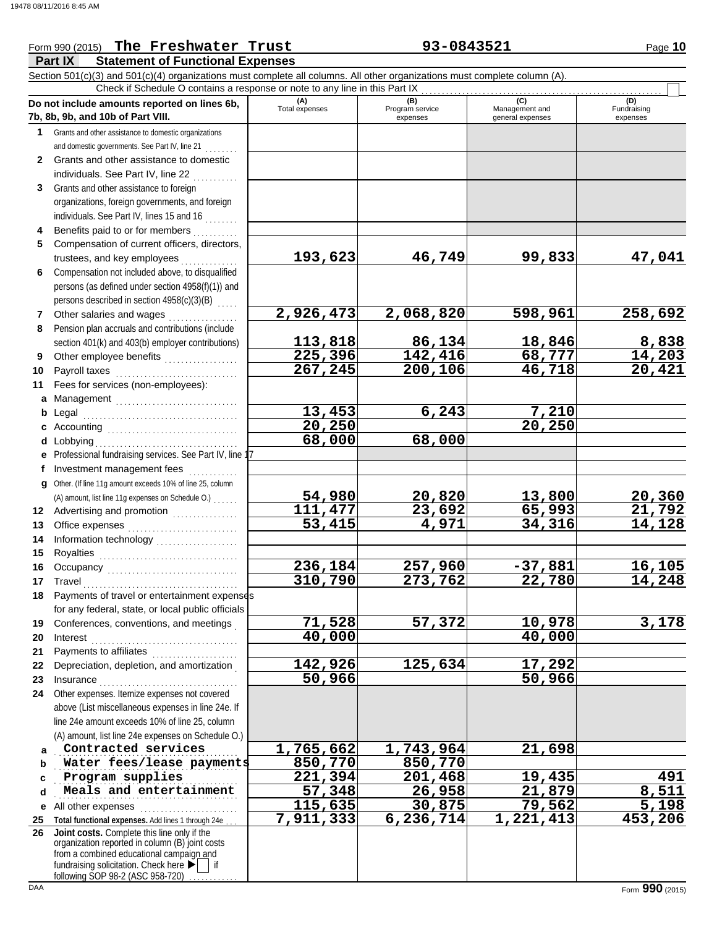### **Part IX Statement of Functional Expenses** Form 990 (2015) The Freshwater Trust **93-0843521** Page 10 Section 501(c)(3) and 501(c)(4) organizations must complete all columns. All other organizations must complete column (A). **Do not include amounts reported on lines 6b, 7b, 8b, 9b, and 10b of Part VIII. 1 2 3 4 5 6 7 8 9 10 11 a** Management .............................. **b** Legal **c** Accounting . . . . . . . . . . . . . . . . . . . . . . . . . . . . . . . . **d** Lobbying . . . . . . . . . . . . . . . . . . . . . . . . . . . . . . . . . . . **e f g** Other. (If line 11g amount exceeds 10% of line 25, column **12** Advertising and promotion . . . . . . . . . . . . . . **13 14 15 16 17 18 19 20 21 22 23 24 a b c d e** All other expenses . . . . . . . . . . . . . . . . . . . . . . . . **25 Total functional expenses.** Add lines 1 through 24e . . . **26** Grants and other assistance to domestic organizations and domestic governments. See Part IV, line 21 . . . . . . . . Grants and other assistance to domestic individuals. See Part IV, line 22 Grants and other assistance to foreign organizations, foreign governments, and foreign individuals. See Part IV, lines 15 and 16 ........ Benefits paid to or for members . . . . . . . . . . Compensation of current officers, directors, trustees, and key employees ........ Compensation not included above, to disqualified persons (as defined under section 4958(f)(1)) and persons described in section 4958(c)(3)(B) Other salaries and wages .................. Pension plan accruals and contributions (include section 401(k) and 403(b) employer contributions) Other employee benefits .................. Payroll taxes . . . . . . . . . . . . . . . . . . . . . . . . . . . . . . Fees for services (non-employees): Legal . . . . . . . . . . . . . . . . . . . . . . . . . . . . . . . . . . . . . . Professional fundraising services. See Part IV, line 17 Investment management fees ............. Office expenses ............................. Information technology . . . . . . . . . . . . . . . . . . . . Royalties . . . . . . . . . . . . . . . . . . . . . . . . . . . . . . . . . . Occupancy . . . . . . . . . . . . . . . . . . . . . . . . . . . . . . . . Travel . . . . . . . . . . . . . . . . . . . . . . . . . . . . . . . . . . . . . . Payments of travel or entertainment expenses for any federal, state, or local public officials Conferences, conventions, and meetings . Interest . . . . . . . . . . . . . . . . . . . . . . . . . . . . . . . . . . . . Payments to affiliates ...................... Depreciation, depletion, and amortization . Insurance . . . . . . . . . . . . . . . . . . . . . . . . . . . . . . . . . . Other expenses. Itemize expenses not covered above (List miscellaneous expenses in line 24e. If line 24e amount exceeds 10% of line 25, column (A) amount, list line 24e expenses on Schedule O.) fundraising solicitation. Check here  $\blacktriangleright$  | if organization reported in column (B) joint costs from a combined educational campaign and **(A) (B) (B)** (C) (C) (D)<br>Total expenses Program service Management and Fundrai expenses general expenses (D)<br>Fundraising expenses . . . . . . . . . . . . . . . . . . . . . . . . . . . . . . . . . . . . . . . . . . . . . **Contracted services 1,765,662 1,743,964 21,698 Water fees/lease payments** 850,770 850,770 . . . . . . . . . . . . . . . . . . . . . . . . . . . . . . . . . . . . . . . . . . . . . **Program supplies 221,394 201,468 19,435 491** Meals and entertainment **57,348** 26,958 21,879 8,511 Check if Schedule O contains a response or note to any line in this Part IX **Joint costs.** Complete this line only if the (A) amount, list line 11g expenses on Schedule O.) . . . . . . . **193,623 46,749 99,833 47,041 2,926,473 2,068,820 598,961 258,692 113,818 113,818 126,134 18,846 142,416 142,416 18,777 14,203 225,396 142,416 68,777 14,203 267,245 200,106 46,718 20,421 13,453 6,243 7,210 20,250 20,250 68,000 68,000 54,980 20,820 13,800 20,360 111,477 23,692 65,993 21,792 53,415 4,971 34,316 14,128 236,184 257,960 -37,881 16,105 310,790 273,762 22,780 14,248 71,528 57,372 10,978 3,178 40,000 40,000 142,926 125,634 17,292 50,966 50,966 115,635 30,875 79,562 5,198 7,911,333 6,236,714 1,221,413 453,206**

following SOP 98-2 (ASC 958-720)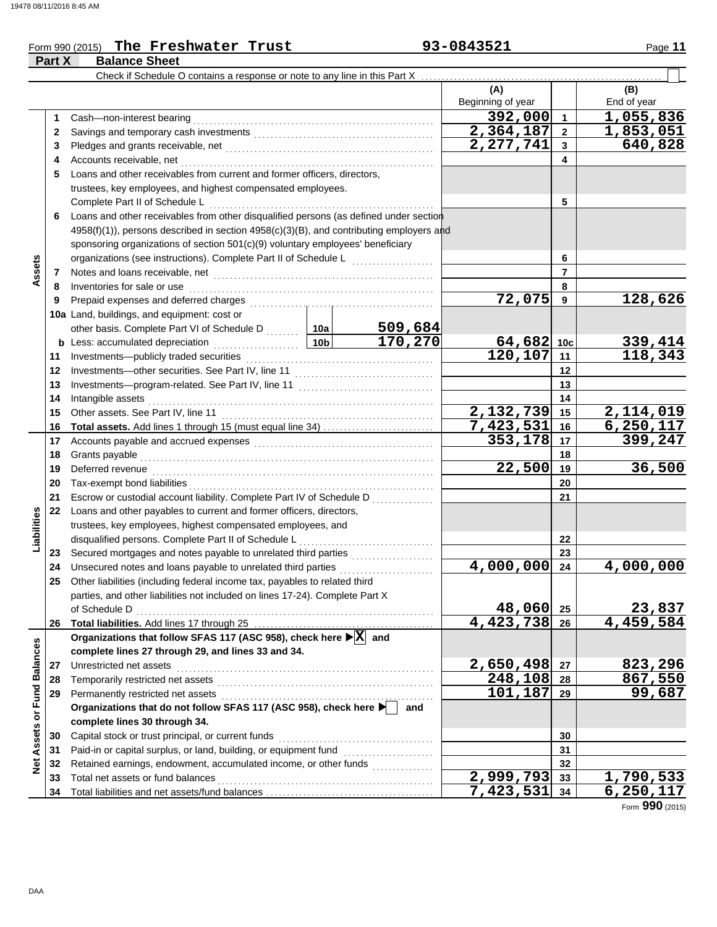**Part X** 

|        |                      | Form 990 (2015) The Freshwater Trust | 93-0843521 | Page 11 |
|--------|----------------------|--------------------------------------|------------|---------|
| Part X | <b>Balance Sheet</b> |                                      |            |         |

|                             |    | Check if Schedule O contains a response or note to any line in this Part X                                                                                                                                                          |                                                                       |         |                          |                      |                           |  |  |  |  |
|-----------------------------|----|-------------------------------------------------------------------------------------------------------------------------------------------------------------------------------------------------------------------------------------|-----------------------------------------------------------------------|---------|--------------------------|----------------------|---------------------------|--|--|--|--|
|                             |    |                                                                                                                                                                                                                                     |                                                                       |         | (A)<br>Beginning of year |                      | (B)<br>End of year        |  |  |  |  |
|                             |    |                                                                                                                                                                                                                                     |                                                                       |         | 392,000                  | $\blacktriangleleft$ | 1,055,836                 |  |  |  |  |
|                             | 1  | Cash-non-interest bearing                                                                                                                                                                                                           |                                                                       |         | 2,364,187                | $\overline{2}$       | 1,853,051                 |  |  |  |  |
|                             | 2  |                                                                                                                                                                                                                                     |                                                                       |         | 2,277,741                | $\mathbf{3}$         | 640,828                   |  |  |  |  |
|                             | 3  |                                                                                                                                                                                                                                     |                                                                       |         |                          |                      |                           |  |  |  |  |
|                             | 4  | Accounts receivable, net<br>Loans and other receivables from current and former officers, directors,                                                                                                                                |                                                                       |         |                          | 4                    |                           |  |  |  |  |
|                             | 5  |                                                                                                                                                                                                                                     |                                                                       |         |                          |                      |                           |  |  |  |  |
|                             |    | trustees, key employees, and highest compensated employees.                                                                                                                                                                         |                                                                       |         |                          |                      |                           |  |  |  |  |
|                             |    | Complete Part II of Schedule L                                                                                                                                                                                                      |                                                                       |         |                          | 5                    |                           |  |  |  |  |
|                             | 6. | Loans and other receivables from other disqualified persons (as defined under section                                                                                                                                               |                                                                       |         |                          |                      |                           |  |  |  |  |
|                             |    | 4958(f)(1)), persons described in section 4958(c)(3)(B), and contributing employers and                                                                                                                                             |                                                                       |         |                          |                      |                           |  |  |  |  |
|                             |    | sponsoring organizations of section 501(c)(9) voluntary employees' beneficiary                                                                                                                                                      |                                                                       |         |                          |                      |                           |  |  |  |  |
| Assets                      |    | organizations (see instructions). Complete Part II of Schedule L                                                                                                                                                                    |                                                                       |         |                          | 6                    |                           |  |  |  |  |
|                             | 7  | Notes and loans receivable, net <b>construction</b> and in the set of the set of the set of the set of the set of the set of the set of the set of the set of the set of the set of the set of the set of the set of the set of the |                                                                       |         |                          | $\overline{7}$       |                           |  |  |  |  |
|                             | 8  | Inventories for sale or use                                                                                                                                                                                                         |                                                                       |         |                          | 8                    |                           |  |  |  |  |
|                             | 9  | Prepaid expenses and deferred charges                                                                                                                                                                                               |                                                                       |         | 72,075                   | 9                    | 128,626                   |  |  |  |  |
|                             |    | 10a Land, buildings, and equipment: cost or                                                                                                                                                                                         |                                                                       |         |                          |                      |                           |  |  |  |  |
|                             |    | other basis. Complete Part VI of Schedule D  10a                                                                                                                                                                                    |                                                                       | 509,684 |                          |                      |                           |  |  |  |  |
|                             |    | <b>b</b> Less: accumulated depreciation<br>.                                                                                                                                                                                        | 10 <sub>b</sub>                                                       | 170,270 | 64,682                   | 10 <sub>c</sub>      | $\frac{339,414}{118,343}$ |  |  |  |  |
|                             | 11 | Investments-publicly traded securities                                                                                                                                                                                              |                                                                       |         | 120, 107                 | 11<br>12             |                           |  |  |  |  |
|                             | 12 |                                                                                                                                                                                                                                     |                                                                       |         |                          |                      |                           |  |  |  |  |
|                             | 13 |                                                                                                                                                                                                                                     |                                                                       |         | 13                       |                      |                           |  |  |  |  |
|                             | 14 | Intangible assets                                                                                                                                                                                                                   |                                                                       | 14      |                          |                      |                           |  |  |  |  |
|                             | 15 | Other assets. See Part IV, line 11                                                                                                                                                                                                  |                                                                       |         | 2,132,739                | 15                   | 2,114,019                 |  |  |  |  |
|                             | 16 | Total assets. Add lines 1 through 15 (must equal line 34)                                                                                                                                                                           |                                                                       |         | 7,423,531                | 16                   | 6, 250, 117               |  |  |  |  |
|                             | 17 |                                                                                                                                                                                                                                     |                                                                       |         | 353,178                  | 17                   | 399,247                   |  |  |  |  |
|                             | 18 | Grants payable                                                                                                                                                                                                                      |                                                                       |         |                          | 18                   |                           |  |  |  |  |
|                             | 19 | Deferred revenue                                                                                                                                                                                                                    | 22,500                                                                | 19      | 36,500                   |                      |                           |  |  |  |  |
|                             | 20 | Tax-exempt bond liabilities                                                                                                                                                                                                         |                                                                       |         | 20                       |                      |                           |  |  |  |  |
|                             | 21 |                                                                                                                                                                                                                                     | Escrow or custodial account liability. Complete Part IV of Schedule D |         |                          |                      |                           |  |  |  |  |
|                             | 22 | Loans and other payables to current and former officers, directors,                                                                                                                                                                 |                                                                       |         |                          |                      |                           |  |  |  |  |
| Liabilities                 |    | trustees, key employees, highest compensated employees, and                                                                                                                                                                         |                                                                       |         |                          |                      |                           |  |  |  |  |
|                             |    | disqualified persons. Complete Part II of Schedule L                                                                                                                                                                                |                                                                       |         |                          | 22                   |                           |  |  |  |  |
|                             | 23 |                                                                                                                                                                                                                                     |                                                                       |         |                          | 23                   |                           |  |  |  |  |
|                             | 24 | Unsecured notes and loans payable to unrelated third parties                                                                                                                                                                        |                                                                       |         | 4,000,000                | 24                   | 4,000,000                 |  |  |  |  |
|                             | 25 | Other liabilities (including federal income tax, payables to related third                                                                                                                                                          |                                                                       |         |                          |                      |                           |  |  |  |  |
|                             |    | parties, and other liabilities not included on lines 17-24). Complete Part X                                                                                                                                                        |                                                                       |         |                          |                      |                           |  |  |  |  |
|                             |    | of Schedule D                                                                                                                                                                                                                       |                                                                       |         | 48,060                   | 25                   | 23,837<br>4,459,584       |  |  |  |  |
|                             | 26 |                                                                                                                                                                                                                                     |                                                                       |         | 4,423,738 26             |                      |                           |  |  |  |  |
|                             |    | Organizations that follow SFAS 117 (ASC 958), check here ▶ X and                                                                                                                                                                    |                                                                       |         |                          |                      |                           |  |  |  |  |
|                             |    | complete lines 27 through 29, and lines 33 and 34.                                                                                                                                                                                  |                                                                       |         |                          |                      |                           |  |  |  |  |
|                             | 27 | Unrestricted net assets                                                                                                                                                                                                             |                                                                       |         | 2,650,498                | 27                   | 823,296                   |  |  |  |  |
|                             | 28 | Temporarily restricted net assets                                                                                                                                                                                                   |                                                                       |         | $\sqrt{248,108}$         | 28                   | 867,550                   |  |  |  |  |
|                             | 29 | Permanently restricted net assets                                                                                                                                                                                                   |                                                                       |         | 101,187                  | 29                   | 99,687                    |  |  |  |  |
|                             |    | Organizations that do not follow SFAS 117 (ASC 958), check here                                                                                                                                                                     |                                                                       | and     |                          |                      |                           |  |  |  |  |
|                             |    | complete lines 30 through 34.                                                                                                                                                                                                       |                                                                       |         |                          |                      |                           |  |  |  |  |
|                             | 30 | Capital stock or trust principal, or current funds                                                                                                                                                                                  |                                                                       |         |                          | 30                   |                           |  |  |  |  |
|                             | 31 | Paid-in or capital surplus, or land, building, or equipment fund                                                                                                                                                                    |                                                                       |         |                          | 31                   |                           |  |  |  |  |
| Net Assets or Fund Balances | 32 | Retained earnings, endowment, accumulated income, or other funds                                                                                                                                                                    |                                                                       |         |                          | 32                   |                           |  |  |  |  |
|                             | 33 | Total net assets or fund balances                                                                                                                                                                                                   |                                                                       |         | $\overline{2,999,793}$   | 33                   | 1,790,533                 |  |  |  |  |
|                             | 34 |                                                                                                                                                                                                                                     |                                                                       |         | $\overline{7,423,531}$   | 34                   | 6, 250, 117               |  |  |  |  |

Form **990** (2015)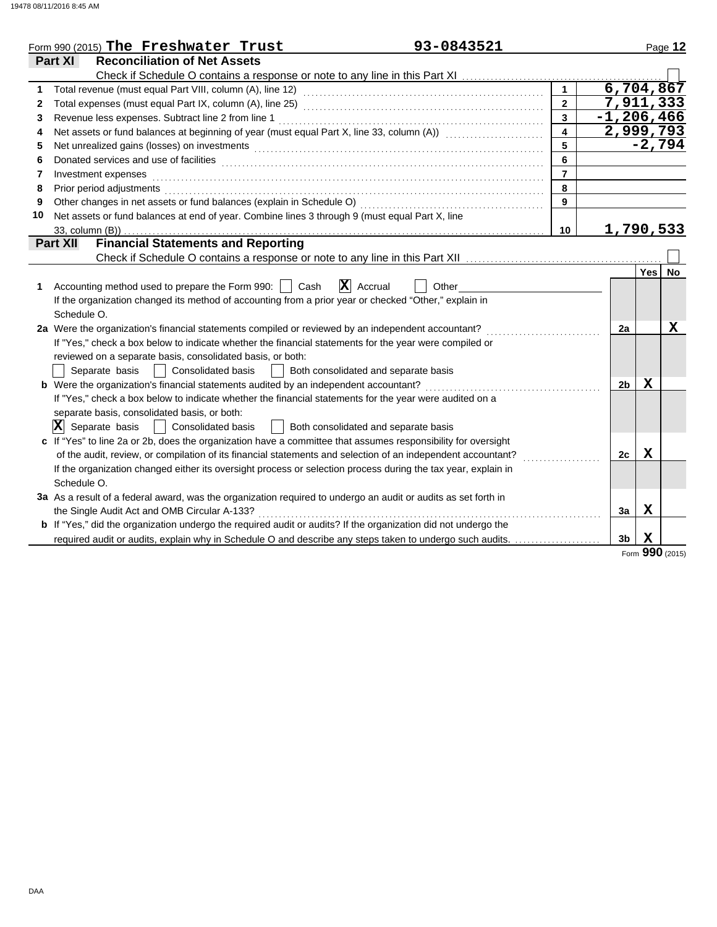|    | 93-0843521<br>Form 990 (2015) The Freshwater Trust                                                                                                                                                                             |                         |                |             | Page 12  |
|----|--------------------------------------------------------------------------------------------------------------------------------------------------------------------------------------------------------------------------------|-------------------------|----------------|-------------|----------|
|    | <b>Reconciliation of Net Assets</b><br>Part XI                                                                                                                                                                                 |                         |                |             |          |
|    |                                                                                                                                                                                                                                |                         |                |             |          |
| 1  |                                                                                                                                                                                                                                |                         | 6,704,867      |             |          |
| 2  |                                                                                                                                                                                                                                | $\overline{2}$          | 7,911,333      |             |          |
| 3  |                                                                                                                                                                                                                                | $\overline{3}$          | $-1, 206, 466$ |             |          |
| 4  | Net assets or fund balances at beginning of year (must equal Part X, line 33, column (A)) [[[[[[[[[[[[[[[[[[[                                                                                                                  | $\overline{\mathbf{A}}$ | 2,999,793      |             |          |
| 5  | Net unrealized gains (losses) on investments [11] with the content of the content of the content of the content of the content of the content of the content of the content of the content of the content of the content of th | 5                       |                |             | $-2,794$ |
| 6  |                                                                                                                                                                                                                                | 6                       |                |             |          |
| 7  | Investment expenses                                                                                                                                                                                                            | $\overline{7}$          |                |             |          |
| 8  | Prior period adjustments                                                                                                                                                                                                       | 8                       |                |             |          |
| 9  | Other changes in net assets or fund balances (explain in Schedule O)                                                                                                                                                           | 9                       |                |             |          |
| 10 | Net assets or fund balances at end of year. Combine lines 3 through 9 (must equal Part X, line                                                                                                                                 |                         |                |             |          |
|    | 33, column (B))                                                                                                                                                                                                                | 10                      | 1,790,533      |             |          |
|    | <b>Financial Statements and Reporting</b><br>Part XII                                                                                                                                                                          |                         |                |             |          |
|    |                                                                                                                                                                                                                                |                         |                |             |          |
|    |                                                                                                                                                                                                                                |                         |                | Yes         | No       |
| 1  | $\overline{\mathbf{x}}$<br>Accounting method used to prepare the Form 990:  <br>Cash<br>Accrual<br>Other                                                                                                                       |                         |                |             |          |
|    | If the organization changed its method of accounting from a prior year or checked "Other," explain in                                                                                                                          |                         |                |             |          |
|    | Schedule O.                                                                                                                                                                                                                    |                         |                |             |          |
|    | 2a Were the organization's financial statements compiled or reviewed by an independent accountant?                                                                                                                             |                         | 2a             |             | X        |
|    | If "Yes," check a box below to indicate whether the financial statements for the year were compiled or                                                                                                                         |                         |                |             |          |
|    | reviewed on a separate basis, consolidated basis, or both:                                                                                                                                                                     |                         |                |             |          |
|    | Separate basis<br>Consolidated basis<br>Both consolidated and separate basis                                                                                                                                                   |                         |                |             |          |
|    | <b>b</b> Were the organization's financial statements audited by an independent accountant?                                                                                                                                    |                         | 2 <sub>b</sub> | X           |          |
|    | If "Yes," check a box below to indicate whether the financial statements for the year were audited on a                                                                                                                        |                         |                |             |          |
|    | separate basis, consolidated basis, or both:                                                                                                                                                                                   |                         |                |             |          |
|    | $ \mathbf{X} $ Separate basis<br><b>Consolidated basis</b><br>Both consolidated and separate basis                                                                                                                             |                         |                |             |          |
|    | c If "Yes" to line 2a or 2b, does the organization have a committee that assumes responsibility for oversight                                                                                                                  |                         |                |             |          |
|    | of the audit, review, or compilation of its financial statements and selection of an independent accountant?                                                                                                                   |                         | 2c             | $\mathbf X$ |          |
|    | If the organization changed either its oversight process or selection process during the tax year, explain in                                                                                                                  |                         |                |             |          |
|    | Schedule O.                                                                                                                                                                                                                    |                         |                |             |          |
|    | 3a As a result of a federal award, was the organization required to undergo an audit or audits as set forth in                                                                                                                 |                         |                |             |          |
|    | the Single Audit Act and OMB Circular A-133?                                                                                                                                                                                   |                         | 3a             | $\mathbf X$ |          |
|    | <b>b</b> If "Yes," did the organization undergo the required audit or audits? If the organization did not undergo the                                                                                                          |                         |                |             |          |
|    | required audit or audits, explain why in Schedule O and describe any steps taken to undergo such audits.                                                                                                                       |                         | 3 <sub>b</sub> | $\mathbf X$ |          |

Form **990** (2015)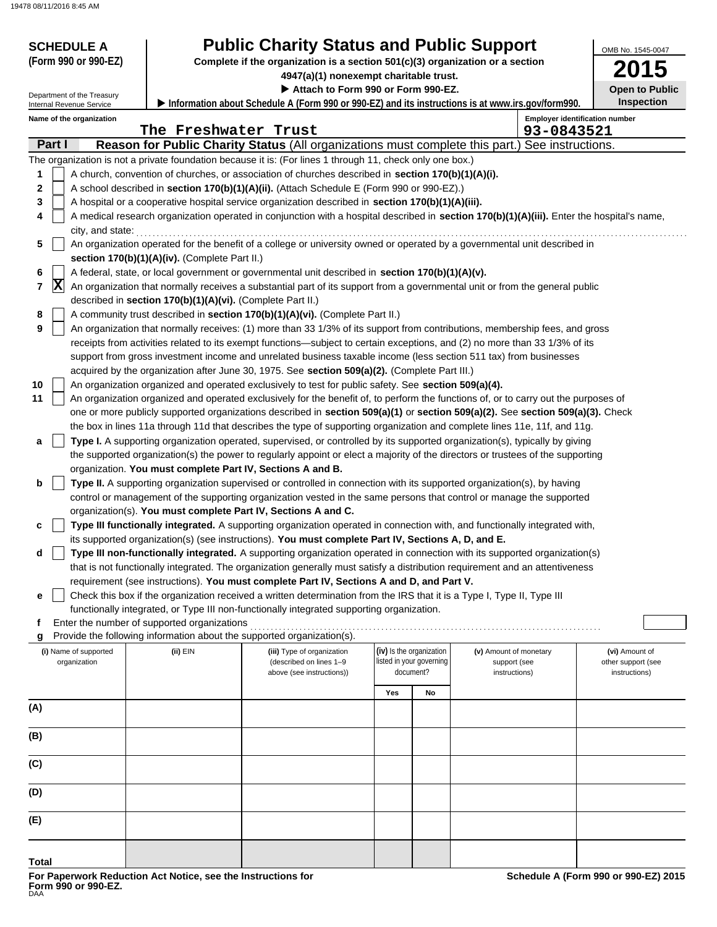| <b>SCHEDULE A</b><br>(Form 990 or 990-EZ)<br>Department of the Treasury<br>Internal Revenue Service | OMB No. 1545-0047<br><b>Open to Public</b><br><b>Inspection</b><br>Information about Schedule A (Form 990 or 990-EZ) and its instructions is at www.irs.gov/form990. |                                                                                                                                                                                                                                                             |                          |    |                        |            |                                       |
|-----------------------------------------------------------------------------------------------------|----------------------------------------------------------------------------------------------------------------------------------------------------------------------|-------------------------------------------------------------------------------------------------------------------------------------------------------------------------------------------------------------------------------------------------------------|--------------------------|----|------------------------|------------|---------------------------------------|
| Name of the organization                                                                            |                                                                                                                                                                      |                                                                                                                                                                                                                                                             |                          |    |                        |            | <b>Employer identification number</b> |
|                                                                                                     | The Freshwater Trust                                                                                                                                                 |                                                                                                                                                                                                                                                             |                          |    |                        | 93-0843521 |                                       |
| Part I                                                                                              |                                                                                                                                                                      | Reason for Public Charity Status (All organizations must complete this part.) See instructions.                                                                                                                                                             |                          |    |                        |            |                                       |
|                                                                                                     |                                                                                                                                                                      | The organization is not a private foundation because it is: (For lines 1 through 11, check only one box.)                                                                                                                                                   |                          |    |                        |            |                                       |
| 1                                                                                                   |                                                                                                                                                                      | A church, convention of churches, or association of churches described in section 170(b)(1)(A)(i).                                                                                                                                                          |                          |    |                        |            |                                       |
| $\mathbf 2$                                                                                         |                                                                                                                                                                      | A school described in section 170(b)(1)(A)(ii). (Attach Schedule E (Form 990 or 990-EZ).)                                                                                                                                                                   |                          |    |                        |            |                                       |
| 3<br>4                                                                                              |                                                                                                                                                                      | A hospital or a cooperative hospital service organization described in section 170(b)(1)(A)(iii).                                                                                                                                                           |                          |    |                        |            |                                       |
| city, and state:                                                                                    |                                                                                                                                                                      | A medical research organization operated in conjunction with a hospital described in section 170(b)(1)(A)(iii). Enter the hospital's name,                                                                                                                  |                          |    |                        |            |                                       |
| 5                                                                                                   |                                                                                                                                                                      | An organization operated for the benefit of a college or university owned or operated by a governmental unit described in                                                                                                                                   |                          |    |                        |            |                                       |
|                                                                                                     | section 170(b)(1)(A)(iv). (Complete Part II.)                                                                                                                        |                                                                                                                                                                                                                                                             |                          |    |                        |            |                                       |
| 6                                                                                                   |                                                                                                                                                                      | A federal, state, or local government or governmental unit described in section 170(b)(1)(A)(v).                                                                                                                                                            |                          |    |                        |            |                                       |
| $ \mathbf{X} $<br>$\overline{\mathbf{r}}$                                                           | described in section 170(b)(1)(A)(vi). (Complete Part II.)                                                                                                           | An organization that normally receives a substantial part of its support from a governmental unit or from the general public                                                                                                                                |                          |    |                        |            |                                       |
| 8                                                                                                   |                                                                                                                                                                      | A community trust described in section 170(b)(1)(A)(vi). (Complete Part II.)                                                                                                                                                                                |                          |    |                        |            |                                       |
| 9                                                                                                   |                                                                                                                                                                      | An organization that normally receives: (1) more than 33 1/3% of its support from contributions, membership fees, and gross                                                                                                                                 |                          |    |                        |            |                                       |
|                                                                                                     |                                                                                                                                                                      | receipts from activities related to its exempt functions—subject to certain exceptions, and (2) no more than 33 1/3% of its                                                                                                                                 |                          |    |                        |            |                                       |
|                                                                                                     |                                                                                                                                                                      | support from gross investment income and unrelated business taxable income (less section 511 tax) from businesses                                                                                                                                           |                          |    |                        |            |                                       |
|                                                                                                     |                                                                                                                                                                      | acquired by the organization after June 30, 1975. See section 509(a)(2). (Complete Part III.)                                                                                                                                                               |                          |    |                        |            |                                       |
| 10                                                                                                  |                                                                                                                                                                      | An organization organized and operated exclusively to test for public safety. See section 509(a)(4).                                                                                                                                                        |                          |    |                        |            |                                       |
| 11                                                                                                  |                                                                                                                                                                      | An organization organized and operated exclusively for the benefit of, to perform the functions of, or to carry out the purposes of                                                                                                                         |                          |    |                        |            |                                       |
|                                                                                                     |                                                                                                                                                                      | one or more publicly supported organizations described in section 509(a)(1) or section 509(a)(2). See section 509(a)(3). Check<br>the box in lines 11a through 11d that describes the type of supporting organization and complete lines 11e, 11f, and 11g. |                          |    |                        |            |                                       |
| a                                                                                                   |                                                                                                                                                                      | Type I. A supporting organization operated, supervised, or controlled by its supported organization(s), typically by giving                                                                                                                                 |                          |    |                        |            |                                       |
|                                                                                                     |                                                                                                                                                                      | the supported organization(s) the power to regularly appoint or elect a majority of the directors or trustees of the supporting                                                                                                                             |                          |    |                        |            |                                       |
|                                                                                                     | organization. You must complete Part IV, Sections A and B.                                                                                                           |                                                                                                                                                                                                                                                             |                          |    |                        |            |                                       |
| b                                                                                                   |                                                                                                                                                                      | Type II. A supporting organization supervised or controlled in connection with its supported organization(s), by having                                                                                                                                     |                          |    |                        |            |                                       |
|                                                                                                     |                                                                                                                                                                      | control or management of the supporting organization vested in the same persons that control or manage the supported                                                                                                                                        |                          |    |                        |            |                                       |
|                                                                                                     |                                                                                                                                                                      | organization(s). You must complete Part IV, Sections A and C.                                                                                                                                                                                               |                          |    |                        |            |                                       |
| c                                                                                                   |                                                                                                                                                                      | Type III functionally integrated. A supporting organization operated in connection with, and functionally integrated with,                                                                                                                                  |                          |    |                        |            |                                       |
|                                                                                                     |                                                                                                                                                                      | its supported organization(s) (see instructions). You must complete Part IV, Sections A, D, and E.                                                                                                                                                          |                          |    |                        |            |                                       |
| d                                                                                                   |                                                                                                                                                                      | Type III non-functionally integrated. A supporting organization operated in connection with its supported organization(s)                                                                                                                                   |                          |    |                        |            |                                       |
|                                                                                                     |                                                                                                                                                                      | that is not functionally integrated. The organization generally must satisfy a distribution requirement and an attentiveness                                                                                                                                |                          |    |                        |            |                                       |
|                                                                                                     |                                                                                                                                                                      | requirement (see instructions). You must complete Part IV, Sections A and D, and Part V.                                                                                                                                                                    |                          |    |                        |            |                                       |
| е                                                                                                   |                                                                                                                                                                      | Check this box if the organization received a written determination from the IRS that it is a Type I, Type II, Type III<br>functionally integrated, or Type III non-functionally integrated supporting organization.                                        |                          |    |                        |            |                                       |
| f                                                                                                   | Enter the number of supported organizations                                                                                                                          |                                                                                                                                                                                                                                                             |                          |    |                        |            |                                       |
| g                                                                                                   |                                                                                                                                                                      | Provide the following information about the supported organization(s).                                                                                                                                                                                      |                          |    |                        |            |                                       |
| (i) Name of supported                                                                               | (ii) EIN                                                                                                                                                             | (iii) Type of organization                                                                                                                                                                                                                                  | (iv) Is the organization |    | (v) Amount of monetary |            | (vi) Amount of                        |
| organization                                                                                        |                                                                                                                                                                      | (described on lines 1-9                                                                                                                                                                                                                                     | listed in your governing |    | support (see           |            | other support (see                    |
|                                                                                                     |                                                                                                                                                                      | above (see instructions))                                                                                                                                                                                                                                   | document?                |    | instructions)          |            | instructions)                         |
|                                                                                                     |                                                                                                                                                                      |                                                                                                                                                                                                                                                             | Yes                      | No |                        |            |                                       |
| (A)                                                                                                 |                                                                                                                                                                      |                                                                                                                                                                                                                                                             |                          |    |                        |            |                                       |
|                                                                                                     |                                                                                                                                                                      |                                                                                                                                                                                                                                                             |                          |    |                        |            |                                       |
| (B)                                                                                                 |                                                                                                                                                                      |                                                                                                                                                                                                                                                             |                          |    |                        |            |                                       |
| (C)                                                                                                 |                                                                                                                                                                      |                                                                                                                                                                                                                                                             |                          |    |                        |            |                                       |
|                                                                                                     |                                                                                                                                                                      |                                                                                                                                                                                                                                                             |                          |    |                        |            |                                       |
| (D)                                                                                                 |                                                                                                                                                                      |                                                                                                                                                                                                                                                             |                          |    |                        |            |                                       |
| (E)                                                                                                 |                                                                                                                                                                      |                                                                                                                                                                                                                                                             |                          |    |                        |            |                                       |
|                                                                                                     |                                                                                                                                                                      |                                                                                                                                                                                                                                                             |                          |    |                        |            |                                       |
|                                                                                                     |                                                                                                                                                                      |                                                                                                                                                                                                                                                             |                          |    |                        |            |                                       |

**Total**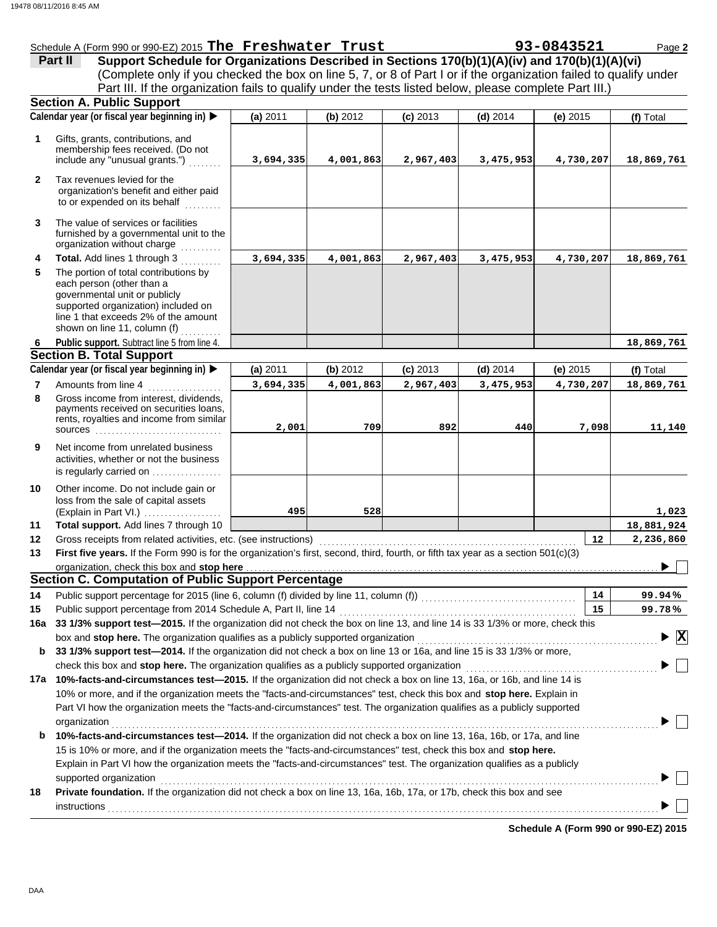|                | Schedule A (Form 990 or 990-EZ) 2015 The Freshwater Trust        |  |  |
|----------------|------------------------------------------------------------------|--|--|
| <b>Part II</b> | Support Schedule for Organizations Described in Sections 170(b)( |  |  |

|              | Schedule A (Form 990 or 990-EZ) 2015 The Freshwater Trust                                                                                                                                                                                        |           |           |            |            | 93-0843521                           | Page 2                          |
|--------------|--------------------------------------------------------------------------------------------------------------------------------------------------------------------------------------------------------------------------------------------------|-----------|-----------|------------|------------|--------------------------------------|---------------------------------|
|              | Support Schedule for Organizations Described in Sections 170(b)(1)(A)(iv) and 170(b)(1)(A)(vi)<br>Part II                                                                                                                                        |           |           |            |            |                                      |                                 |
|              | (Complete only if you checked the box on line 5, 7, or 8 of Part I or if the organization failed to qualify under                                                                                                                                |           |           |            |            |                                      |                                 |
|              | Part III. If the organization fails to qualify under the tests listed below, please complete Part III.)                                                                                                                                          |           |           |            |            |                                      |                                 |
|              | <b>Section A. Public Support</b><br>Calendar year (or fiscal year beginning in)                                                                                                                                                                  |           |           |            |            |                                      |                                 |
|              |                                                                                                                                                                                                                                                  | (a) 2011  | (b) 2012  | $(c)$ 2013 | $(d)$ 2014 | (e) $2015$                           | (f) Total                       |
| 1            | Gifts, grants, contributions, and<br>membership fees received. (Do not<br>include any "unusual grants.")                                                                                                                                         | 3,694,335 | 4,001,863 | 2,967,403  | 3,475,953  | 4,730,207                            | 18,869,761                      |
| $\mathbf{2}$ | Tax revenues levied for the<br>organization's benefit and either paid<br>to or expended on its behalf<br>.                                                                                                                                       |           |           |            |            |                                      |                                 |
| 3            | The value of services or facilities<br>furnished by a governmental unit to the<br>organization without charge                                                                                                                                    |           |           |            |            |                                      |                                 |
| 4            | Total. Add lines 1 through 3                                                                                                                                                                                                                     | 3,694,335 | 4,001,863 | 2,967,403  | 3,475,953  | 4,730,207                            | 18,869,761                      |
| 5            | The portion of total contributions by<br>each person (other than a<br>governmental unit or publicly<br>supported organization) included on<br>line 1 that exceeds 2% of the amount<br>shown on line 11, column (f)                               |           |           |            |            |                                      |                                 |
| 6            | Public support. Subtract line 5 from line 4.                                                                                                                                                                                                     |           |           |            |            |                                      | 18,869,761                      |
|              | <b>Section B. Total Support</b>                                                                                                                                                                                                                  |           |           |            |            |                                      |                                 |
|              | Calendar year (or fiscal year beginning in) ▶                                                                                                                                                                                                    | (a) 2011  | (b) 2012  | $(c)$ 2013 | $(d)$ 2014 | (e) $2015$                           | (f) Total                       |
| 7<br>8       | Amounts from line 4<br>Gross income from interest, dividends,                                                                                                                                                                                    | 3,694,335 | 4,001,863 | 2,967,403  | 3,475,953  | 4,730,207                            | 18,869,761                      |
|              | payments received on securities loans,<br>rents, royalties and income from similar<br>sources                                                                                                                                                    | 2,001     | 709       | 892        | 440        | 7,098                                | 11,140                          |
| 9            | Net income from unrelated business<br>activities, whether or not the business<br>is regularly carried on                                                                                                                                         |           |           |            |            |                                      |                                 |
| 10           | Other income. Do not include gain or<br>loss from the sale of capital assets<br>(Explain in Part VI.)                                                                                                                                            | 495       | 528       |            |            |                                      | 1,023                           |
| 11           | Total support. Add lines 7 through 10                                                                                                                                                                                                            |           |           |            |            |                                      | 18,881,924                      |
| 12           | Gross receipts from related activities, etc. (see instructions)                                                                                                                                                                                  |           |           |            |            | 12                                   | 2,236,860                       |
| 13           | First five vears. If the Form 990 is for the organization's first, second, third, fourth, or fifth tax vear as a section 501(c)(3)                                                                                                               |           |           |            |            |                                      |                                 |
|              | organization, check this box and stop here <b>construction and an intervention and an intervention and stop here</b> construction and an intervention and an intervention and an intervention and an intervention and an interventi              |           |           |            |            |                                      |                                 |
|              | <b>Section C. Computation of Public Support Percentage</b>                                                                                                                                                                                       |           |           |            |            |                                      |                                 |
| 14           | Public support percentage for 2015 (line 6, column (f) divided by line 11, column (f)) [[[[[[[[[[[[[[[[[[[[[[                                                                                                                                    |           |           |            |            | 14                                   | 99.94%                          |
| 15           | 33 1/3% support test-2015. If the organization did not check the box on line 13, and line 14 is 33 1/3% or more, check this                                                                                                                      |           |           |            |            | 15                                   | 99.78%                          |
| 16а          |                                                                                                                                                                                                                                                  |           |           |            |            |                                      | $\blacktriangleright$ $\vert$ X |
| b            | 33 1/3% support test-2014. If the organization did not check a box on line 13 or 16a, and line 15 is 33 1/3% or more,                                                                                                                            |           |           |            |            |                                      |                                 |
|              | check this box and stop here. The organization qualifies as a publicly supported organization <i>manumerration</i>                                                                                                                               |           |           |            |            |                                      |                                 |
|              | 17a 10%-facts-and-circumstances test-2015. If the organization did not check a box on line 13, 16a, or 16b, and line 14 is                                                                                                                       |           |           |            |            |                                      |                                 |
|              | 10% or more, and if the organization meets the "facts-and-circumstances" test, check this box and stop here. Explain in                                                                                                                          |           |           |            |            |                                      |                                 |
|              | Part VI how the organization meets the "facts-and-circumstances" test. The organization qualifies as a publicly supported                                                                                                                        |           |           |            |            |                                      |                                 |
| b            | organization<br>10%-facts-and-circumstances test-2014. If the organization did not check a box on line 13, 16a, 16b, or 17a, and line                                                                                                            |           |           |            |            |                                      |                                 |
|              | 15 is 10% or more, and if the organization meets the "facts-and-circumstances" test, check this box and stop here.<br>Explain in Part VI how the organization meets the "facts-and-circumstances" test. The organization qualifies as a publicly |           |           |            |            |                                      |                                 |
|              | supported organization                                                                                                                                                                                                                           |           |           |            |            |                                      |                                 |
| 18           | Private foundation. If the organization did not check a box on line 13, 16a, 16b, 17a, or 17b, check this box and see<br>instructions                                                                                                            |           |           |            |            |                                      |                                 |
|              |                                                                                                                                                                                                                                                  |           |           |            |            | Schedule A (Form 990 or 990-EZ) 2015 |                                 |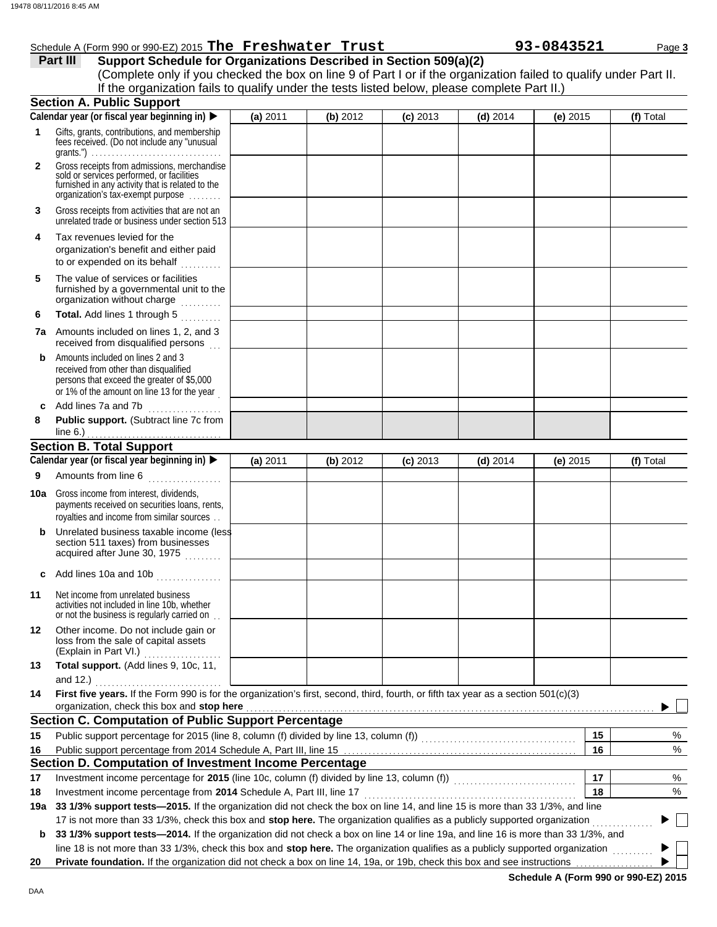|              | 8 08/11/2016 8:45 AM                                                                                                                                                                                                                                       |          |          |            |            |            |           |
|--------------|------------------------------------------------------------------------------------------------------------------------------------------------------------------------------------------------------------------------------------------------------------|----------|----------|------------|------------|------------|-----------|
|              | Schedule A (Form 990 or 990-EZ) 2015 The Freshwater Trust                                                                                                                                                                                                  |          |          |            |            | 93-0843521 | Page 3    |
|              | Support Schedule for Organizations Described in Section 509(a)(2)<br>Part III                                                                                                                                                                              |          |          |            |            |            |           |
|              | (Complete only if you checked the box on line 9 of Part I or if the organization failed to qualify under Part II.                                                                                                                                          |          |          |            |            |            |           |
|              | If the organization fails to qualify under the tests listed below, please complete Part II.)                                                                                                                                                               |          |          |            |            |            |           |
|              | <b>Section A. Public Support</b>                                                                                                                                                                                                                           |          |          |            |            |            |           |
|              | Calendar year (or fiscal year beginning in)                                                                                                                                                                                                                | (a) 2011 | (b) 2012 | $(c)$ 2013 | $(d)$ 2014 | (e) 2015   | (f) Total |
| 1            | Gifts, grants, contributions, and membership<br>fees received. (Do not include any "unusual                                                                                                                                                                |          |          |            |            |            |           |
| $\mathbf{2}$ | Gross receipts from admissions, merchandise<br>sold or services performed, or facilities<br>furnished in any activity that is related to the<br>organization's tax-exempt purpose                                                                          |          |          |            |            |            |           |
| 3            | Gross receipts from activities that are not an<br>unrelated trade or business under section 513                                                                                                                                                            |          |          |            |            |            |           |
| 4            | Tax revenues levied for the<br>organization's benefit and either paid<br>to or expended on its behalf                                                                                                                                                      |          |          |            |            |            |           |
| 5            | The value of services or facilities<br>furnished by a governmental unit to the<br>organization without charge                                                                                                                                              |          |          |            |            |            |           |
| 6            | Total. Add lines 1 through 5                                                                                                                                                                                                                               |          |          |            |            |            |           |
|              | <b>7a</b> Amounts included on lines 1, 2, and 3<br>received from disqualified persons                                                                                                                                                                      |          |          |            |            |            |           |
| b            | Amounts included on lines 2 and 3<br>received from other than disqualified<br>persons that exceed the greater of \$5,000<br>or 1% of the amount on line 13 for the year                                                                                    |          |          |            |            |            |           |
| c            | Add lines 7a and 7b<br>.                                                                                                                                                                                                                                   |          |          |            |            |            |           |
| 8            | Public support. (Subtract line 7c from                                                                                                                                                                                                                     |          |          |            |            |            |           |
|              | line $6.$ )                                                                                                                                                                                                                                                |          |          |            |            |            |           |
|              | <b>Section B. Total Support</b>                                                                                                                                                                                                                            |          |          |            |            |            |           |
|              | Calendar year (or fiscal year beginning in)                                                                                                                                                                                                                | (a) 2011 | (b) 2012 | $(c)$ 2013 | $(d)$ 2014 | $(e)$ 2015 | (f) Total |
| 9            | Amounts from line 6                                                                                                                                                                                                                                        |          |          |            |            |            |           |
|              | <b>10a</b> Gross income from interest, dividends,<br>payments received on securities loans, rents,<br>royalties and income from similar sources                                                                                                            |          |          |            |            |            |           |
| b            | Unrelated business taxable income (less<br>section 511 taxes) from businesses<br>acquired after June 30, 1975                                                                                                                                              |          |          |            |            |            |           |
| c            | Add lines 10a and 10b                                                                                                                                                                                                                                      |          |          |            |            |            |           |
| 11           | Net income from unrelated business<br>activities not included in line 10b, whether<br>or not the business is regularly carried on                                                                                                                          |          |          |            |            |            |           |
| 12           | Other income. Do not include gain or<br>loss from the sale of capital assets<br>(Explain in Part VI.)                                                                                                                                                      |          |          |            |            |            |           |
| 13           | Total support. (Add lines 9, 10c, 11,<br>and 12.) $\ldots$                                                                                                                                                                                                 |          |          |            |            |            |           |
| 14           | First five years. If the Form 990 is for the organization's first, second, third, fourth, or fifth tax year as a section 501(c)(3)                                                                                                                         |          |          |            |            |            |           |
|              | organization, check this box and stop here <b>constant and all and all and all and all and all and all and all and a</b>                                                                                                                                   |          |          |            |            |            |           |
|              | <b>Section C. Computation of Public Support Percentage</b>                                                                                                                                                                                                 |          |          |            |            |            |           |
| 15           |                                                                                                                                                                                                                                                            |          |          |            |            | 15         | %         |
| 16           |                                                                                                                                                                                                                                                            |          |          |            |            | 16         | %         |
|              | Section D. Computation of Investment Income Percentage                                                                                                                                                                                                     |          |          |            |            |            |           |
| 17           |                                                                                                                                                                                                                                                            |          |          |            |            | 17         | %         |
| 18           | Investment income percentage from 2014 Schedule A, Part III, line 17                                                                                                                                                                                       |          |          |            |            | 18         | %         |
| 19a          | 33 1/3% support tests-2015. If the organization did not check the box on line 14, and line 15 is more than 33 1/3%, and line<br>17 is not more than 33 1/3%, check this box and stop here. The organization qualifies as a publicly supported organization |          |          |            |            |            |           |
|              |                                                                                                                                                                                                                                                            |          |          |            |            |            |           |

**b** 33 1/3% support tests-2014. If the organization did not check a box on line 14 or line 19a, and line 16 is more than 33 1/3%, and line 18 is not more than 33 1/3%, check this box and **stop here.** The organization qualifies as a publicly supported organization . . . . . . . . . .  $\blacktriangleright$ 

**20 Private foundation.** If the organization did not check a box on line 14, 19a, or 19b, check this box and see instructions

**Schedule A (Form 990 or 990-EZ) 2015**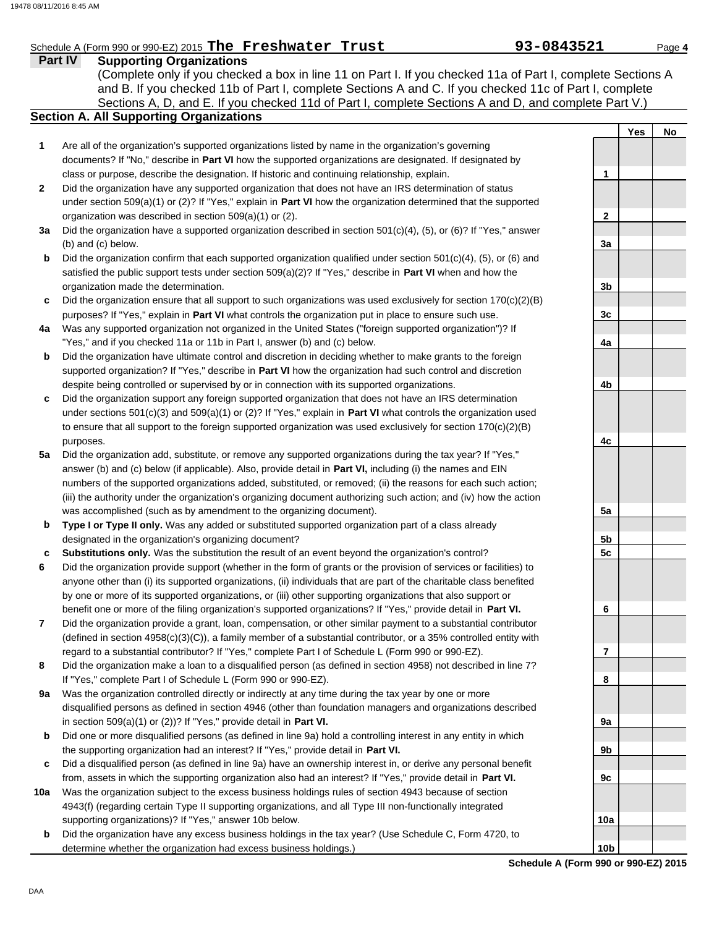### Schedule A (Form 990 or 990-EZ) 2015 **The Freshwater Trust 93-0843521** Page 4

**Part IV Supporting Organizations** Sections A, D, and E. If you checked 11d of Part I, complete Sections A and D, and complete Part V.) (Complete only if you checked a box in line 11 on Part I. If you checked 11a of Part I, complete Sections A and B. If you checked 11b of Part I, complete Sections A and C. If you checked 11c of Part I, complete

### **Section A. All Supporting Organizations**

- Are all of the organization's supported organizations listed by name in the organization's governing documents? If "No," describe in **Part VI** how the supported organizations are designated. If designated by class or purpose, describe the designation. If historic and continuing relationship, explain. **1**
- Did the organization have any supported organization that does not have an IRS determination of status under section 509(a)(1) or (2)? If "Yes," explain in **Part VI** how the organization determined that the supported organization was described in section 509(a)(1) or (2). **2**
- **3a** Did the organization have a supported organization described in section 501(c)(4), (5), or (6)? If "Yes," answer (b) and (c) below.
- **b** Did the organization confirm that each supported organization qualified under section  $501(c)(4)$ ,  $(5)$ , or  $(6)$  and satisfied the public support tests under section 509(a)(2)? If "Yes," describe in **Part VI** when and how the organization made the determination.
- **c** Did the organization ensure that all support to such organizations was used exclusively for section  $170(c)(2)(B)$ purposes? If "Yes," explain in **Part VI** what controls the organization put in place to ensure such use.
- **4a** Was any supported organization not organized in the United States ("foreign supported organization")? If "Yes," and if you checked 11a or 11b in Part I, answer (b) and (c) below.
- **b** Did the organization have ultimate control and discretion in deciding whether to make grants to the foreign supported organization? If "Yes," describe in **Part VI** how the organization had such control and discretion despite being controlled or supervised by or in connection with its supported organizations.
- **c** Did the organization support any foreign supported organization that does not have an IRS determination under sections 501(c)(3) and 509(a)(1) or (2)? If "Yes," explain in **Part VI** what controls the organization used to ensure that all support to the foreign supported organization was used exclusively for section 170(c)(2)(B) purposes.
- **5a** Did the organization add, substitute, or remove any supported organizations during the tax year? If "Yes," answer (b) and (c) below (if applicable). Also, provide detail in **Part VI,** including (i) the names and EIN numbers of the supported organizations added, substituted, or removed; (ii) the reasons for each such action; (iii) the authority under the organization's organizing document authorizing such action; and (iv) how the action was accomplished (such as by amendment to the organizing document).
- **b Type I or Type II only.** Was any added or substituted supported organization part of a class already designated in the organization's organizing document?
- **c Substitutions only.** Was the substitution the result of an event beyond the organization's control?
- **6** Did the organization provide support (whether in the form of grants or the provision of services or facilities) to anyone other than (i) its supported organizations, (ii) individuals that are part of the charitable class benefited by one or more of its supported organizations, or (iii) other supporting organizations that also support or benefit one or more of the filing organization's supported organizations? If "Yes," provide detail in **Part VI.**
- **7** Did the organization provide a grant, loan, compensation, or other similar payment to a substantial contributor (defined in section 4958(c)(3)(C)), a family member of a substantial contributor, or a 35% controlled entity with regard to a substantial contributor? If "Yes," complete Part I of Schedule L (Form 990 or 990-EZ).
- **8** Did the organization make a loan to a disqualified person (as defined in section 4958) not described in line 7? If "Yes," complete Part I of Schedule L (Form 990 or 990-EZ).
- **9a** Was the organization controlled directly or indirectly at any time during the tax year by one or more disqualified persons as defined in section 4946 (other than foundation managers and organizations described in section 509(a)(1) or (2))? If "Yes," provide detail in **Part VI.**
- **b** Did one or more disqualified persons (as defined in line 9a) hold a controlling interest in any entity in which the supporting organization had an interest? If "Yes," provide detail in **Part VI.**
- **c** Did a disqualified person (as defined in line 9a) have an ownership interest in, or derive any personal benefit from, assets in which the supporting organization also had an interest? If "Yes," provide detail in **Part VI.**
- **10a** Was the organization subject to the excess business holdings rules of section 4943 because of section 4943(f) (regarding certain Type II supporting organizations, and all Type III non-functionally integrated supporting organizations)? If "Yes," answer 10b below.
- **b** Did the organization have any excess business holdings in the tax year? (Use Schedule C, Form 4720, to determine whether the organization had excess business holdings.)

|                         | <u>Yes</u> | <u>No</u> |
|-------------------------|------------|-----------|
|                         |            |           |
| 1                       |            |           |
| $\overline{2}$          |            |           |
| 3a                      |            |           |
| 3b                      |            |           |
| 3c                      |            |           |
| 4a                      |            |           |
| 4b                      |            |           |
|                         |            |           |
| 4c                      |            |           |
|                         |            |           |
| 5a                      |            |           |
| $\frac{5b}{2}$          |            |           |
| 5c                      |            |           |
| 6                       |            |           |
|                         |            |           |
| $\overline{\mathbf{r}}$ |            |           |
| 8                       |            |           |
| 9a                      |            |           |
| 9b                      |            |           |
| 9c                      |            |           |
|                         |            |           |
| 10a                     |            |           |
| 10 <sub>b</sub>         |            |           |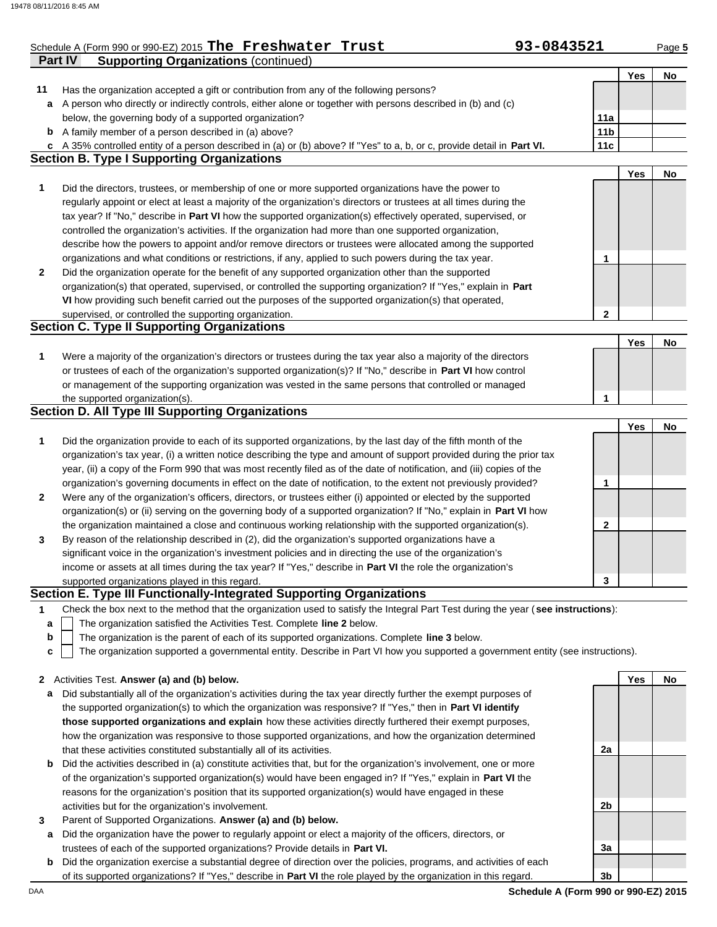|              | Schedule A (Form 990 or 990-EZ) 2015 The Freshwater Trust                                                                         | 93-0843521      |     | Page 5 |
|--------------|-----------------------------------------------------------------------------------------------------------------------------------|-----------------|-----|--------|
|              | Part IV<br><b>Supporting Organizations (continued)</b>                                                                            |                 |     |        |
|              |                                                                                                                                   |                 | Yes | No     |
| 11           | Has the organization accepted a gift or contribution from any of the following persons?                                           |                 |     |        |
| а            | A person who directly or indirectly controls, either alone or together with persons described in (b) and (c)                      |                 |     |        |
|              | below, the governing body of a supported organization?                                                                            | 11a             |     |        |
|              | <b>b</b> A family member of a person described in (a) above?                                                                      | 11 <sub>b</sub> |     |        |
| C            | A 35% controlled entity of a person described in (a) or (b) above? If "Yes" to a, b, or c, provide detail in Part VI.             | 11c             |     |        |
|              | <b>Section B. Type I Supporting Organizations</b>                                                                                 |                 |     |        |
|              |                                                                                                                                   |                 | Yes | No     |
| 1            | Did the directors, trustees, or membership of one or more supported organizations have the power to                               |                 |     |        |
|              | regularly appoint or elect at least a majority of the organization's directors or trustees at all times during the                |                 |     |        |
|              | tax year? If "No," describe in Part VI how the supported organization(s) effectively operated, supervised, or                     |                 |     |        |
|              | controlled the organization's activities. If the organization had more than one supported organization,                           |                 |     |        |
|              | describe how the powers to appoint and/or remove directors or trustees were allocated among the supported                         |                 |     |        |
|              | organizations and what conditions or restrictions, if any, applied to such powers during the tax year.                            | 1               |     |        |
| $\mathbf{2}$ | Did the organization operate for the benefit of any supported organization other than the supported                               |                 |     |        |
|              | organization(s) that operated, supervised, or controlled the supporting organization? If "Yes," explain in Part                   |                 |     |        |
|              | VI how providing such benefit carried out the purposes of the supported organization(s) that operated,                            |                 |     |        |
|              | supervised, or controlled the supporting organization.                                                                            | 2               |     |        |
|              | <b>Section C. Type II Supporting Organizations</b>                                                                                |                 |     |        |
|              |                                                                                                                                   |                 | Yes | No     |
| 1            | Were a majority of the organization's directors or trustees during the tax year also a majority of the directors                  |                 |     |        |
|              | or trustees of each of the organization's supported organization(s)? If "No," describe in Part VI how control                     |                 |     |        |
|              | or management of the supporting organization was vested in the same persons that controlled or managed                            |                 |     |        |
|              | the supported organization(s).                                                                                                    | 1               |     |        |
|              | <b>Section D. All Type III Supporting Organizations</b>                                                                           |                 |     |        |
|              |                                                                                                                                   |                 | Yes | No     |
| 1            | Did the organization provide to each of its supported organizations, by the last day of the fifth month of the                    |                 |     |        |
|              | organization's tax year, (i) a written notice describing the type and amount of support provided during the prior tax             |                 |     |        |
|              | year, (ii) a copy of the Form 990 that was most recently filed as of the date of notification, and (iii) copies of the            |                 |     |        |
|              | organization's governing documents in effect on the date of notification, to the extent not previously provided?                  | 1               |     |        |
|              |                                                                                                                                   |                 |     |        |
| 2            | Were any of the organization's officers, directors, or trustees either (i) appointed or elected by the supported                  |                 |     |        |
|              | organization(s) or (ii) serving on the governing body of a supported organization? If "No," explain in Part VI how                |                 |     |        |
|              | the organization maintained a close and continuous working relationship with the supported organization(s).                       | $\mathbf{2}$    |     |        |
| 3            | By reason of the relationship described in (2), did the organization's supported organizations have a                             |                 |     |        |
|              | significant voice in the organization's investment policies and in directing the use of the organization's                        |                 |     |        |
|              | income or assets at all times during the tax year? If "Yes," describe in Part VI the role the organization's                      |                 |     |        |
|              | supported organizations played in this regard.                                                                                    | 3               |     |        |
|              | Section E. Type III Functionally-Integrated Supporting Organizations                                                              |                 |     |        |
| 1            | Check the box next to the method that the organization used to satisfy the Integral Part Test during the year (see instructions): |                 |     |        |
| a            | The organization satisfied the Activities Test. Complete line 2 below.                                                            |                 |     |        |
| b            | The organization is the parent of each of its supported organizations. Complete line 3 below.                                     |                 |     |        |
| c            | The organization supported a governmental entity. Describe in Part VI how you supported a government entity (see instructions).   |                 |     |        |
|              |                                                                                                                                   |                 | Yes |        |
| 2            | Activities Test. Answer (a) and (b) below.                                                                                        |                 |     | No     |
| a            | Did substantially all of the organization's activities during the tax year directly further the exempt purposes of                |                 |     |        |
|              | the supported organization(s) to which the organization was responsive? If "Yes," then in Part VI identify                        |                 |     |        |
|              | those supported organizations and explain how these activities directly furthered their exempt purposes,                          |                 |     |        |
|              | how the organization was responsive to those supported organizations, and how the organization determined                         |                 |     |        |
|              | that these activities constituted substantially all of its activities.                                                            | 2a              |     |        |
| b            | Did the activities described in (a) constitute activities that, but for the organization's involvement, one or more               |                 |     |        |
|              | of the organization's supported organization(s) would have been engaged in? If "Yes," explain in Part VI the                      |                 |     |        |
|              | reasons for the organization's position that its supported organization(s) would have engaged in these                            |                 |     |        |
|              | activities but for the organization's involvement.                                                                                | 2b              |     |        |
| 3            | Parent of Supported Organizations. Answer (a) and (b) below.                                                                      |                 |     |        |
| а            | Did the organization have the power to regularly appoint or elect a majority of the officers, directors, or                       |                 |     |        |
|              | trustees of each of the supported organizations? Provide details in Part VI.                                                      | За              |     |        |
| b            | Did the organization exercise a substantial degree of direction over the policies, programs, and activities of each               |                 |     |        |
|              | of its supported organizations? If "Yes," describe in Part VI the role played by the organization in this regard.                 | 3b              |     |        |

DAA **Schedule A (Form 990 or 990-EZ) 2015**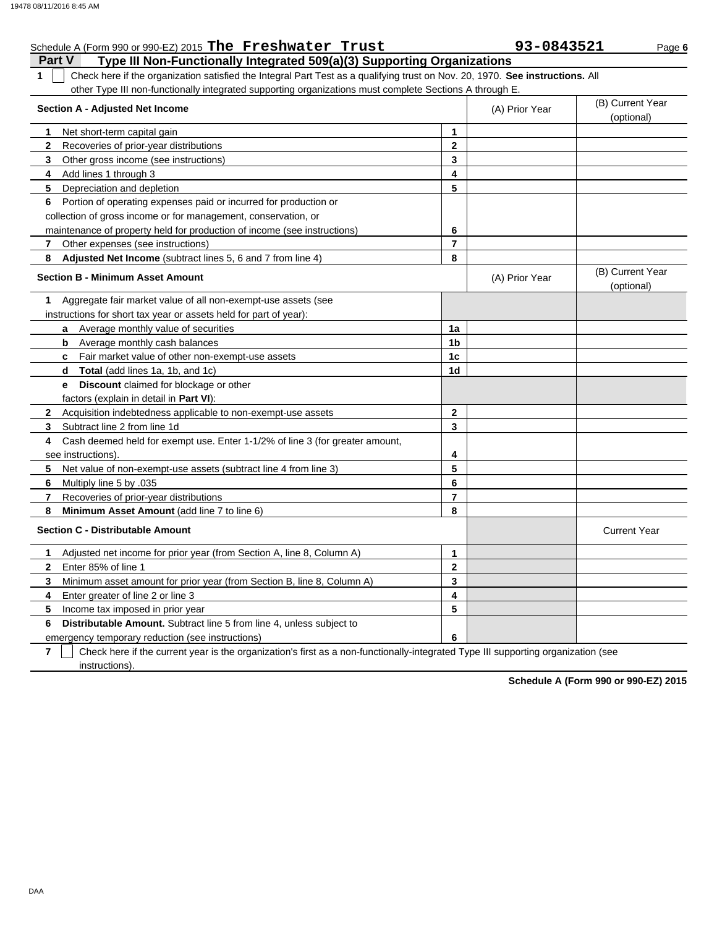### Schedule A (Form 990 or 990-EZ) 2015 **The Freshwater Trust 93-0843521** Page 6

**Part V Type III Non-Functionally Integrated 509(a)(3) Supporting Organizations 1** Check here if the organization satisfied the Integral Part Test as a qualifying trust on Nov. 20, 1970. **See instructions.** All other Type III non-functionally integrated supporting organizations must complete Sections A through E.

| <b>Section A - Adjusted Net Income</b>                                            |                | (A) Prior Year | (B) Current Year<br>(optional) |
|-----------------------------------------------------------------------------------|----------------|----------------|--------------------------------|
| Net short-term capital gain<br>1.                                                 | 1              |                |                                |
| Recoveries of prior-year distributions<br>$\mathbf{2}$                            | $\mathbf{2}$   |                |                                |
| 3<br>Other gross income (see instructions)                                        | 3              |                |                                |
| 4<br>Add lines 1 through 3                                                        | 4              |                |                                |
| Depreciation and depletion<br>5                                                   | 5              |                |                                |
| Portion of operating expenses paid or incurred for production or<br>6             |                |                |                                |
| collection of gross income or for management, conservation, or                    |                |                |                                |
| maintenance of property held for production of income (see instructions)          | 6              |                |                                |
| $\mathbf{7}$<br>Other expenses (see instructions)                                 | 7              |                |                                |
| 8<br>Adjusted Net Income (subtract lines 5, 6 and 7 from line 4)                  | 8              |                |                                |
| <b>Section B - Minimum Asset Amount</b>                                           |                | (A) Prior Year | (B) Current Year<br>(optional) |
| Aggregate fair market value of all non-exempt-use assets (see<br>1.               |                |                |                                |
| instructions for short tax year or assets held for part of year):                 |                |                |                                |
| a Average monthly value of securities                                             | 1a             |                |                                |
| <b>b</b> Average monthly cash balances                                            | 1 <sub>b</sub> |                |                                |
| c Fair market value of other non-exempt-use assets                                | 1c             |                |                                |
| Total (add lines 1a, 1b, and 1c)<br>d                                             | 1 <sub>d</sub> |                |                                |
| Discount claimed for blockage or other<br>e.                                      |                |                |                                |
| factors (explain in detail in Part VI):                                           |                |                |                                |
| $\mathbf{2}$<br>Acquisition indebtedness applicable to non-exempt-use assets      | $\mathbf{2}$   |                |                                |
| 3<br>Subtract line 2 from line 1d                                                 | 3              |                |                                |
| Cash deemed held for exempt use. Enter 1-1/2% of line 3 (for greater amount,<br>4 |                |                |                                |
| see instructions)                                                                 | 4              |                |                                |
| 5.<br>Net value of non-exempt-use assets (subtract line 4 from line 3)            | 5              |                |                                |
| 6.<br>Multiply line 5 by .035                                                     | 6              |                |                                |
| Recoveries of prior-year distributions<br>7                                       | $\overline{7}$ |                |                                |
| 8<br>Minimum Asset Amount (add line 7 to line 6)                                  | 8              |                |                                |
| <b>Section C - Distributable Amount</b>                                           |                |                | <b>Current Year</b>            |
| Adjusted net income for prior year (from Section A, line 8, Column A)<br>1        | 1              |                |                                |
| Enter 85% of line 1<br>$\mathbf{2}$                                               | $\mathbf{2}$   |                |                                |
| 3<br>Minimum asset amount for prior year (from Section B, line 8, Column A)       | 3              |                |                                |
| 4<br>Enter greater of line 2 or line 3                                            | 4              |                |                                |
| Income tax imposed in prior year<br>5.                                            | 5              |                |                                |
| Distributable Amount. Subtract line 5 from line 4, unless subject to<br>6         |                |                |                                |
| emergency temporary reduction (see instructions)                                  | 6              |                |                                |

**7** Check here if the current year is the organization's first as a non-functionally-integrated Type III supporting organization (see instructions).

**Schedule A (Form 990 or 990-EZ) 2015**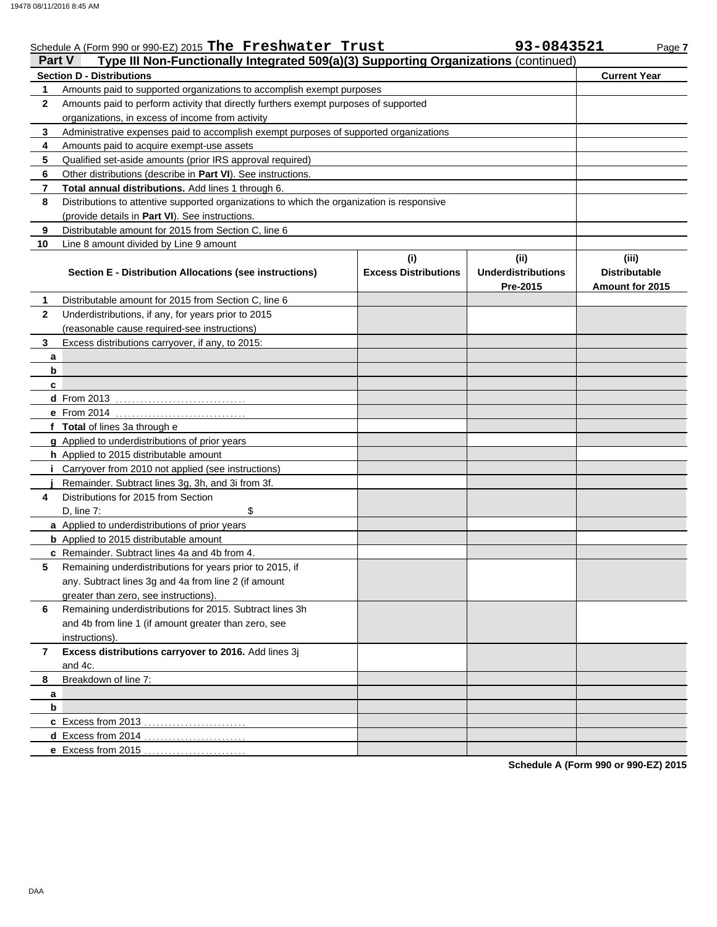|                | Schedule A (Form 990 or 990-EZ) 2015 The Freshwater Trust                                  |                                    | 93-0843521                                    | Page 7                                           |
|----------------|--------------------------------------------------------------------------------------------|------------------------------------|-----------------------------------------------|--------------------------------------------------|
| <b>Part V</b>  | Type III Non-Functionally Integrated 509(a)(3) Supporting Organizations (continued)        |                                    |                                               |                                                  |
|                | <b>Section D - Distributions</b>                                                           |                                    |                                               | <b>Current Year</b>                              |
| 1              | Amounts paid to supported organizations to accomplish exempt purposes                      |                                    |                                               |                                                  |
| $\mathbf{2}$   | Amounts paid to perform activity that directly furthers exempt purposes of supported       |                                    |                                               |                                                  |
|                | organizations, in excess of income from activity                                           |                                    |                                               |                                                  |
| 3              | Administrative expenses paid to accomplish exempt purposes of supported organizations      |                                    |                                               |                                                  |
| 4              | Amounts paid to acquire exempt-use assets                                                  |                                    |                                               |                                                  |
| 5              | Qualified set-aside amounts (prior IRS approval required)                                  |                                    |                                               |                                                  |
| 6              | Other distributions (describe in Part VI). See instructions.                               |                                    |                                               |                                                  |
| $\overline{7}$ | Total annual distributions. Add lines 1 through 6.                                         |                                    |                                               |                                                  |
| 8              | Distributions to attentive supported organizations to which the organization is responsive |                                    |                                               |                                                  |
|                | (provide details in Part VI). See instructions.                                            |                                    |                                               |                                                  |
| 9              | Distributable amount for 2015 from Section C, line 6                                       |                                    |                                               |                                                  |
| 10             | Line 8 amount divided by Line 9 amount                                                     |                                    |                                               |                                                  |
|                | <b>Section E - Distribution Allocations (see instructions)</b>                             | (i)<br><b>Excess Distributions</b> | (ii)<br><b>Underdistributions</b><br>Pre-2015 | (iii)<br><b>Distributable</b><br>Amount for 2015 |
| 1              | Distributable amount for 2015 from Section C, line 6                                       |                                    |                                               |                                                  |
| $\mathbf{2}$   | Underdistributions, if any, for years prior to 2015                                        |                                    |                                               |                                                  |
|                | (reasonable cause required-see instructions)                                               |                                    |                                               |                                                  |
| 3              | Excess distributions carryover, if any, to 2015:                                           |                                    |                                               |                                                  |
| a              |                                                                                            |                                    |                                               |                                                  |
| b              |                                                                                            |                                    |                                               |                                                  |
| c              |                                                                                            |                                    |                                               |                                                  |
|                |                                                                                            |                                    |                                               |                                                  |
|                |                                                                                            |                                    |                                               |                                                  |
|                | f Total of lines 3a through e                                                              |                                    |                                               |                                                  |
|                | g Applied to underdistributions of prior years                                             |                                    |                                               |                                                  |
|                | h Applied to 2015 distributable amount                                                     |                                    |                                               |                                                  |
|                | Carryover from 2010 not applied (see instructions)                                         |                                    |                                               |                                                  |
|                | Remainder. Subtract lines 3g, 3h, and 3i from 3f.                                          |                                    |                                               |                                                  |
| 4              | Distributions for 2015 from Section                                                        |                                    |                                               |                                                  |
|                | \$<br>D, line $7:$                                                                         |                                    |                                               |                                                  |
|                | a Applied to underdistributions of prior years                                             |                                    |                                               |                                                  |
|                | <b>b</b> Applied to 2015 distributable amount                                              |                                    |                                               |                                                  |
|                | c Remainder. Subtract lines 4a and 4b from 4.                                              |                                    |                                               |                                                  |
| 5              | Remaining underdistributions for years prior to 2015, if                                   |                                    |                                               |                                                  |
|                | any. Subtract lines 3g and 4a from line 2 (if amount                                       |                                    |                                               |                                                  |
|                | greater than zero, see instructions).                                                      |                                    |                                               |                                                  |
| 6              | Remaining underdistributions for 2015. Subtract lines 3h                                   |                                    |                                               |                                                  |
|                | and 4b from line 1 (if amount greater than zero, see                                       |                                    |                                               |                                                  |
|                | instructions).                                                                             |                                    |                                               |                                                  |
| 7              | Excess distributions carryover to 2016. Add lines 3j                                       |                                    |                                               |                                                  |
|                | and 4c.                                                                                    |                                    |                                               |                                                  |
| 8              | Breakdown of line 7:                                                                       |                                    |                                               |                                                  |
| a              |                                                                                            |                                    |                                               |                                                  |
| b              |                                                                                            |                                    |                                               |                                                  |
|                |                                                                                            |                                    |                                               |                                                  |
|                |                                                                                            |                                    |                                               |                                                  |
|                | e Excess from 2015.                                                                        |                                    |                                               |                                                  |
|                |                                                                                            |                                    |                                               |                                                  |

**Schedule A (Form 990 or 990-EZ) 2015**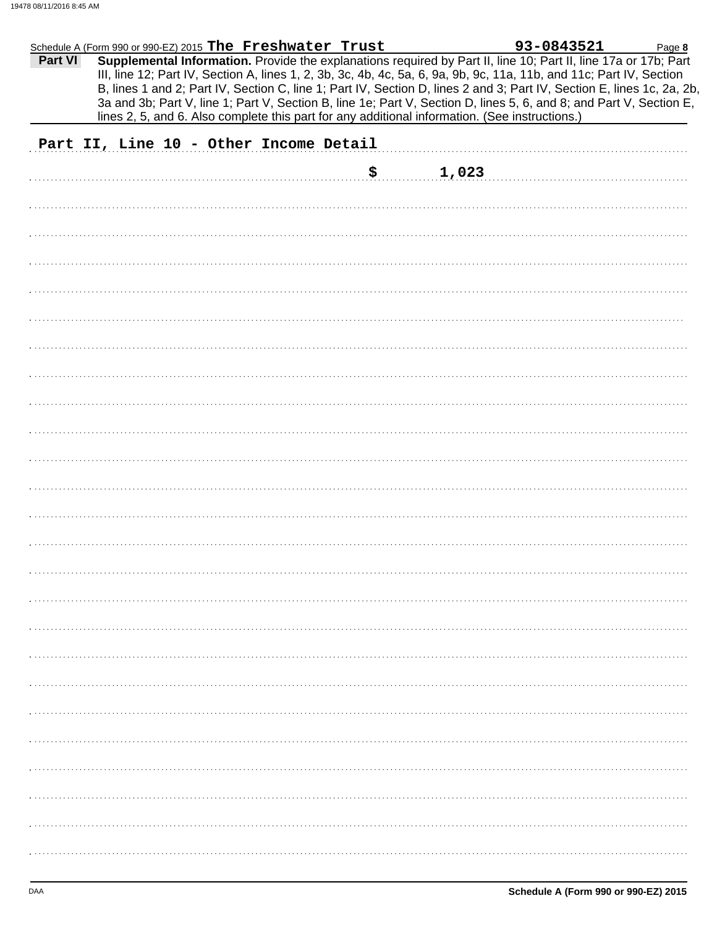|         | Schedule A (Form 990 or 990-EZ) 2015 The Freshwater Trust |  |     |                                                                                                | 93-0843521                                                                                                                                                                                                                                                                                                                                                                                                                                                                               | Page 8 |
|---------|-----------------------------------------------------------|--|-----|------------------------------------------------------------------------------------------------|------------------------------------------------------------------------------------------------------------------------------------------------------------------------------------------------------------------------------------------------------------------------------------------------------------------------------------------------------------------------------------------------------------------------------------------------------------------------------------------|--------|
| Part VI |                                                           |  |     |                                                                                                | Supplemental Information. Provide the explanations required by Part II, line 10; Part II, line 17a or 17b; Part<br>III, line 12; Part IV, Section A, lines 1, 2, 3b, 3c, 4b, 4c, 5a, 6, 9a, 9b, 9c, 11a, 11b, and 11c; Part IV, Section<br>B, lines 1 and 2; Part IV, Section C, line 1; Part IV, Section D, lines 2 and 3; Part IV, Section E, lines 1c, 2a, 2b,<br>3a and 3b; Part V, line 1; Part V, Section B, line 1e; Part V, Section D, lines 5, 6, and 8; and Part V, Section E, |        |
|         |                                                           |  |     | lines 2, 5, and 6. Also complete this part for any additional information. (See instructions.) |                                                                                                                                                                                                                                                                                                                                                                                                                                                                                          |        |
|         | Part II, Line 10 - Other Income Detail                    |  |     |                                                                                                |                                                                                                                                                                                                                                                                                                                                                                                                                                                                                          |        |
|         |                                                           |  |     |                                                                                                |                                                                                                                                                                                                                                                                                                                                                                                                                                                                                          |        |
|         |                                                           |  | \$. | 1,023                                                                                          |                                                                                                                                                                                                                                                                                                                                                                                                                                                                                          |        |
|         |                                                           |  |     |                                                                                                |                                                                                                                                                                                                                                                                                                                                                                                                                                                                                          |        |
|         |                                                           |  |     |                                                                                                |                                                                                                                                                                                                                                                                                                                                                                                                                                                                                          |        |
|         |                                                           |  |     |                                                                                                |                                                                                                                                                                                                                                                                                                                                                                                                                                                                                          |        |
|         |                                                           |  |     |                                                                                                |                                                                                                                                                                                                                                                                                                                                                                                                                                                                                          |        |
|         |                                                           |  |     |                                                                                                |                                                                                                                                                                                                                                                                                                                                                                                                                                                                                          |        |
|         |                                                           |  |     |                                                                                                |                                                                                                                                                                                                                                                                                                                                                                                                                                                                                          |        |
|         |                                                           |  |     |                                                                                                |                                                                                                                                                                                                                                                                                                                                                                                                                                                                                          |        |
|         |                                                           |  |     |                                                                                                |                                                                                                                                                                                                                                                                                                                                                                                                                                                                                          |        |
|         |                                                           |  |     |                                                                                                |                                                                                                                                                                                                                                                                                                                                                                                                                                                                                          |        |
|         |                                                           |  |     |                                                                                                |                                                                                                                                                                                                                                                                                                                                                                                                                                                                                          |        |
|         |                                                           |  |     |                                                                                                |                                                                                                                                                                                                                                                                                                                                                                                                                                                                                          |        |
|         |                                                           |  |     |                                                                                                |                                                                                                                                                                                                                                                                                                                                                                                                                                                                                          |        |
|         |                                                           |  |     |                                                                                                |                                                                                                                                                                                                                                                                                                                                                                                                                                                                                          |        |
|         |                                                           |  |     |                                                                                                |                                                                                                                                                                                                                                                                                                                                                                                                                                                                                          |        |
|         |                                                           |  |     |                                                                                                |                                                                                                                                                                                                                                                                                                                                                                                                                                                                                          |        |
|         |                                                           |  |     |                                                                                                |                                                                                                                                                                                                                                                                                                                                                                                                                                                                                          |        |
|         |                                                           |  |     |                                                                                                |                                                                                                                                                                                                                                                                                                                                                                                                                                                                                          |        |
|         |                                                           |  |     |                                                                                                |                                                                                                                                                                                                                                                                                                                                                                                                                                                                                          |        |
|         |                                                           |  |     |                                                                                                |                                                                                                                                                                                                                                                                                                                                                                                                                                                                                          |        |
|         |                                                           |  |     |                                                                                                |                                                                                                                                                                                                                                                                                                                                                                                                                                                                                          |        |
|         |                                                           |  |     |                                                                                                |                                                                                                                                                                                                                                                                                                                                                                                                                                                                                          |        |
|         |                                                           |  |     |                                                                                                |                                                                                                                                                                                                                                                                                                                                                                                                                                                                                          |        |
|         |                                                           |  |     |                                                                                                |                                                                                                                                                                                                                                                                                                                                                                                                                                                                                          |        |
|         |                                                           |  |     |                                                                                                |                                                                                                                                                                                                                                                                                                                                                                                                                                                                                          |        |
|         |                                                           |  |     |                                                                                                |                                                                                                                                                                                                                                                                                                                                                                                                                                                                                          |        |
|         |                                                           |  |     |                                                                                                |                                                                                                                                                                                                                                                                                                                                                                                                                                                                                          |        |
|         |                                                           |  |     |                                                                                                |                                                                                                                                                                                                                                                                                                                                                                                                                                                                                          |        |
|         |                                                           |  |     |                                                                                                |                                                                                                                                                                                                                                                                                                                                                                                                                                                                                          |        |
|         |                                                           |  |     |                                                                                                |                                                                                                                                                                                                                                                                                                                                                                                                                                                                                          |        |
|         |                                                           |  |     |                                                                                                |                                                                                                                                                                                                                                                                                                                                                                                                                                                                                          |        |
|         |                                                           |  |     |                                                                                                |                                                                                                                                                                                                                                                                                                                                                                                                                                                                                          |        |
|         |                                                           |  |     |                                                                                                |                                                                                                                                                                                                                                                                                                                                                                                                                                                                                          |        |
|         |                                                           |  |     |                                                                                                |                                                                                                                                                                                                                                                                                                                                                                                                                                                                                          |        |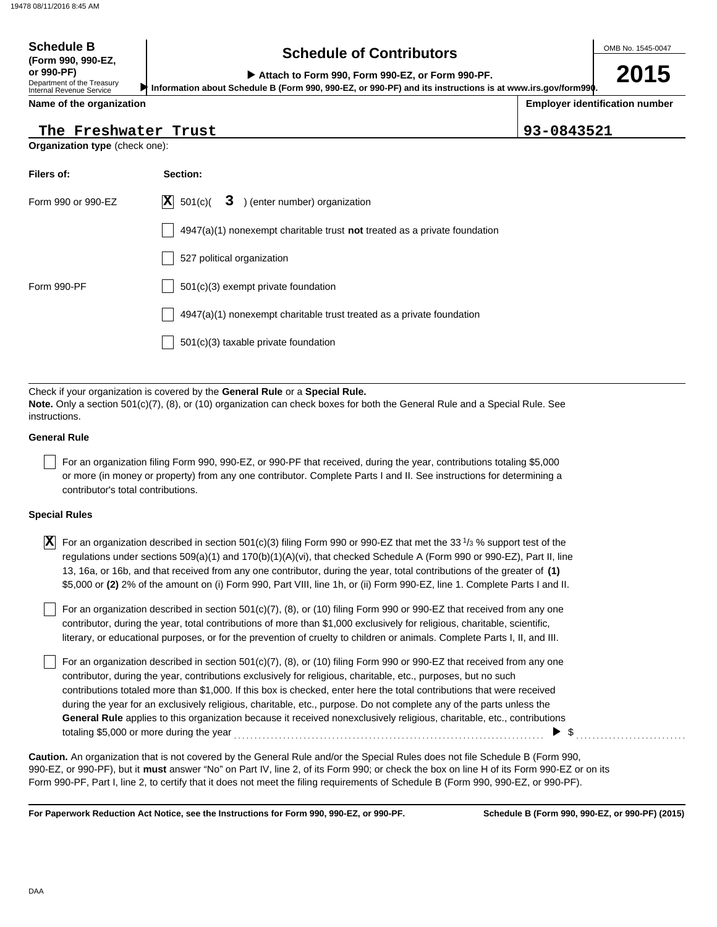## **Schedule of Contributors Schedule B**

**2015**

**or 990-PF) Attach to Form 990, Form 990-EZ, or Form 990-PF. Information about Schedule B (Form 990, 990-EZ, or 990-PF) and its instructions is at www.irs.gov/form990.**

Department of the Treasury Internal Revenue Service **Name of the organization**

**(Form 990, 990-EZ,**

**Employer identification number**

**The Freshwater Trust 93-0843521**

| The Freshwater Trust |  |
|----------------------|--|
|                      |  |

**Organization type** (check one):

| Filers of:         | Section:                                                                           |
|--------------------|------------------------------------------------------------------------------------|
| Form 990 or 990-EZ | $ \mathbf{X} $ 501(c)(<br>3 ) (enter number) organization                          |
|                    | $4947(a)(1)$ nonexempt charitable trust <b>not</b> treated as a private foundation |
|                    | 527 political organization                                                         |
| Form 990-PF        | 501(c)(3) exempt private foundation                                                |
|                    | 4947(a)(1) nonexempt charitable trust treated as a private foundation              |
|                    | $501(c)(3)$ taxable private foundation                                             |

Check if your organization is covered by the **General Rule** or a **Special Rule. Note.** Only a section 501(c)(7), (8), or (10) organization can check boxes for both the General Rule and a Special Rule. See instructions.

### **General Rule**

For an organization filing Form 990, 990-EZ, or 990-PF that received, during the year, contributions totaling \$5,000 or more (in money or property) from any one contributor. Complete Parts I and II. See instructions for determining a contributor's total contributions.

### **Special Rules**

 $\overline{\textbf{X}}$  For an organization described in section 501(c)(3) filing Form 990 or 990-EZ that met the 33<sup>1</sup>/3 % support test of the regulations under sections 509(a)(1) and 170(b)(1)(A)(vi), that checked Schedule A (Form 990 or 990-EZ). Part II, line 13, 16a, or 16b, and that received from any one contributor, during the year, total contributions of the greater of **(1)** \$5,000 or **(2)** 2% of the amount on (i) Form 990, Part VIII, line 1h, or (ii) Form 990-EZ, line 1. Complete Parts I and II.

literary, or educational purposes, or for the prevention of cruelty to children or animals. Complete Parts I, II, and III. For an organization described in section 501(c)(7), (8), or (10) filing Form 990 or 990-EZ that received from any one contributor, during the year, total contributions of more than \$1,000 exclusively for religious, charitable, scientific,

For an organization described in section 501(c)(7), (8), or (10) filing Form 990 or 990-EZ that received from any one contributor, during the year, contributions exclusively for religious, charitable, etc., purposes, but no such contributions totaled more than \$1,000. If this box is checked, enter here the total contributions that were received during the year for an exclusively religious, charitable, etc., purpose. Do not complete any of the parts unless the **General Rule** applies to this organization because it received nonexclusively religious, charitable, etc., contributions totaling \$5,000 or more during the year . . . . . . . . . . . . . . . . . . . . . . . . . . . . . . . . . . . . . . . . . . . . . . . . . . . . . . . . . . . . . . . . . . . . . . . . . . . . \$ . . . . . . . . . . . . . . . . . . . . . . . . . . .

990-EZ, or 990-PF), but it **must** answer "No" on Part IV, line 2, of its Form 990; or check the box on line H of its Form 990-EZ or on its Form 990-PF, Part I, line 2, to certify that it does not meet the filing requirements of Schedule B (Form 990, 990-EZ, or 990-PF). **Caution.** An organization that is not covered by the General Rule and/or the Special Rules does not file Schedule B (Form 990,

**For Paperwork Reduction Act Notice, see the Instructions for Form 990, 990-EZ, or 990-PF.**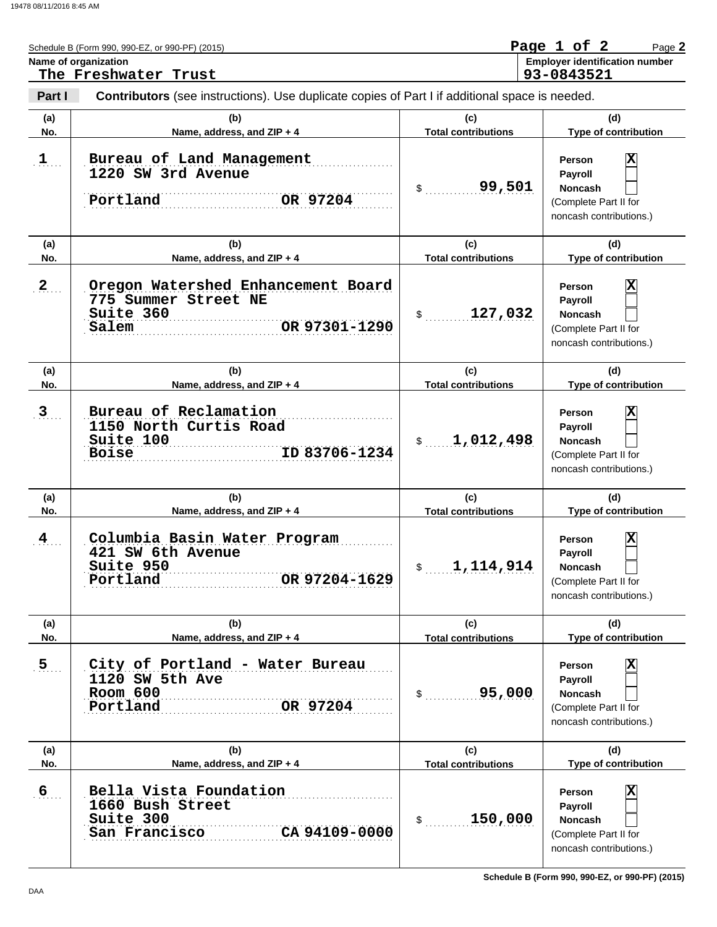|                 | Schedule B (Form 990, 990-EZ, or 990-PF) (2015)<br>Name of organization<br>The Freshwater Trust   |                                   | Page 1 of 2<br>Page 2<br><b>Employer identification number</b><br>93-0843521                                       |
|-----------------|---------------------------------------------------------------------------------------------------|-----------------------------------|--------------------------------------------------------------------------------------------------------------------|
| Part I          | Contributors (see instructions). Use duplicate copies of Part I if additional space is needed.    |                                   |                                                                                                                    |
| (a)<br>No.      | (b)<br>Name, address, and ZIP + 4                                                                 | (c)<br><b>Total contributions</b> | (d)<br>Type of contribution                                                                                        |
| 1               | Bureau of Land Management<br>1220 SW 3rd Avenue<br>Portland<br>OR 97204                           | 99,501<br>\$                      | $\overline{\mathbf{x}}$<br>Person<br>Payroll<br><b>Noncash</b><br>(Complete Part II for<br>noncash contributions.) |
| (a)<br>No.      | (b)<br>Name, address, and ZIP + 4                                                                 | (c)<br><b>Total contributions</b> | (d)<br>Type of contribution                                                                                        |
| $\mathbf{2}$    | Oregon Watershed Enhancement Board<br>775 Summer Street NE<br>Suite 360<br>OR 97301-1290<br>Salem | 127,032<br>$\mathbb{S}$           | $\overline{\mathbf{x}}$<br>Person<br>Payroll<br><b>Noncash</b><br>(Complete Part II for<br>noncash contributions.) |
| (a)<br>No.      | (b)<br>Name, address, and ZIP + 4                                                                 | (c)<br><b>Total contributions</b> | (d)<br>Type of contribution                                                                                        |
| $\mathbf{3}$    | Bureau of Reclamation<br>1150 North Curtis Road<br>Suite 100<br>ID 83706-1234<br><b>Boise</b>     | 1,012,498<br>$\frac{1}{2}$        | $\overline{\mathbf{x}}$<br>Person<br>Payroll<br><b>Noncash</b><br>(Complete Part II for<br>noncash contributions.) |
| (a)<br>No.      | (b)<br>Name, address, and ZIP + 4                                                                 | (c)<br><b>Total contributions</b> | (d)<br>Type of contribution                                                                                        |
| $\frac{4}{\pi}$ | Columbia Basin Water Program<br>421 SW 6th Avenue<br>Suite 950<br>OR 97204-1629<br>Portland       | 1,114,914<br>$\mathsf{\$}$        | x<br><b>Person</b><br>Payroll<br><b>Noncash</b><br>(Complete Part II for<br>noncash contributions.)                |
| (a)<br>No.      | (b)<br>Name, address, and ZIP + 4                                                                 | (c)<br><b>Total contributions</b> | (d)<br>Type of contribution                                                                                        |
| 5 <sub>1</sub>  | City of Portland - Water Bureau<br>1120 SW 5th Ave<br>Room 600<br>Portland<br>OR 97204            | 95,000<br>$\mathbb{S}$            | x<br>Person<br><b>Payroll</b><br><b>Noncash</b><br>(Complete Part II for<br>noncash contributions.)                |
| (a)<br>No.      | (b)<br>Name, address, and ZIP + 4                                                                 | (c)<br><b>Total contributions</b> | (d)<br>Type of contribution                                                                                        |
| 6               | Bella Vista Foundation<br>1660 Bush Street<br>Suite 300<br>CA 94109-0000<br>San Francisco         | 150,000<br>$\mathsf{S}$           | X<br>Person<br><b>Payroll</b><br><b>Noncash</b><br>(Complete Part II for<br>noncash contributions.)                |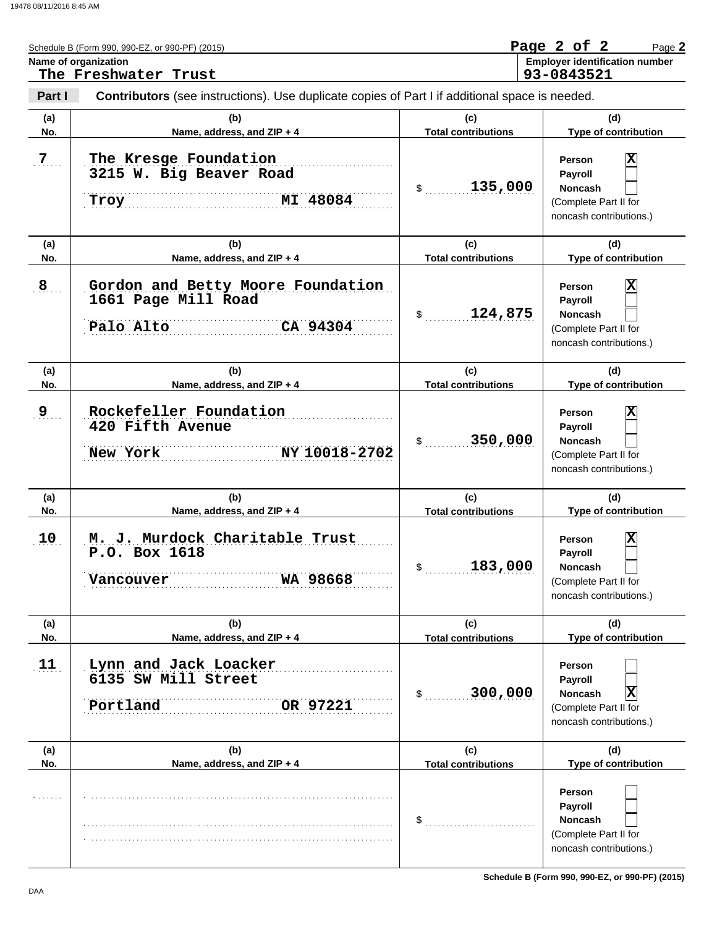|                | Schedule B (Form 990, 990-EZ, or 990-PF) (2015)<br>Name of organization                               |                                            | Page 2 of 2<br>Page 2<br><b>Employer identification number</b>                                                            |
|----------------|-------------------------------------------------------------------------------------------------------|--------------------------------------------|---------------------------------------------------------------------------------------------------------------------------|
|                | The Freshwater Trust                                                                                  |                                            | 93-0843521                                                                                                                |
| Part I         | <b>Contributors</b> (see instructions). Use duplicate copies of Part I if additional space is needed. |                                            |                                                                                                                           |
| (a)<br>No.     | (b)<br>Name, address, and ZIP + 4                                                                     | (c)<br><b>Total contributions</b>          | (d)<br>Type of contribution                                                                                               |
| 7 <sub>1</sub> | The Kresge Foundation<br>3215 W. Big Beaver Road<br>MI 48084<br>Troy                                  | 135,000<br>$\mathsf{\$}$                   | $\overline{\mathbf{x}}$<br>Person<br>Payroll<br><b>Noncash</b><br>(Complete Part II for<br>noncash contributions.)        |
| (a)<br>No.     | (b)<br>Name, address, and ZIP + 4                                                                     | (c)<br><b>Total contributions</b>          | (d)<br>Type of contribution                                                                                               |
| 8              | Gordon and Betty Moore Foundation<br>1661 Page Mill Road<br>CA 94304<br>Palo Alto                     | 124,875<br>$\frac{1}{2}$                   | x<br><b>Person</b><br>Payroll<br><b>Noncash</b><br>(Complete Part II for<br>noncash contributions.)                       |
| (a)<br>No.     | (b)<br>Name, address, and ZIP + 4                                                                     | (c)<br><b>Total contributions</b>          | (d)<br>Type of contribution                                                                                               |
| 9              | Rockefeller Foundation<br>420 Fifth Avenue<br>NY 10018-2702<br>New York                               | 350,000<br>$\sim$                          | x<br><b>Person</b><br>Payroll<br><b>Noncash</b><br>(Complete Part II for<br>noncash contributions.)                       |
| (a)<br>No.     | (b)<br>Name, address, and ZIP + 4                                                                     | (c)<br><b>Total contributions</b>          | (d)<br>Type of contribution                                                                                               |
| 10             | M. J. Murdock Charitable Trust<br>P.O. Box 1618<br>WA 98668<br>Vancouver                              | 183,000<br>\$                              | $\overline{\mathbf{x}}$<br><b>Person</b><br>Payroll<br><b>Noncash</b><br>(Complete Part II for<br>noncash contributions.) |
| (a)            | (b)                                                                                                   | (c)                                        | (d)                                                                                                                       |
| No.            | Name, address, and ZIP + 4                                                                            | <b>Total contributions</b>                 | Type of contribution                                                                                                      |
| 11             | Lynn and Jack Loacker<br>6135 SW Mill Street<br>Portland<br>OR 97221                                  | 300,000<br>$\mathcal{S}$ and $\mathcal{S}$ | Person<br>Payroll<br>$ \mathbf{X} $<br><b>Noncash</b><br>(Complete Part II for<br>noncash contributions.)                 |
| (a)<br>No.     | (b)<br>Name, address, and ZIP + 4                                                                     | (c)<br><b>Total contributions</b>          | (d)<br>Type of contribution                                                                                               |
|                |                                                                                                       | \$                                         | Person<br><b>Payroll</b><br><b>Noncash</b><br>(Complete Part II for<br>noncash contributions.)                            |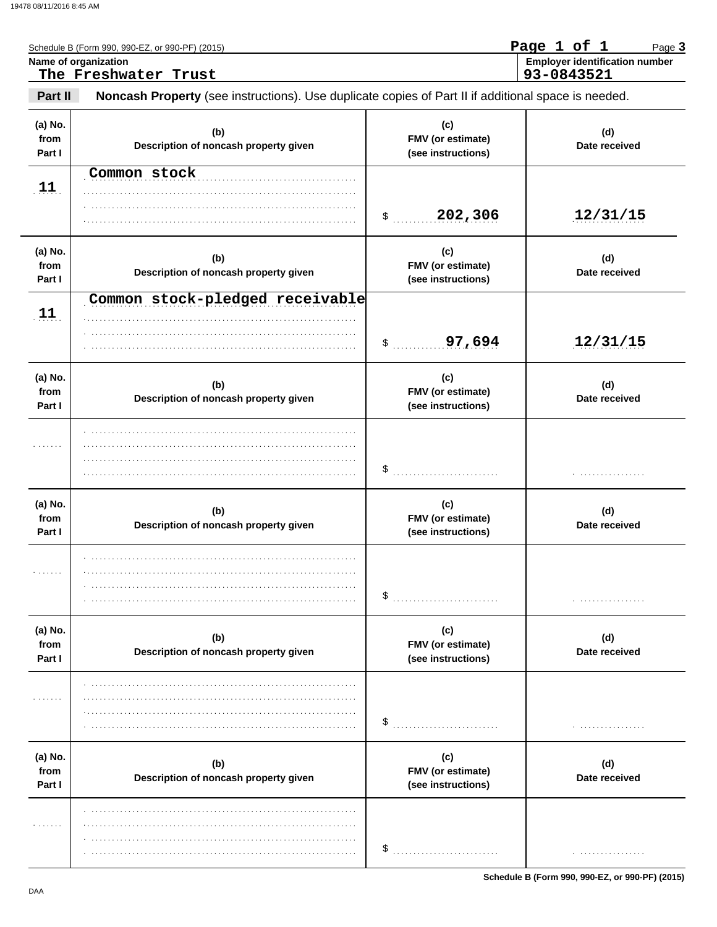|                           | Schedule B (Form 990, 990-EZ, or 990-PF) (2015)<br>Name of organization<br>The Freshwater Trust     |                                                | Page 1 of 1<br>Page 3<br><b>Employer identification number</b><br>93-0843521 |
|---------------------------|-----------------------------------------------------------------------------------------------------|------------------------------------------------|------------------------------------------------------------------------------|
| Part II                   | Noncash Property (see instructions). Use duplicate copies of Part II if additional space is needed. |                                                |                                                                              |
| (a) No.<br>from<br>Part I | (b)<br>Description of noncash property given                                                        | (c)<br>FMV (or estimate)<br>(see instructions) | (d)<br>Date received                                                         |
| 11                        | Common stock                                                                                        | 202,306<br>$\frac{1}{2}$                       | 12/31/15                                                                     |
| (a) No.<br>from<br>Part I | (b)<br>Description of noncash property given                                                        | (c)<br>FMV (or estimate)<br>(see instructions) | (d)<br>Date received                                                         |
| 11                        | Common stock-pledged receivable                                                                     | 97,694<br>\$                                   | 12/31/15                                                                     |
| (a) No.<br>from<br>Part I | (b)<br>Description of noncash property given                                                        | (c)<br>FMV (or estimate)<br>(see instructions) | (d)<br>Date received                                                         |
| .                         |                                                                                                     | $\$\quad$                                      |                                                                              |
| (a) No.<br>from<br>Part I | (b)<br>Description of noncash property given                                                        | (c)<br>FMV (or estimate)<br>(see instructions) | (d)<br>Date received                                                         |
| .                         |                                                                                                     | \$                                             |                                                                              |
| (a) No.<br>from<br>Part I | (b)<br>Description of noncash property given                                                        | (c)<br>FMV (or estimate)<br>(see instructions) | (d)<br>Date received                                                         |
| .                         |                                                                                                     | \$                                             |                                                                              |
| (a) No.<br>from<br>Part I | (b)<br>Description of noncash property given                                                        | (c)<br>FMV (or estimate)<br>(see instructions) | (d)<br>Date received                                                         |
| .                         |                                                                                                     | \$                                             | .                                                                            |

Schedule B (Form 990, 990-EZ, or 990-PF) (2015)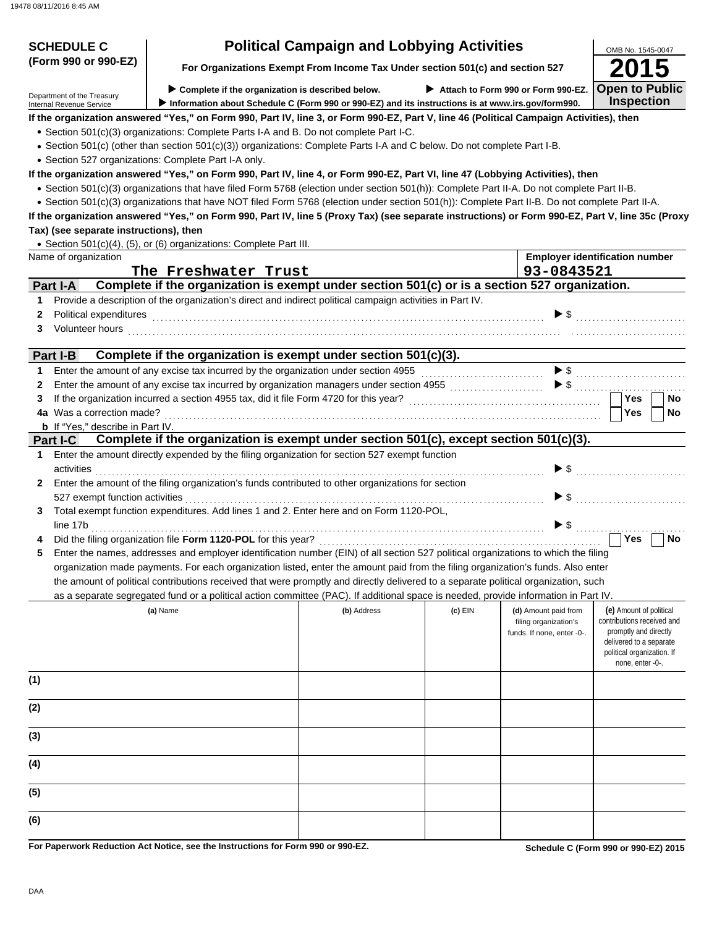| <b>SCHEDULE C</b>                                      |                                                                                                                                                                                                                                      | <b>Political Campaign and Lobbying Activities</b>                             |           |                                                     | OMB No. 1545-0047                                                |
|--------------------------------------------------------|--------------------------------------------------------------------------------------------------------------------------------------------------------------------------------------------------------------------------------------|-------------------------------------------------------------------------------|-----------|-----------------------------------------------------|------------------------------------------------------------------|
| (Form 990 or 990-EZ)                                   |                                                                                                                                                                                                                                      | For Organizations Exempt From Income Tax Under section 501(c) and section 527 |           |                                                     |                                                                  |
|                                                        | $\triangleright$ Complete if the organization is described below.                                                                                                                                                                    |                                                                               |           | Attach to Form 990 or Form 990-EZ.                  | <b>Open to Public</b>                                            |
| Department of the Treasury<br>Internal Revenue Service | Information about Schedule C (Form 990 or 990-EZ) and its instructions is at www.irs.gov/form990.                                                                                                                                    |                                                                               |           |                                                     | <b>Inspection</b>                                                |
|                                                        | If the organization answered "Yes," on Form 990, Part IV, line 3, or Form 990-EZ, Part V, line 46 (Political Campaign Activities), then                                                                                              |                                                                               |           |                                                     |                                                                  |
|                                                        | • Section 501(c)(3) organizations: Complete Parts I-A and B. Do not complete Part I-C.                                                                                                                                               |                                                                               |           |                                                     |                                                                  |
|                                                        | • Section 501(c) (other than section 501(c)(3)) organizations: Complete Parts I-A and C below. Do not complete Part I-B.                                                                                                             |                                                                               |           |                                                     |                                                                  |
|                                                        | • Section 527 organizations: Complete Part I-A only.<br>If the organization answered "Yes," on Form 990, Part IV, line 4, or Form 990-EZ, Part VI, line 47 (Lobbying Activities), then                                               |                                                                               |           |                                                     |                                                                  |
|                                                        | · Section 501(c)(3) organizations that have filed Form 5768 (election under section 501(h)): Complete Part II-A. Do not complete Part II-B.                                                                                          |                                                                               |           |                                                     |                                                                  |
|                                                        | • Section 501(c)(3) organizations that have NOT filed Form 5768 (election under section 501(h)): Complete Part II-B. Do not complete Part II-A.                                                                                      |                                                                               |           |                                                     |                                                                  |
|                                                        | If the organization answered "Yes," on Form 990, Part IV, line 5 (Proxy Tax) (see separate instructions) or Form 990-EZ, Part V, line 35c (Proxy                                                                                     |                                                                               |           |                                                     |                                                                  |
| Tax) (see separate instructions), then                 |                                                                                                                                                                                                                                      |                                                                               |           |                                                     |                                                                  |
|                                                        | • Section 501(c)(4), (5), or (6) organizations: Complete Part III.                                                                                                                                                                   |                                                                               |           |                                                     |                                                                  |
| Name of organization                                   |                                                                                                                                                                                                                                      |                                                                               |           |                                                     | <b>Employer identification number</b>                            |
|                                                        | The Freshwater Trust                                                                                                                                                                                                                 |                                                                               |           | 93-0843521                                          |                                                                  |
| Part I-A                                               | Complete if the organization is exempt under section 501(c) or is a section 527 organization.                                                                                                                                        |                                                                               |           |                                                     |                                                                  |
| $\mathbf 1$                                            | Provide a description of the organization's direct and indirect political campaign activities in Part IV.                                                                                                                            |                                                                               |           | $\blacktriangleright$ \$                            |                                                                  |
| Political expenditures<br>$\mathbf{2}$<br>3            |                                                                                                                                                                                                                                      |                                                                               |           |                                                     |                                                                  |
|                                                        | Volunteer hours <b>contained a contained a contained a contained a contained a contact of the contact of the contact of the contact of the contact of the contact of the contact of the contact of the contact of the contact of</b> |                                                                               |           |                                                     |                                                                  |
| Part I-B                                               | Complete if the organization is exempt under section 501(c)(3).                                                                                                                                                                      |                                                                               |           |                                                     |                                                                  |
| $\mathbf 1$                                            | Enter the amount of any excise tax incurred by the organization under section 4955                                                                                                                                                   |                                                                               |           |                                                     |                                                                  |
| $\mathbf{2}$                                           | Enter the amount of any excise tax incurred by organization managers under section 4955 [[[[[[[[[[[[[[[[[[[[[                                                                                                                        |                                                                               |           |                                                     | $\triangleright$ \$ $\ldots$ $\ldots$ $\ldots$ $\ldots$ $\ldots$ |
| 3                                                      |                                                                                                                                                                                                                                      |                                                                               |           |                                                     | <b>Yes</b><br><b>No</b>                                          |
| 4a Was a correction made?                              |                                                                                                                                                                                                                                      |                                                                               |           |                                                     | Yes<br><b>No</b>                                                 |
| <b>b</b> If "Yes," describe in Part IV.                | Complete if the organization is exempt under section 501(c), except section 501(c)(3).                                                                                                                                               |                                                                               |           |                                                     |                                                                  |
| Part I-C<br>1.                                         | Enter the amount directly expended by the filing organization for section 527 exempt function                                                                                                                                        |                                                                               |           |                                                     |                                                                  |
| activities                                             |                                                                                                                                                                                                                                      |                                                                               |           |                                                     | $\triangleright$ \$                                              |
| $\mathbf{2}$                                           | Enter the amount of the filing organization's funds contributed to other organizations for section                                                                                                                                   |                                                                               |           |                                                     |                                                                  |
| 527 exempt function activities                         |                                                                                                                                                                                                                                      |                                                                               |           |                                                     | $\triangleright$ \$                                              |
| 3                                                      | Total exempt function expenditures. Add lines 1 and 2. Enter here and on Form 1120-POL,                                                                                                                                              |                                                                               |           |                                                     |                                                                  |
| line 17b                                               | Did the filing organization file Form 1120-POL for this year?                                                                                                                                                                        |                                                                               |           | $\blacktriangleright$ s                             | Yes<br>No                                                        |
| 5                                                      | Enter the names, addresses and employer identification number (EIN) of all section 527 political organizations to which the filing                                                                                                   |                                                                               |           |                                                     |                                                                  |
|                                                        | organization made payments. For each organization listed, enter the amount paid from the filing organization's funds. Also enter                                                                                                     |                                                                               |           |                                                     |                                                                  |
|                                                        | the amount of political contributions received that were promptly and directly delivered to a separate political organization, such                                                                                                  |                                                                               |           |                                                     |                                                                  |
|                                                        | as a separate segregated fund or a political action committee (PAC). If additional space is needed, provide information in Part IV.                                                                                                  |                                                                               |           |                                                     |                                                                  |
|                                                        | (a) Name                                                                                                                                                                                                                             | (b) Address                                                                   | $(c)$ EIN | (d) Amount paid from                                | (e) Amount of political                                          |
|                                                        |                                                                                                                                                                                                                                      |                                                                               |           | filing organization's<br>funds. If none, enter -0-. | contributions received and<br>promptly and directly              |
|                                                        |                                                                                                                                                                                                                                      |                                                                               |           |                                                     | delivered to a separate                                          |
|                                                        |                                                                                                                                                                                                                                      |                                                                               |           |                                                     | political organization. If<br>none, enter -0-.                   |
| (1)                                                    |                                                                                                                                                                                                                                      |                                                                               |           |                                                     |                                                                  |
|                                                        |                                                                                                                                                                                                                                      |                                                                               |           |                                                     |                                                                  |
| (2)                                                    |                                                                                                                                                                                                                                      |                                                                               |           |                                                     |                                                                  |
|                                                        |                                                                                                                                                                                                                                      |                                                                               |           |                                                     |                                                                  |
| (3)                                                    |                                                                                                                                                                                                                                      |                                                                               |           |                                                     |                                                                  |
| (4)                                                    |                                                                                                                                                                                                                                      |                                                                               |           |                                                     |                                                                  |
|                                                        |                                                                                                                                                                                                                                      |                                                                               |           |                                                     |                                                                  |
| (5)                                                    |                                                                                                                                                                                                                                      |                                                                               |           |                                                     |                                                                  |
| (6)                                                    |                                                                                                                                                                                                                                      |                                                                               |           |                                                     |                                                                  |
|                                                        |                                                                                                                                                                                                                                      |                                                                               |           |                                                     |                                                                  |

**For Paperwork Reduction Act Notice, see the Instructions for Form 990 or 990-EZ.**

**Schedule C (Form 990 or 990-EZ) 2015**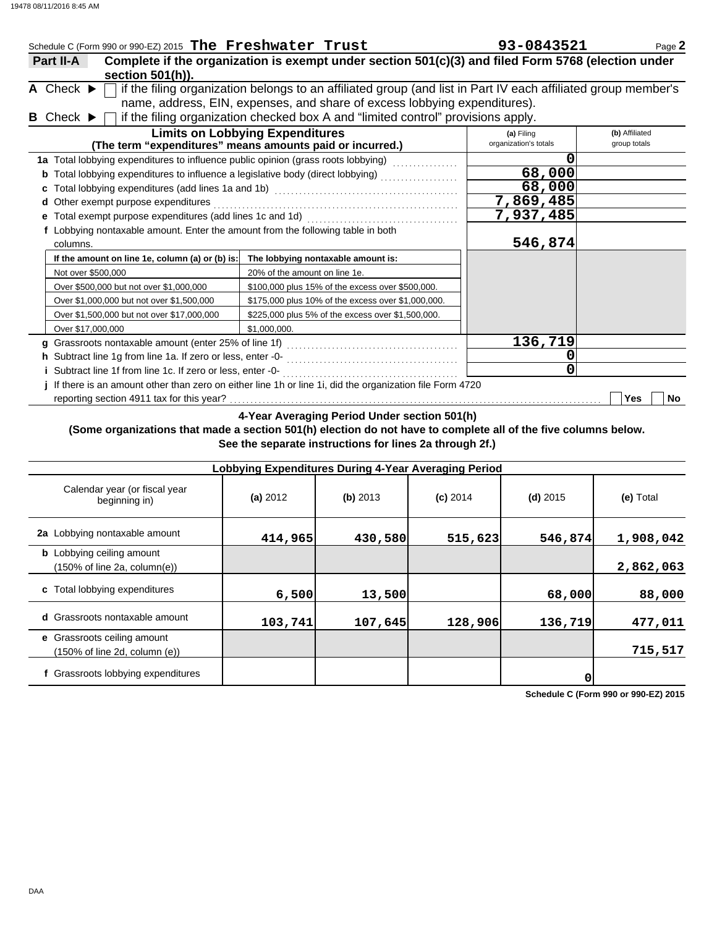| Schedule C (Form 990 or 990-EZ) 2015 The Freshwater Trust                       |                                                                                                               | 93-0843521            | Page 2         |
|---------------------------------------------------------------------------------|---------------------------------------------------------------------------------------------------------------|-----------------------|----------------|
| Part II-A                                                                       | Complete if the organization is exempt under section 501(c)(3) and filed Form 5768 (election under            |                       |                |
| section 501(h)).                                                                |                                                                                                               |                       |                |
| A Check $\blacktriangleright$                                                   | if the filing organization belongs to an affiliated group (and list in Part IV each affiliated group member's |                       |                |
|                                                                                 | name, address, EIN, expenses, and share of excess lobbying expenditures).                                     |                       |                |
| <b>B</b> Check $\blacktriangleright$                                            | if the filing organization checked box A and "limited control" provisions apply.                              |                       |                |
|                                                                                 | <b>Limits on Lobbying Expenditures</b>                                                                        | (a) Filing            | (b) Affiliated |
|                                                                                 | (The term "expenditures" means amounts paid or incurred.)                                                     | organization's totals | group totals   |
|                                                                                 | 1a Total lobbying expenditures to influence public opinion (grass roots lobbying) [[[[[[[[[[[[[[[[[[[[[[[[[[[ |                       |                |
|                                                                                 |                                                                                                               | 68,000                |                |
|                                                                                 |                                                                                                               | 68,000                |                |
| Other exempt purpose expenditures<br>d                                          |                                                                                                               | 7,869,485             |                |
|                                                                                 |                                                                                                               | 7,937,485             |                |
| f Lobbying nontaxable amount. Enter the amount from the following table in both |                                                                                                               |                       |                |
| columns.                                                                        |                                                                                                               | 546,874               |                |
| If the amount on line 1e, column (a) or (b) is:                                 | The lobbying nontaxable amount is:                                                                            |                       |                |
| Not over \$500,000                                                              | 20% of the amount on line 1e.                                                                                 |                       |                |
| Over \$500,000 but not over \$1,000,000                                         | \$100,000 plus 15% of the excess over \$500,000.                                                              |                       |                |
| Over \$1,000,000 but not over \$1,500,000                                       | \$175,000 plus 10% of the excess over \$1,000,000.                                                            |                       |                |
| Over \$1,500,000 but not over \$17,000,000                                      | \$225,000 plus 5% of the excess over \$1,500,000.                                                             |                       |                |
| Over \$17,000,000                                                               | \$1.000.000.                                                                                                  |                       |                |
|                                                                                 |                                                                                                               | 136,719               |                |
|                                                                                 |                                                                                                               |                       |                |
|                                                                                 |                                                                                                               | 0                     |                |
|                                                                                 | If there is an amount other than zero on either line 1h or line 1i, did the organization file Form 4720       |                       |                |
| reporting section 4911 tax for this year?                                       |                                                                                                               |                       | Yes<br>No      |

**4-Year Averaging Period Under section 501(h)**

### **(Some organizations that made a section 501(h) election do not have to complete all of the five columns below. See the separate instructions for lines 2a through 2f.)**

|                                                                  | Lobbying Expenditures During 4-Year Averaging Period |            |            |            |           |
|------------------------------------------------------------------|------------------------------------------------------|------------|------------|------------|-----------|
| Calendar year (or fiscal year<br>beginning in)                   | (a) $2012$                                           | $(b)$ 2013 | $(c)$ 2014 | $(d)$ 2015 | (e) Total |
| 2a Lobbying nontaxable amount                                    | 414,965                                              | 430,580    | 515,623    | 546,874    | 1,908,042 |
| <b>b</b> Lobbying ceiling amount<br>(150% of line 2a, column(e)) |                                                      |            |            |            | 2,862,063 |
| c Total lobbying expenditures                                    | 6,500                                                | 13,500     |            | 68,000     | 88,000    |
| d Grassroots nontaxable amount                                   | 103,741                                              | 107,645    | 128,906    | 136,719    | 477,011   |
| e Grassroots ceiling amount<br>(150% of line 2d, column (e))     |                                                      |            |            |            | 715,517   |
| f Grassroots lobbying expenditures                               |                                                      |            |            |            |           |

**Schedule C (Form 990 or 990-EZ) 2015**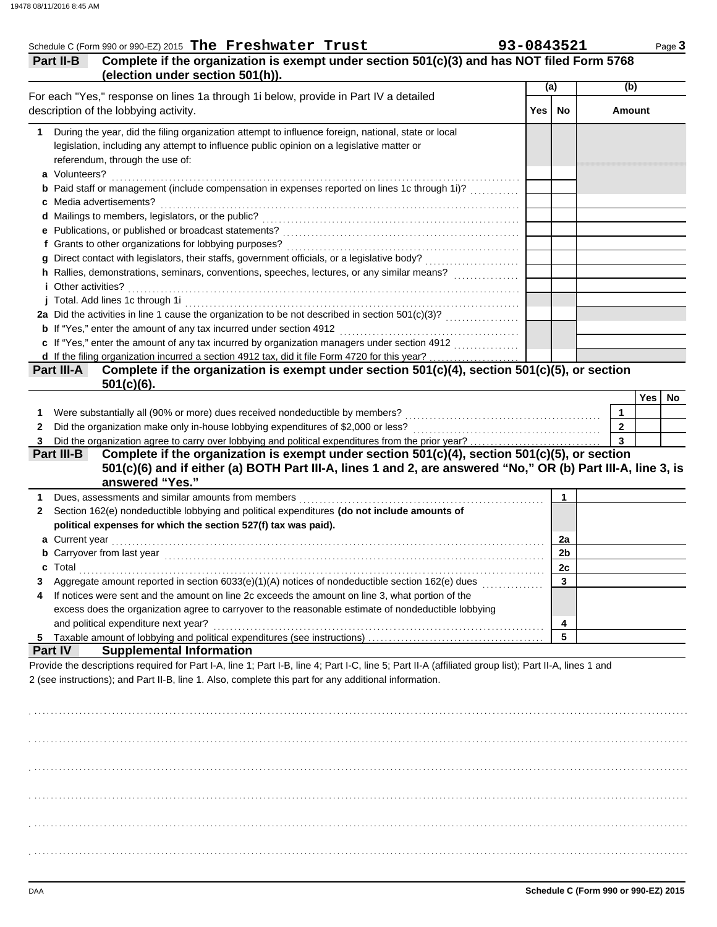| Part II-B                                                                                                | Complete if the organization is exempt under section 501(c)(3) and has NOT filed Form 5768                                                                                                                                     |       |                |                         |
|----------------------------------------------------------------------------------------------------------|--------------------------------------------------------------------------------------------------------------------------------------------------------------------------------------------------------------------------------|-------|----------------|-------------------------|
| (election under section 501(h)).                                                                         |                                                                                                                                                                                                                                | (a)   |                | (b)                     |
| For each "Yes," response on lines 1a through 1i below, provide in Part IV a detailed                     |                                                                                                                                                                                                                                |       |                |                         |
| description of the lobbying activity.                                                                    |                                                                                                                                                                                                                                | Yes l | No             | <b>Amount</b>           |
| During the year, did the filing organization attempt to influence foreign, national, state or local<br>1 |                                                                                                                                                                                                                                |       |                |                         |
| legislation, including any attempt to influence public opinion on a legislative matter or                |                                                                                                                                                                                                                                |       |                |                         |
| referendum, through the use of:                                                                          |                                                                                                                                                                                                                                |       |                |                         |
| a Volunteers?                                                                                            |                                                                                                                                                                                                                                |       |                |                         |
|                                                                                                          | <b>b</b> Paid staff or management (include compensation in expenses reported on lines 1c through 1i)?                                                                                                                          |       |                |                         |
| c Media advertisements?                                                                                  |                                                                                                                                                                                                                                |       |                |                         |
|                                                                                                          |                                                                                                                                                                                                                                |       |                |                         |
|                                                                                                          |                                                                                                                                                                                                                                |       |                |                         |
|                                                                                                          |                                                                                                                                                                                                                                |       |                |                         |
|                                                                                                          |                                                                                                                                                                                                                                |       |                |                         |
|                                                                                                          |                                                                                                                                                                                                                                |       |                |                         |
| <i>i</i> Other activities?                                                                               |                                                                                                                                                                                                                                |       |                |                         |
|                                                                                                          | j Total. Add lines 1c through 1i entertainment contracts and all the form of the state of the state of the state of the state of the state of the state of the state of the state of the state of the state of the state of th |       |                |                         |
|                                                                                                          |                                                                                                                                                                                                                                |       |                |                         |
| <b>b</b> If "Yes," enter the amount of any tax incurred under section 4912                               |                                                                                                                                                                                                                                |       |                |                         |
|                                                                                                          | c If "Yes," enter the amount of any tax incurred by organization managers under section 4912                                                                                                                                   |       |                |                         |
|                                                                                                          |                                                                                                                                                                                                                                |       |                |                         |
| Part III-A                                                                                               | Complete if the organization is exempt under section 501(c)(4), section 501(c)(5), or section                                                                                                                                  |       |                |                         |
| $501(c)(6)$ .                                                                                            |                                                                                                                                                                                                                                |       |                | Yes                     |
| Were substantially all (90% or more) dues received nondeductible by members?<br>1                        |                                                                                                                                                                                                                                |       |                | 1                       |
| 2                                                                                                        |                                                                                                                                                                                                                                |       |                | $\overline{2}$          |
|                                                                                                          |                                                                                                                                                                                                                                |       |                | $\overline{\mathbf{3}}$ |
|                                                                                                          |                                                                                                                                                                                                                                |       |                |                         |
|                                                                                                          |                                                                                                                                                                                                                                |       |                |                         |
| answered "Yes."                                                                                          | Complete if the organization is exempt under section 501(c)(4), section 501(c)(5), or section<br>501(c)(6) and if either (a) BOTH Part III-A, lines 1 and 2, are answered "No," OR (b) Part III-A, line 3, is                  |       |                |                         |
|                                                                                                          |                                                                                                                                                                                                                                |       | $\mathbf{1}$   |                         |
| Section 162(e) nondeductible lobbying and political expenditures (do not include amounts of              |                                                                                                                                                                                                                                |       |                |                         |
| political expenses for which the section 527(f) tax was paid).                                           |                                                                                                                                                                                                                                |       |                |                         |
|                                                                                                          |                                                                                                                                                                                                                                |       | 2a             |                         |
|                                                                                                          |                                                                                                                                                                                                                                |       | 2 <sub>b</sub> |                         |
| <b>b</b> Carryover from last year                                                                        |                                                                                                                                                                                                                                |       | 2c             |                         |
|                                                                                                          | Aggregate amount reported in section 6033(e)(1)(A) notices of nondeductible section 162(e) dues <i>mimimimim</i>                                                                                                               |       | 3              |                         |
| If notices were sent and the amount on line 2c exceeds the amount on line 3, what portion of the         |                                                                                                                                                                                                                                |       |                |                         |
| a Current year                                                                                           | excess does the organization agree to carryover to the reasonable estimate of nondeductible lobbying                                                                                                                           |       |                |                         |
| and political expenditure next year?                                                                     |                                                                                                                                                                                                                                |       | 4              |                         |
|                                                                                                          |                                                                                                                                                                                                                                |       | 5              |                         |
| <b>Supplemental Information</b>                                                                          |                                                                                                                                                                                                                                |       |                |                         |
| 3<br>Part III-B<br>1<br>2<br>4<br>5                                                                      |                                                                                                                                                                                                                                |       |                |                         |
| <b>Part IV</b>                                                                                           |                                                                                                                                                                                                                                |       |                |                         |
|                                                                                                          | Provide the descriptions required for Part I-A, line 1; Part I-B, line 4; Part I-C, line 5; Part II-A (affiliated group list); Part II-A, lines 1 and                                                                          |       |                |                         |
|                                                                                                          |                                                                                                                                                                                                                                |       |                |                         |
|                                                                                                          |                                                                                                                                                                                                                                |       |                |                         |
| 2 (see instructions); and Part II-B, line 1. Also, complete this part for any additional information.    |                                                                                                                                                                                                                                |       |                |                         |
|                                                                                                          |                                                                                                                                                                                                                                |       |                |                         |
|                                                                                                          |                                                                                                                                                                                                                                |       |                |                         |
|                                                                                                          |                                                                                                                                                                                                                                |       |                |                         |
|                                                                                                          |                                                                                                                                                                                                                                |       |                |                         |
|                                                                                                          |                                                                                                                                                                                                                                |       |                |                         |
|                                                                                                          |                                                                                                                                                                                                                                |       |                |                         |

. . . . . . . . . . . . . . . . . . . . . . . . . . . . . . . . . . . . . . . . . . . . . . . . . . . . . . . . . . . . . . . . . . . . . . . . . . . . . . . . . . . . . . . . . . . . . . . . . . . . . . . . . . . . . . . . . . . . . . . . . . . . . . . . . . . . . . . . . . . . . . . . . . . . . . . . . . . . . . . . .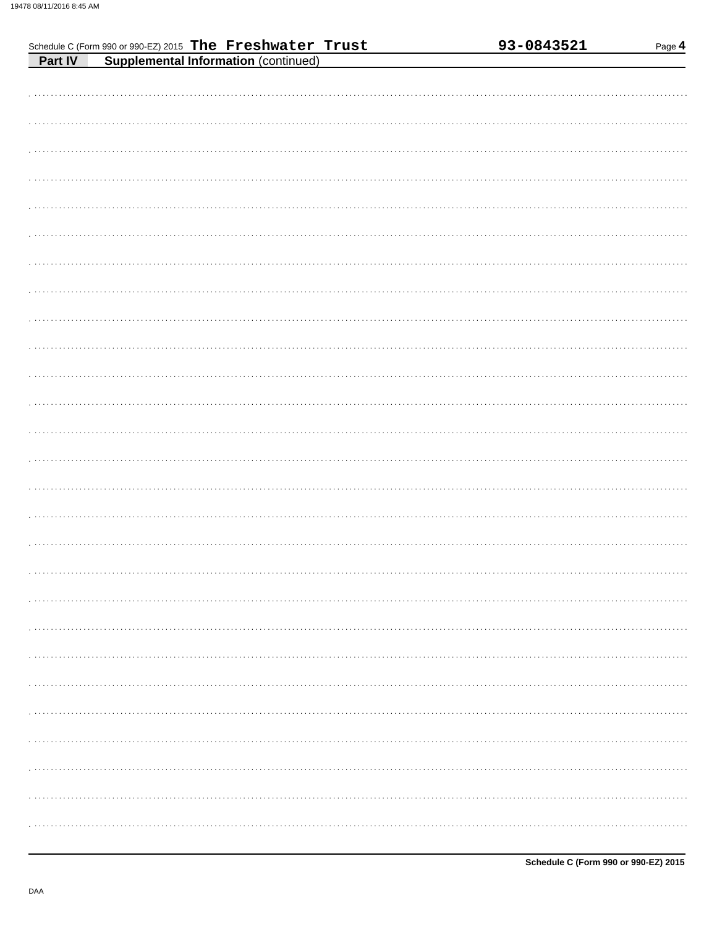|         | Schedule C (Form 990 or 990-EZ) 2015 The Freshwater Trust |                                             |  |  | 93-0843521 | Page 4 |
|---------|-----------------------------------------------------------|---------------------------------------------|--|--|------------|--------|
| Part IV |                                                           | <b>Supplemental Information (continued)</b> |  |  |            |        |
|         |                                                           |                                             |  |  |            |        |
|         |                                                           |                                             |  |  |            |        |
|         |                                                           |                                             |  |  |            |        |
|         |                                                           |                                             |  |  |            |        |
|         |                                                           |                                             |  |  |            |        |
|         |                                                           |                                             |  |  |            |        |
|         |                                                           |                                             |  |  |            |        |
|         |                                                           |                                             |  |  |            |        |
|         |                                                           |                                             |  |  |            |        |
|         |                                                           |                                             |  |  |            |        |
|         |                                                           |                                             |  |  |            |        |
|         |                                                           |                                             |  |  |            |        |
|         |                                                           |                                             |  |  |            |        |
|         |                                                           |                                             |  |  |            |        |
|         |                                                           |                                             |  |  |            |        |
|         |                                                           |                                             |  |  |            |        |
|         |                                                           |                                             |  |  |            |        |
|         |                                                           |                                             |  |  |            |        |
|         |                                                           |                                             |  |  |            |        |
|         |                                                           |                                             |  |  |            |        |
|         |                                                           |                                             |  |  |            |        |
|         |                                                           |                                             |  |  |            |        |
|         |                                                           |                                             |  |  |            |        |
|         |                                                           |                                             |  |  |            |        |
|         |                                                           |                                             |  |  |            |        |
|         |                                                           |                                             |  |  |            |        |
|         |                                                           |                                             |  |  |            |        |
|         |                                                           |                                             |  |  |            |        |
|         |                                                           |                                             |  |  |            |        |
|         |                                                           |                                             |  |  |            |        |
|         |                                                           |                                             |  |  |            |        |
|         |                                                           |                                             |  |  |            |        |
|         |                                                           |                                             |  |  |            |        |
|         |                                                           |                                             |  |  |            |        |
|         |                                                           |                                             |  |  |            |        |
|         |                                                           |                                             |  |  |            |        |
|         |                                                           |                                             |  |  |            |        |
|         |                                                           |                                             |  |  |            |        |
|         |                                                           |                                             |  |  |            |        |
|         |                                                           |                                             |  |  |            |        |
|         |                                                           |                                             |  |  |            |        |
|         |                                                           |                                             |  |  |            |        |
|         |                                                           |                                             |  |  |            |        |
|         |                                                           |                                             |  |  |            |        |
|         |                                                           |                                             |  |  |            |        |
|         |                                                           |                                             |  |  |            |        |
|         |                                                           |                                             |  |  |            |        |
|         |                                                           |                                             |  |  |            |        |
|         |                                                           |                                             |  |  |            |        |
|         |                                                           |                                             |  |  |            |        |
|         |                                                           |                                             |  |  |            |        |
|         |                                                           |                                             |  |  |            |        |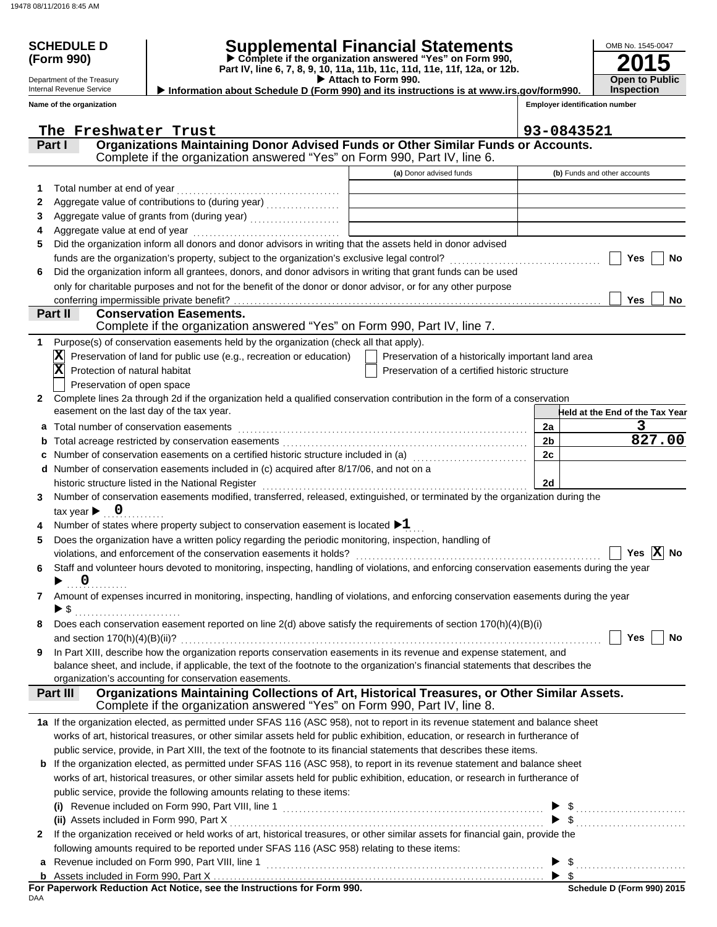Department of the Treasury Internal Revenue Service **Name of the organization**

## **SCHEDULE D Supplemental Financial Statements**

 **Attach to Form 990. (Form 990) Part IV, line 6, 7, 8, 9, 10, 11a, 11b, 11c, 11d, 11e, 11f, 12a, or 12b. Complete if the organization answered "Yes" on Form 990,**

**2015** OMB No. 1545-0047 **Open to Public Inspection**

|--|

**Employer identification number**

|              | The Freshwater Trust                                                                                                                                                                                             |                                                    | 93-0843521              |                                 |  |  |
|--------------|------------------------------------------------------------------------------------------------------------------------------------------------------------------------------------------------------------------|----------------------------------------------------|-------------------------|---------------------------------|--|--|
|              | Organizations Maintaining Donor Advised Funds or Other Similar Funds or Accounts.<br>Part I                                                                                                                      |                                                    |                         |                                 |  |  |
|              | Complete if the organization answered "Yes" on Form 990, Part IV, line 6.                                                                                                                                        |                                                    |                         |                                 |  |  |
|              |                                                                                                                                                                                                                  | (a) Donor advised funds                            |                         | (b) Funds and other accounts    |  |  |
| 1.           | Total number at end of year                                                                                                                                                                                      |                                                    |                         |                                 |  |  |
| 2            |                                                                                                                                                                                                                  |                                                    |                         |                                 |  |  |
| 3            |                                                                                                                                                                                                                  |                                                    |                         |                                 |  |  |
|              | Aggregate value at end of year                                                                                                                                                                                   |                                                    |                         |                                 |  |  |
| 5            | Did the organization inform all donors and donor advisors in writing that the assets held in donor advised                                                                                                       |                                                    |                         |                                 |  |  |
|              | funds are the organization's property, subject to the organization's exclusive legal control?                                                                                                                    |                                                    |                         | Yes<br>No                       |  |  |
| 6            | Did the organization inform all grantees, donors, and donor advisors in writing that grant funds can be used                                                                                                     |                                                    |                         |                                 |  |  |
|              | only for charitable purposes and not for the benefit of the donor or donor advisor, or for any other purpose                                                                                                     |                                                    |                         |                                 |  |  |
|              | conferring impermissible private benefit?                                                                                                                                                                        |                                                    |                         | <b>Yes</b><br>No                |  |  |
|              | <b>Conservation Easements.</b><br>Part II                                                                                                                                                                        |                                                    |                         |                                 |  |  |
|              | Complete if the organization answered "Yes" on Form 990, Part IV, line 7.                                                                                                                                        |                                                    |                         |                                 |  |  |
| 1.           | Purpose(s) of conservation easements held by the organization (check all that apply).                                                                                                                            |                                                    |                         |                                 |  |  |
|              | Preservation of land for public use (e.g., recreation or education)<br>$ \mathbf{X} $                                                                                                                            | Preservation of a historically important land area |                         |                                 |  |  |
|              | $\overline{\mathbf{x}}$<br>Protection of natural habitat                                                                                                                                                         | Preservation of a certified historic structure     |                         |                                 |  |  |
|              | Preservation of open space                                                                                                                                                                                       |                                                    |                         |                                 |  |  |
| $\mathbf{2}$ | Complete lines 2a through 2d if the organization held a qualified conservation contribution in the form of a conservation                                                                                        |                                                    |                         |                                 |  |  |
|              | easement on the last day of the tax year.                                                                                                                                                                        |                                                    |                         | Held at the End of the Tax Year |  |  |
| а            | Total number of conservation easements                                                                                                                                                                           |                                                    | 2a                      | 3                               |  |  |
| b            |                                                                                                                                                                                                                  |                                                    | 2 <sub>b</sub>          | 827.00                          |  |  |
| c            | Number of conservation easements on a certified historic structure included in (a) [11] Number of conservation                                                                                                   |                                                    | 2c                      |                                 |  |  |
| d            | Number of conservation easements included in (c) acquired after 8/17/06, and not on a                                                                                                                            |                                                    |                         |                                 |  |  |
|              | historic structure listed in the National Register                                                                                                                                                               |                                                    | 2d                      |                                 |  |  |
| 3            | Number of conservation easements modified, transferred, released, extinguished, or terminated by the organization during the                                                                                     |                                                    |                         |                                 |  |  |
|              | tax year $\blacktriangleright$ 0                                                                                                                                                                                 |                                                    |                         |                                 |  |  |
|              | Number of states where property subject to conservation easement is located $\blacktriangleright 1$                                                                                                              |                                                    |                         |                                 |  |  |
| 5            | Does the organization have a written policy regarding the periodic monitoring, inspection, handling of                                                                                                           |                                                    |                         | Yes $ X $ No                    |  |  |
|              | violations, and enforcement of the conservation easements it holds?<br>Staff and volunteer hours devoted to monitoring, inspecting, handling of violations, and enforcing conservation easements during the year |                                                    |                         |                                 |  |  |
| 6            | $\overline{\mathbf{0}}$                                                                                                                                                                                          |                                                    |                         |                                 |  |  |
|              | 7 Amount of expenses incurred in monitoring, inspecting, handling of violations, and enforcing conservation easements during the year                                                                            |                                                    |                         |                                 |  |  |
|              | ▶ \$                                                                                                                                                                                                             |                                                    |                         |                                 |  |  |
|              | Does each conservation easement reported on line 2(d) above satisfy the requirements of section 170(h)(4)(B)(i)                                                                                                  |                                                    |                         |                                 |  |  |
|              | and section $170(h)(4)(B)(ii)?$                                                                                                                                                                                  |                                                    |                         | Yes<br>No                       |  |  |
| 9            | In Part XIII, describe how the organization reports conservation easements in its revenue and expense statement, and                                                                                             |                                                    |                         |                                 |  |  |
|              | balance sheet, and include, if applicable, the text of the footnote to the organization's financial statements that describes the                                                                                |                                                    |                         |                                 |  |  |
|              | organization's accounting for conservation easements.                                                                                                                                                            |                                                    |                         |                                 |  |  |
|              | Organizations Maintaining Collections of Art, Historical Treasures, or Other Similar Assets.<br>Part III                                                                                                         |                                                    |                         |                                 |  |  |
|              | Complete if the organization answered "Yes" on Form 990, Part IV, line 8.                                                                                                                                        |                                                    |                         |                                 |  |  |
|              | 1a If the organization elected, as permitted under SFAS 116 (ASC 958), not to report in its revenue statement and balance sheet                                                                                  |                                                    |                         |                                 |  |  |
|              | works of art, historical treasures, or other similar assets held for public exhibition, education, or research in furtherance of                                                                                 |                                                    |                         |                                 |  |  |
|              | public service, provide, in Part XIII, the text of the footnote to its financial statements that describes these items.                                                                                          |                                                    |                         |                                 |  |  |
|              | If the organization elected, as permitted under SFAS 116 (ASC 958), to report in its revenue statement and balance sheet                                                                                         |                                                    |                         |                                 |  |  |
|              | works of art, historical treasures, or other similar assets held for public exhibition, education, or research in furtherance of                                                                                 |                                                    |                         |                                 |  |  |
|              | public service, provide the following amounts relating to these items:                                                                                                                                           |                                                    |                         |                                 |  |  |
|              |                                                                                                                                                                                                                  |                                                    |                         | $\triangleright$ \$             |  |  |
|              | (ii) Assets included in Form 990, Part X                                                                                                                                                                         |                                                    |                         | $\frac{1}{2}$                   |  |  |
| $\mathbf{2}$ | If the organization received or held works of art, historical treasures, or other similar assets for financial gain, provide the                                                                                 |                                                    |                         |                                 |  |  |
|              | following amounts required to be reported under SFAS 116 (ASC 958) relating to these items:                                                                                                                      |                                                    |                         |                                 |  |  |
|              |                                                                                                                                                                                                                  |                                                    |                         |                                 |  |  |
|              |                                                                                                                                                                                                                  |                                                    | $\blacktriangleright$ s |                                 |  |  |

| For Paperwork Reduction Act Notice, see the Instructions for Form 990. |  |
|------------------------------------------------------------------------|--|
| DAA                                                                    |  |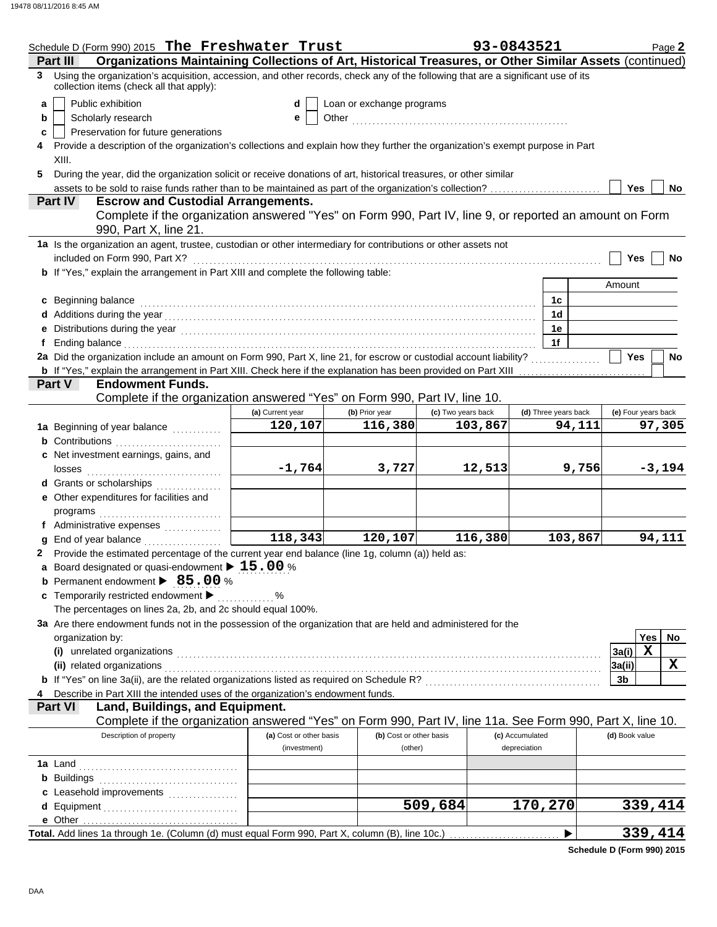|    | Schedule D (Form 990) 2015 The Freshwater Trust                                                                                                                                                                                      |                         |                           |                    | 93-0843521      |                      |                     | Page 2   |
|----|--------------------------------------------------------------------------------------------------------------------------------------------------------------------------------------------------------------------------------------|-------------------------|---------------------------|--------------------|-----------------|----------------------|---------------------|----------|
|    | Organizations Maintaining Collections of Art, Historical Treasures, or Other Similar Assets (continued)<br>Part III                                                                                                                  |                         |                           |                    |                 |                      |                     |          |
| 3  | Using the organization's acquisition, accession, and other records, check any of the following that are a significant use of its<br>collection items (check all that apply):                                                         |                         |                           |                    |                 |                      |                     |          |
| a  | Public exhibition                                                                                                                                                                                                                    | d                       | Loan or exchange programs |                    |                 |                      |                     |          |
| b  | Scholarly research                                                                                                                                                                                                                   | е                       |                           |                    |                 |                      |                     |          |
| c  | Preservation for future generations                                                                                                                                                                                                  |                         |                           |                    |                 |                      |                     |          |
| 4  | Provide a description of the organization's collections and explain how they further the organization's exempt purpose in Part<br>XIII.                                                                                              |                         |                           |                    |                 |                      |                     |          |
| 5  | During the year, did the organization solicit or receive donations of art, historical treasures, or other similar                                                                                                                    |                         |                           |                    |                 |                      |                     |          |
|    |                                                                                                                                                                                                                                      |                         |                           |                    |                 |                      | Yes                 | No       |
|    | <b>Escrow and Custodial Arrangements.</b><br>Part IV                                                                                                                                                                                 |                         |                           |                    |                 |                      |                     |          |
|    | Complete if the organization answered "Yes" on Form 990, Part IV, line 9, or reported an amount on Form<br>990, Part X, line 21.                                                                                                     |                         |                           |                    |                 |                      |                     |          |
|    | 1a Is the organization an agent, trustee, custodian or other intermediary for contributions or other assets not                                                                                                                      |                         |                           |                    |                 |                      |                     |          |
|    | included on Form 990, Part X?                                                                                                                                                                                                        |                         |                           |                    |                 |                      | Yes                 | No       |
|    | <b>b</b> If "Yes," explain the arrangement in Part XIII and complete the following table:                                                                                                                                            |                         |                           |                    |                 |                      |                     |          |
|    |                                                                                                                                                                                                                                      |                         |                           |                    |                 |                      | Amount              |          |
|    | c Beginning balance                                                                                                                                                                                                                  |                         |                           |                    |                 | 1с                   |                     |          |
|    |                                                                                                                                                                                                                                      |                         |                           |                    |                 | 1d                   |                     |          |
|    | e Distributions during the year manufactured contains and the year manufactured with the set of the set of the                                                                                                                       |                         |                           |                    |                 | 1е                   |                     |          |
| f. | Ending balance with a continuum and continuum and continuum and continuum and continuum and continuum and continuum and continuum and continuum and continuum and continuum and continuum and continuum and continuum and cont       |                         |                           |                    |                 | 1f                   |                     |          |
|    | 2a Did the organization include an amount on Form 990, Part X, line 21, for escrow or custodial account liability?                                                                                                                   |                         |                           |                    |                 |                      | Yes                 | No       |
|    | <b>b</b> If "Yes," explain the arrangement in Part XIII. Check here if the explanation has been provided on Part XIII <i>mummmmmmmmmmmmm</i>                                                                                         |                         |                           |                    |                 |                      |                     |          |
|    | <b>Endowment Funds.</b><br><b>Part V</b>                                                                                                                                                                                             |                         |                           |                    |                 |                      |                     |          |
|    | Complete if the organization answered "Yes" on Form 990, Part IV, line 10.                                                                                                                                                           |                         |                           |                    |                 |                      |                     |          |
|    |                                                                                                                                                                                                                                      | (a) Current year        | (b) Prior year            | (c) Two years back |                 | (d) Three years back | (e) Four years back |          |
|    | 1a Beginning of year balance                                                                                                                                                                                                         | 120,107                 | 116,380                   | 103,867            |                 | 94,111               |                     | 97,305   |
|    | <b>b</b> Contributions                                                                                                                                                                                                               |                         |                           |                    |                 |                      |                     |          |
|    | c Net investment earnings, gains, and                                                                                                                                                                                                |                         |                           |                    |                 |                      |                     |          |
|    |                                                                                                                                                                                                                                      | $-1,764$                | 3,727                     | 12,513             |                 | 9,756                |                     | $-3,194$ |
|    |                                                                                                                                                                                                                                      |                         |                           |                    |                 |                      |                     |          |
|    | e Other expenditures for facilities and                                                                                                                                                                                              |                         |                           |                    |                 |                      |                     |          |
|    | programs                                                                                                                                                                                                                             |                         |                           |                    |                 |                      |                     |          |
|    | f Administrative expenses                                                                                                                                                                                                            |                         |                           |                    |                 |                      |                     |          |
|    | g End of year balance                                                                                                                                                                                                                | 118,343                 | 120,107                   | 116,380            |                 | 103,867              |                     | 94,111   |
|    | 2 Provide the estimated percentage of the current year end balance (line 1g, column (a)) held as:                                                                                                                                    |                         |                           |                    |                 |                      |                     |          |
|    | a Board designated or quasi-endowment $\blacktriangleright$ 15.00 %                                                                                                                                                                  |                         |                           |                    |                 |                      |                     |          |
|    | <b>b</b> Permanent endowment > 85.00 %                                                                                                                                                                                               |                         |                           |                    |                 |                      |                     |          |
|    | c Temporarily restricted endowment >                                                                                                                                                                                                 | %                       |                           |                    |                 |                      |                     |          |
|    | The percentages on lines 2a, 2b, and 2c should equal 100%.                                                                                                                                                                           |                         |                           |                    |                 |                      |                     |          |
|    | 3a Are there endowment funds not in the possession of the organization that are held and administered for the                                                                                                                        |                         |                           |                    |                 |                      |                     |          |
|    | organization by:                                                                                                                                                                                                                     |                         |                           |                    |                 |                      | Yes                 | No       |
|    | (i) unrelated organizations <b>contract to the contract of the contract of the contract of the contract of the contract of the contract of the contract of the contract of the contract of the contract of the contract of the c</b> |                         |                           |                    |                 |                      | X<br>3a(i)          |          |
|    |                                                                                                                                                                                                                                      |                         |                           |                    |                 |                      | 3a(ii)              | X        |
|    | b If "Yes" on line 3a(ii), are the related organizations listed as required on Schedule R? [[[[[[[[[[[[[[[[[[[                                                                                                                       |                         |                           |                    |                 |                      | 3b                  |          |
| 4  | Describe in Part XIII the intended uses of the organization's endowment funds.                                                                                                                                                       |                         |                           |                    |                 |                      |                     |          |
|    | Land, Buildings, and Equipment.<br><b>Part VI</b>                                                                                                                                                                                    |                         |                           |                    |                 |                      |                     |          |
|    | Complete if the organization answered "Yes" on Form 990, Part IV, line 11a. See Form 990, Part X, line 10.                                                                                                                           |                         |                           |                    |                 |                      |                     |          |
|    | Description of property                                                                                                                                                                                                              | (a) Cost or other basis | (b) Cost or other basis   |                    | (c) Accumulated |                      | (d) Book value      |          |
|    |                                                                                                                                                                                                                                      | (investment)            | (other)                   |                    | depreciation    |                      |                     |          |
|    |                                                                                                                                                                                                                                      |                         |                           |                    |                 |                      |                     |          |
|    |                                                                                                                                                                                                                                      |                         |                           |                    |                 |                      |                     |          |
|    | c Leasehold improvements                                                                                                                                                                                                             |                         |                           |                    |                 |                      |                     |          |
|    |                                                                                                                                                                                                                                      |                         |                           | 509,684            | 170,270         |                      |                     | 339,414  |
|    |                                                                                                                                                                                                                                      |                         |                           |                    |                 |                      |                     |          |
|    |                                                                                                                                                                                                                                      |                         |                           |                    |                 | ▶                    |                     | 339,414  |
|    |                                                                                                                                                                                                                                      |                         |                           |                    |                 |                      |                     |          |

| Schedule D (Form 990) 2015 |  |  |
|----------------------------|--|--|
|----------------------------|--|--|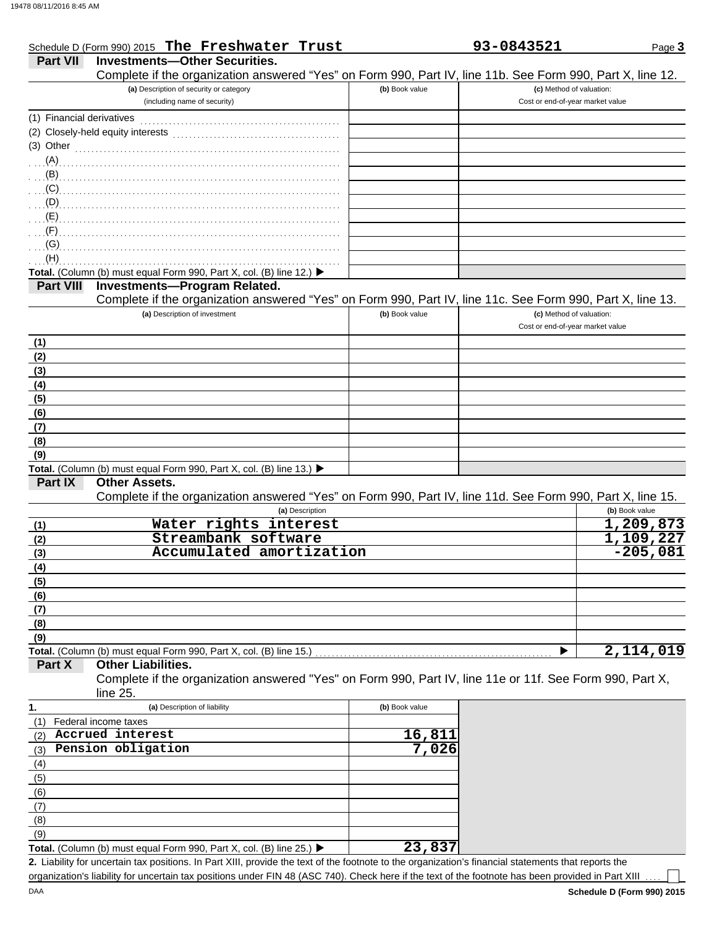|                           | Schedule D (Form 990) 2015 The Freshwater Trust                                                                                                      |                | 93-0843521                       | Page 3         |
|---------------------------|------------------------------------------------------------------------------------------------------------------------------------------------------|----------------|----------------------------------|----------------|
| <b>Part VII</b>           | <b>Investments-Other Securities.</b>                                                                                                                 |                |                                  |                |
|                           | Complete if the organization answered "Yes" on Form 990, Part IV, line 11b. See Form 990, Part X, line 12.                                           |                |                                  |                |
|                           | (a) Description of security or category                                                                                                              | (b) Book value | (c) Method of valuation:         |                |
|                           | (including name of security)                                                                                                                         |                | Cost or end-of-year market value |                |
| (1) Financial derivatives |                                                                                                                                                      |                |                                  |                |
|                           | (2) Closely-held equity interests                                                                                                                    |                |                                  |                |
| (3) Other                 |                                                                                                                                                      |                |                                  |                |
|                           |                                                                                                                                                      |                |                                  |                |
| $\mathbf{B}$              |                                                                                                                                                      |                |                                  |                |
|                           | $\overline{c}$ (C) and the continuum contract of the contract of the contract of the contract of $\overline{c}$                                      |                |                                  |                |
| (D)                       |                                                                                                                                                      |                |                                  |                |
|                           |                                                                                                                                                      |                |                                  |                |
| (F)                       |                                                                                                                                                      |                |                                  |                |
| (G)                       |                                                                                                                                                      |                |                                  |                |
| (H)                       |                                                                                                                                                      |                |                                  |                |
|                           | Total. (Column (b) must equal Form 990, Part X, col. (B) line 12.) ▶                                                                                 |                |                                  |                |
| <b>Part VIII</b>          | <b>Investments-Program Related.</b>                                                                                                                  |                |                                  |                |
|                           | Complete if the organization answered "Yes" on Form 990, Part IV, line 11c. See Form 990, Part X, line 13.                                           |                |                                  |                |
|                           | (a) Description of investment                                                                                                                        | (b) Book value | (c) Method of valuation:         |                |
|                           |                                                                                                                                                      |                | Cost or end-of-year market value |                |
| (1)                       |                                                                                                                                                      |                |                                  |                |
| (2)                       |                                                                                                                                                      |                |                                  |                |
| (3)                       |                                                                                                                                                      |                |                                  |                |
| (4)                       |                                                                                                                                                      |                |                                  |                |
| (5)                       |                                                                                                                                                      |                |                                  |                |
| (6)                       |                                                                                                                                                      |                |                                  |                |
| (7)                       |                                                                                                                                                      |                |                                  |                |
| (8)                       |                                                                                                                                                      |                |                                  |                |
| (9)                       |                                                                                                                                                      |                |                                  |                |
|                           | Total. (Column (b) must equal Form 990, Part X, col. (B) line 13.) ▶                                                                                 |                |                                  |                |
| Part IX                   | <b>Other Assets.</b>                                                                                                                                 |                |                                  |                |
|                           | Complete if the organization answered "Yes" on Form 990, Part IV, line 11d. See Form 990, Part X, line 15.                                           |                |                                  |                |
|                           | (a) Description                                                                                                                                      |                |                                  | (b) Book value |
| (1)                       | Water rights interest                                                                                                                                |                |                                  | 1,209,873      |
| (2)                       | Streambank software                                                                                                                                  |                |                                  | 1,109,227      |
| (3)                       | Accumulated amortization                                                                                                                             |                |                                  | $-205,081$     |
| (4)                       |                                                                                                                                                      |                |                                  |                |
| (5)                       |                                                                                                                                                      |                |                                  |                |
| (6)                       |                                                                                                                                                      |                |                                  |                |
| (7)                       |                                                                                                                                                      |                |                                  |                |
| (8)                       |                                                                                                                                                      |                |                                  |                |
| (9)                       |                                                                                                                                                      |                |                                  |                |
|                           | Total. (Column (b) must equal Form 990, Part X, col. (B) line 15.)                                                                                   |                |                                  | 2,114,019      |
| Part X                    | <b>Other Liabilities.</b>                                                                                                                            |                |                                  |                |
|                           | Complete if the organization answered "Yes" on Form 990, Part IV, line 11e or 11f. See Form 990, Part X,                                             |                |                                  |                |
|                           | line 25.                                                                                                                                             |                |                                  |                |
| 1.                        | (a) Description of liability                                                                                                                         | (b) Book value |                                  |                |
| (1)                       | Federal income taxes                                                                                                                                 |                |                                  |                |
| (2)                       | Accrued interest                                                                                                                                     | 16,811         |                                  |                |
| (3)                       | Pension obligation                                                                                                                                   | 7,026          |                                  |                |
| (4)                       |                                                                                                                                                      |                |                                  |                |
| (5)                       |                                                                                                                                                      |                |                                  |                |
| (6)                       |                                                                                                                                                      |                |                                  |                |
| (7)                       |                                                                                                                                                      |                |                                  |                |
| (8)                       |                                                                                                                                                      |                |                                  |                |
| (9)                       |                                                                                                                                                      |                |                                  |                |
|                           | Total. (Column (b) must equal Form 990, Part X, col. (B) line 25.) ▶                                                                                 | 23,837         |                                  |                |
|                           | 2. Liability for uncertain tax positions. In Part XIII, provide the text of the footnote to the organization's financial statements that reports the |                |                                  |                |

organization's liability for uncertain tax positions under FIN 48 (ASC 740). Check here if the text of the footnote has been provided in Part XIII

 $\blacksquare$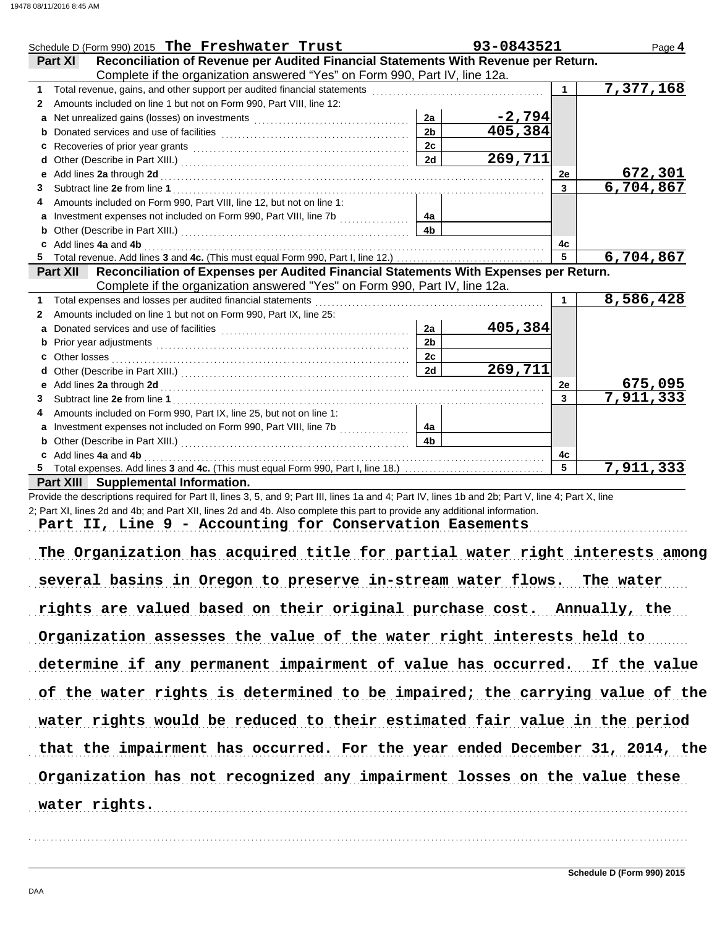|              | Schedule D (Form 990) 2015 The Freshwater Trust                                                                                                                                                                                |                | 93-0843521 |                      | Page 4                      |
|--------------|--------------------------------------------------------------------------------------------------------------------------------------------------------------------------------------------------------------------------------|----------------|------------|----------------------|-----------------------------|
|              | Reconciliation of Revenue per Audited Financial Statements With Revenue per Return.<br><b>Part XI</b>                                                                                                                          |                |            |                      |                             |
|              | Complete if the organization answered "Yes" on Form 990, Part IV, line 12a.                                                                                                                                                    |                |            |                      |                             |
|              |                                                                                                                                                                                                                                |                |            | $\blacktriangleleft$ | 7,377,168                   |
| 2            | Amounts included on line 1 but not on Form 990, Part VIII, line 12:                                                                                                                                                            |                |            |                      |                             |
|              |                                                                                                                                                                                                                                | 2a             | $-2,794$   |                      |                             |
|              |                                                                                                                                                                                                                                | 2 <sub>b</sub> | 405,384    |                      |                             |
| C            |                                                                                                                                                                                                                                | 2c             |            |                      |                             |
|              |                                                                                                                                                                                                                                | 2d             | 269,711    |                      |                             |
| е            | Add lines 2a through 2d [[11] And The Lines are the contract of the contract of the contract of the contract of the contract of the contract of the contract of the contract of the contract of the contract of the contract o |                |            | 2е                   | 672,301                     |
| 3            |                                                                                                                                                                                                                                |                |            | $\mathbf{3}$         | 6,704,867                   |
|              | Amounts included on Form 990, Part VIII, line 12, but not on line 1:                                                                                                                                                           |                |            |                      |                             |
|              | Investment expenses not included on Form 990, Part VIII, line 7b [                                                                                                                                                             | 4а             |            |                      |                             |
|              |                                                                                                                                                                                                                                | 4 <sub>b</sub> |            |                      |                             |
|              | c Add lines 4a and 4b                                                                                                                                                                                                          |                |            | 4c                   |                             |
|              |                                                                                                                                                                                                                                |                |            | $\overline{5}$       | 6,704,867                   |
|              | Reconciliation of Expenses per Audited Financial Statements With Expenses per Return.<br>Part XII<br>Complete if the organization answered "Yes" on Form 990, Part IV, line 12a.                                               |                |            |                      |                             |
| 1            | Total expenses and losses per audited financial statements                                                                                                                                                                     |                |            | $\mathbf 1$          | 8,586,428                   |
| $\mathbf{2}$ | Amounts included on line 1 but not on Form 990, Part IX, line 25:                                                                                                                                                              |                |            |                      |                             |
| a            |                                                                                                                                                                                                                                | 2a             | 405,384    |                      |                             |
|              |                                                                                                                                                                                                                                | 2 <sub>b</sub> |            |                      |                             |
|              | c Other losses                                                                                                                                                                                                                 | 2c             |            |                      |                             |
| d            |                                                                                                                                                                                                                                | 2d             | 269,711    |                      |                             |
|              |                                                                                                                                                                                                                                |                |            | 2е                   |                             |
| 3            |                                                                                                                                                                                                                                |                |            | $\mathbf{3}$         | $\frac{675,095}{7,911,333}$ |
| 4            | Amounts included on Form 990, Part IX, line 25, but not on line 1:                                                                                                                                                             |                |            |                      |                             |
| a            |                                                                                                                                                                                                                                | 4a             |            |                      |                             |
|              |                                                                                                                                                                                                                                | 4 <sub>b</sub> |            |                      |                             |
|              | c Add lines 4a and 4b                                                                                                                                                                                                          |                |            | 4c                   |                             |
|              |                                                                                                                                                                                                                                |                |            | 5                    | 7,911,333                   |
|              | Part XIII Supplemental Information.                                                                                                                                                                                            |                |            |                      |                             |

Provide the descriptions required for Part II, lines 3, 5, and 9; Part III, lines 1a and 4; Part IV, lines 1b and 2b; Part V, line 4; Part X, line 2; Part XI, lines 2d and 4b; and Part XII, lines 2d and 4b. Also complete this part to provide any additional information.

Part II, Line 9 - Accounting for Conservation Easements

The Organization has acquired title for partial water right interests among several basins in Oregon to preserve in-stream water flows. The water rights are valued based on their original purchase cost. Annually, the Organization assesses the value of the water right interests held to determine if any permanent impairment of value has occurred. If the value of the water rights is determined to be impaired; the carrying value of the Organization has not recognized any impairment losses on the value these water rights would be reduced to their estimated fair value in the period that the impairment has occurred. For the year ended December 31, 2014, the water rights.

. . . . . . . . . . . . . . . . . . . . . . . . . . . . . . . . . . . . . . . . . . . . . . . . . . . . . . . . . . . . . . . . . . . . . . . . . . . . . . . . . . . . . . . . . . . . . . . . . . . . . . . . . . . . . . . . . . . . . . . . . . . . . . . . . . . . . . . . . . . . . . . . . . . . . . . . . . . . . . . . .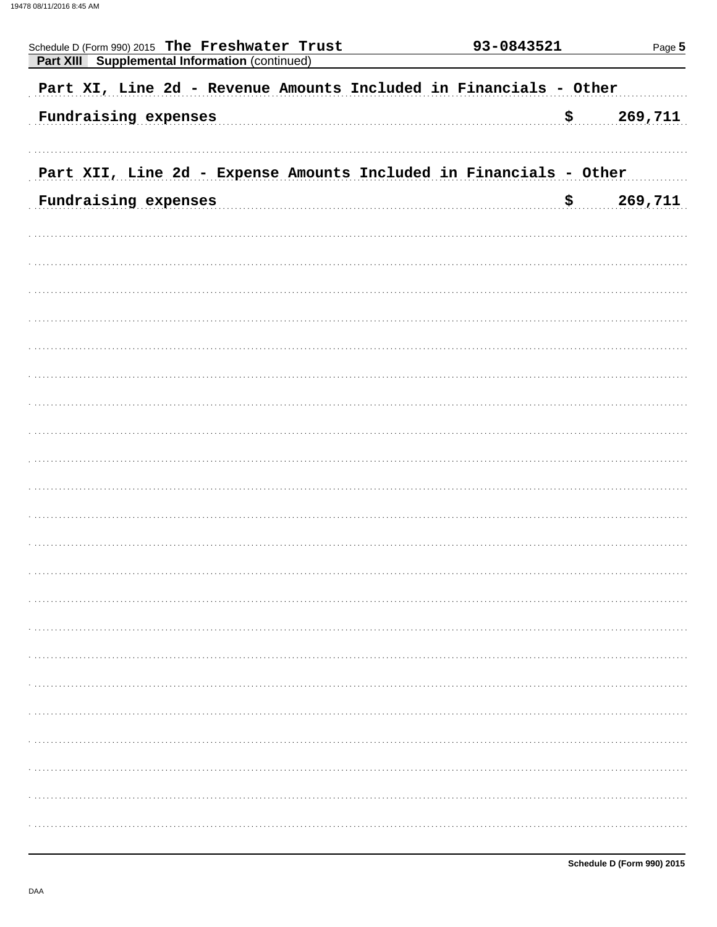| Schedule D (Form 990) 2015 The Freshwater Trust<br>Part XIII Supplemental Information (continued) | 93-0843521 | Page 5  |
|---------------------------------------------------------------------------------------------------|------------|---------|
| Part XI, Line 2d - Revenue Amounts Included in Financials - Other                                 |            |         |
| Fundraising expenses                                                                              | \$         | 269,711 |
| Part XII, Line 2d - Expense Amounts Included in Financials - Other                                |            |         |
| Fundraising expenses                                                                              | \$         | 269,711 |
|                                                                                                   |            |         |
|                                                                                                   |            |         |
|                                                                                                   |            |         |
|                                                                                                   |            |         |
|                                                                                                   |            |         |
|                                                                                                   |            |         |
|                                                                                                   |            |         |
|                                                                                                   |            |         |
|                                                                                                   |            |         |
|                                                                                                   |            |         |
|                                                                                                   |            |         |
|                                                                                                   |            |         |
|                                                                                                   |            |         |
|                                                                                                   |            |         |
|                                                                                                   |            |         |
|                                                                                                   |            |         |
|                                                                                                   |            |         |
|                                                                                                   |            |         |
|                                                                                                   |            |         |
|                                                                                                   |            |         |
|                                                                                                   |            |         |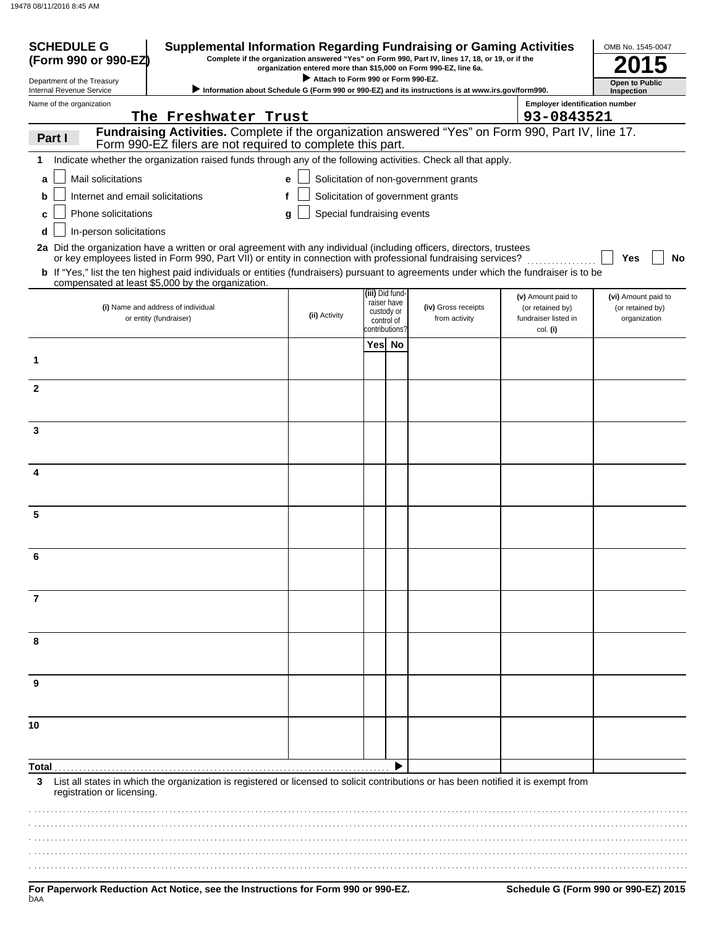| <b>SCHEDULE G</b><br>(Form 990 or 990-EZ               | <b>Supplemental Information Regarding Fundraising or Gaming Activities</b>                                                                                                                                                              |                                    |                                            | Complete if the organization answered "Yes" on Form 990, Part IV, lines 17, 18, or 19, or if the<br>organization entered more than \$15,000 on Form 990-EZ, line 6a. |                                                      | OMB No. 1545-0047                   |
|--------------------------------------------------------|-----------------------------------------------------------------------------------------------------------------------------------------------------------------------------------------------------------------------------------------|------------------------------------|--------------------------------------------|----------------------------------------------------------------------------------------------------------------------------------------------------------------------|------------------------------------------------------|-------------------------------------|
| Department of the Treasury<br>Internal Revenue Service |                                                                                                                                                                                                                                         | Attach to Form 990 or Form 990-EZ. |                                            | > Information about Schedule G (Form 990 or 990-EZ) and its instructions is at www.irs.gov/form990.                                                                  |                                                      | <b>Open to Public</b><br>Inspection |
| Name of the organization                               |                                                                                                                                                                                                                                         |                                    |                                            |                                                                                                                                                                      | <b>Employer identification number</b>                |                                     |
|                                                        | The Freshwater Trust                                                                                                                                                                                                                    |                                    |                                            |                                                                                                                                                                      | 93-0843521                                           |                                     |
| Part I                                                 | Fundraising Activities. Complete if the organization answered "Yes" on Form 990, Part IV, line 17.<br>Form 990-EZ filers are not required to complete this part.                                                                        |                                    |                                            |                                                                                                                                                                      |                                                      |                                     |
| 1                                                      | Indicate whether the organization raised funds through any of the following activities. Check all that apply.                                                                                                                           |                                    |                                            |                                                                                                                                                                      |                                                      |                                     |
| Mail solicitations<br>a                                |                                                                                                                                                                                                                                         | е                                  |                                            | Solicitation of non-government grants                                                                                                                                |                                                      |                                     |
| Internet and email solicitations<br>b                  | f                                                                                                                                                                                                                                       |                                    |                                            | Solicitation of government grants                                                                                                                                    |                                                      |                                     |
| Phone solicitations<br>c                               |                                                                                                                                                                                                                                         | Special fundraising events<br>g    |                                            |                                                                                                                                                                      |                                                      |                                     |
| In-person solicitations<br>d                           |                                                                                                                                                                                                                                         |                                    |                                            |                                                                                                                                                                      |                                                      |                                     |
|                                                        | 2a Did the organization have a written or oral agreement with any individual (including officers, directors, trustees<br>or key employees listed in Form 990, Part VII) or entity in connection with professional fundraising services? |                                    |                                            |                                                                                                                                                                      |                                                      | No<br>Yes                           |
|                                                        | <b>b</b> If "Yes," list the ten highest paid individuals or entities (fundraisers) pursuant to agreements under which the fundraiser is to be<br>compensated at least \$5,000 by the organization.                                      |                                    |                                            |                                                                                                                                                                      |                                                      |                                     |
|                                                        |                                                                                                                                                                                                                                         |                                    | (iii) Did fund-<br>raiser have             |                                                                                                                                                                      | (v) Amount paid to                                   | (vi) Amount paid to                 |
|                                                        | (i) Name and address of individual<br>or entity (fundraiser)                                                                                                                                                                            | (ii) Activity                      | custody or<br>control of<br>contributions? | (iv) Gross receipts<br>from activity                                                                                                                                 | (or retained by)<br>fundraiser listed in<br>col. (i) | (or retained by)<br>organization    |
|                                                        |                                                                                                                                                                                                                                         |                                    | Yes No                                     |                                                                                                                                                                      |                                                      |                                     |
| 1                                                      |                                                                                                                                                                                                                                         |                                    |                                            |                                                                                                                                                                      |                                                      |                                     |
| $\mathbf{2}$                                           |                                                                                                                                                                                                                                         |                                    |                                            |                                                                                                                                                                      |                                                      |                                     |
| 3                                                      |                                                                                                                                                                                                                                         |                                    |                                            |                                                                                                                                                                      |                                                      |                                     |
|                                                        |                                                                                                                                                                                                                                         |                                    |                                            |                                                                                                                                                                      |                                                      |                                     |
| 4                                                      |                                                                                                                                                                                                                                         |                                    |                                            |                                                                                                                                                                      |                                                      |                                     |
| 5                                                      |                                                                                                                                                                                                                                         |                                    |                                            |                                                                                                                                                                      |                                                      |                                     |
| 6                                                      |                                                                                                                                                                                                                                         |                                    |                                            |                                                                                                                                                                      |                                                      |                                     |
|                                                        |                                                                                                                                                                                                                                         |                                    |                                            |                                                                                                                                                                      |                                                      |                                     |
| $\overline{7}$                                         |                                                                                                                                                                                                                                         |                                    |                                            |                                                                                                                                                                      |                                                      |                                     |
| 8                                                      |                                                                                                                                                                                                                                         |                                    |                                            |                                                                                                                                                                      |                                                      |                                     |
| 9                                                      |                                                                                                                                                                                                                                         |                                    |                                            |                                                                                                                                                                      |                                                      |                                     |
| 10                                                     |                                                                                                                                                                                                                                         |                                    |                                            |                                                                                                                                                                      |                                                      |                                     |
|                                                        |                                                                                                                                                                                                                                         |                                    |                                            |                                                                                                                                                                      |                                                      |                                     |
| Total<br>3<br>registration or licensing.               | List all states in which the organization is registered or licensed to solicit contributions or has been notified it is exempt from                                                                                                     |                                    |                                            |                                                                                                                                                                      |                                                      |                                     |
|                                                        |                                                                                                                                                                                                                                         |                                    |                                            |                                                                                                                                                                      |                                                      |                                     |
|                                                        |                                                                                                                                                                                                                                         |                                    |                                            |                                                                                                                                                                      |                                                      |                                     |
|                                                        |                                                                                                                                                                                                                                         |                                    |                                            |                                                                                                                                                                      |                                                      |                                     |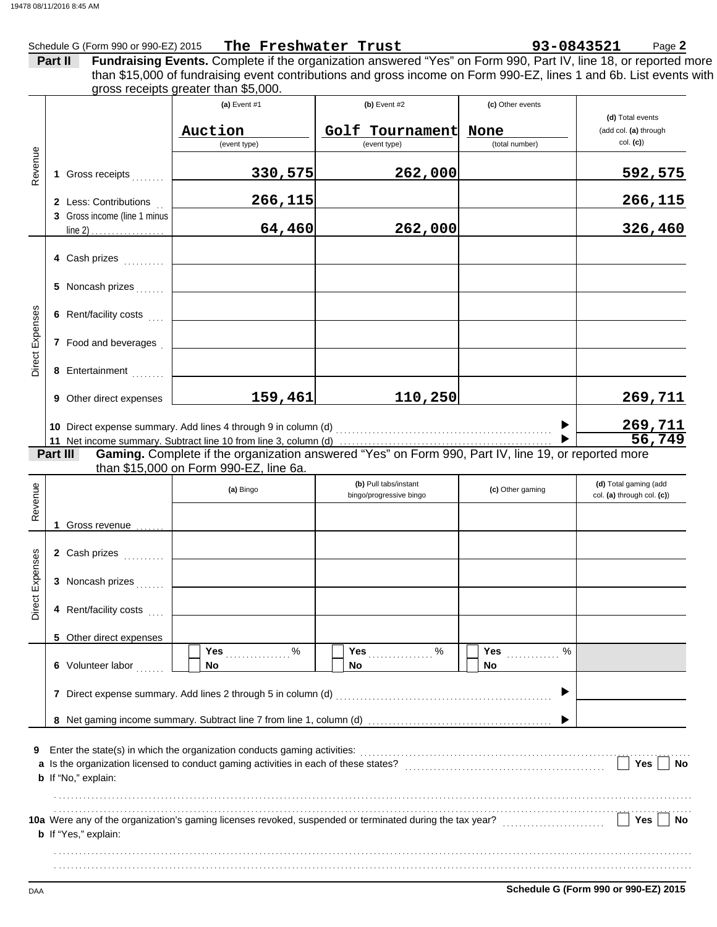|         |                       | Schedule G (Form 990 or 990-EZ) 2015 The Freshwater Trust                                                                                                                                                                                                                     |                                                   |                                            | 93-0843521<br>Page 2                                  |
|---------|-----------------------|-------------------------------------------------------------------------------------------------------------------------------------------------------------------------------------------------------------------------------------------------------------------------------|---------------------------------------------------|--------------------------------------------|-------------------------------------------------------|
|         | Part II               | Fundraising Events. Complete if the organization answered "Yes" on Form 990, Part IV, line 18, or reported more<br>than \$15,000 of fundraising event contributions and gross income on Form 990-EZ, lines 1 and 6b. List events with<br>gross receipts greater than \$5,000. |                                                   |                                            |                                                       |
|         |                       | (a) Event $#1$<br>Auction<br>(event type)                                                                                                                                                                                                                                     | $(b)$ Event #2<br>Golf Tournament<br>(event type) | (c) Other events<br>None<br>(total number) | (d) Total events<br>(add col. (a) through<br>col. (c) |
| Revenue | Gross receipts        | 330,575                                                                                                                                                                                                                                                                       | 262,000                                           |                                            | 592,575                                               |
|         | 2 Less: Contributions | 266,115                                                                                                                                                                                                                                                                       |                                                   |                                            | 266,115                                               |

|                 | 2 Less: Contributions        | 266,115                                                        |         |  | 266,115 |
|-----------------|------------------------------|----------------------------------------------------------------|---------|--|---------|
|                 | 3 Gross income (line 1 minus | 64,460                                                         | 262,000 |  | 326,460 |
|                 | 4 Cash prizes<br>.           |                                                                |         |  |         |
|                 | 5 Noncash prizes             |                                                                |         |  |         |
| Direct Expenses | 6 Rent/facility costs        |                                                                |         |  |         |
|                 | 7 Food and beverages         |                                                                |         |  |         |
|                 | 8 Entertainment              |                                                                |         |  |         |
|                 | Other direct expenses<br>9   | 159,461                                                        | 110,250 |  | 269,711 |
|                 |                              | 10 Direct expense summary. Add lines 4 through 9 in column (d) |         |  | 269,711 |
|                 |                              | 56, 749                                                        |         |  |         |

**Gaming.** Complete if the organization answered "Yes" on Form 990, Part IV, line 19, or reported more than \$15,000 on Form 990-EZ, line 6a. **Part III**

| Revenue         |                             | (a) Bingo                                                                                                                                                                                  | (b) Pull tabs/instant<br>bingo/progressive bingo | (c) Other gaming         | (d) Total gaming (add<br>col. (a) through col. (c)) |
|-----------------|-----------------------------|--------------------------------------------------------------------------------------------------------------------------------------------------------------------------------------------|--------------------------------------------------|--------------------------|-----------------------------------------------------|
|                 | Gross revenue               |                                                                                                                                                                                            |                                                  |                          |                                                     |
|                 | 2 Cash prizes               |                                                                                                                                                                                            |                                                  |                          |                                                     |
| Direct Expenses | 3 Noncash prizes            |                                                                                                                                                                                            |                                                  |                          |                                                     |
|                 | 4 Rent/facility costs       |                                                                                                                                                                                            |                                                  |                          |                                                     |
|                 | 5 Other direct expenses     |                                                                                                                                                                                            |                                                  |                          |                                                     |
|                 | 6 Volunteer labor           | Yes <b>Market</b><br>$\%$<br>No.                                                                                                                                                           | %<br>Yes <i></i><br><b>No</b>                    | <b>Yes</b><br>$\%$<br>No |                                                     |
|                 | 7                           |                                                                                                                                                                                            |                                                  | ▶                        |                                                     |
|                 |                             |                                                                                                                                                                                            |                                                  |                          |                                                     |
| 9               | <b>b</b> If "No," explain:  | Enter the state(s) in which the organization conducts gaming activities:<br>a Is the organization licensed to conduct gaming activities in each of these states? [[[[[[[[[[[[[[[[[[[[[[[[[ |                                                  |                          | Yes<br><b>No</b>                                    |
|                 | <b>b</b> If "Yes," explain: |                                                                                                                                                                                            |                                                  |                          | Yes<br>No                                           |
|                 |                             |                                                                                                                                                                                            |                                                  |                          |                                                     |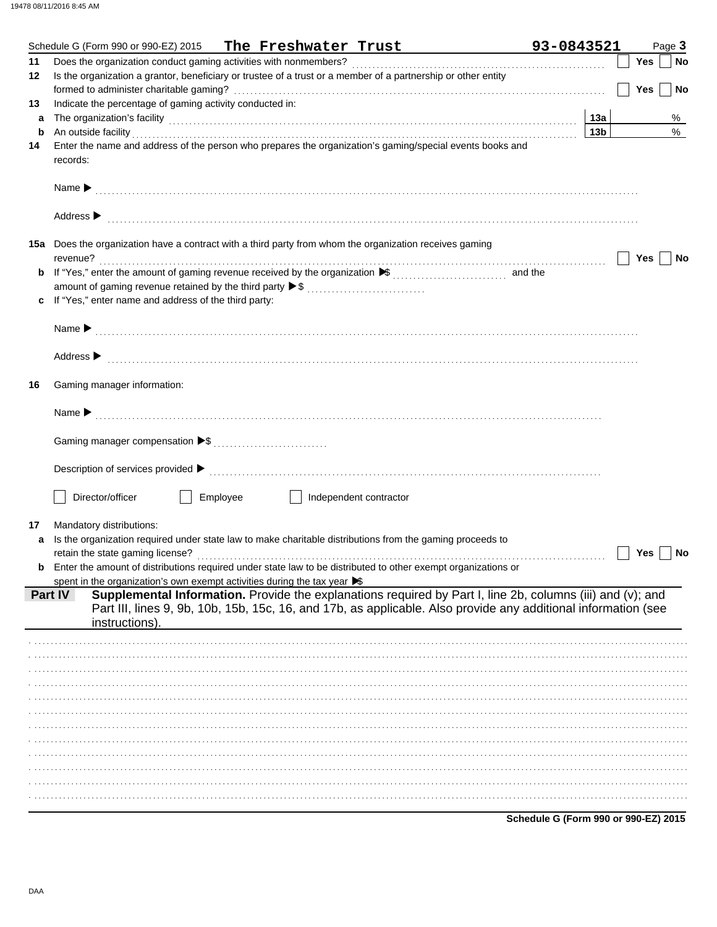|             | Schedule G (Form 990 or 990-EZ) 2015 The Freshwater Trust                                                                                                                                                                      | 93-0843521      |  |     | Page 3    |
|-------------|--------------------------------------------------------------------------------------------------------------------------------------------------------------------------------------------------------------------------------|-----------------|--|-----|-----------|
| 11          |                                                                                                                                                                                                                                |                 |  | Yes | <b>No</b> |
| 12          | Is the organization a grantor, beneficiary or trustee of a trust or a member of a partnership or other entity                                                                                                                  |                 |  |     |           |
|             |                                                                                                                                                                                                                                |                 |  | Yes | No        |
| 13          | Indicate the percentage of gaming activity conducted in:                                                                                                                                                                       |                 |  |     |           |
| a           | The organization's facility (132) 132                                                                                                                                                                                          |                 |  |     | %         |
| $\mathbf b$ | An outside facility <b>contained a set of a set of a set of a set of a set of a set of a set of a set of a set of a</b>                                                                                                        | 13 <sub>b</sub> |  |     | $\%$      |
| 14          | Enter the name and address of the person who prepares the organization's gaming/special events books and                                                                                                                       |                 |  |     |           |
|             | records:                                                                                                                                                                                                                       |                 |  |     |           |
|             |                                                                                                                                                                                                                                |                 |  |     |           |
|             |                                                                                                                                                                                                                                |                 |  |     |           |
|             |                                                                                                                                                                                                                                |                 |  |     |           |
|             |                                                                                                                                                                                                                                |                 |  |     |           |
|             | Address > the communication of the contract of the contract of the contract of the contract of the contract of the contract of the contract of the contract of the contract of the contract of the contract of the contract of |                 |  |     |           |
|             | 15a Does the organization have a contract with a third party from whom the organization receives gaming                                                                                                                        |                 |  |     |           |
|             | revenue?                                                                                                                                                                                                                       |                 |  | Yes |           |
|             |                                                                                                                                                                                                                                |                 |  |     | No        |
| b           |                                                                                                                                                                                                                                |                 |  |     |           |
|             | amount of gaming revenue retained by the third party ▶ \$                                                                                                                                                                      |                 |  |     |           |
| c           | If "Yes," enter name and address of the third party:                                                                                                                                                                           |                 |  |     |           |
|             |                                                                                                                                                                                                                                |                 |  |     |           |
|             |                                                                                                                                                                                                                                |                 |  |     |           |
|             |                                                                                                                                                                                                                                |                 |  |     |           |
|             | Address > the communication of the contract of the contract of the contract of the contract of the contract of the contract of the contract of the contract of the contract of the contract of the contract of the contract of |                 |  |     |           |
|             | Gaming manager information:                                                                                                                                                                                                    |                 |  |     |           |
| 16          |                                                                                                                                                                                                                                |                 |  |     |           |
|             |                                                                                                                                                                                                                                |                 |  |     |           |
|             |                                                                                                                                                                                                                                |                 |  |     |           |
|             |                                                                                                                                                                                                                                |                 |  |     |           |
|             |                                                                                                                                                                                                                                |                 |  |     |           |
|             |                                                                                                                                                                                                                                |                 |  |     |           |
|             |                                                                                                                                                                                                                                |                 |  |     |           |
|             | Director/officer<br>Employee<br>Independent contractor                                                                                                                                                                         |                 |  |     |           |
|             |                                                                                                                                                                                                                                |                 |  |     |           |
| 17          | Mandatory distributions:                                                                                                                                                                                                       |                 |  |     |           |
| a           | Is the organization required under state law to make charitable distributions from the gaming proceeds to                                                                                                                      |                 |  |     |           |
|             |                                                                                                                                                                                                                                |                 |  | Yes | No        |
| b           | Enter the amount of distributions required under state law to be distributed to other exempt organizations or                                                                                                                  |                 |  |     |           |
|             | spent in the organization's own exempt activities during the tax year $\blacktriangleright$                                                                                                                                    |                 |  |     |           |
|             | Supplemental Information. Provide the explanations required by Part I, line 2b, columns (iii) and (v); and<br><b>Part IV</b>                                                                                                   |                 |  |     |           |
|             | Part III, lines 9, 9b, 10b, 15b, 15c, 16, and 17b, as applicable. Also provide any additional information (see                                                                                                                 |                 |  |     |           |
|             | instructions).                                                                                                                                                                                                                 |                 |  |     |           |
|             |                                                                                                                                                                                                                                |                 |  |     |           |
|             |                                                                                                                                                                                                                                |                 |  |     |           |
|             |                                                                                                                                                                                                                                |                 |  |     |           |
|             |                                                                                                                                                                                                                                |                 |  |     |           |
|             |                                                                                                                                                                                                                                |                 |  |     |           |
|             |                                                                                                                                                                                                                                |                 |  |     |           |
|             |                                                                                                                                                                                                                                |                 |  |     |           |
|             |                                                                                                                                                                                                                                |                 |  |     |           |
|             |                                                                                                                                                                                                                                |                 |  |     |           |
|             |                                                                                                                                                                                                                                |                 |  |     |           |
|             |                                                                                                                                                                                                                                |                 |  |     |           |
|             |                                                                                                                                                                                                                                |                 |  |     |           |
|             |                                                                                                                                                                                                                                |                 |  |     |           |
|             |                                                                                                                                                                                                                                |                 |  |     |           |

Schedule G (Form 990 or 990-EZ) 2015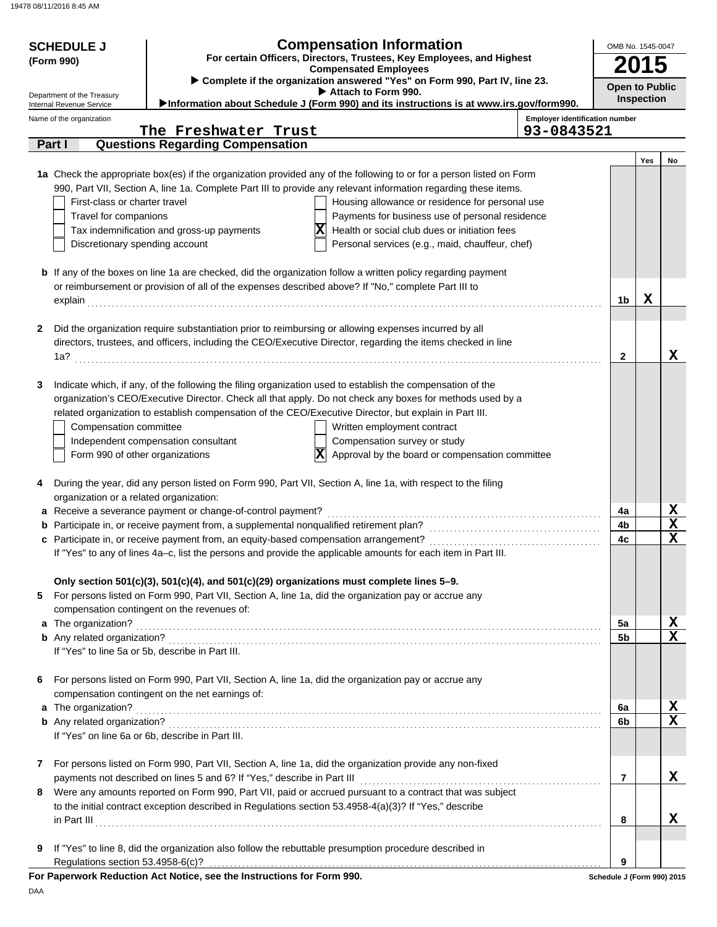| <b>Compensation Information</b><br><b>SCHEDULE J</b><br>For certain Officers, Directors, Trustees, Key Employees, and Highest<br>(Form 990)<br><b>Compensated Employees</b> |                                                                                                                                 |                                                                                                |                                                                                                                      |                                                     | OMB No. 1545-0047          |                       |                                 |  |
|-----------------------------------------------------------------------------------------------------------------------------------------------------------------------------|---------------------------------------------------------------------------------------------------------------------------------|------------------------------------------------------------------------------------------------|----------------------------------------------------------------------------------------------------------------------|-----------------------------------------------------|----------------------------|-----------------------|---------------------------------|--|
|                                                                                                                                                                             | Complete if the organization answered "Yes" on Form 990, Part IV, line 23.<br>Attach to Form 990.<br>Department of the Treasury |                                                                                                |                                                                                                                      |                                                     |                            | <b>Open to Public</b> |                                 |  |
|                                                                                                                                                                             | Internal Revenue Service                                                                                                        |                                                                                                | Information about Schedule J (Form 990) and its instructions is at www.irs.gov/form990.                              |                                                     |                            | Inspection            |                                 |  |
|                                                                                                                                                                             | Name of the organization                                                                                                        | The Freshwater Trust                                                                           |                                                                                                                      | <b>Employer identification number</b><br>93-0843521 |                            |                       |                                 |  |
|                                                                                                                                                                             | Part I                                                                                                                          | <b>Questions Regarding Compensation</b>                                                        |                                                                                                                      |                                                     |                            |                       |                                 |  |
|                                                                                                                                                                             |                                                                                                                                 |                                                                                                |                                                                                                                      |                                                     |                            | Yes                   | No                              |  |
|                                                                                                                                                                             |                                                                                                                                 |                                                                                                | 1a Check the appropriate box(es) if the organization provided any of the following to or for a person listed on Form |                                                     |                            |                       |                                 |  |
|                                                                                                                                                                             |                                                                                                                                 |                                                                                                | 990, Part VII, Section A, line 1a. Complete Part III to provide any relevant information regarding these items.      |                                                     |                            |                       |                                 |  |
|                                                                                                                                                                             | First-class or charter travel                                                                                                   |                                                                                                | Housing allowance or residence for personal use                                                                      |                                                     |                            |                       |                                 |  |
|                                                                                                                                                                             | Travel for companions                                                                                                           |                                                                                                | Payments for business use of personal residence                                                                      |                                                     |                            |                       |                                 |  |
|                                                                                                                                                                             |                                                                                                                                 | Tax indemnification and gross-up payments                                                      | x<br>Health or social club dues or initiation fees                                                                   |                                                     |                            |                       |                                 |  |
|                                                                                                                                                                             | Discretionary spending account                                                                                                  |                                                                                                | Personal services (e.g., maid, chauffeur, chef)                                                                      |                                                     |                            |                       |                                 |  |
|                                                                                                                                                                             |                                                                                                                                 |                                                                                                | <b>b</b> If any of the boxes on line 1a are checked, did the organization follow a written policy regarding payment  |                                                     |                            |                       |                                 |  |
|                                                                                                                                                                             |                                                                                                                                 |                                                                                                | or reimbursement or provision of all of the expenses described above? If "No," complete Part III to                  |                                                     |                            |                       |                                 |  |
|                                                                                                                                                                             | explain                                                                                                                         |                                                                                                |                                                                                                                      |                                                     | 1 <sub>b</sub>             | X                     |                                 |  |
|                                                                                                                                                                             |                                                                                                                                 |                                                                                                |                                                                                                                      |                                                     |                            |                       |                                 |  |
| 2                                                                                                                                                                           |                                                                                                                                 |                                                                                                | Did the organization require substantiation prior to reimbursing or allowing expenses incurred by all                |                                                     |                            |                       |                                 |  |
|                                                                                                                                                                             |                                                                                                                                 |                                                                                                | directors, trustees, and officers, including the CEO/Executive Director, regarding the items checked in line         |                                                     |                            |                       |                                 |  |
|                                                                                                                                                                             | 1a?                                                                                                                             |                                                                                                |                                                                                                                      |                                                     | $\mathbf{2}$               |                       | X                               |  |
| 3                                                                                                                                                                           |                                                                                                                                 |                                                                                                | Indicate which, if any, of the following the filing organization used to establish the compensation of the           |                                                     |                            |                       |                                 |  |
|                                                                                                                                                                             |                                                                                                                                 |                                                                                                | organization's CEO/Executive Director. Check all that apply. Do not check any boxes for methods used by a            |                                                     |                            |                       |                                 |  |
|                                                                                                                                                                             |                                                                                                                                 |                                                                                                | related organization to establish compensation of the CEO/Executive Director, but explain in Part III.               |                                                     |                            |                       |                                 |  |
|                                                                                                                                                                             | Compensation committee                                                                                                          |                                                                                                | Written employment contract                                                                                          |                                                     |                            |                       |                                 |  |
|                                                                                                                                                                             |                                                                                                                                 | Independent compensation consultant                                                            | Compensation survey or study                                                                                         |                                                     |                            |                       |                                 |  |
|                                                                                                                                                                             | Form 990 of other organizations                                                                                                 |                                                                                                | $ \mathbf{x} $<br>Approval by the board or compensation committee                                                    |                                                     |                            |                       |                                 |  |
|                                                                                                                                                                             |                                                                                                                                 |                                                                                                |                                                                                                                      |                                                     |                            |                       |                                 |  |
| 4                                                                                                                                                                           |                                                                                                                                 |                                                                                                | During the year, did any person listed on Form 990, Part VII, Section A, line 1a, with respect to the filing         |                                                     |                            |                       |                                 |  |
|                                                                                                                                                                             | organization or a related organization:                                                                                         | a Receive a severance payment or change-of-control payment?                                    |                                                                                                                      |                                                     | 4a                         |                       |                                 |  |
|                                                                                                                                                                             |                                                                                                                                 | <b>b</b> Participate in, or receive payment from, a supplemental nonqualified retirement plan? |                                                                                                                      |                                                     | 4b                         |                       | $\frac{\mathbf{x}}{\mathbf{x}}$ |  |
|                                                                                                                                                                             |                                                                                                                                 |                                                                                                |                                                                                                                      |                                                     | 4c                         |                       | $\overline{\mathbf{x}}$         |  |
|                                                                                                                                                                             |                                                                                                                                 |                                                                                                | If "Yes" to any of lines 4a–c, list the persons and provide the applicable amounts for each item in Part III.        |                                                     |                            |                       |                                 |  |
|                                                                                                                                                                             |                                                                                                                                 |                                                                                                | Only section 501(c)(3), 501(c)(4), and 501(c)(29) organizations must complete lines 5-9.                             |                                                     |                            |                       |                                 |  |
| 5                                                                                                                                                                           |                                                                                                                                 |                                                                                                | For persons listed on Form 990, Part VII, Section A, line 1a, did the organization pay or accrue any                 |                                                     |                            |                       |                                 |  |
|                                                                                                                                                                             |                                                                                                                                 | compensation contingent on the revenues of:                                                    |                                                                                                                      |                                                     |                            |                       |                                 |  |
|                                                                                                                                                                             | a The organization?                                                                                                             |                                                                                                |                                                                                                                      |                                                     | 5a                         |                       | <u>x</u>                        |  |
|                                                                                                                                                                             |                                                                                                                                 |                                                                                                |                                                                                                                      |                                                     | 5b                         |                       | $\overline{\textbf{x}}$         |  |
|                                                                                                                                                                             |                                                                                                                                 | If "Yes" to line 5a or 5b, describe in Part III.                                               |                                                                                                                      |                                                     |                            |                       |                                 |  |
| 6                                                                                                                                                                           |                                                                                                                                 |                                                                                                | For persons listed on Form 990, Part VII, Section A, line 1a, did the organization pay or accrue any                 |                                                     |                            |                       |                                 |  |
|                                                                                                                                                                             |                                                                                                                                 | compensation contingent on the net earnings of:                                                |                                                                                                                      |                                                     |                            |                       |                                 |  |
|                                                                                                                                                                             | a The organization?                                                                                                             |                                                                                                |                                                                                                                      |                                                     | 6a                         |                       | $\overline{\mathbf{X}}$         |  |
|                                                                                                                                                                             |                                                                                                                                 |                                                                                                |                                                                                                                      |                                                     | 6b                         |                       | $\overline{\textbf{x}}$         |  |
|                                                                                                                                                                             |                                                                                                                                 | If "Yes" on line 6a or 6b, describe in Part III.                                               |                                                                                                                      |                                                     |                            |                       |                                 |  |
| 7                                                                                                                                                                           |                                                                                                                                 |                                                                                                | For persons listed on Form 990, Part VII, Section A, line 1a, did the organization provide any non-fixed             |                                                     |                            |                       |                                 |  |
|                                                                                                                                                                             |                                                                                                                                 | payments not described on lines 5 and 6? If "Yes," describe in Part III                        |                                                                                                                      |                                                     | $\overline{7}$             |                       | X                               |  |
| 8                                                                                                                                                                           |                                                                                                                                 |                                                                                                | Were any amounts reported on Form 990, Part VII, paid or accrued pursuant to a contract that was subject             |                                                     |                            |                       |                                 |  |
|                                                                                                                                                                             |                                                                                                                                 |                                                                                                | to the initial contract exception described in Regulations section 53.4958-4(a)(3)? If "Yes," describe               |                                                     |                            |                       |                                 |  |
|                                                                                                                                                                             |                                                                                                                                 |                                                                                                |                                                                                                                      |                                                     | 8                          |                       | X                               |  |
|                                                                                                                                                                             |                                                                                                                                 |                                                                                                |                                                                                                                      |                                                     |                            |                       |                                 |  |
| 9                                                                                                                                                                           | Regulations section 53.4958-6(c)?                                                                                               |                                                                                                | If "Yes" to line 8, did the organization also follow the rebuttable presumption procedure described in               |                                                     | 9                          |                       |                                 |  |
|                                                                                                                                                                             |                                                                                                                                 | For Paperwork Reduction Act Notice, see the Instructions for Form 990.                         |                                                                                                                      |                                                     | Schedule J (Form 990) 2015 |                       |                                 |  |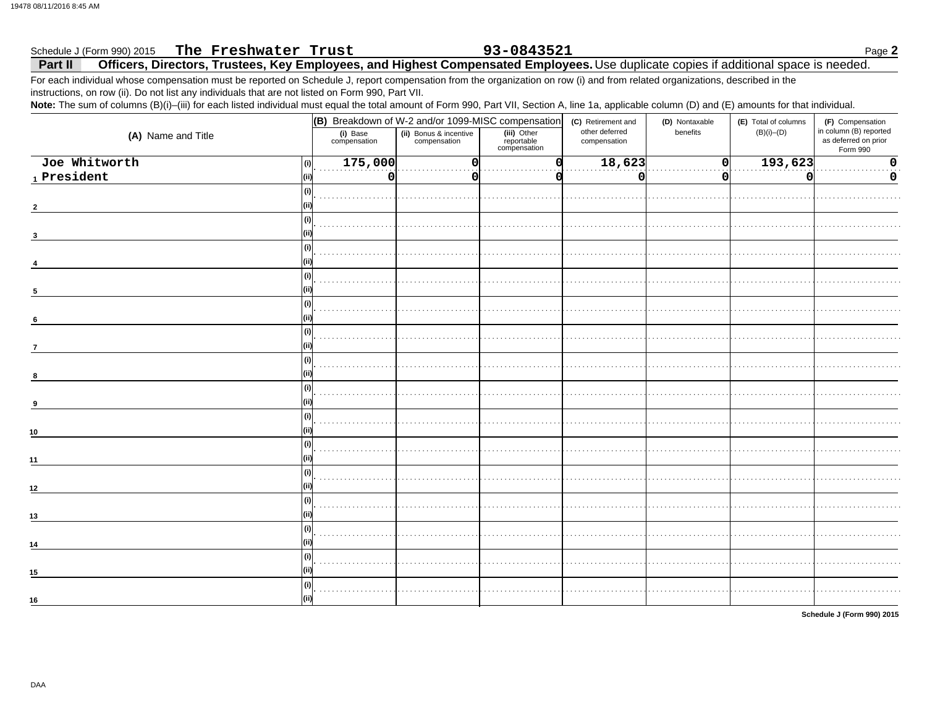### The Freshwater Trust 93-0843521 Schedule J (Form 990) 2015 Page 2 Officers, Directors, Trustees, Key Employees, and Highest Compensated Employees. Use duplicate copies if additional space is needed. Part II

For each individual whose compensation must be reported on Schedule J, report compensation from the organization on row (i) and from related organizations, described in the instructions, on row (ii). Do not list any individuals that are not listed on Form 990, Part VII.

Note: The sum of columns (B)(i)-(iii) for each listed individual must equal the total amount of Form 990, Part VII, Section A, line 1a, applicable column (D) and (E) amounts for that individual.

|                                                                       |                          | (B) Breakdown of W-2 and/or 1099-MISC compensation |                                           |                                | (D) Nontaxable | (E) Total of columns | (F) Compensation                                           |
|-----------------------------------------------------------------------|--------------------------|----------------------------------------------------|-------------------------------------------|--------------------------------|----------------|----------------------|------------------------------------------------------------|
| (A) Name and Title                                                    | (i) Base<br>compensation | (ii) Bonus & incentive<br>compensation             | (iii) Other<br>reportable<br>compensation | other deferred<br>compensation | benefits       | $(B)(i)$ – $(D)$     | in column (B) reported<br>as deferred on prior<br>Form 990 |
| Joe Whitworth<br>(i)                                                  | 175,000                  | $\mathbf 0$                                        |                                           | 18,623                         | 0              | 193,623              | $\mathbf 0$                                                |
| $\footnotesize\substack{\textnormal{\texttt{1}}$}$ President<br>(iii) | 0                        | $\Omega$                                           |                                           | 0                              | 0              | O                    | 0                                                          |
| (i)                                                                   |                          |                                                    |                                           |                                |                |                      |                                                            |
|                                                                       |                          |                                                    |                                           |                                |                |                      |                                                            |
| (i)                                                                   |                          |                                                    |                                           |                                |                |                      |                                                            |
|                                                                       |                          |                                                    |                                           |                                |                |                      |                                                            |
| (i)                                                                   |                          |                                                    |                                           |                                |                |                      |                                                            |
|                                                                       |                          |                                                    |                                           |                                |                |                      |                                                            |
| (i)                                                                   |                          |                                                    |                                           |                                |                |                      |                                                            |
| 5                                                                     |                          |                                                    |                                           |                                |                |                      |                                                            |
| (i)                                                                   |                          |                                                    |                                           |                                |                |                      |                                                            |
|                                                                       |                          |                                                    |                                           |                                |                |                      |                                                            |
| 6<br>(i)                                                              |                          |                                                    |                                           |                                |                |                      |                                                            |
|                                                                       |                          |                                                    |                                           |                                |                |                      |                                                            |
| $\overline{7}$                                                        |                          |                                                    |                                           |                                |                |                      |                                                            |
| (i)                                                                   |                          |                                                    |                                           |                                |                |                      |                                                            |
| 8                                                                     |                          |                                                    |                                           |                                |                |                      |                                                            |
|                                                                       |                          |                                                    |                                           |                                |                |                      |                                                            |
| -9                                                                    |                          |                                                    |                                           |                                |                |                      |                                                            |
| (i)                                                                   |                          |                                                    |                                           |                                |                |                      |                                                            |
| 10                                                                    |                          |                                                    |                                           |                                |                |                      |                                                            |
| (i)                                                                   |                          |                                                    |                                           |                                |                |                      |                                                            |
| 11                                                                    |                          |                                                    |                                           |                                |                |                      |                                                            |
| (i)                                                                   |                          |                                                    |                                           |                                |                |                      |                                                            |
| 12                                                                    |                          |                                                    |                                           |                                |                |                      |                                                            |
| (i)                                                                   |                          |                                                    |                                           |                                |                |                      |                                                            |
| 13                                                                    |                          |                                                    |                                           |                                |                |                      |                                                            |
| (i)                                                                   |                          |                                                    |                                           |                                |                |                      |                                                            |
| 14                                                                    |                          |                                                    |                                           |                                |                |                      |                                                            |
| (i)                                                                   |                          |                                                    |                                           |                                |                |                      |                                                            |
| 15                                                                    |                          |                                                    |                                           |                                |                |                      |                                                            |
| (i)                                                                   |                          |                                                    |                                           |                                |                |                      |                                                            |
| 16                                                                    |                          |                                                    |                                           |                                |                |                      |                                                            |
|                                                                       |                          |                                                    |                                           |                                |                |                      |                                                            |

Schedule J (Form 990) 2015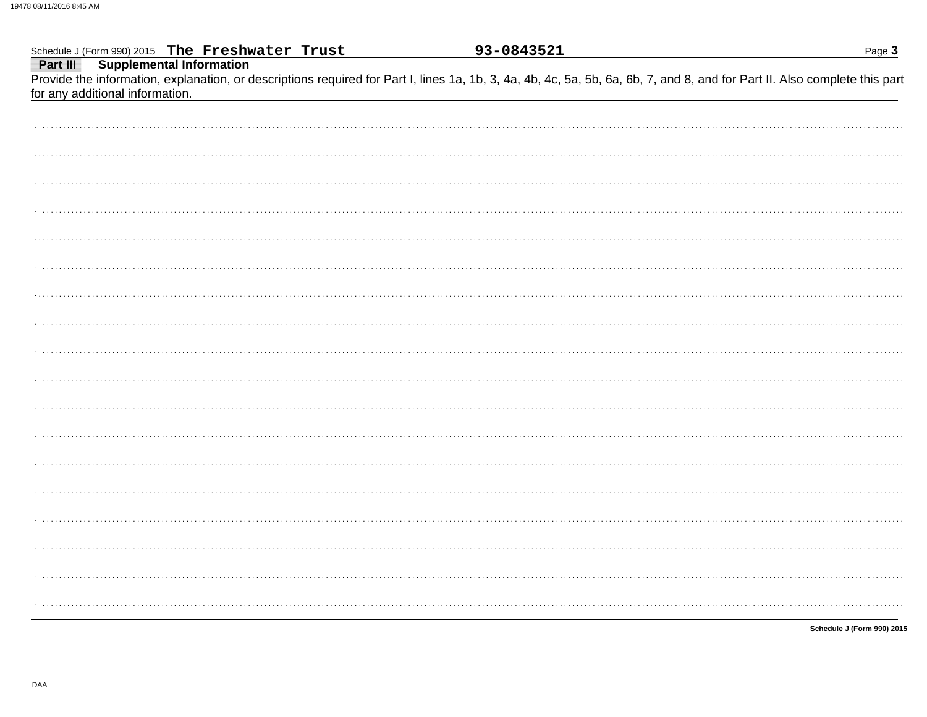|                                                                                                                                                                                                               | 93-0843521 | Page 3                     |
|---------------------------------------------------------------------------------------------------------------------------------------------------------------------------------------------------------------|------------|----------------------------|
| Schedule J (Form 990) 2015 The Freshwater Trust<br>Part III Supplemental Information                                                                                                                          |            |                            |
| Provide the information, explanation, or descriptions required for Part I, lines 1a, 1b, 3, 4a, 4b, 4c, 5a, 5b, 6a, 6b, 7, and 8, and for Part II. Also complete this part<br>for any additional information. |            |                            |
|                                                                                                                                                                                                               |            |                            |
|                                                                                                                                                                                                               |            |                            |
|                                                                                                                                                                                                               |            |                            |
|                                                                                                                                                                                                               |            |                            |
|                                                                                                                                                                                                               |            |                            |
|                                                                                                                                                                                                               |            |                            |
|                                                                                                                                                                                                               |            |                            |
|                                                                                                                                                                                                               |            |                            |
|                                                                                                                                                                                                               |            |                            |
|                                                                                                                                                                                                               |            |                            |
|                                                                                                                                                                                                               |            |                            |
|                                                                                                                                                                                                               |            |                            |
|                                                                                                                                                                                                               |            |                            |
|                                                                                                                                                                                                               |            |                            |
|                                                                                                                                                                                                               |            |                            |
|                                                                                                                                                                                                               |            |                            |
|                                                                                                                                                                                                               |            |                            |
|                                                                                                                                                                                                               |            |                            |
|                                                                                                                                                                                                               |            |                            |
|                                                                                                                                                                                                               |            | Schedule J (Form 990) 2015 |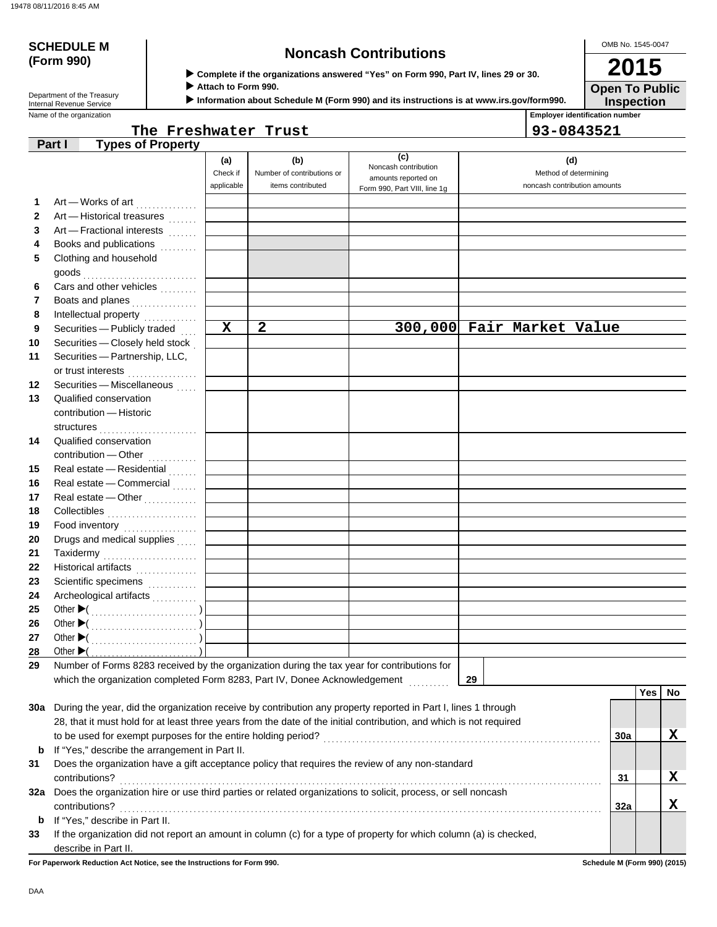# **(Form 990)**

## **SCHEDULE M Noncash Contributions**

OMB No. 1545-0047 **2015**

**Open To Public**

 **Complete if the organizations answered "Yes" on Form 990, Part IV, lines 29 or 30.**

 **Attach to Form 990.**

 **Information about Schedule M (Form 990) and its instructions is at www.irs.gov/form990.**

**Employer identification number Inspection**

| Department of the Treasury |
|----------------------------|
| Internal Revenue Service   |
| Name of the organization   |

|                      | <b>Employer identification nu</b> |
|----------------------|-----------------------------------|
| The Freshwater Trust | $ 93 - 0843521$                   |

|  | 93-0843521 |  |  |  |  |
|--|------------|--|--|--|--|

|              | <b>Types of Property</b><br>Part I                                                                                  |             |                            |                              |                              |     |            |    |
|--------------|---------------------------------------------------------------------------------------------------------------------|-------------|----------------------------|------------------------------|------------------------------|-----|------------|----|
|              |                                                                                                                     | (a)         | (b)                        | (c)<br>Noncash contribution  | (d)                          |     |            |    |
|              |                                                                                                                     | Check if    | Number of contributions or | amounts reported on          | Method of determining        |     |            |    |
|              |                                                                                                                     | applicable  | items contributed          | Form 990, Part VIII, line 1g | noncash contribution amounts |     |            |    |
| 1            | Art - Works of art                                                                                                  |             |                            |                              |                              |     |            |    |
| $\mathbf{2}$ | Art - Historical treasures                                                                                          |             |                            |                              |                              |     |            |    |
| 3            | Art - Fractional interests                                                                                          |             |                            |                              |                              |     |            |    |
| 4            | Books and publications<br>.                                                                                         |             |                            |                              |                              |     |            |    |
| 5            | Clothing and household                                                                                              |             |                            |                              |                              |     |            |    |
|              | goods                                                                                                               |             |                            |                              |                              |     |            |    |
| 6            | Cars and other vehicles                                                                                             |             |                            |                              |                              |     |            |    |
| 7            | Boats and planes<br>.                                                                                               |             |                            |                              |                              |     |            |    |
| 8            | Intellectual property                                                                                               |             |                            |                              |                              |     |            |    |
| 9            | Securities - Publicly traded                                                                                        | $\mathbf x$ | $\mathbf{2}$               |                              | 300,000 Fair Market Value    |     |            |    |
| 10           | Securities - Closely held stock                                                                                     |             |                            |                              |                              |     |            |    |
| 11           | Securities - Partnership, LLC,                                                                                      |             |                            |                              |                              |     |            |    |
|              | or trust interests                                                                                                  |             |                            |                              |                              |     |            |    |
| 12           | Securities - Miscellaneous                                                                                          |             |                            |                              |                              |     |            |    |
| 13           | Qualified conservation                                                                                              |             |                            |                              |                              |     |            |    |
|              | contribution - Historic                                                                                             |             |                            |                              |                              |     |            |    |
|              |                                                                                                                     |             |                            |                              |                              |     |            |    |
| 14           | Qualified conservation                                                                                              |             |                            |                              |                              |     |            |    |
|              | contribution - Other                                                                                                |             |                            |                              |                              |     |            |    |
| 15           | Real estate - Residential                                                                                           |             |                            |                              |                              |     |            |    |
| 16           | Real estate - Commercial                                                                                            |             |                            |                              |                              |     |            |    |
| 17           | Real estate - Other                                                                                                 |             |                            |                              |                              |     |            |    |
| 18           | Collectibles <b>Collectibles</b>                                                                                    |             |                            |                              |                              |     |            |    |
| 19           | Food inventory                                                                                                      |             |                            |                              |                              |     |            |    |
| 20           | Drugs and medical supplies                                                                                          |             |                            |                              |                              |     |            |    |
| 21           | Taxidermy                                                                                                           |             |                            |                              |                              |     |            |    |
| 22           | Historical artifacts                                                                                                |             |                            |                              |                              |     |            |    |
| 23           | Scientific specimens                                                                                                |             |                            |                              |                              |     |            |    |
| 24           | Archeological artifacts                                                                                             |             |                            |                              |                              |     |            |    |
| 25           |                                                                                                                     |             |                            |                              |                              |     |            |    |
| 26           |                                                                                                                     |             |                            |                              |                              |     |            |    |
| 27           |                                                                                                                     |             |                            |                              |                              |     |            |    |
| 28           | Other $\blacktriangleright$ (                                                                                       |             |                            |                              |                              |     |            |    |
| 29           | Number of Forms 8283 received by the organization during the tax year for contributions for                         |             |                            |                              |                              |     |            |    |
|              | which the organization completed Form 8283, Part IV, Donee Acknowledgement                                          |             |                            |                              | 29                           |     |            |    |
|              |                                                                                                                     |             |                            |                              |                              |     | <b>Yes</b> | No |
|              | 30a During the year, did the organization receive by contribution any property reported in Part I, lines 1 through  |             |                            |                              |                              |     |            |    |
|              | 28, that it must hold for at least three years from the date of the initial contribution, and which is not required |             |                            |                              |                              |     |            |    |
|              | to be used for exempt purposes for the entire holding period?                                                       |             |                            |                              |                              | 30a |            | X  |
| b            | If "Yes," describe the arrangement in Part II.                                                                      |             |                            |                              |                              |     |            |    |
| 31           | Does the organization have a gift acceptance policy that requires the review of any non-standard                    |             |                            |                              |                              |     |            |    |
|              | contributions?                                                                                                      |             |                            |                              |                              | 31  |            | X  |
| 32a          | Does the organization hire or use third parties or related organizations to solicit, process, or sell noncash       |             |                            |                              |                              |     |            |    |
|              | contributions?                                                                                                      |             |                            |                              |                              | 32a |            | X  |
| b            | If "Yes," describe in Part II.                                                                                      |             |                            |                              |                              |     |            |    |
| 33           | If the organization did not report an amount in column (c) for a type of property for which column (a) is checked,  |             |                            |                              |                              |     |            |    |
|              | describe in Part II.                                                                                                |             |                            |                              |                              |     |            |    |

**For Paperwork Reduction Act Notice, see the Instructions for Form 990. Schedule M (Form 990) (2015)**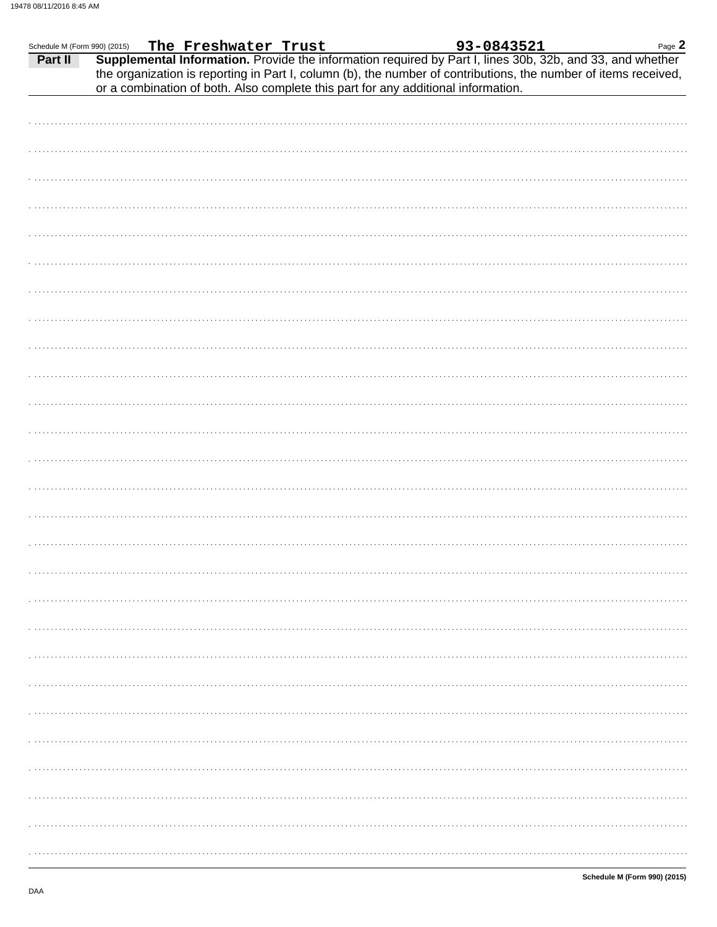| Schedule M (Form 990) (2015) |  |  |                                                                                   |                                                                                                                                                                                                                                                                                                                | Page 2 |
|------------------------------|--|--|-----------------------------------------------------------------------------------|----------------------------------------------------------------------------------------------------------------------------------------------------------------------------------------------------------------------------------------------------------------------------------------------------------------|--------|
| Part II                      |  |  | or a combination of both. Also complete this part for any additional information. | $\frac{990}{2015}$ (2015) The Freshwater Trust <b>93-0843521</b> Page 2<br><b>Supplemental Information.</b> Provide the information required by Part I, lines 30b, 32b, and 33, and whether<br>the organization is reporting in Part I, column (b), the number of contributions, the number of items received, |        |
|                              |  |  |                                                                                   |                                                                                                                                                                                                                                                                                                                |        |
|                              |  |  |                                                                                   |                                                                                                                                                                                                                                                                                                                |        |
|                              |  |  |                                                                                   |                                                                                                                                                                                                                                                                                                                |        |
|                              |  |  |                                                                                   |                                                                                                                                                                                                                                                                                                                |        |
|                              |  |  |                                                                                   |                                                                                                                                                                                                                                                                                                                |        |
|                              |  |  |                                                                                   |                                                                                                                                                                                                                                                                                                                |        |
|                              |  |  |                                                                                   |                                                                                                                                                                                                                                                                                                                |        |
|                              |  |  |                                                                                   |                                                                                                                                                                                                                                                                                                                |        |
|                              |  |  |                                                                                   |                                                                                                                                                                                                                                                                                                                |        |
|                              |  |  |                                                                                   |                                                                                                                                                                                                                                                                                                                |        |
|                              |  |  |                                                                                   |                                                                                                                                                                                                                                                                                                                |        |
|                              |  |  |                                                                                   |                                                                                                                                                                                                                                                                                                                |        |
|                              |  |  |                                                                                   |                                                                                                                                                                                                                                                                                                                |        |
|                              |  |  |                                                                                   |                                                                                                                                                                                                                                                                                                                |        |
|                              |  |  |                                                                                   |                                                                                                                                                                                                                                                                                                                |        |
|                              |  |  |                                                                                   |                                                                                                                                                                                                                                                                                                                |        |
|                              |  |  |                                                                                   |                                                                                                                                                                                                                                                                                                                |        |
|                              |  |  |                                                                                   |                                                                                                                                                                                                                                                                                                                |        |
|                              |  |  |                                                                                   |                                                                                                                                                                                                                                                                                                                |        |
|                              |  |  |                                                                                   |                                                                                                                                                                                                                                                                                                                |        |
|                              |  |  |                                                                                   |                                                                                                                                                                                                                                                                                                                |        |
|                              |  |  |                                                                                   |                                                                                                                                                                                                                                                                                                                |        |
|                              |  |  |                                                                                   |                                                                                                                                                                                                                                                                                                                |        |
|                              |  |  |                                                                                   |                                                                                                                                                                                                                                                                                                                |        |
|                              |  |  |                                                                                   |                                                                                                                                                                                                                                                                                                                |        |
|                              |  |  |                                                                                   |                                                                                                                                                                                                                                                                                                                |        |
|                              |  |  |                                                                                   |                                                                                                                                                                                                                                                                                                                |        |
|                              |  |  |                                                                                   |                                                                                                                                                                                                                                                                                                                |        |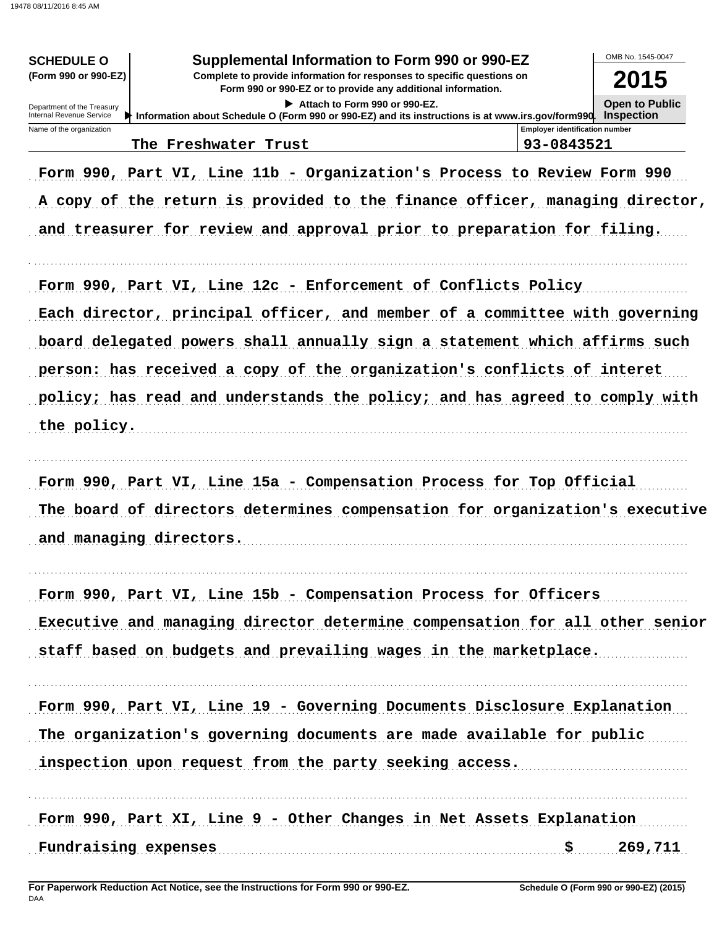| Supplemental Information to Form 990 or 990-EZ<br><b>SCHEDULE O</b><br>(Form 990 or 990-EZ)<br>Complete to provide information for responses to specific questions on<br>Department of the Treasury<br>Internal Revenue Service<br>Information about Schedule O (Form 990 or 990-EZ) and its instructions is at www.irs.gov/form990. Inspection | OMB No. 1545-0047<br>2015<br><b>Open to Public</b>                                                                                                                                                                               |                                                     |                       |
|-------------------------------------------------------------------------------------------------------------------------------------------------------------------------------------------------------------------------------------------------------------------------------------------------------------------------------------------------|----------------------------------------------------------------------------------------------------------------------------------------------------------------------------------------------------------------------------------|-----------------------------------------------------|-----------------------|
| Name of the organization                                                                                                                                                                                                                                                                                                                        | The Freshwater Trust                                                                                                                                                                                                             | <b>Employer identification number</b><br>93-0843521 |                       |
|                                                                                                                                                                                                                                                                                                                                                 | Form 990, Part VI, Line 11b - Organization's Process to Review Form 990<br>A copy of the return is provided to the finance officer, managing director,<br>and treasurer for review and approval prior to preparation for filing. |                                                     |                       |
|                                                                                                                                                                                                                                                                                                                                                 | Form 990, Part VI, Line 12c - Enforcement of Conflicts Policy<br>Each director, principal officer, and member of a committee with governing<br>board delegated powers shall annually sign a statement which affirms such         |                                                     |                       |
|                                                                                                                                                                                                                                                                                                                                                 | person: has received a copy of the organization's conflicts of interet                                                                                                                                                           |                                                     |                       |
| the policy.                                                                                                                                                                                                                                                                                                                                     | policy; has read and understands the policy; and has agreed to comply with                                                                                                                                                       |                                                     |                       |
| and managing directors.                                                                                                                                                                                                                                                                                                                         | Form 990, Part VI, Line 15a - Compensation Process for Top Official<br>The board of directors determines compensation for organization's executive                                                                               |                                                     |                       |
|                                                                                                                                                                                                                                                                                                                                                 | Form 990, Part VI, Line 15b - Compensation Process for Officers<br>Executive and managing director determine compensation for all other senior<br>staff based on budgets and prevailing wages in the marketplace.                |                                                     |                       |
|                                                                                                                                                                                                                                                                                                                                                 | Form 990, Part VI, Line 19 - Governing Documents Disclosure Explanation<br>The organization's governing documents are made available for public<br>inspection upon request from the party seeking access.                        |                                                     |                       |
| Fundraising expenses                                                                                                                                                                                                                                                                                                                            | Form 990, Part XI, Line 9 - Other Changes in Net Assets Explanation                                                                                                                                                              |                                                     | $\frac{1}{5}$ 269,711 |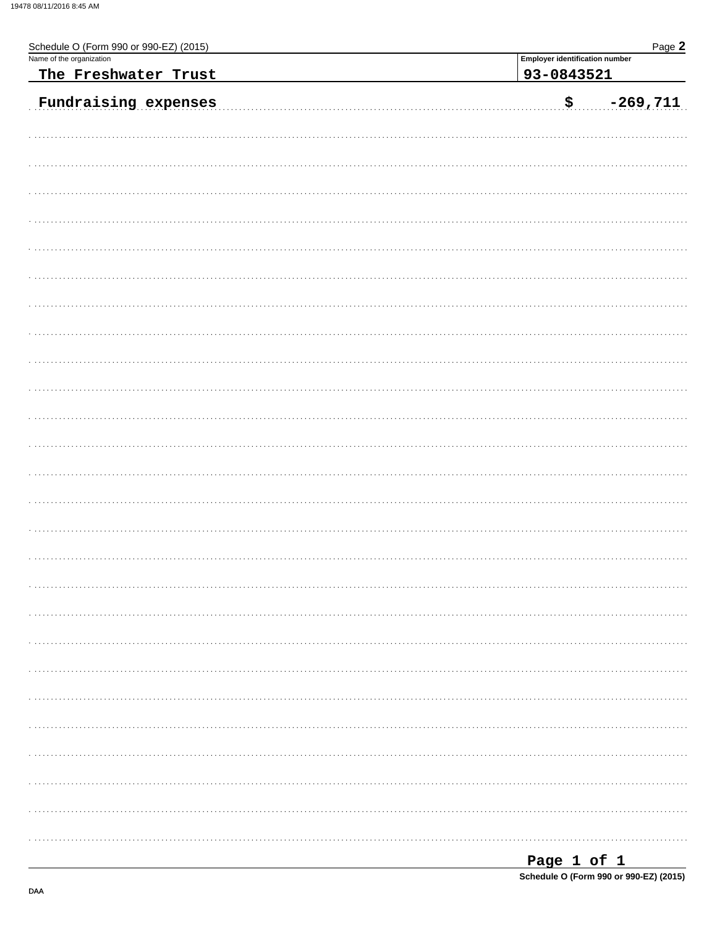| Schedule O (Form 990 or 990-EZ) (2015)           | Page 2                                              |
|--------------------------------------------------|-----------------------------------------------------|
| Name of the organization<br>The Freshwater Trust | <b>Employer identification number</b><br>93-0843521 |
| Fundraising expenses                             | $-269,711$<br>\$.                                   |
|                                                  |                                                     |
|                                                  |                                                     |
|                                                  |                                                     |
|                                                  |                                                     |
|                                                  |                                                     |
|                                                  |                                                     |
|                                                  |                                                     |
|                                                  |                                                     |
|                                                  |                                                     |
|                                                  |                                                     |
|                                                  |                                                     |
|                                                  |                                                     |
|                                                  |                                                     |
|                                                  |                                                     |
|                                                  |                                                     |
|                                                  |                                                     |
|                                                  |                                                     |
|                                                  |                                                     |
|                                                  |                                                     |
|                                                  |                                                     |
|                                                  |                                                     |
|                                                  |                                                     |
|                                                  |                                                     |
|                                                  |                                                     |
|                                                  |                                                     |
|                                                  |                                                     |

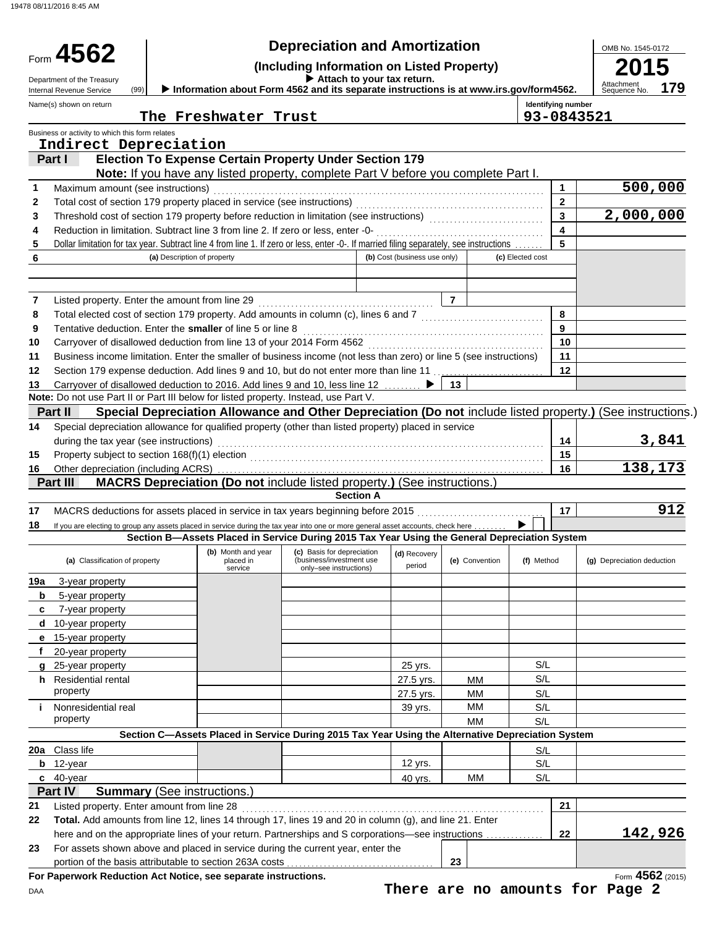### Form **4562** (2015) (a) Classification of property **(b)** Month and year **(c)** Basis for depreciation **(d)**  $R$ ecovery **(e)** Convention **(f)** Method **(g)** Depreciation deduction **(a)**  $R$  **(b)** Convention **(f)** Method **(g)** Depreciation deduct during the tax year (see instructions) **(Including Information on Listed Property)**<br> **1997 15** (Including Information on Listed Property)<br> **2015 Identifying number Attach to your tax return.** Department of the Treasury (99) **Department of the Treasury and Internation about Form 4562 and its separate instructions is at www.irs.gov/form4562. Attachment Attachment of the Treasury of the Information about Form 4562** DAA placed in (business/investment use  $\rho$  (business/investment use period period Special depreciation allowance for qualified property (other than listed property) placed in service **(a)** Description of property **(b)** Cost (business use only) **(c)** Elected cost 5 Dollar limitation for tax year. Subtract line 4 from line 1. If zero or less, enter -0-. If married filing separately, see instructions . . . . . . . | 5 Business or activity to which this form relates Name(s) shown on return OMB No. 1545-0172 portion of the basis attributable to section 263A costs For assets shown above and placed in service during the current year, enter the here and on the appropriate lines of your return. Partnerships and S corporations—see instructions Listed property. Enter amount from line 28 . . . . . . . . . . . . . . . . . . . . . . . . . . . . . . . . . . . . . . . . . . . . . . . . . . . . . . . . . . . . . . . . . . . . . . . . . . **21 21** 40-year 40 yrs. MM S/L 12-year 12 yrs. S/L Class life S/L property and the set of the set of the set of the set of the set of the set of the set of the set of the set o Nonresidential real 39 yrs. Nonresidential real 39 yrs. Nonresidential real 39 yrs. NM S/L property and the set of the set of the set of the set of the set of the set of the set of the set of the set o Residential rental 27.5 yrs. MM S/L 25-year property **25-year property 25-year property 25-year property 25-year property** 20-year property 15-year property **e** 10-year property 7-year property 5-year property 3-year property If you are electing to group any assets placed in service during the tax year into one or more general asset accounts, check here MACRS deductions for assets placed in service in tax years beginning before 2015 . . . . . . . . . . . . . . . . . . . . . . . . . . . . . . . **17 17** Other depreciation (including ACRS) . . . . . . . . . . . . . . . . . . . . . . . . . . . . . . . . . . . . . . . . . . . . . . . . . . . . . . . . . . . . . . . . . . . . . . . . . . . . . . . . **16 16** Property subject to section 168(f)(1) election . . . . . . . . . . . . . . . . . . . . . . . . . . . . . . . . . . . . . . . . . . . . . . . . . . . . . . . . . . . . . . . . . . . . . . . . **15 15 13** Carryover of disallowed deduction to 2016. Add lines 9 and 10, less line 12 . . . . . . . . ▶ | 13 Section 179 expense deduction. Add lines 9 and 10, but do not enter more than line 11 . . . . . . . . . . . . . . . . . . . . . . . . . . . **12 12** Business income limitation. Enter the smaller of business income (not less than zero) or line 5 (see instructions) **11 11** Carryover of disallowed deduction from line 13 of your 2014 Form 4562 . . . . . . . . . . . . . . . . . . . . . . . . . . . . . . . . . . . . . . . . . . . **10 10** Tentative deduction. Enter the **smaller** of line 5 or line 8 . . . . . . . . . . . . . . . . . . . . . . . . . . . . . . . . . . . . . . . . . . . . . . . . . . . . . . . . . . . **9 9** Total elected cost of section 179 property. Add amounts in column (c), lines 6 and 7 . . . . . . . . . . . . . . . . . . . . . . . . . . . . . . **8 8** Listed property. Enter the amount from line 29 . . . . . . . . . . . . . . . . . . . . . . . . . . . . . . . . . . . . . . . . . . . **7 7** Reduction in limitation. Subtract line 3 from line 2. If zero or less, enter -0- . . . . . . . . . . . . . . . . . . . . . . . . . . . . . . . . . . . . . . . . . **4 4** Threshold cost of section 179 property before reduction in limitation (see instructions) . . . . . . . . . . . . . . . . . . . . . . . . . . . . **3 3** Total cost of section 179 property placed in service (see instructions) . . . . . . . . . . . . . . . . . . . . . . . . . . . . . . . . . . . . . . . . . . . . . . **2 2** Maximum amount (see instructions) . . . . . . . . . . . . . . . . . . . . . . . . . . . . . . . . . . . . . . . . . . . . . . . . . . . . . . . . . . . . . . . . . . . . . . . . . . . . . . . . . **1 1** Form 4562 **For Paperwork Reduction Act Notice, see separate instructions. 23 23 22 22 Total.** Add amounts from line 12, lines 14 through 17, lines 19 and 20 in column (g), and line 21. Enter **c b 20a Section C—Assets Placed in Service During 2015 Tax Year Using the Alternative Depreciation System i h g f d c b 19a 18 Section A 14 14 Note:** Do not use Part II or Part III below for listed property. Instead, use Part V. **6 Part IV Summary** (See instructions.) **Part III MACRS Depreciation (Do not** include listed property.**)** (See instructions.) **Part II Special Depreciation Allowance and Other Depreciation (Do not** include listed property.**)** (See instructions.) **Note:** If you have any listed property, complete Part V before you complete Part I. **Part I Election To Expense Certain Property Under Section 179 179 Depreciation and Amortization Section B—Assets Placed in Service During 2015 Tax Year Using the General Depreciation System** (99) ▶ **The Freshwater Trust 93-0843521 Indirect Depreciation 500,000 2,000,000 3,841 138,173 912 142,926 There are no amounts for Page 2**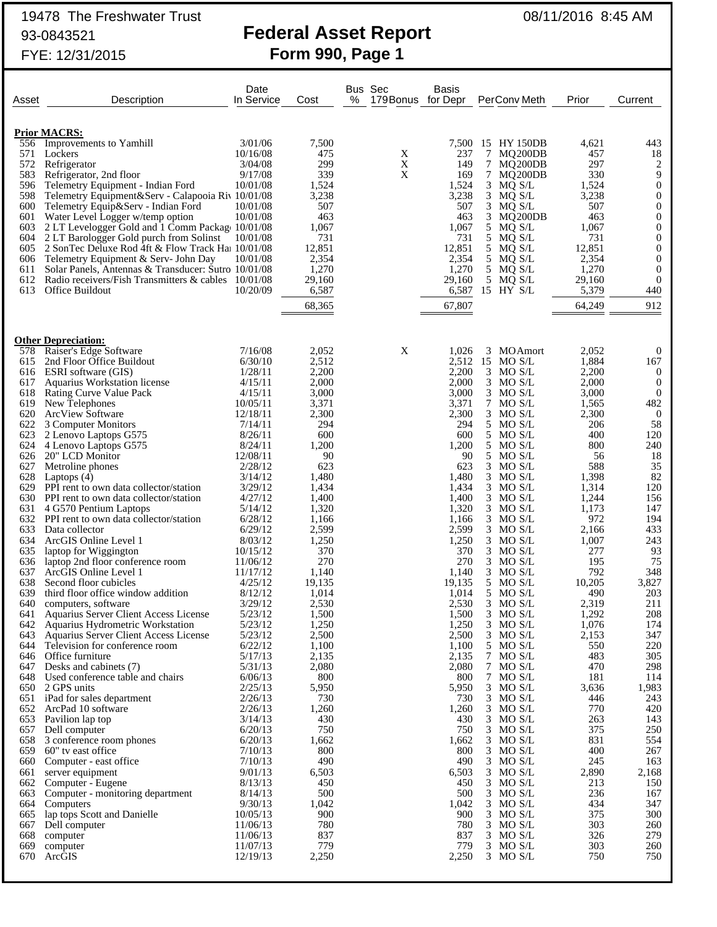# 19478 The Freshwater Trust 08/11/2016 8:45 AM

## 93-0843521 **Federal Asset Report** FYE: 12/31/2015 **Form 990, Page 1**

| <b>Prior MACRS:</b><br>556 Improvements to Yamhill<br>3/01/06<br>7,500<br>7,500<br>15 HY 150DB<br>4,621<br>443<br>10/16/08<br>475<br>X<br>237<br>7 MQ200DB<br>457<br>571<br>Lockers<br>18<br>299<br>X<br>572<br>3/04/08<br>149<br>297<br>2<br>Refrigerator<br>7 MQ200DB<br>339<br>X<br>169<br>9<br>583<br>Refrigerator, 2nd floor<br>9/17/08<br>7 MQ200DB<br>330<br>596<br>1,524<br>3 MQ S/L<br>1,524<br>$\boldsymbol{0}$<br>Telemetry Equipment - Indian Ford<br>10/01/08<br>1,524<br>598<br>3,238<br>Telemetry Equipment&Serv - Calapooia Riv 10/01/08<br>3,238<br>3 MQ S/L<br>3,238<br>$\theta$<br>3 MQ S/L<br>$\mathbf{0}$<br>600<br>507<br>507<br>507<br>Telemetry Equip&Serv - Indian Ford<br>10/01/08<br>601<br>Water Level Logger w/temp option<br>10/01/08<br>463<br>463<br>3 MQ200DB<br>463<br>$\overline{0}$<br>5 MQ S/L<br>603<br>2 LT Levelogger Gold and 1 Comm Package 10/01/08<br>1,067<br>1,067<br>1,067<br>$\theta$<br>731<br>731<br>604<br>2 LT Barologger Gold purch from Solinst<br>10/01/08<br>5<br>MQ S/L<br>731<br>$\theta$<br>12,851<br>12,851<br>5<br>12,851<br>605<br>2 SonTec Deluxe Rod 4ft & Flow Track Hat 10/01/08<br>$\theta$<br>MQ S/L<br>2,354<br>606<br>Telemetry Equipment & Serv- John Day<br>10/01/08<br>2,354<br>5 MQ S/L<br>2,354<br>$\theta$<br>1,270<br>5 MQ S/L<br>Solar Panels, Antennas & Transducer: Sutro 10/01/08<br>1,270<br>1,270<br>0<br>611<br>29,160<br>5 <sub>5</sub><br>612<br>Radio receivers/Fish Transmitters & cables 10/01/08<br>29,160<br>MQ S/L<br>29,160<br>$\mathbf{0}$<br>15 HY S/L<br>613<br>Office Buildout<br>10/20/09<br>6,587<br>6,587<br>5,379<br>440<br>64,249<br>67,807<br>912<br>68,365<br><b>Other Depreciation:</b><br>X<br>Raiser's Edge Software<br>7/16/08<br>2,052<br>1,026<br>3<br><b>MOAmort</b><br>2,052<br>$\mathbf{0}$<br>578<br>2,512<br>2,512<br>15 MO S/L<br>1,884<br>2nd Floor Office Buildout<br>6/30/10<br>167<br>615<br>2,200<br>2,200<br>2,200<br>616<br>ESRI software (GIS)<br>1/28/11<br>3 MO S/L<br>$\theta$<br>2,000<br>3 MO S/L<br>2,000<br>617<br>Aquarius Workstation license<br>4/15/11<br>2,000<br>$\boldsymbol{0}$<br>$3$ MO S/L<br>618<br><b>Rating Curve Value Pack</b><br>4/15/11<br>3,000<br>3,000<br>3,000<br>$\mathbf{0}$<br>7<br>619<br>New Telephones<br>10/05/11<br>3,371<br>3,371<br>MO S/L<br>1,565<br>482<br>620<br>2,300<br>2,300<br><b>ArcView Software</b><br>12/18/11<br>2,300<br>3 MO S/L<br>$\overline{0}$<br>622<br>294<br>5 MO S/L<br>206<br>58<br>3 Computer Monitors<br>7/14/11<br>294<br>623<br>600<br>600<br>5 MO S/L<br>400<br>120<br>8/26/11<br>2 Lenovo Laptops G575<br>624<br>5<br>4 Lenovo Laptops G575<br>8/24/11<br>1,200<br>1,200<br>MO S/L<br>800<br>240<br>90<br>5 MO S/L<br>626<br>20" LCD Monitor<br>12/08/11<br>90<br>56<br>18<br>627<br>623<br>623<br>3<br>588<br>35<br>Metroline phones<br>2/28/12<br>MO S/L<br>$3$ MO S/L<br>1,398<br>82<br>628<br>3/14/12<br>1,480<br>1,480<br>Laptops $(4)$<br>629<br>1,434<br>1,434<br>3<br>1,314<br>120<br>PPI rent to own data collector/station<br>3/29/12<br>MO S/L<br>$3$ MO S/L<br>1,244<br>630 PPI rent to own data collector/station<br>4/27/12<br>1,400<br>1,400<br>156<br>1,320<br>3<br>1,173<br>631<br>5/14/12<br>1,320<br>MO S/L<br>147<br>4 G570 Pentium Laptops<br>972<br>632<br>PPI rent to own data collector/station<br>6/28/12<br>1,166<br>1,166<br>$3$ MO S/L<br>194<br>633<br>2,599<br>3<br>433<br>Data collector<br>6/29/12<br>2,599<br>MO S/L<br>2,166<br>1,250<br>634<br>ArcGIS Online Level 1<br>8/03/12<br>1,250<br>$3$ MO S/L<br>1,007<br>243<br>370<br>370<br>3<br>277<br>635<br>10/15/12<br>MO S/L<br>93<br>laptop for Wiggington<br>270<br>270<br>MO S/L<br>195<br>636<br>laptop 2nd floor conference room<br>11/06/12<br>3<br>75<br>637<br>792<br>348<br>ArcGIS Online Level 1<br>11/17/12<br>1,140<br>1,140<br>3<br>MO S/L<br>10,205<br>3,827<br>638<br>Second floor cubicles<br>4/25/12<br>19,135<br>19,135<br>5 MO S/L<br>5 MO S/L<br>490<br>639<br>third floor office window addition<br>8/12/12<br>1,014<br>1,014<br>203<br>211<br>640<br>3/29/12<br>2,530<br>2,530<br>$3$ MO S/L<br>2,319<br>computers, software<br>3 MO S/L<br>641<br>Aquarius Server Client Access License<br>5/23/12<br>1,500<br>1,500<br>1,292<br>208<br>5/23/12<br>1,250<br>1,250<br>3 MO S/L<br>1,076<br>174<br>642<br>Aquarius Hydrometric Workstation<br>2,500<br>2,500<br>2,153<br>347<br>643<br>Aquarius Server Client Access License<br>5/23/12<br>$3$ MO S/L<br>1,100<br>220<br>644<br>Television for conference room<br>6/22/12<br>1,100<br>5 MO S/L<br>550<br>2,135<br>2,135<br>7 MO S/L<br>483<br>305<br>646<br>Office furniture<br>5/17/13<br>2,080<br>2,080<br>7 MO S/L<br>470<br>298<br>647<br>Desks and cabinets (7)<br>5/31/13<br>800<br>7 MO S/L<br>181<br>114<br>648<br>Used conference table and chairs<br>6/06/13<br>800<br>650 2 GPS units<br>5,950<br>5,950<br>3 MO S/L<br>3,636<br>1,983<br>2/25/13<br>730<br>3 MO S/L<br>446<br>243<br>651<br>iPad for sales department<br>2/26/13<br>730<br>1,260<br>3 MO S/L<br>770<br>420<br>652<br>ArcPad 10 software<br>2/26/13<br>1,260<br>430<br>3<br>263<br>143<br>653<br>Pavilion lap top<br>3/14/13<br>430<br>MO S/L<br>750<br>750<br>3 MO S/L<br>375<br>250<br>657<br>Dell computer<br>6/20/13<br>3 MO S/L<br>831<br>554<br>658<br>3 conference room phones<br>6/20/13<br>1,662<br>1,662<br>800<br>3 MO S/L<br>659<br>60" tv east office<br>7/10/13<br>800<br>400<br>267<br>490<br>490<br>3<br>245<br>660<br>Computer - east office<br>7/10/13<br>MO S/L<br>163<br>3 MO S/L<br>2,890<br>2,168<br>661<br>server equipment<br>9/01/13<br>6,503<br>6,503<br>450<br>3<br>213<br>150<br>662<br>Computer - Eugene<br>8/13/13<br>450<br>MO S/L<br>500<br>500<br>3 MO S/L<br>236<br>663<br>8/14/13<br>167<br>Computer - monitoring department<br>1,042<br>3<br>434<br>347<br>664<br>9/30/13<br>1,042<br>MO S/L<br>Computers<br>900<br>3 MO S/L<br>375<br>300<br>665<br>lap tops Scott and Danielle<br>10/05/13<br>900<br>780<br>780<br>3<br>303<br>667<br>11/06/13<br>MO S/L<br>260<br>Dell computer<br>837<br>837<br>3 MO S/L<br>326<br>279<br>668<br>11/06/13<br>computer<br>779<br>779<br>3 MO S/L<br>303<br>669<br>computer<br>11/07/13<br>260<br>2,250<br>3 MO S/L<br>750<br>670<br>ArcGIS<br>12/19/13<br>2,250<br>750 | Asset | Description | Date<br>In Service | Cost | % | Bus Sec<br>179 Bonus | <b>Basis</b><br>for Depr | PerConv Meth | Prior | Current |
|-----------------------------------------------------------------------------------------------------------------------------------------------------------------------------------------------------------------------------------------------------------------------------------------------------------------------------------------------------------------------------------------------------------------------------------------------------------------------------------------------------------------------------------------------------------------------------------------------------------------------------------------------------------------------------------------------------------------------------------------------------------------------------------------------------------------------------------------------------------------------------------------------------------------------------------------------------------------------------------------------------------------------------------------------------------------------------------------------------------------------------------------------------------------------------------------------------------------------------------------------------------------------------------------------------------------------------------------------------------------------------------------------------------------------------------------------------------------------------------------------------------------------------------------------------------------------------------------------------------------------------------------------------------------------------------------------------------------------------------------------------------------------------------------------------------------------------------------------------------------------------------------------------------------------------------------------------------------------------------------------------------------------------------------------------------------------------------------------------------------------------------------------------------------------------------------------------------------------------------------------------------------------------------------------------------------------------------------------------------------------------------------------------------------------------------------------------------------------------------------------------------------------------------------------------------------------------------------------------------------------------------------------------------------------------------------------------------------------------------------------------------------------------------------------------------------------------------------------------------------------------------------------------------------------------------------------------------------------------------------------------------------------------------------------------------------------------------------------------------------------------------------------------------------------------------------------------------------------------------------------------------------------------------------------------------------------------------------------------------------------------------------------------------------------------------------------------------------------------------------------------------------------------------------------------------------------------------------------------------------------------------------------------------------------------------------------------------------------------------------------------------------------------------------------------------------------------------------------------------------------------------------------------------------------------------------------------------------------------------------------------------------------------------------------------------------------------------------------------------------------------------------------------------------------------------------------------------------------------------------------------------------------------------------------------------------------------------------------------------------------------------------------------------------------------------------------------------------------------------------------------------------------------------------------------------------------------------------------------------------------------------------------------------------------------------------------------------------------------------------------------------------------------------------------------------------------------------------------------------------------------------------------------------------------------------------------------------------------------------------------------------------------------------------------------------------------------------------------------------------------------------------------------------------------------------------------------------------------------------------------------------------------------------------------------------------------------------------------------------------------------------------------------------------------------------------------------------------------------------------------------------------------------------------------------------------------------------------------------------------------------------------------------------------------------------------------------------------------------------------------------------------------------------------------------------------------------------------------------------------------------------------------------------------------------------------------------------------------------------------------------------------------------------------------------------------------------------------------------------------------------------------------------------------------------------------------------------------------------------------------------------------------------------|-------|-------------|--------------------|------|---|----------------------|--------------------------|--------------|-------|---------|
|                                                                                                                                                                                                                                                                                                                                                                                                                                                                                                                                                                                                                                                                                                                                                                                                                                                                                                                                                                                                                                                                                                                                                                                                                                                                                                                                                                                                                                                                                                                                                                                                                                                                                                                                                                                                                                                                                                                                                                                                                                                                                                                                                                                                                                                                                                                                                                                                                                                                                                                                                                                                                                                                                                                                                                                                                                                                                                                                                                                                                                                                                                                                                                                                                                                                                                                                                                                                                                                                                                                                                                                                                                                                                                                                                                                                                                                                                                                                                                                                                                                                                                                                                                                                                                                                                                                                                                                                                                                                                                                                                                                                                                                                                                                                                                                                                                                                                                                                                                                                                                                                                                                                                                                                                                                                                                                                                                                                                                                                                                                                                                                                                                                                                                                                                                                                                                                                                                                                                                                                                                                                                                                                                                                                                                                                                   |       |             |                    |      |   |                      |                          |              |       |         |
|                                                                                                                                                                                                                                                                                                                                                                                                                                                                                                                                                                                                                                                                                                                                                                                                                                                                                                                                                                                                                                                                                                                                                                                                                                                                                                                                                                                                                                                                                                                                                                                                                                                                                                                                                                                                                                                                                                                                                                                                                                                                                                                                                                                                                                                                                                                                                                                                                                                                                                                                                                                                                                                                                                                                                                                                                                                                                                                                                                                                                                                                                                                                                                                                                                                                                                                                                                                                                                                                                                                                                                                                                                                                                                                                                                                                                                                                                                                                                                                                                                                                                                                                                                                                                                                                                                                                                                                                                                                                                                                                                                                                                                                                                                                                                                                                                                                                                                                                                                                                                                                                                                                                                                                                                                                                                                                                                                                                                                                                                                                                                                                                                                                                                                                                                                                                                                                                                                                                                                                                                                                                                                                                                                                                                                                                                   |       |             |                    |      |   |                      |                          |              |       |         |
|                                                                                                                                                                                                                                                                                                                                                                                                                                                                                                                                                                                                                                                                                                                                                                                                                                                                                                                                                                                                                                                                                                                                                                                                                                                                                                                                                                                                                                                                                                                                                                                                                                                                                                                                                                                                                                                                                                                                                                                                                                                                                                                                                                                                                                                                                                                                                                                                                                                                                                                                                                                                                                                                                                                                                                                                                                                                                                                                                                                                                                                                                                                                                                                                                                                                                                                                                                                                                                                                                                                                                                                                                                                                                                                                                                                                                                                                                                                                                                                                                                                                                                                                                                                                                                                                                                                                                                                                                                                                                                                                                                                                                                                                                                                                                                                                                                                                                                                                                                                                                                                                                                                                                                                                                                                                                                                                                                                                                                                                                                                                                                                                                                                                                                                                                                                                                                                                                                                                                                                                                                                                                                                                                                                                                                                                                   |       |             |                    |      |   |                      |                          |              |       |         |
|                                                                                                                                                                                                                                                                                                                                                                                                                                                                                                                                                                                                                                                                                                                                                                                                                                                                                                                                                                                                                                                                                                                                                                                                                                                                                                                                                                                                                                                                                                                                                                                                                                                                                                                                                                                                                                                                                                                                                                                                                                                                                                                                                                                                                                                                                                                                                                                                                                                                                                                                                                                                                                                                                                                                                                                                                                                                                                                                                                                                                                                                                                                                                                                                                                                                                                                                                                                                                                                                                                                                                                                                                                                                                                                                                                                                                                                                                                                                                                                                                                                                                                                                                                                                                                                                                                                                                                                                                                                                                                                                                                                                                                                                                                                                                                                                                                                                                                                                                                                                                                                                                                                                                                                                                                                                                                                                                                                                                                                                                                                                                                                                                                                                                                                                                                                                                                                                                                                                                                                                                                                                                                                                                                                                                                                                                   |       |             |                    |      |   |                      |                          |              |       |         |
|                                                                                                                                                                                                                                                                                                                                                                                                                                                                                                                                                                                                                                                                                                                                                                                                                                                                                                                                                                                                                                                                                                                                                                                                                                                                                                                                                                                                                                                                                                                                                                                                                                                                                                                                                                                                                                                                                                                                                                                                                                                                                                                                                                                                                                                                                                                                                                                                                                                                                                                                                                                                                                                                                                                                                                                                                                                                                                                                                                                                                                                                                                                                                                                                                                                                                                                                                                                                                                                                                                                                                                                                                                                                                                                                                                                                                                                                                                                                                                                                                                                                                                                                                                                                                                                                                                                                                                                                                                                                                                                                                                                                                                                                                                                                                                                                                                                                                                                                                                                                                                                                                                                                                                                                                                                                                                                                                                                                                                                                                                                                                                                                                                                                                                                                                                                                                                                                                                                                                                                                                                                                                                                                                                                                                                                                                   |       |             |                    |      |   |                      |                          |              |       |         |
|                                                                                                                                                                                                                                                                                                                                                                                                                                                                                                                                                                                                                                                                                                                                                                                                                                                                                                                                                                                                                                                                                                                                                                                                                                                                                                                                                                                                                                                                                                                                                                                                                                                                                                                                                                                                                                                                                                                                                                                                                                                                                                                                                                                                                                                                                                                                                                                                                                                                                                                                                                                                                                                                                                                                                                                                                                                                                                                                                                                                                                                                                                                                                                                                                                                                                                                                                                                                                                                                                                                                                                                                                                                                                                                                                                                                                                                                                                                                                                                                                                                                                                                                                                                                                                                                                                                                                                                                                                                                                                                                                                                                                                                                                                                                                                                                                                                                                                                                                                                                                                                                                                                                                                                                                                                                                                                                                                                                                                                                                                                                                                                                                                                                                                                                                                                                                                                                                                                                                                                                                                                                                                                                                                                                                                                                                   |       |             |                    |      |   |                      |                          |              |       |         |
|                                                                                                                                                                                                                                                                                                                                                                                                                                                                                                                                                                                                                                                                                                                                                                                                                                                                                                                                                                                                                                                                                                                                                                                                                                                                                                                                                                                                                                                                                                                                                                                                                                                                                                                                                                                                                                                                                                                                                                                                                                                                                                                                                                                                                                                                                                                                                                                                                                                                                                                                                                                                                                                                                                                                                                                                                                                                                                                                                                                                                                                                                                                                                                                                                                                                                                                                                                                                                                                                                                                                                                                                                                                                                                                                                                                                                                                                                                                                                                                                                                                                                                                                                                                                                                                                                                                                                                                                                                                                                                                                                                                                                                                                                                                                                                                                                                                                                                                                                                                                                                                                                                                                                                                                                                                                                                                                                                                                                                                                                                                                                                                                                                                                                                                                                                                                                                                                                                                                                                                                                                                                                                                                                                                                                                                                                   |       |             |                    |      |   |                      |                          |              |       |         |
|                                                                                                                                                                                                                                                                                                                                                                                                                                                                                                                                                                                                                                                                                                                                                                                                                                                                                                                                                                                                                                                                                                                                                                                                                                                                                                                                                                                                                                                                                                                                                                                                                                                                                                                                                                                                                                                                                                                                                                                                                                                                                                                                                                                                                                                                                                                                                                                                                                                                                                                                                                                                                                                                                                                                                                                                                                                                                                                                                                                                                                                                                                                                                                                                                                                                                                                                                                                                                                                                                                                                                                                                                                                                                                                                                                                                                                                                                                                                                                                                                                                                                                                                                                                                                                                                                                                                                                                                                                                                                                                                                                                                                                                                                                                                                                                                                                                                                                                                                                                                                                                                                                                                                                                                                                                                                                                                                                                                                                                                                                                                                                                                                                                                                                                                                                                                                                                                                                                                                                                                                                                                                                                                                                                                                                                                                   |       |             |                    |      |   |                      |                          |              |       |         |
|                                                                                                                                                                                                                                                                                                                                                                                                                                                                                                                                                                                                                                                                                                                                                                                                                                                                                                                                                                                                                                                                                                                                                                                                                                                                                                                                                                                                                                                                                                                                                                                                                                                                                                                                                                                                                                                                                                                                                                                                                                                                                                                                                                                                                                                                                                                                                                                                                                                                                                                                                                                                                                                                                                                                                                                                                                                                                                                                                                                                                                                                                                                                                                                                                                                                                                                                                                                                                                                                                                                                                                                                                                                                                                                                                                                                                                                                                                                                                                                                                                                                                                                                                                                                                                                                                                                                                                                                                                                                                                                                                                                                                                                                                                                                                                                                                                                                                                                                                                                                                                                                                                                                                                                                                                                                                                                                                                                                                                                                                                                                                                                                                                                                                                                                                                                                                                                                                                                                                                                                                                                                                                                                                                                                                                                                                   |       |             |                    |      |   |                      |                          |              |       |         |
|                                                                                                                                                                                                                                                                                                                                                                                                                                                                                                                                                                                                                                                                                                                                                                                                                                                                                                                                                                                                                                                                                                                                                                                                                                                                                                                                                                                                                                                                                                                                                                                                                                                                                                                                                                                                                                                                                                                                                                                                                                                                                                                                                                                                                                                                                                                                                                                                                                                                                                                                                                                                                                                                                                                                                                                                                                                                                                                                                                                                                                                                                                                                                                                                                                                                                                                                                                                                                                                                                                                                                                                                                                                                                                                                                                                                                                                                                                                                                                                                                                                                                                                                                                                                                                                                                                                                                                                                                                                                                                                                                                                                                                                                                                                                                                                                                                                                                                                                                                                                                                                                                                                                                                                                                                                                                                                                                                                                                                                                                                                                                                                                                                                                                                                                                                                                                                                                                                                                                                                                                                                                                                                                                                                                                                                                                   |       |             |                    |      |   |                      |                          |              |       |         |
|                                                                                                                                                                                                                                                                                                                                                                                                                                                                                                                                                                                                                                                                                                                                                                                                                                                                                                                                                                                                                                                                                                                                                                                                                                                                                                                                                                                                                                                                                                                                                                                                                                                                                                                                                                                                                                                                                                                                                                                                                                                                                                                                                                                                                                                                                                                                                                                                                                                                                                                                                                                                                                                                                                                                                                                                                                                                                                                                                                                                                                                                                                                                                                                                                                                                                                                                                                                                                                                                                                                                                                                                                                                                                                                                                                                                                                                                                                                                                                                                                                                                                                                                                                                                                                                                                                                                                                                                                                                                                                                                                                                                                                                                                                                                                                                                                                                                                                                                                                                                                                                                                                                                                                                                                                                                                                                                                                                                                                                                                                                                                                                                                                                                                                                                                                                                                                                                                                                                                                                                                                                                                                                                                                                                                                                                                   |       |             |                    |      |   |                      |                          |              |       |         |
|                                                                                                                                                                                                                                                                                                                                                                                                                                                                                                                                                                                                                                                                                                                                                                                                                                                                                                                                                                                                                                                                                                                                                                                                                                                                                                                                                                                                                                                                                                                                                                                                                                                                                                                                                                                                                                                                                                                                                                                                                                                                                                                                                                                                                                                                                                                                                                                                                                                                                                                                                                                                                                                                                                                                                                                                                                                                                                                                                                                                                                                                                                                                                                                                                                                                                                                                                                                                                                                                                                                                                                                                                                                                                                                                                                                                                                                                                                                                                                                                                                                                                                                                                                                                                                                                                                                                                                                                                                                                                                                                                                                                                                                                                                                                                                                                                                                                                                                                                                                                                                                                                                                                                                                                                                                                                                                                                                                                                                                                                                                                                                                                                                                                                                                                                                                                                                                                                                                                                                                                                                                                                                                                                                                                                                                                                   |       |             |                    |      |   |                      |                          |              |       |         |
|                                                                                                                                                                                                                                                                                                                                                                                                                                                                                                                                                                                                                                                                                                                                                                                                                                                                                                                                                                                                                                                                                                                                                                                                                                                                                                                                                                                                                                                                                                                                                                                                                                                                                                                                                                                                                                                                                                                                                                                                                                                                                                                                                                                                                                                                                                                                                                                                                                                                                                                                                                                                                                                                                                                                                                                                                                                                                                                                                                                                                                                                                                                                                                                                                                                                                                                                                                                                                                                                                                                                                                                                                                                                                                                                                                                                                                                                                                                                                                                                                                                                                                                                                                                                                                                                                                                                                                                                                                                                                                                                                                                                                                                                                                                                                                                                                                                                                                                                                                                                                                                                                                                                                                                                                                                                                                                                                                                                                                                                                                                                                                                                                                                                                                                                                                                                                                                                                                                                                                                                                                                                                                                                                                                                                                                                                   |       |             |                    |      |   |                      |                          |              |       |         |
|                                                                                                                                                                                                                                                                                                                                                                                                                                                                                                                                                                                                                                                                                                                                                                                                                                                                                                                                                                                                                                                                                                                                                                                                                                                                                                                                                                                                                                                                                                                                                                                                                                                                                                                                                                                                                                                                                                                                                                                                                                                                                                                                                                                                                                                                                                                                                                                                                                                                                                                                                                                                                                                                                                                                                                                                                                                                                                                                                                                                                                                                                                                                                                                                                                                                                                                                                                                                                                                                                                                                                                                                                                                                                                                                                                                                                                                                                                                                                                                                                                                                                                                                                                                                                                                                                                                                                                                                                                                                                                                                                                                                                                                                                                                                                                                                                                                                                                                                                                                                                                                                                                                                                                                                                                                                                                                                                                                                                                                                                                                                                                                                                                                                                                                                                                                                                                                                                                                                                                                                                                                                                                                                                                                                                                                                                   |       |             |                    |      |   |                      |                          |              |       |         |
|                                                                                                                                                                                                                                                                                                                                                                                                                                                                                                                                                                                                                                                                                                                                                                                                                                                                                                                                                                                                                                                                                                                                                                                                                                                                                                                                                                                                                                                                                                                                                                                                                                                                                                                                                                                                                                                                                                                                                                                                                                                                                                                                                                                                                                                                                                                                                                                                                                                                                                                                                                                                                                                                                                                                                                                                                                                                                                                                                                                                                                                                                                                                                                                                                                                                                                                                                                                                                                                                                                                                                                                                                                                                                                                                                                                                                                                                                                                                                                                                                                                                                                                                                                                                                                                                                                                                                                                                                                                                                                                                                                                                                                                                                                                                                                                                                                                                                                                                                                                                                                                                                                                                                                                                                                                                                                                                                                                                                                                                                                                                                                                                                                                                                                                                                                                                                                                                                                                                                                                                                                                                                                                                                                                                                                                                                   |       |             |                    |      |   |                      |                          |              |       |         |
|                                                                                                                                                                                                                                                                                                                                                                                                                                                                                                                                                                                                                                                                                                                                                                                                                                                                                                                                                                                                                                                                                                                                                                                                                                                                                                                                                                                                                                                                                                                                                                                                                                                                                                                                                                                                                                                                                                                                                                                                                                                                                                                                                                                                                                                                                                                                                                                                                                                                                                                                                                                                                                                                                                                                                                                                                                                                                                                                                                                                                                                                                                                                                                                                                                                                                                                                                                                                                                                                                                                                                                                                                                                                                                                                                                                                                                                                                                                                                                                                                                                                                                                                                                                                                                                                                                                                                                                                                                                                                                                                                                                                                                                                                                                                                                                                                                                                                                                                                                                                                                                                                                                                                                                                                                                                                                                                                                                                                                                                                                                                                                                                                                                                                                                                                                                                                                                                                                                                                                                                                                                                                                                                                                                                                                                                                   |       |             |                    |      |   |                      |                          |              |       |         |
|                                                                                                                                                                                                                                                                                                                                                                                                                                                                                                                                                                                                                                                                                                                                                                                                                                                                                                                                                                                                                                                                                                                                                                                                                                                                                                                                                                                                                                                                                                                                                                                                                                                                                                                                                                                                                                                                                                                                                                                                                                                                                                                                                                                                                                                                                                                                                                                                                                                                                                                                                                                                                                                                                                                                                                                                                                                                                                                                                                                                                                                                                                                                                                                                                                                                                                                                                                                                                                                                                                                                                                                                                                                                                                                                                                                                                                                                                                                                                                                                                                                                                                                                                                                                                                                                                                                                                                                                                                                                                                                                                                                                                                                                                                                                                                                                                                                                                                                                                                                                                                                                                                                                                                                                                                                                                                                                                                                                                                                                                                                                                                                                                                                                                                                                                                                                                                                                                                                                                                                                                                                                                                                                                                                                                                                                                   |       |             |                    |      |   |                      |                          |              |       |         |
|                                                                                                                                                                                                                                                                                                                                                                                                                                                                                                                                                                                                                                                                                                                                                                                                                                                                                                                                                                                                                                                                                                                                                                                                                                                                                                                                                                                                                                                                                                                                                                                                                                                                                                                                                                                                                                                                                                                                                                                                                                                                                                                                                                                                                                                                                                                                                                                                                                                                                                                                                                                                                                                                                                                                                                                                                                                                                                                                                                                                                                                                                                                                                                                                                                                                                                                                                                                                                                                                                                                                                                                                                                                                                                                                                                                                                                                                                                                                                                                                                                                                                                                                                                                                                                                                                                                                                                                                                                                                                                                                                                                                                                                                                                                                                                                                                                                                                                                                                                                                                                                                                                                                                                                                                                                                                                                                                                                                                                                                                                                                                                                                                                                                                                                                                                                                                                                                                                                                                                                                                                                                                                                                                                                                                                                                                   |       |             |                    |      |   |                      |                          |              |       |         |
|                                                                                                                                                                                                                                                                                                                                                                                                                                                                                                                                                                                                                                                                                                                                                                                                                                                                                                                                                                                                                                                                                                                                                                                                                                                                                                                                                                                                                                                                                                                                                                                                                                                                                                                                                                                                                                                                                                                                                                                                                                                                                                                                                                                                                                                                                                                                                                                                                                                                                                                                                                                                                                                                                                                                                                                                                                                                                                                                                                                                                                                                                                                                                                                                                                                                                                                                                                                                                                                                                                                                                                                                                                                                                                                                                                                                                                                                                                                                                                                                                                                                                                                                                                                                                                                                                                                                                                                                                                                                                                                                                                                                                                                                                                                                                                                                                                                                                                                                                                                                                                                                                                                                                                                                                                                                                                                                                                                                                                                                                                                                                                                                                                                                                                                                                                                                                                                                                                                                                                                                                                                                                                                                                                                                                                                                                   |       |             |                    |      |   |                      |                          |              |       |         |
|                                                                                                                                                                                                                                                                                                                                                                                                                                                                                                                                                                                                                                                                                                                                                                                                                                                                                                                                                                                                                                                                                                                                                                                                                                                                                                                                                                                                                                                                                                                                                                                                                                                                                                                                                                                                                                                                                                                                                                                                                                                                                                                                                                                                                                                                                                                                                                                                                                                                                                                                                                                                                                                                                                                                                                                                                                                                                                                                                                                                                                                                                                                                                                                                                                                                                                                                                                                                                                                                                                                                                                                                                                                                                                                                                                                                                                                                                                                                                                                                                                                                                                                                                                                                                                                                                                                                                                                                                                                                                                                                                                                                                                                                                                                                                                                                                                                                                                                                                                                                                                                                                                                                                                                                                                                                                                                                                                                                                                                                                                                                                                                                                                                                                                                                                                                                                                                                                                                                                                                                                                                                                                                                                                                                                                                                                   |       |             |                    |      |   |                      |                          |              |       |         |
|                                                                                                                                                                                                                                                                                                                                                                                                                                                                                                                                                                                                                                                                                                                                                                                                                                                                                                                                                                                                                                                                                                                                                                                                                                                                                                                                                                                                                                                                                                                                                                                                                                                                                                                                                                                                                                                                                                                                                                                                                                                                                                                                                                                                                                                                                                                                                                                                                                                                                                                                                                                                                                                                                                                                                                                                                                                                                                                                                                                                                                                                                                                                                                                                                                                                                                                                                                                                                                                                                                                                                                                                                                                                                                                                                                                                                                                                                                                                                                                                                                                                                                                                                                                                                                                                                                                                                                                                                                                                                                                                                                                                                                                                                                                                                                                                                                                                                                                                                                                                                                                                                                                                                                                                                                                                                                                                                                                                                                                                                                                                                                                                                                                                                                                                                                                                                                                                                                                                                                                                                                                                                                                                                                                                                                                                                   |       |             |                    |      |   |                      |                          |              |       |         |
|                                                                                                                                                                                                                                                                                                                                                                                                                                                                                                                                                                                                                                                                                                                                                                                                                                                                                                                                                                                                                                                                                                                                                                                                                                                                                                                                                                                                                                                                                                                                                                                                                                                                                                                                                                                                                                                                                                                                                                                                                                                                                                                                                                                                                                                                                                                                                                                                                                                                                                                                                                                                                                                                                                                                                                                                                                                                                                                                                                                                                                                                                                                                                                                                                                                                                                                                                                                                                                                                                                                                                                                                                                                                                                                                                                                                                                                                                                                                                                                                                                                                                                                                                                                                                                                                                                                                                                                                                                                                                                                                                                                                                                                                                                                                                                                                                                                                                                                                                                                                                                                                                                                                                                                                                                                                                                                                                                                                                                                                                                                                                                                                                                                                                                                                                                                                                                                                                                                                                                                                                                                                                                                                                                                                                                                                                   |       |             |                    |      |   |                      |                          |              |       |         |
|                                                                                                                                                                                                                                                                                                                                                                                                                                                                                                                                                                                                                                                                                                                                                                                                                                                                                                                                                                                                                                                                                                                                                                                                                                                                                                                                                                                                                                                                                                                                                                                                                                                                                                                                                                                                                                                                                                                                                                                                                                                                                                                                                                                                                                                                                                                                                                                                                                                                                                                                                                                                                                                                                                                                                                                                                                                                                                                                                                                                                                                                                                                                                                                                                                                                                                                                                                                                                                                                                                                                                                                                                                                                                                                                                                                                                                                                                                                                                                                                                                                                                                                                                                                                                                                                                                                                                                                                                                                                                                                                                                                                                                                                                                                                                                                                                                                                                                                                                                                                                                                                                                                                                                                                                                                                                                                                                                                                                                                                                                                                                                                                                                                                                                                                                                                                                                                                                                                                                                                                                                                                                                                                                                                                                                                                                   |       |             |                    |      |   |                      |                          |              |       |         |
|                                                                                                                                                                                                                                                                                                                                                                                                                                                                                                                                                                                                                                                                                                                                                                                                                                                                                                                                                                                                                                                                                                                                                                                                                                                                                                                                                                                                                                                                                                                                                                                                                                                                                                                                                                                                                                                                                                                                                                                                                                                                                                                                                                                                                                                                                                                                                                                                                                                                                                                                                                                                                                                                                                                                                                                                                                                                                                                                                                                                                                                                                                                                                                                                                                                                                                                                                                                                                                                                                                                                                                                                                                                                                                                                                                                                                                                                                                                                                                                                                                                                                                                                                                                                                                                                                                                                                                                                                                                                                                                                                                                                                                                                                                                                                                                                                                                                                                                                                                                                                                                                                                                                                                                                                                                                                                                                                                                                                                                                                                                                                                                                                                                                                                                                                                                                                                                                                                                                                                                                                                                                                                                                                                                                                                                                                   |       |             |                    |      |   |                      |                          |              |       |         |
|                                                                                                                                                                                                                                                                                                                                                                                                                                                                                                                                                                                                                                                                                                                                                                                                                                                                                                                                                                                                                                                                                                                                                                                                                                                                                                                                                                                                                                                                                                                                                                                                                                                                                                                                                                                                                                                                                                                                                                                                                                                                                                                                                                                                                                                                                                                                                                                                                                                                                                                                                                                                                                                                                                                                                                                                                                                                                                                                                                                                                                                                                                                                                                                                                                                                                                                                                                                                                                                                                                                                                                                                                                                                                                                                                                                                                                                                                                                                                                                                                                                                                                                                                                                                                                                                                                                                                                                                                                                                                                                                                                                                                                                                                                                                                                                                                                                                                                                                                                                                                                                                                                                                                                                                                                                                                                                                                                                                                                                                                                                                                                                                                                                                                                                                                                                                                                                                                                                                                                                                                                                                                                                                                                                                                                                                                   |       |             |                    |      |   |                      |                          |              |       |         |
|                                                                                                                                                                                                                                                                                                                                                                                                                                                                                                                                                                                                                                                                                                                                                                                                                                                                                                                                                                                                                                                                                                                                                                                                                                                                                                                                                                                                                                                                                                                                                                                                                                                                                                                                                                                                                                                                                                                                                                                                                                                                                                                                                                                                                                                                                                                                                                                                                                                                                                                                                                                                                                                                                                                                                                                                                                                                                                                                                                                                                                                                                                                                                                                                                                                                                                                                                                                                                                                                                                                                                                                                                                                                                                                                                                                                                                                                                                                                                                                                                                                                                                                                                                                                                                                                                                                                                                                                                                                                                                                                                                                                                                                                                                                                                                                                                                                                                                                                                                                                                                                                                                                                                                                                                                                                                                                                                                                                                                                                                                                                                                                                                                                                                                                                                                                                                                                                                                                                                                                                                                                                                                                                                                                                                                                                                   |       |             |                    |      |   |                      |                          |              |       |         |
|                                                                                                                                                                                                                                                                                                                                                                                                                                                                                                                                                                                                                                                                                                                                                                                                                                                                                                                                                                                                                                                                                                                                                                                                                                                                                                                                                                                                                                                                                                                                                                                                                                                                                                                                                                                                                                                                                                                                                                                                                                                                                                                                                                                                                                                                                                                                                                                                                                                                                                                                                                                                                                                                                                                                                                                                                                                                                                                                                                                                                                                                                                                                                                                                                                                                                                                                                                                                                                                                                                                                                                                                                                                                                                                                                                                                                                                                                                                                                                                                                                                                                                                                                                                                                                                                                                                                                                                                                                                                                                                                                                                                                                                                                                                                                                                                                                                                                                                                                                                                                                                                                                                                                                                                                                                                                                                                                                                                                                                                                                                                                                                                                                                                                                                                                                                                                                                                                                                                                                                                                                                                                                                                                                                                                                                                                   |       |             |                    |      |   |                      |                          |              |       |         |
|                                                                                                                                                                                                                                                                                                                                                                                                                                                                                                                                                                                                                                                                                                                                                                                                                                                                                                                                                                                                                                                                                                                                                                                                                                                                                                                                                                                                                                                                                                                                                                                                                                                                                                                                                                                                                                                                                                                                                                                                                                                                                                                                                                                                                                                                                                                                                                                                                                                                                                                                                                                                                                                                                                                                                                                                                                                                                                                                                                                                                                                                                                                                                                                                                                                                                                                                                                                                                                                                                                                                                                                                                                                                                                                                                                                                                                                                                                                                                                                                                                                                                                                                                                                                                                                                                                                                                                                                                                                                                                                                                                                                                                                                                                                                                                                                                                                                                                                                                                                                                                                                                                                                                                                                                                                                                                                                                                                                                                                                                                                                                                                                                                                                                                                                                                                                                                                                                                                                                                                                                                                                                                                                                                                                                                                                                   |       |             |                    |      |   |                      |                          |              |       |         |
|                                                                                                                                                                                                                                                                                                                                                                                                                                                                                                                                                                                                                                                                                                                                                                                                                                                                                                                                                                                                                                                                                                                                                                                                                                                                                                                                                                                                                                                                                                                                                                                                                                                                                                                                                                                                                                                                                                                                                                                                                                                                                                                                                                                                                                                                                                                                                                                                                                                                                                                                                                                                                                                                                                                                                                                                                                                                                                                                                                                                                                                                                                                                                                                                                                                                                                                                                                                                                                                                                                                                                                                                                                                                                                                                                                                                                                                                                                                                                                                                                                                                                                                                                                                                                                                                                                                                                                                                                                                                                                                                                                                                                                                                                                                                                                                                                                                                                                                                                                                                                                                                                                                                                                                                                                                                                                                                                                                                                                                                                                                                                                                                                                                                                                                                                                                                                                                                                                                                                                                                                                                                                                                                                                                                                                                                                   |       |             |                    |      |   |                      |                          |              |       |         |
|                                                                                                                                                                                                                                                                                                                                                                                                                                                                                                                                                                                                                                                                                                                                                                                                                                                                                                                                                                                                                                                                                                                                                                                                                                                                                                                                                                                                                                                                                                                                                                                                                                                                                                                                                                                                                                                                                                                                                                                                                                                                                                                                                                                                                                                                                                                                                                                                                                                                                                                                                                                                                                                                                                                                                                                                                                                                                                                                                                                                                                                                                                                                                                                                                                                                                                                                                                                                                                                                                                                                                                                                                                                                                                                                                                                                                                                                                                                                                                                                                                                                                                                                                                                                                                                                                                                                                                                                                                                                                                                                                                                                                                                                                                                                                                                                                                                                                                                                                                                                                                                                                                                                                                                                                                                                                                                                                                                                                                                                                                                                                                                                                                                                                                                                                                                                                                                                                                                                                                                                                                                                                                                                                                                                                                                                                   |       |             |                    |      |   |                      |                          |              |       |         |
|                                                                                                                                                                                                                                                                                                                                                                                                                                                                                                                                                                                                                                                                                                                                                                                                                                                                                                                                                                                                                                                                                                                                                                                                                                                                                                                                                                                                                                                                                                                                                                                                                                                                                                                                                                                                                                                                                                                                                                                                                                                                                                                                                                                                                                                                                                                                                                                                                                                                                                                                                                                                                                                                                                                                                                                                                                                                                                                                                                                                                                                                                                                                                                                                                                                                                                                                                                                                                                                                                                                                                                                                                                                                                                                                                                                                                                                                                                                                                                                                                                                                                                                                                                                                                                                                                                                                                                                                                                                                                                                                                                                                                                                                                                                                                                                                                                                                                                                                                                                                                                                                                                                                                                                                                                                                                                                                                                                                                                                                                                                                                                                                                                                                                                                                                                                                                                                                                                                                                                                                                                                                                                                                                                                                                                                                                   |       |             |                    |      |   |                      |                          |              |       |         |
|                                                                                                                                                                                                                                                                                                                                                                                                                                                                                                                                                                                                                                                                                                                                                                                                                                                                                                                                                                                                                                                                                                                                                                                                                                                                                                                                                                                                                                                                                                                                                                                                                                                                                                                                                                                                                                                                                                                                                                                                                                                                                                                                                                                                                                                                                                                                                                                                                                                                                                                                                                                                                                                                                                                                                                                                                                                                                                                                                                                                                                                                                                                                                                                                                                                                                                                                                                                                                                                                                                                                                                                                                                                                                                                                                                                                                                                                                                                                                                                                                                                                                                                                                                                                                                                                                                                                                                                                                                                                                                                                                                                                                                                                                                                                                                                                                                                                                                                                                                                                                                                                                                                                                                                                                                                                                                                                                                                                                                                                                                                                                                                                                                                                                                                                                                                                                                                                                                                                                                                                                                                                                                                                                                                                                                                                                   |       |             |                    |      |   |                      |                          |              |       |         |
|                                                                                                                                                                                                                                                                                                                                                                                                                                                                                                                                                                                                                                                                                                                                                                                                                                                                                                                                                                                                                                                                                                                                                                                                                                                                                                                                                                                                                                                                                                                                                                                                                                                                                                                                                                                                                                                                                                                                                                                                                                                                                                                                                                                                                                                                                                                                                                                                                                                                                                                                                                                                                                                                                                                                                                                                                                                                                                                                                                                                                                                                                                                                                                                                                                                                                                                                                                                                                                                                                                                                                                                                                                                                                                                                                                                                                                                                                                                                                                                                                                                                                                                                                                                                                                                                                                                                                                                                                                                                                                                                                                                                                                                                                                                                                                                                                                                                                                                                                                                                                                                                                                                                                                                                                                                                                                                                                                                                                                                                                                                                                                                                                                                                                                                                                                                                                                                                                                                                                                                                                                                                                                                                                                                                                                                                                   |       |             |                    |      |   |                      |                          |              |       |         |
|                                                                                                                                                                                                                                                                                                                                                                                                                                                                                                                                                                                                                                                                                                                                                                                                                                                                                                                                                                                                                                                                                                                                                                                                                                                                                                                                                                                                                                                                                                                                                                                                                                                                                                                                                                                                                                                                                                                                                                                                                                                                                                                                                                                                                                                                                                                                                                                                                                                                                                                                                                                                                                                                                                                                                                                                                                                                                                                                                                                                                                                                                                                                                                                                                                                                                                                                                                                                                                                                                                                                                                                                                                                                                                                                                                                                                                                                                                                                                                                                                                                                                                                                                                                                                                                                                                                                                                                                                                                                                                                                                                                                                                                                                                                                                                                                                                                                                                                                                                                                                                                                                                                                                                                                                                                                                                                                                                                                                                                                                                                                                                                                                                                                                                                                                                                                                                                                                                                                                                                                                                                                                                                                                                                                                                                                                   |       |             |                    |      |   |                      |                          |              |       |         |
|                                                                                                                                                                                                                                                                                                                                                                                                                                                                                                                                                                                                                                                                                                                                                                                                                                                                                                                                                                                                                                                                                                                                                                                                                                                                                                                                                                                                                                                                                                                                                                                                                                                                                                                                                                                                                                                                                                                                                                                                                                                                                                                                                                                                                                                                                                                                                                                                                                                                                                                                                                                                                                                                                                                                                                                                                                                                                                                                                                                                                                                                                                                                                                                                                                                                                                                                                                                                                                                                                                                                                                                                                                                                                                                                                                                                                                                                                                                                                                                                                                                                                                                                                                                                                                                                                                                                                                                                                                                                                                                                                                                                                                                                                                                                                                                                                                                                                                                                                                                                                                                                                                                                                                                                                                                                                                                                                                                                                                                                                                                                                                                                                                                                                                                                                                                                                                                                                                                                                                                                                                                                                                                                                                                                                                                                                   |       |             |                    |      |   |                      |                          |              |       |         |
|                                                                                                                                                                                                                                                                                                                                                                                                                                                                                                                                                                                                                                                                                                                                                                                                                                                                                                                                                                                                                                                                                                                                                                                                                                                                                                                                                                                                                                                                                                                                                                                                                                                                                                                                                                                                                                                                                                                                                                                                                                                                                                                                                                                                                                                                                                                                                                                                                                                                                                                                                                                                                                                                                                                                                                                                                                                                                                                                                                                                                                                                                                                                                                                                                                                                                                                                                                                                                                                                                                                                                                                                                                                                                                                                                                                                                                                                                                                                                                                                                                                                                                                                                                                                                                                                                                                                                                                                                                                                                                                                                                                                                                                                                                                                                                                                                                                                                                                                                                                                                                                                                                                                                                                                                                                                                                                                                                                                                                                                                                                                                                                                                                                                                                                                                                                                                                                                                                                                                                                                                                                                                                                                                                                                                                                                                   |       |             |                    |      |   |                      |                          |              |       |         |
|                                                                                                                                                                                                                                                                                                                                                                                                                                                                                                                                                                                                                                                                                                                                                                                                                                                                                                                                                                                                                                                                                                                                                                                                                                                                                                                                                                                                                                                                                                                                                                                                                                                                                                                                                                                                                                                                                                                                                                                                                                                                                                                                                                                                                                                                                                                                                                                                                                                                                                                                                                                                                                                                                                                                                                                                                                                                                                                                                                                                                                                                                                                                                                                                                                                                                                                                                                                                                                                                                                                                                                                                                                                                                                                                                                                                                                                                                                                                                                                                                                                                                                                                                                                                                                                                                                                                                                                                                                                                                                                                                                                                                                                                                                                                                                                                                                                                                                                                                                                                                                                                                                                                                                                                                                                                                                                                                                                                                                                                                                                                                                                                                                                                                                                                                                                                                                                                                                                                                                                                                                                                                                                                                                                                                                                                                   |       |             |                    |      |   |                      |                          |              |       |         |
|                                                                                                                                                                                                                                                                                                                                                                                                                                                                                                                                                                                                                                                                                                                                                                                                                                                                                                                                                                                                                                                                                                                                                                                                                                                                                                                                                                                                                                                                                                                                                                                                                                                                                                                                                                                                                                                                                                                                                                                                                                                                                                                                                                                                                                                                                                                                                                                                                                                                                                                                                                                                                                                                                                                                                                                                                                                                                                                                                                                                                                                                                                                                                                                                                                                                                                                                                                                                                                                                                                                                                                                                                                                                                                                                                                                                                                                                                                                                                                                                                                                                                                                                                                                                                                                                                                                                                                                                                                                                                                                                                                                                                                                                                                                                                                                                                                                                                                                                                                                                                                                                                                                                                                                                                                                                                                                                                                                                                                                                                                                                                                                                                                                                                                                                                                                                                                                                                                                                                                                                                                                                                                                                                                                                                                                                                   |       |             |                    |      |   |                      |                          |              |       |         |
|                                                                                                                                                                                                                                                                                                                                                                                                                                                                                                                                                                                                                                                                                                                                                                                                                                                                                                                                                                                                                                                                                                                                                                                                                                                                                                                                                                                                                                                                                                                                                                                                                                                                                                                                                                                                                                                                                                                                                                                                                                                                                                                                                                                                                                                                                                                                                                                                                                                                                                                                                                                                                                                                                                                                                                                                                                                                                                                                                                                                                                                                                                                                                                                                                                                                                                                                                                                                                                                                                                                                                                                                                                                                                                                                                                                                                                                                                                                                                                                                                                                                                                                                                                                                                                                                                                                                                                                                                                                                                                                                                                                                                                                                                                                                                                                                                                                                                                                                                                                                                                                                                                                                                                                                                                                                                                                                                                                                                                                                                                                                                                                                                                                                                                                                                                                                                                                                                                                                                                                                                                                                                                                                                                                                                                                                                   |       |             |                    |      |   |                      |                          |              |       |         |
|                                                                                                                                                                                                                                                                                                                                                                                                                                                                                                                                                                                                                                                                                                                                                                                                                                                                                                                                                                                                                                                                                                                                                                                                                                                                                                                                                                                                                                                                                                                                                                                                                                                                                                                                                                                                                                                                                                                                                                                                                                                                                                                                                                                                                                                                                                                                                                                                                                                                                                                                                                                                                                                                                                                                                                                                                                                                                                                                                                                                                                                                                                                                                                                                                                                                                                                                                                                                                                                                                                                                                                                                                                                                                                                                                                                                                                                                                                                                                                                                                                                                                                                                                                                                                                                                                                                                                                                                                                                                                                                                                                                                                                                                                                                                                                                                                                                                                                                                                                                                                                                                                                                                                                                                                                                                                                                                                                                                                                                                                                                                                                                                                                                                                                                                                                                                                                                                                                                                                                                                                                                                                                                                                                                                                                                                                   |       |             |                    |      |   |                      |                          |              |       |         |
|                                                                                                                                                                                                                                                                                                                                                                                                                                                                                                                                                                                                                                                                                                                                                                                                                                                                                                                                                                                                                                                                                                                                                                                                                                                                                                                                                                                                                                                                                                                                                                                                                                                                                                                                                                                                                                                                                                                                                                                                                                                                                                                                                                                                                                                                                                                                                                                                                                                                                                                                                                                                                                                                                                                                                                                                                                                                                                                                                                                                                                                                                                                                                                                                                                                                                                                                                                                                                                                                                                                                                                                                                                                                                                                                                                                                                                                                                                                                                                                                                                                                                                                                                                                                                                                                                                                                                                                                                                                                                                                                                                                                                                                                                                                                                                                                                                                                                                                                                                                                                                                                                                                                                                                                                                                                                                                                                                                                                                                                                                                                                                                                                                                                                                                                                                                                                                                                                                                                                                                                                                                                                                                                                                                                                                                                                   |       |             |                    |      |   |                      |                          |              |       |         |
|                                                                                                                                                                                                                                                                                                                                                                                                                                                                                                                                                                                                                                                                                                                                                                                                                                                                                                                                                                                                                                                                                                                                                                                                                                                                                                                                                                                                                                                                                                                                                                                                                                                                                                                                                                                                                                                                                                                                                                                                                                                                                                                                                                                                                                                                                                                                                                                                                                                                                                                                                                                                                                                                                                                                                                                                                                                                                                                                                                                                                                                                                                                                                                                                                                                                                                                                                                                                                                                                                                                                                                                                                                                                                                                                                                                                                                                                                                                                                                                                                                                                                                                                                                                                                                                                                                                                                                                                                                                                                                                                                                                                                                                                                                                                                                                                                                                                                                                                                                                                                                                                                                                                                                                                                                                                                                                                                                                                                                                                                                                                                                                                                                                                                                                                                                                                                                                                                                                                                                                                                                                                                                                                                                                                                                                                                   |       |             |                    |      |   |                      |                          |              |       |         |
|                                                                                                                                                                                                                                                                                                                                                                                                                                                                                                                                                                                                                                                                                                                                                                                                                                                                                                                                                                                                                                                                                                                                                                                                                                                                                                                                                                                                                                                                                                                                                                                                                                                                                                                                                                                                                                                                                                                                                                                                                                                                                                                                                                                                                                                                                                                                                                                                                                                                                                                                                                                                                                                                                                                                                                                                                                                                                                                                                                                                                                                                                                                                                                                                                                                                                                                                                                                                                                                                                                                                                                                                                                                                                                                                                                                                                                                                                                                                                                                                                                                                                                                                                                                                                                                                                                                                                                                                                                                                                                                                                                                                                                                                                                                                                                                                                                                                                                                                                                                                                                                                                                                                                                                                                                                                                                                                                                                                                                                                                                                                                                                                                                                                                                                                                                                                                                                                                                                                                                                                                                                                                                                                                                                                                                                                                   |       |             |                    |      |   |                      |                          |              |       |         |
|                                                                                                                                                                                                                                                                                                                                                                                                                                                                                                                                                                                                                                                                                                                                                                                                                                                                                                                                                                                                                                                                                                                                                                                                                                                                                                                                                                                                                                                                                                                                                                                                                                                                                                                                                                                                                                                                                                                                                                                                                                                                                                                                                                                                                                                                                                                                                                                                                                                                                                                                                                                                                                                                                                                                                                                                                                                                                                                                                                                                                                                                                                                                                                                                                                                                                                                                                                                                                                                                                                                                                                                                                                                                                                                                                                                                                                                                                                                                                                                                                                                                                                                                                                                                                                                                                                                                                                                                                                                                                                                                                                                                                                                                                                                                                                                                                                                                                                                                                                                                                                                                                                                                                                                                                                                                                                                                                                                                                                                                                                                                                                                                                                                                                                                                                                                                                                                                                                                                                                                                                                                                                                                                                                                                                                                                                   |       |             |                    |      |   |                      |                          |              |       |         |
|                                                                                                                                                                                                                                                                                                                                                                                                                                                                                                                                                                                                                                                                                                                                                                                                                                                                                                                                                                                                                                                                                                                                                                                                                                                                                                                                                                                                                                                                                                                                                                                                                                                                                                                                                                                                                                                                                                                                                                                                                                                                                                                                                                                                                                                                                                                                                                                                                                                                                                                                                                                                                                                                                                                                                                                                                                                                                                                                                                                                                                                                                                                                                                                                                                                                                                                                                                                                                                                                                                                                                                                                                                                                                                                                                                                                                                                                                                                                                                                                                                                                                                                                                                                                                                                                                                                                                                                                                                                                                                                                                                                                                                                                                                                                                                                                                                                                                                                                                                                                                                                                                                                                                                                                                                                                                                                                                                                                                                                                                                                                                                                                                                                                                                                                                                                                                                                                                                                                                                                                                                                                                                                                                                                                                                                                                   |       |             |                    |      |   |                      |                          |              |       |         |
|                                                                                                                                                                                                                                                                                                                                                                                                                                                                                                                                                                                                                                                                                                                                                                                                                                                                                                                                                                                                                                                                                                                                                                                                                                                                                                                                                                                                                                                                                                                                                                                                                                                                                                                                                                                                                                                                                                                                                                                                                                                                                                                                                                                                                                                                                                                                                                                                                                                                                                                                                                                                                                                                                                                                                                                                                                                                                                                                                                                                                                                                                                                                                                                                                                                                                                                                                                                                                                                                                                                                                                                                                                                                                                                                                                                                                                                                                                                                                                                                                                                                                                                                                                                                                                                                                                                                                                                                                                                                                                                                                                                                                                                                                                                                                                                                                                                                                                                                                                                                                                                                                                                                                                                                                                                                                                                                                                                                                                                                                                                                                                                                                                                                                                                                                                                                                                                                                                                                                                                                                                                                                                                                                                                                                                                                                   |       |             |                    |      |   |                      |                          |              |       |         |
|                                                                                                                                                                                                                                                                                                                                                                                                                                                                                                                                                                                                                                                                                                                                                                                                                                                                                                                                                                                                                                                                                                                                                                                                                                                                                                                                                                                                                                                                                                                                                                                                                                                                                                                                                                                                                                                                                                                                                                                                                                                                                                                                                                                                                                                                                                                                                                                                                                                                                                                                                                                                                                                                                                                                                                                                                                                                                                                                                                                                                                                                                                                                                                                                                                                                                                                                                                                                                                                                                                                                                                                                                                                                                                                                                                                                                                                                                                                                                                                                                                                                                                                                                                                                                                                                                                                                                                                                                                                                                                                                                                                                                                                                                                                                                                                                                                                                                                                                                                                                                                                                                                                                                                                                                                                                                                                                                                                                                                                                                                                                                                                                                                                                                                                                                                                                                                                                                                                                                                                                                                                                                                                                                                                                                                                                                   |       |             |                    |      |   |                      |                          |              |       |         |
|                                                                                                                                                                                                                                                                                                                                                                                                                                                                                                                                                                                                                                                                                                                                                                                                                                                                                                                                                                                                                                                                                                                                                                                                                                                                                                                                                                                                                                                                                                                                                                                                                                                                                                                                                                                                                                                                                                                                                                                                                                                                                                                                                                                                                                                                                                                                                                                                                                                                                                                                                                                                                                                                                                                                                                                                                                                                                                                                                                                                                                                                                                                                                                                                                                                                                                                                                                                                                                                                                                                                                                                                                                                                                                                                                                                                                                                                                                                                                                                                                                                                                                                                                                                                                                                                                                                                                                                                                                                                                                                                                                                                                                                                                                                                                                                                                                                                                                                                                                                                                                                                                                                                                                                                                                                                                                                                                                                                                                                                                                                                                                                                                                                                                                                                                                                                                                                                                                                                                                                                                                                                                                                                                                                                                                                                                   |       |             |                    |      |   |                      |                          |              |       |         |
|                                                                                                                                                                                                                                                                                                                                                                                                                                                                                                                                                                                                                                                                                                                                                                                                                                                                                                                                                                                                                                                                                                                                                                                                                                                                                                                                                                                                                                                                                                                                                                                                                                                                                                                                                                                                                                                                                                                                                                                                                                                                                                                                                                                                                                                                                                                                                                                                                                                                                                                                                                                                                                                                                                                                                                                                                                                                                                                                                                                                                                                                                                                                                                                                                                                                                                                                                                                                                                                                                                                                                                                                                                                                                                                                                                                                                                                                                                                                                                                                                                                                                                                                                                                                                                                                                                                                                                                                                                                                                                                                                                                                                                                                                                                                                                                                                                                                                                                                                                                                                                                                                                                                                                                                                                                                                                                                                                                                                                                                                                                                                                                                                                                                                                                                                                                                                                                                                                                                                                                                                                                                                                                                                                                                                                                                                   |       |             |                    |      |   |                      |                          |              |       |         |
|                                                                                                                                                                                                                                                                                                                                                                                                                                                                                                                                                                                                                                                                                                                                                                                                                                                                                                                                                                                                                                                                                                                                                                                                                                                                                                                                                                                                                                                                                                                                                                                                                                                                                                                                                                                                                                                                                                                                                                                                                                                                                                                                                                                                                                                                                                                                                                                                                                                                                                                                                                                                                                                                                                                                                                                                                                                                                                                                                                                                                                                                                                                                                                                                                                                                                                                                                                                                                                                                                                                                                                                                                                                                                                                                                                                                                                                                                                                                                                                                                                                                                                                                                                                                                                                                                                                                                                                                                                                                                                                                                                                                                                                                                                                                                                                                                                                                                                                                                                                                                                                                                                                                                                                                                                                                                                                                                                                                                                                                                                                                                                                                                                                                                                                                                                                                                                                                                                                                                                                                                                                                                                                                                                                                                                                                                   |       |             |                    |      |   |                      |                          |              |       |         |
|                                                                                                                                                                                                                                                                                                                                                                                                                                                                                                                                                                                                                                                                                                                                                                                                                                                                                                                                                                                                                                                                                                                                                                                                                                                                                                                                                                                                                                                                                                                                                                                                                                                                                                                                                                                                                                                                                                                                                                                                                                                                                                                                                                                                                                                                                                                                                                                                                                                                                                                                                                                                                                                                                                                                                                                                                                                                                                                                                                                                                                                                                                                                                                                                                                                                                                                                                                                                                                                                                                                                                                                                                                                                                                                                                                                                                                                                                                                                                                                                                                                                                                                                                                                                                                                                                                                                                                                                                                                                                                                                                                                                                                                                                                                                                                                                                                                                                                                                                                                                                                                                                                                                                                                                                                                                                                                                                                                                                                                                                                                                                                                                                                                                                                                                                                                                                                                                                                                                                                                                                                                                                                                                                                                                                                                                                   |       |             |                    |      |   |                      |                          |              |       |         |
|                                                                                                                                                                                                                                                                                                                                                                                                                                                                                                                                                                                                                                                                                                                                                                                                                                                                                                                                                                                                                                                                                                                                                                                                                                                                                                                                                                                                                                                                                                                                                                                                                                                                                                                                                                                                                                                                                                                                                                                                                                                                                                                                                                                                                                                                                                                                                                                                                                                                                                                                                                                                                                                                                                                                                                                                                                                                                                                                                                                                                                                                                                                                                                                                                                                                                                                                                                                                                                                                                                                                                                                                                                                                                                                                                                                                                                                                                                                                                                                                                                                                                                                                                                                                                                                                                                                                                                                                                                                                                                                                                                                                                                                                                                                                                                                                                                                                                                                                                                                                                                                                                                                                                                                                                                                                                                                                                                                                                                                                                                                                                                                                                                                                                                                                                                                                                                                                                                                                                                                                                                                                                                                                                                                                                                                                                   |       |             |                    |      |   |                      |                          |              |       |         |
|                                                                                                                                                                                                                                                                                                                                                                                                                                                                                                                                                                                                                                                                                                                                                                                                                                                                                                                                                                                                                                                                                                                                                                                                                                                                                                                                                                                                                                                                                                                                                                                                                                                                                                                                                                                                                                                                                                                                                                                                                                                                                                                                                                                                                                                                                                                                                                                                                                                                                                                                                                                                                                                                                                                                                                                                                                                                                                                                                                                                                                                                                                                                                                                                                                                                                                                                                                                                                                                                                                                                                                                                                                                                                                                                                                                                                                                                                                                                                                                                                                                                                                                                                                                                                                                                                                                                                                                                                                                                                                                                                                                                                                                                                                                                                                                                                                                                                                                                                                                                                                                                                                                                                                                                                                                                                                                                                                                                                                                                                                                                                                                                                                                                                                                                                                                                                                                                                                                                                                                                                                                                                                                                                                                                                                                                                   |       |             |                    |      |   |                      |                          |              |       |         |
|                                                                                                                                                                                                                                                                                                                                                                                                                                                                                                                                                                                                                                                                                                                                                                                                                                                                                                                                                                                                                                                                                                                                                                                                                                                                                                                                                                                                                                                                                                                                                                                                                                                                                                                                                                                                                                                                                                                                                                                                                                                                                                                                                                                                                                                                                                                                                                                                                                                                                                                                                                                                                                                                                                                                                                                                                                                                                                                                                                                                                                                                                                                                                                                                                                                                                                                                                                                                                                                                                                                                                                                                                                                                                                                                                                                                                                                                                                                                                                                                                                                                                                                                                                                                                                                                                                                                                                                                                                                                                                                                                                                                                                                                                                                                                                                                                                                                                                                                                                                                                                                                                                                                                                                                                                                                                                                                                                                                                                                                                                                                                                                                                                                                                                                                                                                                                                                                                                                                                                                                                                                                                                                                                                                                                                                                                   |       |             |                    |      |   |                      |                          |              |       |         |
|                                                                                                                                                                                                                                                                                                                                                                                                                                                                                                                                                                                                                                                                                                                                                                                                                                                                                                                                                                                                                                                                                                                                                                                                                                                                                                                                                                                                                                                                                                                                                                                                                                                                                                                                                                                                                                                                                                                                                                                                                                                                                                                                                                                                                                                                                                                                                                                                                                                                                                                                                                                                                                                                                                                                                                                                                                                                                                                                                                                                                                                                                                                                                                                                                                                                                                                                                                                                                                                                                                                                                                                                                                                                                                                                                                                                                                                                                                                                                                                                                                                                                                                                                                                                                                                                                                                                                                                                                                                                                                                                                                                                                                                                                                                                                                                                                                                                                                                                                                                                                                                                                                                                                                                                                                                                                                                                                                                                                                                                                                                                                                                                                                                                                                                                                                                                                                                                                                                                                                                                                                                                                                                                                                                                                                                                                   |       |             |                    |      |   |                      |                          |              |       |         |
|                                                                                                                                                                                                                                                                                                                                                                                                                                                                                                                                                                                                                                                                                                                                                                                                                                                                                                                                                                                                                                                                                                                                                                                                                                                                                                                                                                                                                                                                                                                                                                                                                                                                                                                                                                                                                                                                                                                                                                                                                                                                                                                                                                                                                                                                                                                                                                                                                                                                                                                                                                                                                                                                                                                                                                                                                                                                                                                                                                                                                                                                                                                                                                                                                                                                                                                                                                                                                                                                                                                                                                                                                                                                                                                                                                                                                                                                                                                                                                                                                                                                                                                                                                                                                                                                                                                                                                                                                                                                                                                                                                                                                                                                                                                                                                                                                                                                                                                                                                                                                                                                                                                                                                                                                                                                                                                                                                                                                                                                                                                                                                                                                                                                                                                                                                                                                                                                                                                                                                                                                                                                                                                                                                                                                                                                                   |       |             |                    |      |   |                      |                          |              |       |         |
|                                                                                                                                                                                                                                                                                                                                                                                                                                                                                                                                                                                                                                                                                                                                                                                                                                                                                                                                                                                                                                                                                                                                                                                                                                                                                                                                                                                                                                                                                                                                                                                                                                                                                                                                                                                                                                                                                                                                                                                                                                                                                                                                                                                                                                                                                                                                                                                                                                                                                                                                                                                                                                                                                                                                                                                                                                                                                                                                                                                                                                                                                                                                                                                                                                                                                                                                                                                                                                                                                                                                                                                                                                                                                                                                                                                                                                                                                                                                                                                                                                                                                                                                                                                                                                                                                                                                                                                                                                                                                                                                                                                                                                                                                                                                                                                                                                                                                                                                                                                                                                                                                                                                                                                                                                                                                                                                                                                                                                                                                                                                                                                                                                                                                                                                                                                                                                                                                                                                                                                                                                                                                                                                                                                                                                                                                   |       |             |                    |      |   |                      |                          |              |       |         |
|                                                                                                                                                                                                                                                                                                                                                                                                                                                                                                                                                                                                                                                                                                                                                                                                                                                                                                                                                                                                                                                                                                                                                                                                                                                                                                                                                                                                                                                                                                                                                                                                                                                                                                                                                                                                                                                                                                                                                                                                                                                                                                                                                                                                                                                                                                                                                                                                                                                                                                                                                                                                                                                                                                                                                                                                                                                                                                                                                                                                                                                                                                                                                                                                                                                                                                                                                                                                                                                                                                                                                                                                                                                                                                                                                                                                                                                                                                                                                                                                                                                                                                                                                                                                                                                                                                                                                                                                                                                                                                                                                                                                                                                                                                                                                                                                                                                                                                                                                                                                                                                                                                                                                                                                                                                                                                                                                                                                                                                                                                                                                                                                                                                                                                                                                                                                                                                                                                                                                                                                                                                                                                                                                                                                                                                                                   |       |             |                    |      |   |                      |                          |              |       |         |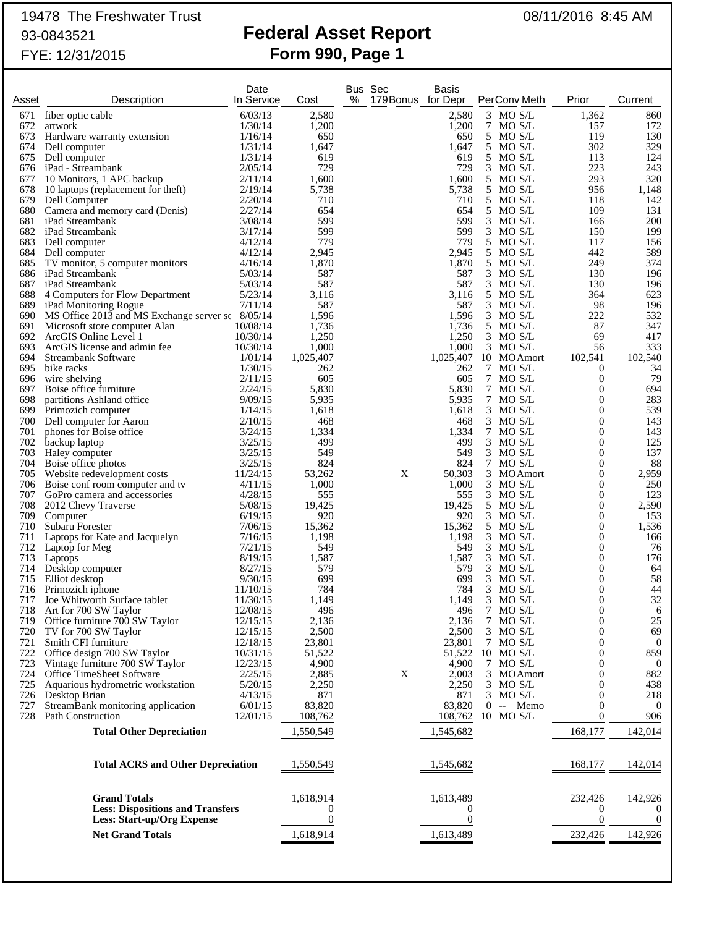# 19478 The Freshwater Trust 08/11/2016 8:45 AM

## 93-0843521 **Federal Asset Report** FYE: 12/31/2015 **Form 990, Page 1**

| Asset      |                                                                              | Date<br>In Service   | Cost            | % | Bus Sec<br>179 Bonus for Depr | <b>Basis</b>    | PerConv Meth             | Prior                            | Current              |
|------------|------------------------------------------------------------------------------|----------------------|-----------------|---|-------------------------------|-----------------|--------------------------|----------------------------------|----------------------|
|            | Description                                                                  |                      |                 |   |                               |                 |                          |                                  |                      |
| 671<br>672 | fiber optic cable<br>artwork                                                 | 6/03/13<br>1/30/14   | 2,580<br>1,200  |   |                               | 2,580<br>1,200  | $3$ MO S/L<br>7 MO S/L   | 1,362<br>157                     | 860<br>172           |
| 673        | Hardware warranty extension                                                  | 1/16/14              | 650             |   |                               | 650             | 5 MO S/L                 | 119                              | 130                  |
| 674        | Dell computer                                                                | 1/31/14              | 1,647           |   |                               | 1,647           | 5 MO S/L                 | 302                              | 329                  |
| 675        | Dell computer                                                                | 1/31/14              | 619             |   |                               | 619             | 5 MO S/L                 | 113                              | 124                  |
|            | 676 iPad - Streambank                                                        | 2/05/14              | 729             |   |                               | 729             | $3$ MO S/L               | 223                              | 243                  |
| 677        | 10 Monitors, 1 APC backup                                                    | 2/11/14              | 1,600           |   |                               | 1,600           | 5 MO S/L                 | 293                              | 320                  |
|            | 678 10 laptops (replacement for theft)<br>679 Dell Computer                  | 2/19/14<br>2/20/14   | 5,738<br>710    |   |                               | 5,738<br>710    | 5 MO S/L<br>5 MO S/L     | 956<br>118                       | 1,148<br>142         |
| 680        | Camera and memory card (Denis)                                               | 2/27/14              | 654             |   |                               | 654             | 5 MO S/L                 | 109                              | 131                  |
|            | 681 iPad Streambank                                                          | 3/08/14              | 599             |   |                               | 599             | $3$ MO S/L               | 166                              | 200                  |
|            | 682 iPad Streambank                                                          | 3/17/14              | 599             |   |                               | 599             | $3$ MO S/L               | 150                              | 199                  |
|            | 683 Dell computer                                                            | 4/12/14              | 779             |   |                               | 779             | 5 MO S/L                 | 117                              | 156                  |
|            | 684 Dell computer                                                            | 4/12/14              | 2,945           |   |                               | 2,945<br>1,870  | 5 MO S/L                 | 442<br>249                       | 589<br>374           |
| 685        | TV monitor, 5 computer monitors<br>686 iPad Streambank                       | 4/16/14<br>5/03/14   | 1,870<br>587    |   |                               | 587             | 5 MO S/L<br>$3$ MO S/L   | 130                              | 196                  |
|            | 687 iPad Streambank                                                          | 5/03/14              | 587             |   |                               | 587             | $3$ MO S/L               | 130                              | 196                  |
| 688        | 4 Computers for Flow Department                                              | 5/23/14              | 3,116           |   |                               | 3,116           | 5 MO S/L                 | 364                              | 623                  |
|            | 689 iPad Monitoring Rogue                                                    | 7/11/14              | 587             |   |                               | 587             | $3$ MO S/L               | 98                               | 196                  |
|            | 690 MS Office 2013 and MS Exchange server sc 8/05/14                         |                      | 1,596           |   |                               | 1,596           | $3$ MO S/L               | 222                              | 532                  |
|            | 691 Microsoft store computer Alan                                            | 10/08/14             | 1,736           |   |                               | 1,736           | 5 MO S/L                 | 87                               | 347                  |
| 693        | 692 ArcGIS Online Level 1<br>ArcGIS license and admin fee                    | 10/30/14<br>10/30/14 | 1,250<br>1,000  |   |                               | 1,250<br>1,000  | $3$ MO S/L<br>$3$ MO S/L | 69<br>56                         | 417<br>333           |
| 694        | Streambank Software                                                          | 1/01/14              | 1,025,407       |   |                               |                 | 1,025,407 10 MOAmort     | 102,541                          | 102,540              |
|            | 695 bike racks                                                               | 1/30/15              | 262             |   |                               | 262             | 7 MO S/L                 | $\theta$                         | 34                   |
| 696        | wire shelving                                                                | 2/11/15              | 605             |   |                               | 605             | 7 MO S/L                 | $\boldsymbol{0}$                 | 79                   |
| 697        | Boise office furniture                                                       | 2/24/15              | 5,830           |   |                               | 5,830           | 7 MO S/L                 | 0                                | 694                  |
| 698        | partitions Ashland office                                                    | 9/09/15              | 5,935           |   |                               | 5,935           | 7 MO S/L                 | 0                                | 283                  |
| 699<br>700 | Primozich computer<br>Dell computer for Aaron                                | 1/14/15<br>2/10/15   | 1,618<br>468    |   |                               | 1,618<br>468    | $3$ MO S/L<br>$3$ MO S/L | $\mathbf{0}$<br>0                | 539<br>143           |
| 701        | phones for Boise office                                                      | 3/24/15              | 1,334           |   |                               | 1,334           | 7 MO S/L                 | $\mathbf{0}$                     | 143                  |
| 702        | backup laptop                                                                | 3/25/15              | 499             |   |                               | 499             | $3$ MO S/L               | 0                                | 125                  |
|            | 703 Haley computer                                                           | 3/25/15              | 549             |   |                               | 549             | $3$ MO S/L               | 0                                | 137                  |
|            | 704 Boise office photos                                                      | 3/25/15              | 824             |   |                               | 824             | 7 MO S/L                 | 0                                | 88                   |
|            | 705 Website redevelopment costs                                              | 11/24/15             | 53,262          |   | X                             | 50,303          | 3 MO Amort               | 0                                | 2,959                |
|            | 706 Boise conf room computer and tv<br>707 GoPro camera and accessories      | 4/11/15<br>4/28/15   | 1,000<br>555    |   |                               | 1,000<br>555    | $3$ MO S/L<br>$3$ MO S/L | 0<br>0                           | 250<br>123           |
| 708        | 2012 Chevy Traverse                                                          | 5/08/15              | 19,425          |   |                               | 19,425          | 5 MO S/L                 | 0                                | 2,590                |
| 709        | Computer                                                                     | 6/19/15              | 920             |   |                               | 920             | $3$ MO S/L               | 0                                | 153                  |
| 710        | Subaru Forester                                                              | 7/06/15              | 15,362          |   |                               | 15,362          | 5 MO S/L                 | 0                                | 1,536                |
| 711        | Laptops for Kate and Jacquelyn                                               | 7/16/15              | 1,198           |   |                               | 1,198           | $3$ MO S/L               | 0                                | 166                  |
| 712        | Laptop for Meg                                                               | 7/21/15              | 549             |   |                               | 549             | $3$ MO S/L               | 0                                | 76                   |
| 713        | Laptops<br>714 Desktop computer                                              | 8/19/15<br>8/27/15   | 1,587<br>579    |   |                               | 1,587<br>579    | $3$ MO S/L<br>$3$ MO S/L | $\mathbf{0}$<br>$\boldsymbol{0}$ | 176<br>64            |
| 715        | Elliot desktop                                                               | 9/30/15              | 699             |   |                               | 699             | $3$ MO S/L               | 0                                | 58                   |
| 716        | Primozich iphone                                                             | 11/10/15             | 784             |   |                               | 784             | $3$ MO S/L               | 0                                | 44                   |
| 717        | Joe Whitworth Surface tablet                                                 | 11/30/15             | 1,149           |   |                               | 1,149           | $3$ MO S/L               | $\mathbf{0}$                     | 32                   |
| 718        | Art for 700 SW Taylor                                                        | 12/08/15             | 496             |   |                               | 496             | 7 MO S/L                 | 0                                | 6                    |
| 719        | Office furniture 700 SW Taylor                                               | 12/15/15             | 2,136           |   |                               | 2,136           | 7 MO S/L<br>3 MO S/L     | 0<br>0                           | 25<br>69             |
| 720<br>721 | TV for 700 SW Taylor<br>Smith CFI furniture                                  | 12/15/15<br>12/18/15 | 2,500<br>23,801 |   |                               | 2,500<br>23,801 | 7 MO S/L                 | 0                                | $\overline{0}$       |
| 722        | Office design 700 SW Taylor                                                  | 10/31/15             | 51,522          |   |                               | 51,522          | $10$ MO S/L              | 0                                | 859                  |
| 723        | Vintage furniture 700 SW Taylor                                              | 12/23/15             | 4,900           |   |                               | 4,900           | 7 MO S/L                 | 0                                | $\bf{0}$             |
| 724        | Office TimeSheet Software                                                    | 2/25/15              | 2,885           |   | X                             | 2,003           | 3 MOAmort                | 0                                | 882                  |
| 725        | Aquarious hydrometric workstation                                            | 5/20/15              | 2,250           |   |                               | 2,250           | 3 MO S/L                 | 0                                | 438                  |
| 726<br>727 | Desktop Brian<br>StreamBank monitoring application                           | 4/13/15<br>6/01/15   | 871<br>83,820   |   |                               | 871<br>83.820   | 3 MO S/L<br>$0 - Memo$   | 0<br>0                           | 218<br>$\bf{0}$      |
| 728        | Path Construction                                                            | 12/01/15             | 108,762         |   |                               | 108,762         | 10 MO S/L                | 0                                | 906                  |
|            |                                                                              |                      |                 |   |                               |                 |                          |                                  |                      |
|            | <b>Total Other Depreciation</b>                                              |                      | 1,550,549       |   |                               | 1,545,682       |                          | 168,177                          | 142,014              |
|            | <b>Total ACRS and Other Depreciation</b>                                     |                      | 1,550,549       |   |                               | 1,545,682       |                          | 168,177                          | 142,014              |
|            |                                                                              |                      |                 |   |                               |                 |                          |                                  |                      |
|            | <b>Grand Totals</b>                                                          |                      | 1,618,914       |   |                               | 1,613,489       |                          | 232,426                          | 142,926              |
|            | <b>Less: Dispositions and Transfers</b><br><b>Less: Start-up/Org Expense</b> |                      | 0<br>0          |   |                               | 0<br>0          |                          | 0<br>0                           | $\theta$<br>$\theta$ |
|            |                                                                              |                      |                 |   |                               |                 |                          |                                  |                      |
|            | <b>Net Grand Totals</b>                                                      |                      | 1,618,914       |   |                               | 1,613,489       |                          | 232,426                          | 142,926              |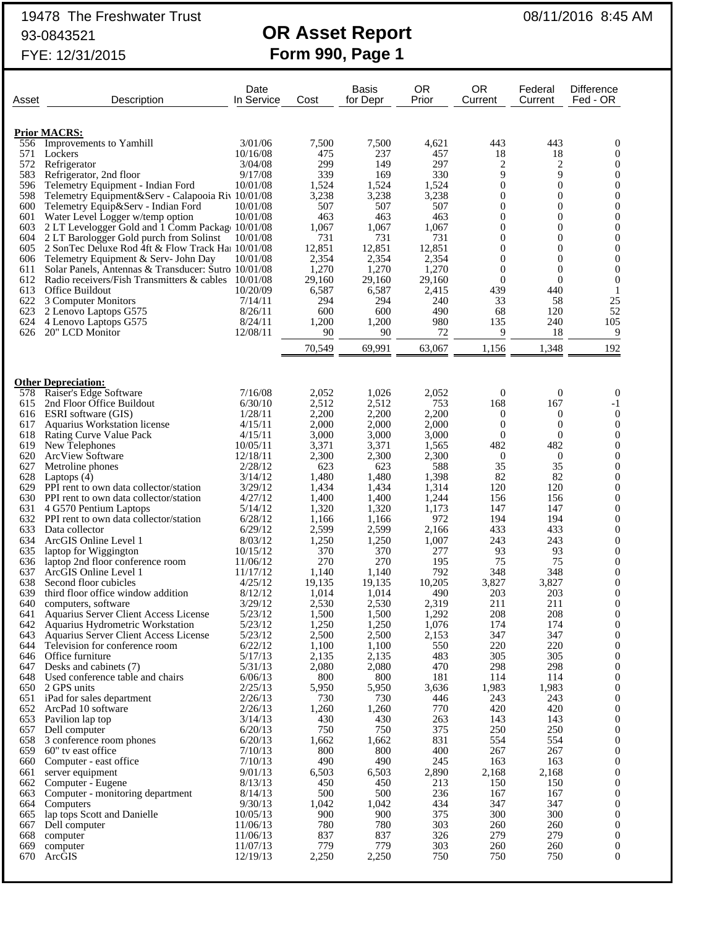## 19478 The Freshwater Trust 08/11/2016 8:45 AM 93-0843521 **OR Asset Report**

# FYE: 12/31/2015 **Form 990, Page 1**

| Asset      | Description                                                            | Date<br>In Service   | Cost            | <b>Basis</b><br>for Depr | <b>OR</b><br>Prior | <b>OR</b><br>Current | Federal<br>Current               | Difference<br>Fed - OR               |
|------------|------------------------------------------------------------------------|----------------------|-----------------|--------------------------|--------------------|----------------------|----------------------------------|--------------------------------------|
|            | <b>Prior MACRS:</b>                                                    |                      |                 |                          |                    |                      |                                  |                                      |
| 556        | Improvements to Yamhill                                                | 3/01/06              | 7,500           | 7,500                    | 4,621              | 443                  | 443                              | $\mathbf{0}$                         |
| 571        | Lockers                                                                | 10/16/08             | 475             | 237                      | 457                | 18                   | 18                               | 0                                    |
| 572        | Refrigerator                                                           | 3/04/08              | 299             | 149                      | 297                | 2                    | 2                                | 0                                    |
| 583        | Refrigerator, 2nd floor                                                | 9/17/08              | 339             | 169                      | 330                | 9                    | 9                                | 0                                    |
| 596        | Telemetry Equipment - Indian Ford                                      | 10/01/08             | 1,524           | 1,524                    | 1,524              | $\theta$             | $\overline{0}$                   | 0                                    |
| 598        | Telemetry Equipment&Serv - Calapooia Riv 10/01/08                      |                      | 3,238           | 3,238                    | 3,238              | $\theta$             | $\overline{0}$                   | 0                                    |
| 600<br>601 | Telemetry Equip&Serv - Indian Ford<br>Water Level Logger w/temp option | 10/01/08<br>10/01/08 | 507<br>463      | 507<br>463               | 507<br>463         | $\theta$<br>$\theta$ | $\overline{0}$<br>$\overline{0}$ | 0<br>0                               |
| 603        | 2 LT Levelogger Gold and 1 Comm Package 10/01/08                       |                      | 1,067           | 1,067                    | 1,067              | $\theta$             | $\overline{0}$                   | 0                                    |
| 604        | 2 LT Barologger Gold purch from Solinst                                | 10/01/08             | 731             | 731                      | 731                | $\theta$             | $\overline{0}$                   | 0                                    |
| 605        | 2 SonTec Deluxe Rod 4ft & Flow Track Haj 10/01/08                      |                      | 12,851          | 12,851                   | 12,851             | $\theta$             | $\overline{0}$                   | 0                                    |
| 606        | Telemetry Equipment & Serv- John Day                                   | 10/01/08             | 2,354           | 2,354                    | 2,354              | $\theta$             | $\overline{0}$                   | $\overline{0}$                       |
| 611        | Solar Panels, Antennas & Transducer: Sutro 10/01/08                    |                      | 1,270           | 1,270                    | 1,270              | $\theta$             | $\overline{0}$                   | 0                                    |
| 612        | Radio receivers/Fish Transmitters & cables 10/01/08                    |                      | 29,160          | 29,160                   | 29,160             | $\Omega$             | $\mathbf{0}$                     | $\overline{0}$                       |
| 613<br>622 | Office Buildout                                                        | 10/20/09<br>7/14/11  | 6,587<br>294    | 6,587<br>294             | 2,415<br>240       | 439<br>33            | 440<br>58                        | 1<br>25                              |
| 623        | 3 Computer Monitors<br>2 Lenovo Laptops G575                           | 8/26/11              | 600             | 600                      | 490                | 68                   | 120                              | 52                                   |
| 624        | 4 Lenovo Laptops G575                                                  | 8/24/11              | 1,200           | 1,200                    | 980                | 135                  | 240                              | 105                                  |
| 626        | 20" LCD Monitor                                                        | 12/08/11             | 90              | 90                       | 72                 | 9                    | 18                               | 9                                    |
|            |                                                                        |                      | 70,549          | 69,991                   | 63,067             | 1,156                | 1,348                            | 192                                  |
|            |                                                                        |                      |                 |                          |                    |                      |                                  |                                      |
|            | <b>Other Depreciation:</b>                                             |                      |                 |                          |                    |                      |                                  |                                      |
| 578        | Raiser's Edge Software                                                 | 7/16/08              | 2,052           | 1,026                    | 2,052              | $\theta$             | $\mathbf{0}$                     | $\mathbf{0}$                         |
| 615        | 2nd Floor Office Buildout                                              | 6/30/10              | 2,512           | 2,512                    | 753                | 168                  | 167                              | -1                                   |
| 617        | 616 ESRI software (GIS)<br>Aquarius Workstation license                | 1/28/11<br>4/15/11   | 2,200<br>2,000  | 2,200<br>2,000           | 2,200<br>2,000     | $\theta$<br>$\theta$ | $\mathbf{0}$<br>$\boldsymbol{0}$ | $\boldsymbol{0}$<br>$\boldsymbol{0}$ |
| 618        | <b>Rating Curve Value Pack</b>                                         | 4/15/11              | 3,000           | 3,000                    | 3,000              | $\Omega$             | $\mathbf{0}$                     | 0                                    |
| 619        | New Telephones                                                         | 10/05/11             | 3,371           | 3,371                    | 1,565              | 482                  | 482                              | 0                                    |
| 620        | <b>ArcView Software</b>                                                | 12/18/11             | 2,300           | 2,300                    | 2,300              | $\theta$             | $\theta$                         | 0                                    |
| 627        | Metroline phones                                                       | 2/28/12              | 623             | 623                      | 588                | 35                   | 35                               | 0                                    |
| 628        | Laptops $(4)$                                                          | 3/14/12              | 1,480           | 1,480                    | 1,398              | 82                   | 82                               | 0                                    |
| 629        | PPI rent to own data collector/station                                 | 3/29/12              | 1,434           | 1,434                    | 1,314              | 120                  | 120                              | 0                                    |
| 631        | 630 PPI rent to own data collector/station<br>4 G570 Pentium Laptops   | 4/27/12<br>5/14/12   | 1,400<br>1,320  | 1,400<br>1,320           | 1,244<br>1,173     | 156<br>147           | 156<br>147                       | 0<br>0                               |
|            | 632 PPI rent to own data collector/station                             | 6/28/12              | 1,166           | 1,166                    | 972                | 194                  | 194                              | 0                                    |
| 633        | Data collector                                                         | 6/29/12              | 2,599           | 2,599                    | 2,166              | 433                  | 433                              | 0                                    |
| 634        | ArcGIS Online Level 1                                                  | 8/03/12              | 1,250           | 1,250                    | 1,007              | 243                  | 243                              | 0                                    |
| 635        | laptop for Wiggington                                                  | 10/15/12             | 370             | 370                      | 277                | 93                   | 93                               | 0                                    |
| 636        | laptop 2nd floor conference room                                       | 11/06/12             | 270             | 270                      | 195                | 75                   | 75                               | 0                                    |
| 637        | ArcGIS Online Level 1                                                  | 11/17/12             | 1,140           | 1,140                    | 792                | 348                  | 348                              | 0                                    |
| 638<br>639 | Second floor cubicles<br>third floor office window addition            | 4/25/12<br>8/12/12   | 19,135<br>1,014 | 19,135<br>1,014          | 10,205<br>490      | 3,827<br>203         | 3,827<br>203                     | 0<br>0                               |
| 640        | computers, software                                                    | 3/29/12              | 2,530           | 2,530                    | 2,319              | 211                  | 211                              | 0                                    |
| 641        | Aquarius Server Client Access License                                  | 5/23/12              | 1,500           | 1,500                    | 1,292              | 208                  | 208                              | $\boldsymbol{0}$                     |
| 642        | Aquarius Hydrometric Workstation                                       | 5/23/12              | 1,250           | 1,250                    | 1,076              | 174                  | 174                              | 0                                    |
| 643        | Aquarius Server Client Access License                                  | 5/23/12              | 2,500           | 2,500                    | 2,153              | 347                  | 347                              | 0                                    |
| 644        | Television for conference room                                         | 6/22/12              | 1,100           | 1,100                    | 550                | 220                  | 220                              | 0                                    |
|            | 646 Office furniture                                                   | 5/17/13              | 2,135           | 2,135                    | 483                | 305                  | 305                              | 0                                    |
| 647<br>648 | Desks and cabinets (7)<br>Used conference table and chairs             | 5/31/13<br>6/06/13   | 2,080<br>800    | 2,080<br>800             | 470<br>181         | 298<br>114           | 298<br>114                       | $\overline{0}$<br>0                  |
|            | 650 2 GPS units                                                        | 2/25/13              | 5,950           | 5,950                    | 3,636              | 1,983                | 1,983                            | $\overline{0}$                       |
|            | 651 iPad for sales department                                          | 2/26/13              | 730             | 730                      | 446                | 243                  | 243                              | 0                                    |
| 652        | ArcPad 10 software                                                     | 2/26/13              | 1,260           | 1,260                    | 770                | 420                  | 420                              | $\overline{0}$                       |
| 653        | Pavilion lap top                                                       | 3/14/13              | 430             | 430                      | 263                | 143                  | 143                              | $\boldsymbol{0}$                     |
|            | 657 Dell computer                                                      | 6/20/13              | 750             | 750                      | 375                | 250                  | 250                              | $\overline{0}$                       |
| 658        | 3 conference room phones                                               | 6/20/13              | 1,662           | 1,662                    | 831                | 554                  | 554                              | 0                                    |
| 659<br>660 | 60" tv east office<br>Computer - east office                           | 7/10/13<br>7/10/13   | 800<br>490      | 800<br>490               | 400<br>245         | 267<br>163           | 267<br>163                       | $\overline{0}$<br>$\boldsymbol{0}$   |
| 661        | server equipment                                                       | 9/01/13              | 6,503           | 6,503                    | 2,890              | 2,168                | 2,168                            | $\overline{0}$                       |
| 662        | Computer - Eugene                                                      | 8/13/13              | 450             | 450                      | 213                | 150                  | 150                              | 0                                    |
| 663        | Computer - monitoring department                                       | 8/14/13              | 500             | 500                      | 236                | 167                  | 167                              | $\overline{0}$                       |
| 664        | Computers                                                              | 9/30/13              | 1,042           | 1,042                    | 434                | 347                  | 347                              | 0                                    |
| 665        | lap tops Scott and Danielle                                            | 10/05/13             | 900             | 900                      | 375                | 300                  | 300                              | $\overline{0}$                       |
| 667        | Dell computer                                                          | 11/06/13             | 780             | 780                      | 303                | 260                  | 260                              | $\boldsymbol{0}$                     |
| 668<br>669 | computer<br>computer                                                   | 11/06/13<br>11/07/13 | 837<br>779      | 837<br>779               | 326<br>303         | 279<br>260           | 279<br>260                       | $\theta$<br>$\boldsymbol{0}$         |
| 670        | ArcGIS                                                                 | 12/19/13             | 2,250           | 2,250                    | 750                | 750                  | 750                              | $\theta$                             |
|            |                                                                        |                      |                 |                          |                    |                      |                                  |                                      |
|            |                                                                        |                      |                 |                          |                    |                      |                                  |                                      |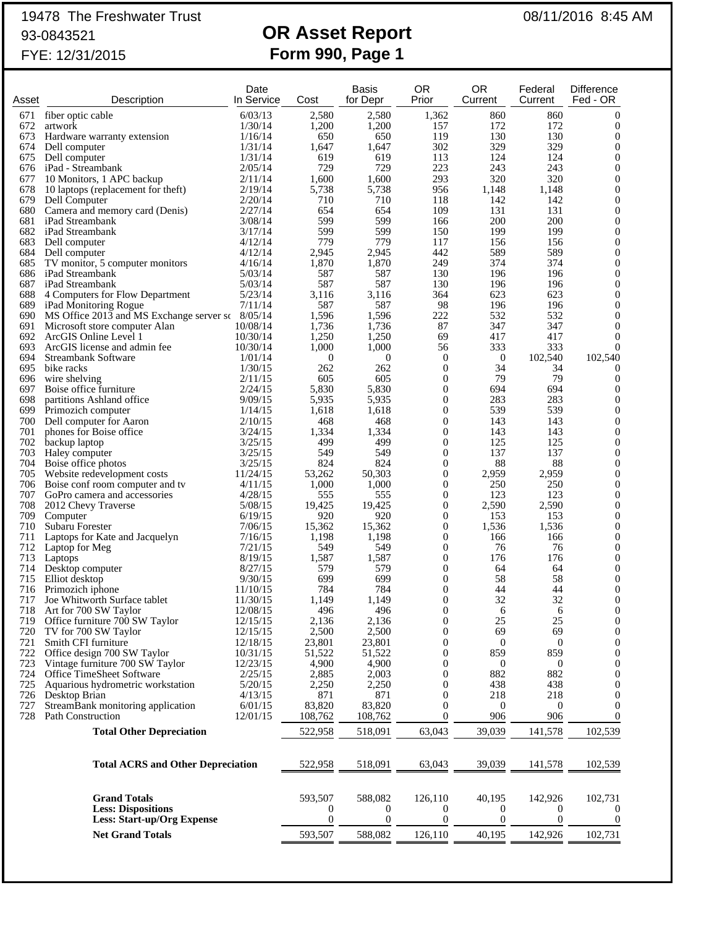## 19478 The Freshwater Trust 08/11/2016 8:45 AM 93-0843521 **OR Asset Report**

# FYE: 12/31/2015 **Form 990, Page 1**

| Asset      | Description                                            | Date<br>In Service   | Cost             | <b>Basis</b><br>for Depr | <b>OR</b><br>Prior                   | <b>OR</b><br>Current | Federal<br>Current | <b>Difference</b><br>Fed - OR    |
|------------|--------------------------------------------------------|----------------------|------------------|--------------------------|--------------------------------------|----------------------|--------------------|----------------------------------|
| 671        | fiber optic cable                                      | 6/03/13              | 2,580            | 2,580                    | 1,362                                | 860                  | 860                | $\boldsymbol{0}$                 |
| 672        | artwork                                                | 1/30/14              | 1,200            | 1,200                    | 157                                  | 172                  | 172                | $\boldsymbol{0}$                 |
| 673        | Hardware warranty extension                            | 1/16/14              | 650              | 650                      | 119                                  | 130                  | 130                | 0                                |
| 674        | Dell computer<br>675 Dell computer                     | 1/31/14              | 1,647<br>619     | 1,647<br>619             | 302<br>113                           | 329<br>124           | 329<br>124         | $\overline{0}$<br>0              |
|            | 676 iPad - Streambank                                  | 1/31/14<br>2/05/14   | 729              | 729                      | 223                                  | 243                  | 243                | $\overline{0}$                   |
| 677        | 10 Monitors, 1 APC backup                              | 2/11/14              | 1,600            | 1,600                    | 293                                  | 320                  | 320                | 0                                |
| 678        | 10 laptops (replacement for theft)                     | 2/19/14              | 5,738            | 5,738                    | 956                                  | 1,148                | 1,148              | $\overline{0}$                   |
|            | 679 Dell Computer                                      | 2/20/14              | 710              | 710                      | 118                                  | 142                  | 142                | 0                                |
|            | 680 Camera and memory card (Denis)                     | 2/27/14              | 654              | 654                      | 109                                  | 131                  | 131                | $\overline{0}$                   |
|            | 681 iPad Streambank                                    | 3/08/14              | 599              | 599                      | 166                                  | 200                  | 200                | 0                                |
|            | 682 iPad Streambank                                    | 3/17/14              | 599              | 599                      | 150                                  | 199                  | 199                | 0                                |
| 684        | 683 Dell computer<br>Dell computer                     | 4/12/14<br>4/12/14   | 779<br>2,945     | 779<br>2,945             | 117<br>442                           | 156<br>589           | 156<br>589         | 0<br>$\overline{0}$              |
| 685        | TV monitor, 5 computer monitors                        | 4/16/14              | 1,870            | 1,870                    | 249                                  | 374                  | 374                | 0                                |
|            | 686 iPad Streambank                                    | 5/03/14              | 587              | 587                      | 130                                  | 196                  | 196                | $\overline{0}$                   |
|            | 687 iPad Streambank                                    | 5/03/14              | 587              | 587                      | 130                                  | 196                  | 196                | 0                                |
| 688        | 4 Computers for Flow Department                        | 5/23/14              | 3,116            | 3,116                    | 364                                  | 623                  | 623                | $\overline{0}$                   |
|            | 689 iPad Monitoring Rogue                              | 7/11/14              | 587              | 587                      | 98                                   | 196                  | 196                | 0                                |
|            | 690 MS Office 2013 and MS Exchange server sc 8/05/14   |                      | 1,596            | 1,596                    | 222                                  | 532                  | 532                | $\overline{0}$                   |
|            | 691 Microsoft store computer Alan                      | 10/08/14             | 1,736            | 1,736                    | 87                                   | 347                  | 347                | 0                                |
| 692<br>693 | ArcGIS Online Level 1<br>ArcGIS license and admin fee  | 10/30/14<br>10/30/14 | 1,250<br>1,000   | 1,250<br>1,000           | 69<br>56                             | 417<br>333           | 417<br>333         | $\theta$<br>$\theta$             |
| 694        | <b>Streambank Software</b>                             | 1/01/14              | $\boldsymbol{0}$ | $\mathbf{0}$             | $\boldsymbol{0}$                     | $\boldsymbol{0}$     | 102,540            | 102,540                          |
| 695        | bike racks                                             | 1/30/15              | 262              | 262                      | $\boldsymbol{0}$                     | 34                   | 34                 | $\mathbf 0$                      |
| 696        | wire shelving                                          | 2/11/15              | 605              | 605                      | $\boldsymbol{0}$                     | 79                   | 79                 | $\boldsymbol{0}$                 |
| 697        | Boise office furniture                                 | 2/24/15              | 5,830            | 5,830                    | $\boldsymbol{0}$                     | 694                  | 694                | 0                                |
| 698        | partitions Ashland office                              | 9/09/15              | 5,935            | 5,935                    | $\boldsymbol{0}$                     | 283                  | 283                | $\overline{0}$                   |
| 699        | Primozich computer                                     | 1/14/15              | 1,618            | 1,618                    | $\boldsymbol{0}$                     | 539                  | 539                | 0                                |
| 700        | Dell computer for Aaron                                | 2/10/15              | 468              | 468                      | $\boldsymbol{0}$                     | 143                  | 143                | $\overline{0}$                   |
| 701<br>702 | phones for Boise office                                | 3/24/15<br>3/25/15   | 1,334<br>499     | 1,334<br>499             | $\boldsymbol{0}$<br>$\boldsymbol{0}$ | 143<br>125           | 143<br>125         | 0<br>0                           |
| 703        | backup laptop<br>Haley computer                        | 3/25/15              | 549              | 549                      | $\boldsymbol{0}$                     | 137                  | 137                | 0                                |
| 704        | Boise office photos                                    | 3/25/15              | 824              | 824                      | 0                                    | 88                   | 88                 | 0                                |
| 705        | Website redevelopment costs                            | 11/24/15             | 53,262           | 50,303                   | 0                                    | 2,959                | 2,959              | 0                                |
|            | 706 Boise conf room computer and tv                    | 4/11/15              | 1,000            | 1,000                    | $\boldsymbol{0}$                     | 250                  | 250                | $\overline{0}$                   |
| 707        | GoPro camera and accessories                           | 4/28/15              | 555              | 555                      | 0                                    | 123                  | 123                | 0                                |
| 708        | 2012 Chevy Traverse                                    | 5/08/15              | 19,425           | 19,425                   | $\boldsymbol{0}$                     | 2,590                | 2,590              | $\overline{0}$                   |
| 709        | Computer                                               | 6/19/15              | 920              | 920                      | $\boldsymbol{0}$                     | 153                  | 153                | 0                                |
| 710<br>711 | Subaru Forester                                        | 7/06/15<br>7/16/15   | 15,362<br>1,198  | 15,362<br>1,198          | $\boldsymbol{0}$<br>$\boldsymbol{0}$ | 1,536<br>166         | 1,536<br>166       | 0<br>0                           |
| 712        | Laptops for Kate and Jacquelyn<br>Laptop for Meg       | 7/21/15              | 549              | 549                      | $\boldsymbol{0}$                     | 76                   | 76                 | $\overline{0}$                   |
| 713        | Laptops                                                | 8/19/15              | 1,587            | 1,587                    | $\boldsymbol{0}$                     | 176                  | 176                | 0                                |
| 714        | Desktop computer                                       | 8/27/15              | 579              | 579                      | $\boldsymbol{0}$                     | 64                   | 64                 | $\overline{0}$                   |
| 715        | Elliot desktop                                         | 9/30/15              | 699              | 699                      | $\boldsymbol{0}$                     | 58                   | 58                 | 0                                |
| 716        | Primozich iphone                                       | 11/10/15             | 784              | 784                      | $\boldsymbol{0}$                     | 44                   | 44                 | $\theta$                         |
| 717        | Joe Whitworth Surface tablet                           | 11/30/15             | 1,149            | 1,149                    | $\overline{0}$                       | 32                   | 32                 | $\theta$                         |
| 718        | Art for 700 SW Taylor                                  | 12/08/15             | 496              | 496                      | $\bf{0}$                             | 6<br>25              | 6                  | $\theta$                         |
| 719<br>720 | Office furniture 700 SW Taylor<br>TV for 700 SW Taylor | 12/15/15<br>12/15/15 | 2,136<br>2,500   | 2,136<br>2,500           | $\boldsymbol{0}$<br>0                | 69                   | 25<br>69           | $\boldsymbol{0}$<br>$\mathbf{0}$ |
| 721        | Smith CFI furniture                                    | 12/18/15             | 23,801           | 23,801                   | 0                                    | 0                    | $\boldsymbol{0}$   | 0                                |
| 722        | Office design 700 SW Taylor                            | 10/31/15             | 51,522           | 51,522                   | 0                                    | 859                  | 859                | $\overline{0}$                   |
| 723        | Vintage furniture 700 SW Taylor                        | 12/23/15             | 4,900            | 4,900                    | 0                                    | $\theta$             | $\theta$           | 0                                |
| 724        | <b>Office TimeSheet Software</b>                       | 2/25/15              | 2,885            | 2,003                    | 0                                    | 882                  | 882                | $\overline{0}$                   |
| 725        | Aquarious hydrometric workstation                      | 5/20/15              | 2,250            | 2,250                    | 0                                    | 438                  | 438                | 0                                |
| 726        | Desktop Brian                                          | 4/13/15              | 871              | 871                      | 0                                    | 218                  | 218                | 0                                |
| 727        | StreamBank monitoring application                      | 6/01/15              | 83,820           | 83,820                   | 0                                    | 0                    | 0<br>906           | $\boldsymbol{0}$<br>$\theta$     |
| 728        | <b>Path Construction</b>                               | 12/01/15             | 108,762          | 108,762                  | 0                                    | 906                  |                    |                                  |
|            | <b>Total Other Depreciation</b>                        |                      | 522,958          | 518,091                  | 63,043                               | 39,039               | 141,578            | 102,539                          |
|            | <b>Total ACRS and Other Depreciation</b>               |                      | 522,958          | 518,091                  | 63,043                               | 39,039               | 141,578            | 102,539                          |
|            | <b>Grand Totals</b>                                    |                      | 593,507          | 588,082                  | 126,110                              | 40,195               | 142,926            | 102,731                          |
|            | <b>Less: Dispositions</b>                              |                      | 0                | $\boldsymbol{0}$         | 0                                    | $\bf{0}$             | 0                  | $\theta$                         |
|            | Less: Start-up/Org Expense                             |                      | $\mathbf{0}$     | $\mathbf{0}$             | 0                                    | $\mathbf{0}$         | $\mathbf{0}$       | $\overline{0}$                   |
|            | <b>Net Grand Totals</b>                                |                      | 593,507          | 588,082                  | 126,110                              | 40,195               | 142,926            | 102,731                          |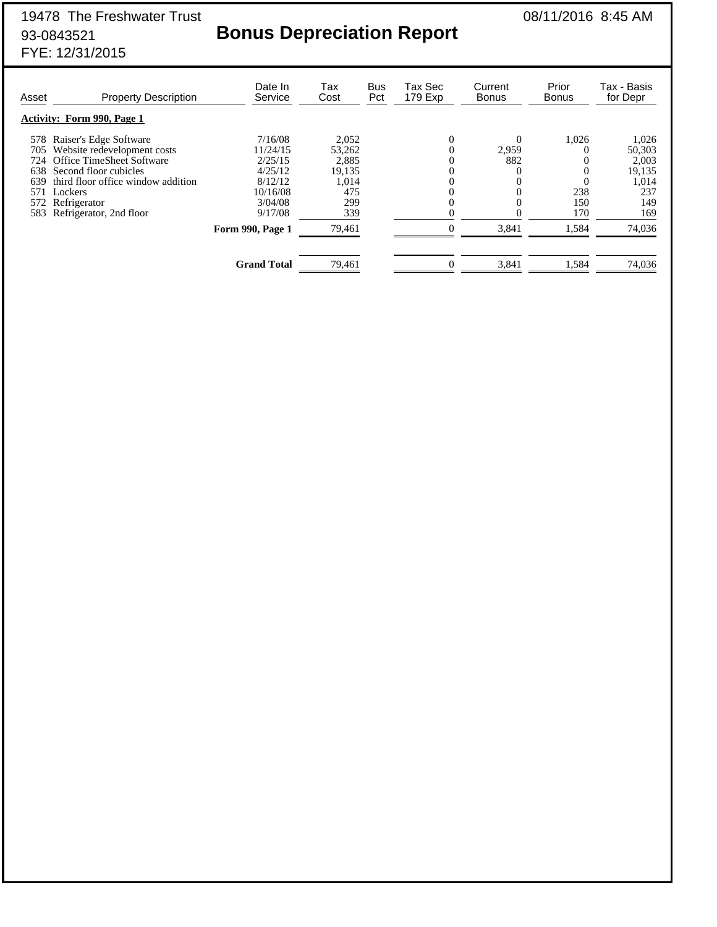## 93-0843521 **Bonus Depreciation Report**

| Asset | <b>Property Description</b>        | Date In<br>Service | Tax<br>Cost | Bus<br>Pct | Tax Sec<br>179 Exp | Current<br><b>Bonus</b> | Prior<br><b>Bonus</b> | Tax - Basis<br>for Depr |
|-------|------------------------------------|--------------------|-------------|------------|--------------------|-------------------------|-----------------------|-------------------------|
|       | <b>Activity: Form 990, Page 1</b>  |                    |             |            |                    |                         |                       |                         |
| 578   | Raiser's Edge Software             | 7/16/08            | 2,052       |            | $\overline{0}$     | $\Omega$                | 1,026                 | 1,026                   |
| 705   | Website redevelopment costs        | 11/24/15           | 53,262      |            |                    | 2,959                   |                       | 50,303                  |
| 724   | Office TimeSheet Software          | 2/25/15            | 2,885       |            |                    | 882                     |                       | 2,003                   |
| 638   | Second floor cubicles              | 4/25/12            | 19,135      |            |                    | $\theta$                | 0                     | 19,135                  |
| 639   | third floor office window addition | 8/12/12            | 1,014       |            |                    | $\Omega$                |                       | 1,014                   |
| 571   | Lockers                            | 10/16/08           | 475         |            |                    | $\theta$                | 238                   | 237                     |
|       | 572 Refrigerator                   | 3/04/08            | 299         |            |                    | $\theta$                | 150                   | 149                     |
| 583   | Refrigerator, 2nd floor            | 9/17/08            | 339         |            |                    |                         | 170                   | 169                     |
|       |                                    | Form 990, Page 1   | 79,461      |            |                    | 3,841                   | 1,584                 | 74,036                  |
|       |                                    |                    |             |            |                    |                         |                       |                         |
|       |                                    | <b>Grand Total</b> | 79,461      |            |                    | 3,841                   | 1,584                 | 74,036                  |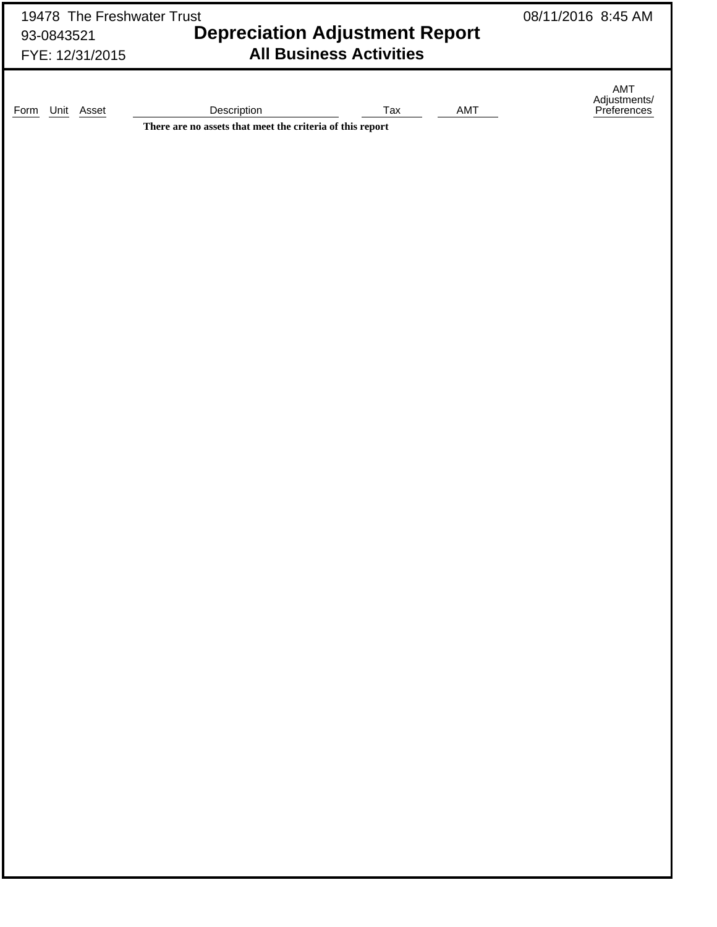| 19478 The Freshwater Trust |                                                           | 08/11/2016 8:45 AM             |     |                                    |  |
|----------------------------|-----------------------------------------------------------|--------------------------------|-----|------------------------------------|--|
| 93-0843521                 | <b>Depreciation Adjustment Report</b>                     |                                |     |                                    |  |
| FYE: 12/31/2015            |                                                           | <b>All Business Activities</b> |     |                                    |  |
|                            |                                                           |                                |     |                                    |  |
|                            |                                                           |                                |     | AMT<br>Adjustments/<br>Preferences |  |
| Unit Asset<br>Form         | Description                                               | Tax                            | AMT |                                    |  |
|                            | There are no assets that meet the criteria of this report |                                |     |                                    |  |
|                            |                                                           |                                |     |                                    |  |
|                            |                                                           |                                |     |                                    |  |
|                            |                                                           |                                |     |                                    |  |
|                            |                                                           |                                |     |                                    |  |
|                            |                                                           |                                |     |                                    |  |
|                            |                                                           |                                |     |                                    |  |
|                            |                                                           |                                |     |                                    |  |
|                            |                                                           |                                |     |                                    |  |
|                            |                                                           |                                |     |                                    |  |
|                            |                                                           |                                |     |                                    |  |
|                            |                                                           |                                |     |                                    |  |
|                            |                                                           |                                |     |                                    |  |
|                            |                                                           |                                |     |                                    |  |
|                            |                                                           |                                |     |                                    |  |
|                            |                                                           |                                |     |                                    |  |
|                            |                                                           |                                |     |                                    |  |
|                            |                                                           |                                |     |                                    |  |
|                            |                                                           |                                |     |                                    |  |
|                            |                                                           |                                |     |                                    |  |
|                            |                                                           |                                |     |                                    |  |
|                            |                                                           |                                |     |                                    |  |
|                            |                                                           |                                |     |                                    |  |
|                            |                                                           |                                |     |                                    |  |
|                            |                                                           |                                |     |                                    |  |
|                            |                                                           |                                |     |                                    |  |
|                            |                                                           |                                |     |                                    |  |
|                            |                                                           |                                |     |                                    |  |
|                            |                                                           |                                |     |                                    |  |
|                            |                                                           |                                |     |                                    |  |
|                            |                                                           |                                |     |                                    |  |
|                            |                                                           |                                |     |                                    |  |
|                            |                                                           |                                |     |                                    |  |
|                            |                                                           |                                |     |                                    |  |
|                            |                                                           |                                |     |                                    |  |
|                            |                                                           |                                |     |                                    |  |
|                            |                                                           |                                |     |                                    |  |
|                            |                                                           |                                |     |                                    |  |
|                            |                                                           |                                |     |                                    |  |
|                            |                                                           |                                |     |                                    |  |
|                            |                                                           |                                |     |                                    |  |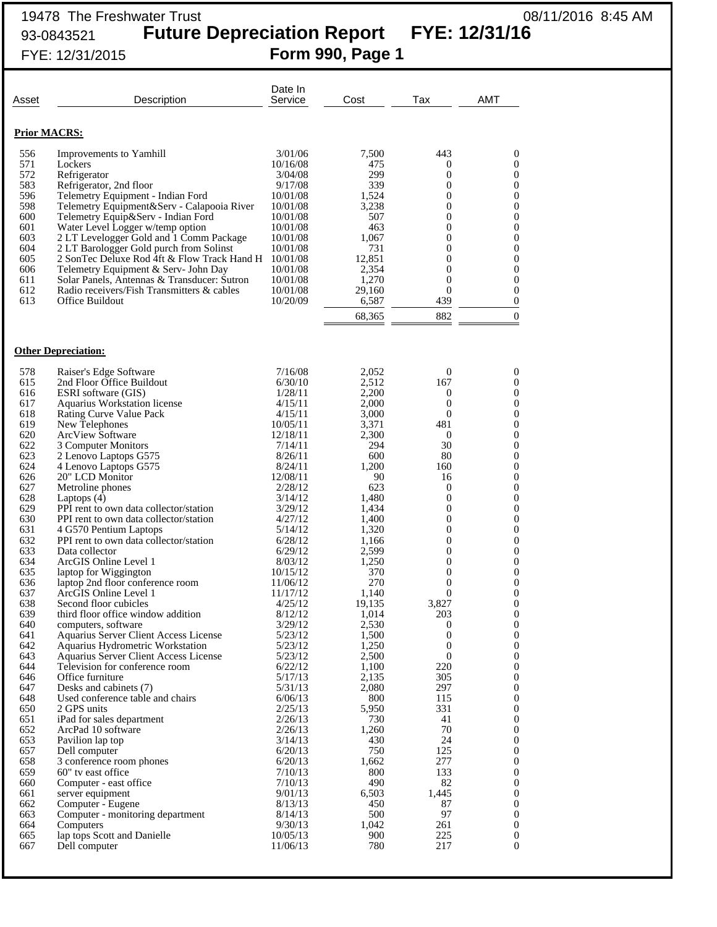## 19478 The Freshwater Trust 08/11/2016 8:45 AM 93-0843521 **Future Depreciation Report FYE: 12/31/16**

FYE: 12/31/2015 **Form 990, Page 1**

| Asset                                                                                                                                                                                     | Description                                                                                                                                                                                                                                                                                                                                                                                                                                                                                                                                                                                                                                                                                                                                                                            | Date In<br>Service                                                                                                                                                                                                                                                                                          | Cost                                                                                                                                                                                                                                | Tax                                                                                                                                                                                                                   | AMT                                                                                                                                                                                                                                                                                                                                                                                                                                                                                                                                              |
|-------------------------------------------------------------------------------------------------------------------------------------------------------------------------------------------|----------------------------------------------------------------------------------------------------------------------------------------------------------------------------------------------------------------------------------------------------------------------------------------------------------------------------------------------------------------------------------------------------------------------------------------------------------------------------------------------------------------------------------------------------------------------------------------------------------------------------------------------------------------------------------------------------------------------------------------------------------------------------------------|-------------------------------------------------------------------------------------------------------------------------------------------------------------------------------------------------------------------------------------------------------------------------------------------------------------|-------------------------------------------------------------------------------------------------------------------------------------------------------------------------------------------------------------------------------------|-----------------------------------------------------------------------------------------------------------------------------------------------------------------------------------------------------------------------|--------------------------------------------------------------------------------------------------------------------------------------------------------------------------------------------------------------------------------------------------------------------------------------------------------------------------------------------------------------------------------------------------------------------------------------------------------------------------------------------------------------------------------------------------|
|                                                                                                                                                                                           | <b>Prior MACRS:</b>                                                                                                                                                                                                                                                                                                                                                                                                                                                                                                                                                                                                                                                                                                                                                                    |                                                                                                                                                                                                                                                                                                             |                                                                                                                                                                                                                                     |                                                                                                                                                                                                                       |                                                                                                                                                                                                                                                                                                                                                                                                                                                                                                                                                  |
| 556<br>571<br>572<br>583<br>596<br>598<br>600<br>601<br>603<br>604<br>605<br>606<br>611<br>612<br>613                                                                                     | Improvements to Yamhill<br>Lockers<br>Refrigerator<br>Refrigerator, 2nd floor<br>Telemetry Equipment - Indian Ford<br>Telemetry Equipment&Serv - Calapooia River<br>Telemetry Equip&Serv - Indian Ford<br>Water Level Logger w/temp option<br>2 LT Levelogger Gold and 1 Comm Package<br>2 LT Barologger Gold purch from Solinst<br>2 SonTec Deluxe Rod 4ft & Flow Track Hand H<br>Telemetry Equipment & Serv- John Day<br>Solar Panels, Antennas & Transducer: Sutron<br>Radio receivers/Fish Transmitters & cables<br>Office Buildout                                                                                                                                                                                                                                                | 3/01/06<br>10/16/08<br>3/04/08<br>9/17/08<br>10/01/08<br>10/01/08<br>10/01/08<br>10/01/08<br>10/01/08<br>10/01/08<br>10/01/08<br>10/01/08<br>10/01/08<br>10/01/08<br>10/20/09                                                                                                                               | 7,500<br>475<br>299<br>339<br>1,524<br>3,238<br>507<br>463<br>1,067<br>731<br>12,851<br>2,354<br>1,270<br>29,160<br>6,587<br>68,365                                                                                                 | 443<br>0<br>0<br>$\overline{0}$<br>0<br>0<br>0<br>$\overline{0}$<br>0<br>0<br>0<br>$\overline{0}$<br>0<br>$\theta$<br>439<br>882                                                                                      | $\boldsymbol{0}$<br>$\mathbf{0}$<br>$\boldsymbol{0}$<br>$\boldsymbol{0}$<br>$\boldsymbol{0}$<br>$\boldsymbol{0}$<br>$\boldsymbol{0}$<br>$\boldsymbol{0}$<br>$\boldsymbol{0}$<br>$\boldsymbol{0}$<br>$\boldsymbol{0}$<br>$\boldsymbol{0}$<br>$\boldsymbol{0}$<br>$\boldsymbol{0}$<br>$\boldsymbol{0}$<br>$\mathbf{0}$                                                                                                                                                                                                                             |
|                                                                                                                                                                                           | <b>Other Depreciation:</b>                                                                                                                                                                                                                                                                                                                                                                                                                                                                                                                                                                                                                                                                                                                                                             |                                                                                                                                                                                                                                                                                                             |                                                                                                                                                                                                                                     |                                                                                                                                                                                                                       |                                                                                                                                                                                                                                                                                                                                                                                                                                                                                                                                                  |
| 578<br>615<br>616<br>617<br>618<br>619<br>620<br>622<br>623<br>624<br>626<br>627<br>628<br>629<br>630<br>631<br>632<br>633<br>634<br>635<br>636<br>637<br>638<br>639<br>640<br>641<br>642 | Raiser's Edge Software<br>2nd Floor Office Buildout<br><b>ESRI</b> software (GIS)<br>Aquarius Workstation license<br>Rating Curve Value Pack<br>New Telephones<br><b>ArcView Software</b><br>3 Computer Monitors<br>2 Lenovo Laptops G575<br>4 Lenovo Laptops G575<br>20" LCD Monitor<br>Metroline phones<br>Laptops $(4)$<br>PPI rent to own data collector/station<br>PPI rent to own data collector/station<br>4 G570 Pentium Laptops<br>PPI rent to own data collector/station<br>Data collector<br>ArcGIS Online Level 1<br>laptop for Wiggington<br>laptop 2nd floor conference room<br>ArcGIS Online Level 1<br>Second floor cubicles<br>third floor office window addition<br>computers, software<br>Aquarius Server Client Access License<br>Aquarius Hydrometric Workstation | 7/16/08<br>6/30/10<br>1/28/11<br>4/15/11<br>4/15/11<br>10/05/11<br>12/18/11<br>7/14/11<br>8/26/11<br>8/24/11<br>12/08/11<br>2/28/12<br>3/14/12<br>3/29/12<br>4/27/12<br>5/14/12<br>6/28/12<br>6/29/12<br>8/03/12<br>10/15/12<br>11/06/12<br>11/17/12<br>4/25/12<br>8/12/12<br>3/29/12<br>5/23/12<br>5/23/12 | 2,052<br>2,512<br>2,200<br>2,000<br>3,000<br>3,371<br>2,300<br>294<br>600<br>1,200<br>90<br>623<br>1,480<br>1,434<br>1,400<br>1,320<br>1,166<br>2,599<br>1,250<br>370<br>270<br>1,140<br>19,135<br>1,014<br>2,530<br>1,500<br>1,250 | 0<br>167<br>0<br>$\boldsymbol{0}$<br>$\boldsymbol{0}$<br>481<br>0<br>30<br>80<br>160<br>16<br>0<br>0<br>0<br>0<br>0<br>0<br>0<br>0<br>$\boldsymbol{0}$<br>0<br>$\theta$<br>3,827<br>203<br>0<br>$\boldsymbol{0}$<br>0 | $\boldsymbol{0}$<br>$\boldsymbol{0}$<br>$\boldsymbol{0}$<br>$\boldsymbol{0}$<br>$\boldsymbol{0}$<br>$\boldsymbol{0}$<br>$\boldsymbol{0}$<br>$\boldsymbol{0}$<br>$\boldsymbol{0}$<br>$\boldsymbol{0}$<br>$\boldsymbol{0}$<br>$\boldsymbol{0}$<br>$\boldsymbol{0}$<br>$\boldsymbol{0}$<br>$\boldsymbol{0}$<br>$\boldsymbol{0}$<br>$\boldsymbol{0}$<br>$\boldsymbol{0}$<br>$\boldsymbol{0}$<br>$\boldsymbol{0}$<br>$\boldsymbol{0}$<br>$\mathbf{0}$<br>$\mathbf{0}$<br>$\boldsymbol{0}$<br>$\boldsymbol{0}$<br>$\boldsymbol{0}$<br>$\boldsymbol{0}$ |
| 643<br>644<br>646<br>647<br>648<br>650<br>651<br>652<br>653<br>657<br>658<br>659<br>660<br>661<br>662<br>663<br>664<br>665<br>667                                                         | Aquarius Server Client Access License<br>Television for conference room<br>Office furniture<br>Desks and cabinets (7)<br>Used conference table and chairs<br>2 GPS units<br>iPad for sales department<br>ArcPad 10 software<br>Pavilion lap top<br>Dell computer<br>3 conference room phones<br>60" tv east office<br>Computer - east office<br>server equipment<br>Computer - Eugene<br>Computer - monitoring department<br>Computers<br>lap tops Scott and Danielle<br>Dell computer                                                                                                                                                                                                                                                                                                 | 5/23/12<br>6/22/12<br>5/17/13<br>5/31/13<br>6/06/13<br>2/25/13<br>2/26/13<br>2/26/13<br>3/14/13<br>6/20/13<br>6/20/13<br>7/10/13<br>7/10/13<br>9/01/13<br>8/13/13<br>8/14/13<br>9/30/13<br>10/05/13<br>11/06/13                                                                                             | 2,500<br>1,100<br>2,135<br>2,080<br>800<br>5,950<br>730<br>1,260<br>430<br>750<br>1,662<br>800<br>490<br>6,503<br>450<br>500<br>1,042<br>900<br>780                                                                                 | $\mathbf{0}$<br>220<br>305<br>297<br>115<br>331<br>41<br>70<br>24<br>125<br>277<br>133<br>82<br>1,445<br>87<br>97<br>261<br>225<br>217                                                                                | $\boldsymbol{0}$<br>$\boldsymbol{0}$<br>$\boldsymbol{0}$<br>$\boldsymbol{0}$<br>$\boldsymbol{0}$<br>$\boldsymbol{0}$<br>$\boldsymbol{0}$<br>$\boldsymbol{0}$<br>$\boldsymbol{0}$<br>$\boldsymbol{0}$<br>$\boldsymbol{0}$<br>$\boldsymbol{0}$<br>$\boldsymbol{0}$<br>$\boldsymbol{0}$<br>$\boldsymbol{0}$<br>$\boldsymbol{0}$<br>$\boldsymbol{0}$<br>$\boldsymbol{0}$<br>$\mathbf{0}$                                                                                                                                                             |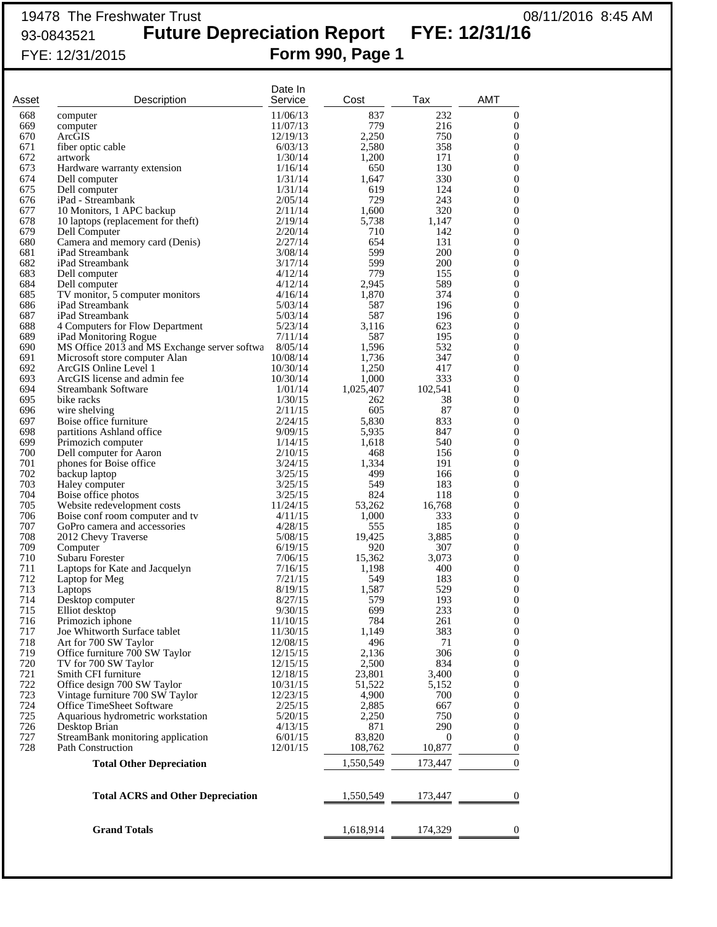## 19478 The Freshwater Trust 08/11/2016 8:45 AM 93-0843521 **Future Depreciation Report FYE: 12/31/16** FYE: 12/31/2015 **Form 990, Page 1**

| Asset      | Description                                              | Date In<br>Service   | Cost           | Tax                                                                                               | AMT                                  |
|------------|----------------------------------------------------------|----------------------|----------------|---------------------------------------------------------------------------------------------------|--------------------------------------|
| 668        | computer                                                 | 11/06/13             | 837            | 232                                                                                               | $\boldsymbol{0}$                     |
| 669        | computer                                                 | 11/07/13             | 779            | 216                                                                                               | $\mathbf{0}$                         |
| 670<br>671 | ArcGIS<br>fiber optic cable                              | 12/19/13<br>6/03/13  | 2,250<br>2,580 | 750<br>358                                                                                        | 0<br>0                               |
| 672        | artwork                                                  | 1/30/14              | 1,200          | 171                                                                                               | $\mathbf{0}$                         |
| 673        | Hardware warranty extension                              | 1/16/14              | 650            | 130                                                                                               | 0                                    |
| 674        | Dell computer                                            | 1/31/14              | 1,647          | 330                                                                                               | $\mathbf{0}$                         |
| 675        | Dell computer                                            | 1/31/14              | 619            | 124                                                                                               | 0                                    |
| 676<br>677 | iPad - Streambank<br>10 Monitors, 1 APC backup           | 2/05/14<br>2/11/14   | 729<br>1,600   | 243<br>320                                                                                        | 0<br>0                               |
| 678        | 10 laptops (replacement for theft)                       | 2/19/14              | 5,738          | 1,147                                                                                             | 0                                    |
| 679        | Dell Computer                                            | 2/20/14              | 710            | 142                                                                                               | 0                                    |
| 680        | Camera and memory card (Denis)                           | 2/27/14              | 654            | 131                                                                                               | 0                                    |
| 681        | iPad Streambank                                          | 3/08/14              | 599            | 200                                                                                               | 0                                    |
| 682<br>683 | iPad Streambank<br>Dell computer                         | 3/17/14<br>4/12/14   | 599<br>779     | 200<br>155                                                                                        | 0<br>0                               |
| 684        | Dell computer                                            | 4/12/14              | 2,945          | 589                                                                                               | 0                                    |
| 685        | TV monitor, 5 computer monitors                          | 4/16/14              | 1,870          | 374                                                                                               | 0                                    |
| 686        | iPad Streambank                                          | 5/03/14              | 587            | 196                                                                                               | 0                                    |
| 687        | iPad Streambank                                          | 5/03/14              | 587            | 196                                                                                               | 0                                    |
| 688<br>689 | 4 Computers for Flow Department<br>iPad Monitoring Rogue | 5/23/14<br>7/11/14   | 3,116<br>587   | 623<br>195                                                                                        | 0<br>0                               |
| 690        | MS Office 2013 and MS Exchange server softwa             | 8/05/14              | 1,596          | 532                                                                                               | 0                                    |
| 691        | Microsoft store computer Alan                            | 10/08/14             | 1,736          | 347                                                                                               | 0                                    |
| 692        | ArcGIS Online Level 1                                    | 10/30/14             | 1,250          | 417                                                                                               | $\mathbf{0}$                         |
| 693        | ArcGIS license and admin fee                             | 10/30/14             | 1,000          | 333                                                                                               | 0                                    |
| 694        | Streambank Software                                      | 1/01/14              | 1,025,407      | 102,541                                                                                           | 0                                    |
| 695<br>696 | bike racks<br>wire shelving                              | 1/30/15<br>2/11/15   | 262<br>605     | 38<br>87                                                                                          | 0<br>0                               |
| 697        | Boise office furniture                                   | 2/24/15              | 5,830          | 833                                                                                               | 0                                    |
| 698        | partitions Ashland office                                | 9/09/15              | 5,935          | 847                                                                                               | 0                                    |
| 699        | Primozich computer                                       | 1/14/15              | 1,618          | 540                                                                                               | 0                                    |
| 700        | Dell computer for Aaron                                  | 2/10/15              | 468            | 156                                                                                               | 0                                    |
| 701<br>702 | phones for Boise office<br>backup laptop                 | 3/24/15<br>3/25/15   | 1,334<br>499   | 191<br>166                                                                                        | 0<br>$\mathbf{0}$                    |
| 703        | Haley computer                                           | 3/25/15              | 549            | 183                                                                                               | 0                                    |
| 704        | Boise office photos                                      | 3/25/15              | 824            | 118                                                                                               | 0                                    |
| 705        | Website redevelopment costs                              | 11/24/15             | 53,262         | 16,768                                                                                            | 0                                    |
| 706        | Boise conf room computer and tv                          | 4/11/15              | 1,000          | 333                                                                                               | 0                                    |
| 707<br>708 | GoPro camera and accessories<br>2012 Chevy Traverse      | 4/28/15<br>5/08/15   | 555<br>19,425  | 185<br>3,885                                                                                      | 0<br>0                               |
| 709        | Computer                                                 | 6/19/15              | 920            | 307                                                                                               | 0                                    |
| 710        | Subaru Forester                                          | 7/06/15              | 15,362         | 3,073                                                                                             | 0                                    |
| 711        | Laptops for Kate and Jacquelyn                           | 7/16/15              | 1,198          | 400                                                                                               | 0                                    |
| 712        | Laptop for Meg                                           | 7/21/15              | 549            | 183                                                                                               | $\overline{0}$                       |
| 713<br>714 | Laptops<br>Desktop computer                              | 8/19/15<br>8/27/15   | 1,587<br>579   | 529<br>193                                                                                        | $\boldsymbol{0}$<br>$\boldsymbol{0}$ |
| 715        | Elliot desktop                                           | 9/30/15              | 699            | 233                                                                                               | $\boldsymbol{0}$                     |
| 716        | Primozich iphone                                         | 11/10/15             | 784            | 261                                                                                               | $\mathbf{0}$                         |
| 717        | Joe Whitworth Surface tablet                             | 11/30/15             | 1,149          | 383                                                                                               | $\mathbf{0}$                         |
| 718        | Art for 700 SW Taylor                                    | 12/08/15             | 496            | 71                                                                                                | 0                                    |
| 719<br>720 | Office furniture 700 SW Taylor<br>TV for 700 SW Taylor   | 12/15/15<br>12/15/15 | 2,136<br>2,500 | 306<br>834                                                                                        | $\mathbf{0}$<br>0                    |
| 721        | Smith CFI furniture                                      | 12/18/15             | 23,801         | 3,400                                                                                             | $\mathbf{0}$                         |
| 722        | Office design 700 SW Taylor                              | 10/31/15             | 51,522         | 5,152                                                                                             | 0                                    |
| 723        | Vintage furniture 700 SW Taylor                          | 12/23/15             | 4,900          | 700                                                                                               | 0                                    |
| 724        | Office TimeSheet Software                                | 2/25/15              | 2,885          | 667                                                                                               | $\overline{0}$                       |
| 725<br>726 | Aquarious hydrometric workstation<br>Desktop Brian       | 5/20/15<br>4/13/15   | 2,250<br>871   | 750<br>290                                                                                        | 0<br>0                               |
| 727        | StreamBank monitoring application                        | 6/01/15              | 83,820         | $\overline{0}$                                                                                    | $\mathbf{0}$                         |
| 728        | <b>Path Construction</b>                                 | 12/01/15             | 108,762        | 10,877                                                                                            | $\mathbf{0}$                         |
|            | <b>Total Other Depreciation</b>                          |                      | 1,550,549      | 173,447                                                                                           | $\Omega$                             |
|            | <b>Total ACRS and Other Depreciation</b>                 |                      |                | $\frac{1,550,549}{173,447}$                                                                       | $\theta$                             |
|            | <b>Grand Totals</b>                                      |                      |                | $\frac{1,618,914}{\longrightarrow}$ $\frac{174,329}{\longrightarrow}$ $\frac{0}{\longrightarrow}$ |                                      |
|            |                                                          |                      |                |                                                                                                   |                                      |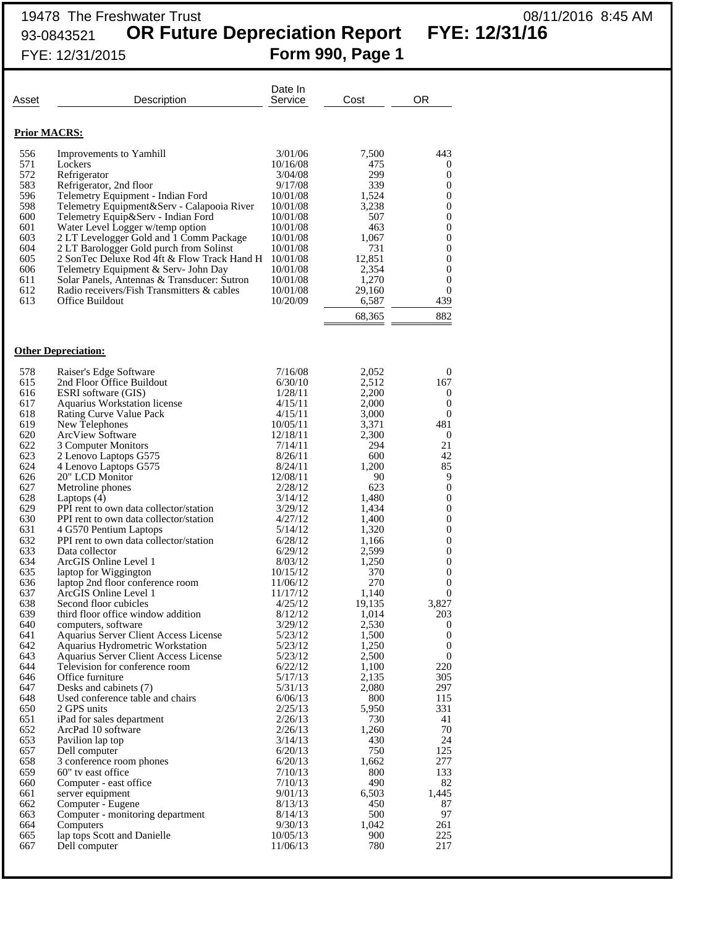## 19478 The Freshwater Trust 08/11/2016 8:45 AM 93-0843521 **OR Future Depreciation Report FYE: 12/31/16** FYE: 12/31/2015 **Form 990, Page 1**

Date In<br>Service Asset **Description Service** Cost OR **Prior MACRS:** 556 Improvements to Yamhill 3/01/06 7,500 443<br>571 Lockers 10/16/08 475 0 571 Lockers 10/16/08 475 0 572 Refrigerator 3/04/08 299 0<br>583 Refrigerator, 2nd floor 9/17/08 339 0 583 Refrigerator, 2nd floor 9/17/08 339 0 596 Telemetry Equipment - Indian Ford 10/01/08 1,524 0<br>598 Telemetry Equipment&Serv - Calapooia River 10/01/08 3,238 0 598 Telemetry Equipment&Serv - Calapooia River 10/01/08 3,238 0<br>600 Telemetry Equip&Serv - Indian Ford 10/01/08 507 0 Telemetry Equip&Serv - Indian Ford 10/01/08 507 0<br>
Water Level Logger w/temp option 10/01/08 463 0 601 Water Level Logger w/temp option 10/01/08 463 0<br>603 2 LT Levelogger Gold and 1 Comm Package 10/01/08 1,067 0 603 2 LT Levelogger Gold and 1 Comm Package  $10/01/08$  1,067 0<br>604 2 LT Barologger Gold purch from Solinst  $10/01/08$  731 0 604 2 LT Barologger Gold purch from Solinst 10/01/08 731 0<br>605 2 SonTec Deluxe Rod 4ft & Flow Track Hand H 10/01/08 12,851 0 605 2 SonTec Deluxe Rod 4ft & Flow Track Hand H 10/01/08 12,851 0<br>606 Telemetry Equipment & Serv- John Day 10/01/08 2,354 0 Telemetry Equipment & Serv- John Day 611 Solar Panels, Antennas & Transducer: Sutron 10/01/08 1,270 0<br>612 Radio receivers/Fish Transmitters & cables 10/01/08 29,160 0 612 Radio receivers/Fish Transmitters & cables  $\begin{array}{ccc} 10/01/08 & 29,160 & 0 \\ 613 & 0.587 & 439 \end{array}$ Office Buildout 10/20/09 6,587 68,365 882 **Other Depreciation:** 578 Raiser's Edge Software 7/16/08 2,052 0<br>
615 2nd Floor Office Buildout 6/30/10 2,512 167 615 2nd Floor Office Buildout 6/30/10 2,512 167<br>616 ESRI software (GIS) 1/28/11 2,200 0 616 ESRI software (GIS) 1/28/11 2,200 0 617 Aquarius Workstation license 4/15/11 2,000 0 618 Rating Curve Value Pack  $4/15/11$  3,000 0 619 New Telephones 10/05/11 3,371 481 619 New Telephones 10/05/11 3,371 481<br>
620 ArcView Software 12/18/11 2,300 0<br>
622 3 Computer Monitors 7/14/11 294 21 622 3 Computer Monitors 7/14/11 294 21 623 2 Lenovo Laptops G575 8/26/11 600 42 624 4 Lenovo Laptops G575 8/24/11 1,200 85<br>
626 20" LCD Monitor 12/08/11 90 9 626 20" LCD Monitor 12/08/11 90 9<br>627 Metroline phones 2/28/12 623 0 Metroline phones  $2/28/12$ 628 Laptops (4) 3/14/12 1,480 0 629 PPI rent to own data collector/station  $\begin{array}{ccc} 3/29/12 & 1,434 \\ 630 & \text{PPI} \text{ rent to own data collector/station} \end{array}$  0 PPI rent to own data collector/station 631 4 G570 Pentium Laptops 5/14/12 1,320 0<br>632 PPI rent to own data collector/station 6/28/12 1,166 0 632 PPI rent to own data collector/station 6/28/12 1,166 0<br>633 Data collector 6/29/12 2,599 0 633 Data collector 6/29/12 2,599 0 634 ArcGIS Online Level 1 8/03/12 1,250 0<br>635 laptop for Wiggington 10/15/12 370 0 635 laptop for Wiggington 636 laptop 2nd floor conference room  $11/06/12$  270 0<br>637 ArcGIS Online Level 1  $11/17/12$  1,140 0 637 ArcGIS Online Level 1 11/17/12 1,140 0<br>638 Second floor cubicles 4/25/12 19,135 3,827 638 Second floor cubicles 4/25/12 19,135 639 third floor office window addition  $\begin{array}{cccc} 8/12/12 & 1,014 & 203 \\ 640 & \text{computers, software} & 3/29/12 & 2,530 \end{array}$  0 computers, software 3/29/12 2,530 0 641 Aquarius Server Client Access License 5/23/12 1,500 0 642 Aquarius Hydrometric Workstation 5/23/12 1,250 0<br>643 Aquarius Server Client Access License 5/23/12 2,500 0 643 Aquarius Server Client Access License 5/23/12 2,500 644 Television for conference room 6/22/12 1,100 220<br>646 Office furniture 6/17/13 2,135 305 646 Office furniture 5/17/13 2,135 647 Desks and cabinets (7) 5/31/13 2,080 297 648 Used conference table and chairs 6/06/13 800 115 650 2 GPS units 2/25/13 5,950 331<br>651 iPad for sales department 2/26/13 730 41 651 iPad for sales department  $\frac{2}{26/13}$  730 41<br>652 ArcPad 10 software 2/26/13 1,260 70 652 ArcPad 10 software 2/26/13 1,260 653 Pavilion lap top 3/14/13 430 24<br>657 Dell computer 6/20/13 750 125 Dell computer 658 3 conference room phones 6/20/13 1,662 277<br>659 60" tv east office 7/10/13 800 133 659 60" tv east office 7/10/13 800 660 Computer - east office 7/10/13 490 82 661 server equipment 9/01/13 6,503 1,445<br>662 Computer - Eugene 8/13/13 450 87 662 Computer - Eugene 8/13/13 663 Computer - monitoring department 8/14/13 500 97 664 Computers 9/30/13 1,042 261 665 lap tops Scott and Danielle 10/05/13 900 225 667 Dell computer 11/06/13 780 217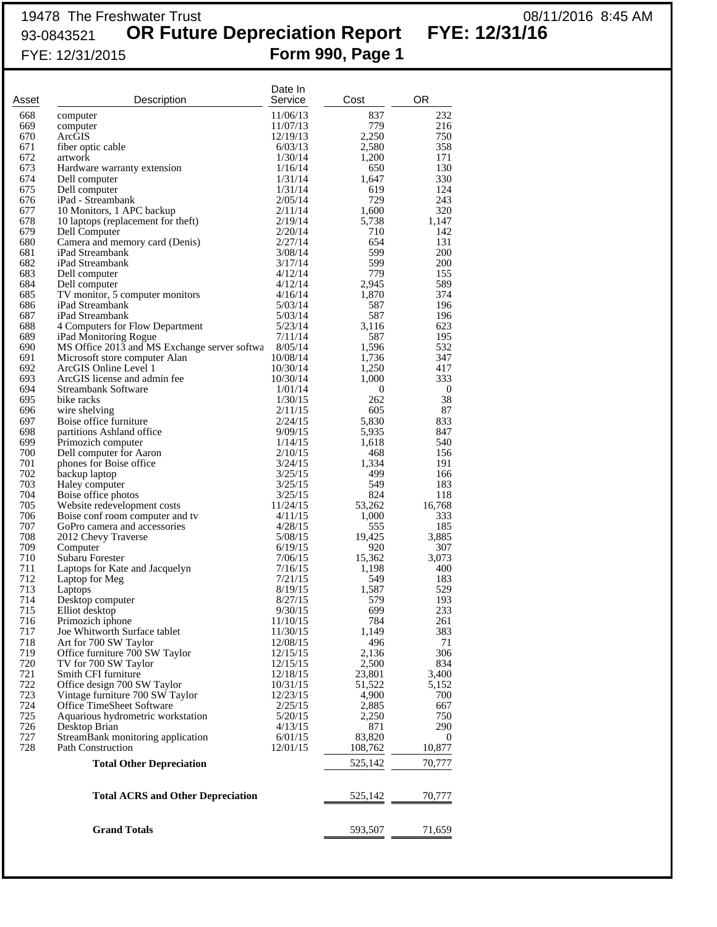## 19478 The Freshwater Trust 08/11/2016 8:45 AM 93-0843521 **OR Future Depreciation Report FYE: 12/31/16** FYE: 12/31/2015 **Form 990, Page 1**

| Asset      | Description                                        | Date In<br>Service | Cost         | OR             |
|------------|----------------------------------------------------|--------------------|--------------|----------------|
| 668        | computer                                           | 11/06/13           | 837          | 232            |
| 669        | computer                                           | 11/07/13           | 779          | 216            |
| 670        | ArcGIS                                             | 12/19/13           | 2,250        | 750            |
| 671        | fiber optic cable                                  | 6/03/13            | 2,580        | 358            |
| 672        | artwork                                            | 1/30/14            | 1,200        | 171            |
| 673        | Hardware warranty extension                        | 1/16/14            | 650          | 130            |
| 674        | Dell computer                                      | 1/31/14            | 1,647        | 330            |
| 675        | Dell computer                                      | 1/31/14            | 619          | 124            |
| 676        | iPad - Streambank                                  | 2/05/14            | 729          | 243            |
| 677        | 10 Monitors, 1 APC backup                          | 2/11/14            | 1,600        | 320            |
| 678        | 10 laptops (replacement for theft)                 | 2/19/14            | 5,738        | 1,147          |
| 679        | Dell Computer                                      | 2/20/14            | 710          | 142            |
| 680<br>681 | Camera and memory card (Denis)<br>iPad Streambank  | 2/27/14<br>3/08/14 | 654<br>599   | 131<br>200     |
| 682        | iPad Streambank                                    | 3/17/14            | 599          | 200            |
| 683        | Dell computer                                      | 4/12/14            | 779          | 155            |
| 684        | Dell computer                                      | 4/12/14            | 2,945        | 589            |
| 685        | TV monitor, 5 computer monitors                    | 4/16/14            | 1,870        | 374            |
| 686        | iPad Streambank                                    | 5/03/14            | 587          | 196            |
| 687        | iPad Streambank                                    | 5/03/14            | 587          | 196            |
| 688        | 4 Computers for Flow Department                    | 5/23/14            | 3,116        | 623            |
| 689        | iPad Monitoring Rogue                              | 7/11/14            | 587          | 195            |
| 690        | MS Office 2013 and MS Exchange server softwa       | 8/05/14            | 1,596        | 532            |
| 691        | Microsoft store computer Alan                      | 10/08/14           | 1,736        | 347            |
| 692        | ArcGIS Online Level 1                              | 10/30/14           | 1,250        | 417            |
| 693        | ArcGIS license and admin fee                       | 10/30/14           | 1,000        | 333            |
| 694<br>695 | Streambank Software                                | 1/01/14            | 0            | $\bf{0}$<br>38 |
| 696        | bike racks<br>wire shelving                        | 1/30/15<br>2/11/15 | 262<br>605   | 87             |
| 697        | Boise office furniture                             | 2/24/15            | 5,830        | 833            |
| 698        | partitions Ashland office                          | 9/09/15            | 5,935        | 847            |
| 699        | Primozich computer                                 | 1/14/15            | 1,618        | 540            |
| 700        | Dell computer for Aaron                            | 2/10/15            | 468          | 156            |
| 701        | phones for Boise office                            | 3/24/15            | 1,334        | 191            |
| 702        | backup laptop                                      | 3/25/15            | 499          | 166            |
| 703        | Haley computer                                     | 3/25/15            | 549          | 183            |
| 704        | Boise office photos                                | 3/25/15            | 824          | 118            |
| 705        | Website redevelopment costs                        | 11/24/15           | 53,262       | 16,768         |
| 706        | Boise conf room computer and tv                    | 4/11/15            | 1,000        | 333            |
| 707        | GoPro camera and accessories                       | 4/28/15            | 555          | 185            |
| 708        | 2012 Chevy Traverse                                | 5/08/15            | 19,425       | 3,885          |
| 709        | Computer                                           | 6/19/15            | 920          | 307            |
| 710<br>711 | Subaru Forester                                    | 7/06/15            | 15,362       | 3,073          |
| 712        | Laptops for Kate and Jacquelyn<br>Laptop for Meg   | 7/16/15<br>7/21/15 | 1,198<br>549 | 400<br>183     |
| 713        | Laptops                                            | 8/19/15            | 1,587        | 529            |
| 714        | Desktop computer                                   | 8/27/15            | 579          | 193            |
| 715        | Elliot desktop                                     | 9/30/15            | 699          | 233            |
| 716        | Primozich iphone                                   | 11/10/15           | 784          | 261            |
| 717        | Joe Whitworth Surface tablet                       | 11/30/15           | 1,149        | 383            |
| 718        | Art for 700 SW Taylor                              | 12/08/15           | 496          | 71             |
| 719        | Office furniture 700 SW Taylor                     | 12/15/15           | 2,136        | 306            |
| 720        | TV for 700 SW Taylor                               | 12/15/15           | 2,500        | 834            |
| 721        | Smith CFI furniture                                | 12/18/15           | 23,801       | 3,400          |
| 722        | Office design 700 SW Taylor                        | 10/31/15           | 51,522       | 5,152          |
| 723        | Vintage furniture 700 SW Taylor                    | 12/23/15           | 4,900        | 700            |
| 724        | Office TimeSheet Software                          | 2/25/15            | 2,885        | 667            |
| 725<br>726 | Aquarious hydrometric workstation<br>Desktop Brian | 5/20/15<br>4/13/15 | 2,250<br>871 | 750<br>290     |
| 727        | StreamBank monitoring application                  | 6/01/15            | 83,820       | $\bf{0}$       |
| 728        | <b>Path Construction</b>                           | 12/01/15           | 108,762      | 10,877         |
|            | <b>Total Other Depreciation</b>                    |                    | 525,142      | 70,777         |
|            |                                                    |                    |              |                |
|            | <b>Total ACRS and Other Depreciation</b>           |                    | 525,142      | 70,777         |
|            | <b>Grand Totals</b>                                |                    | 593,507      | 71,659         |
|            |                                                    |                    |              |                |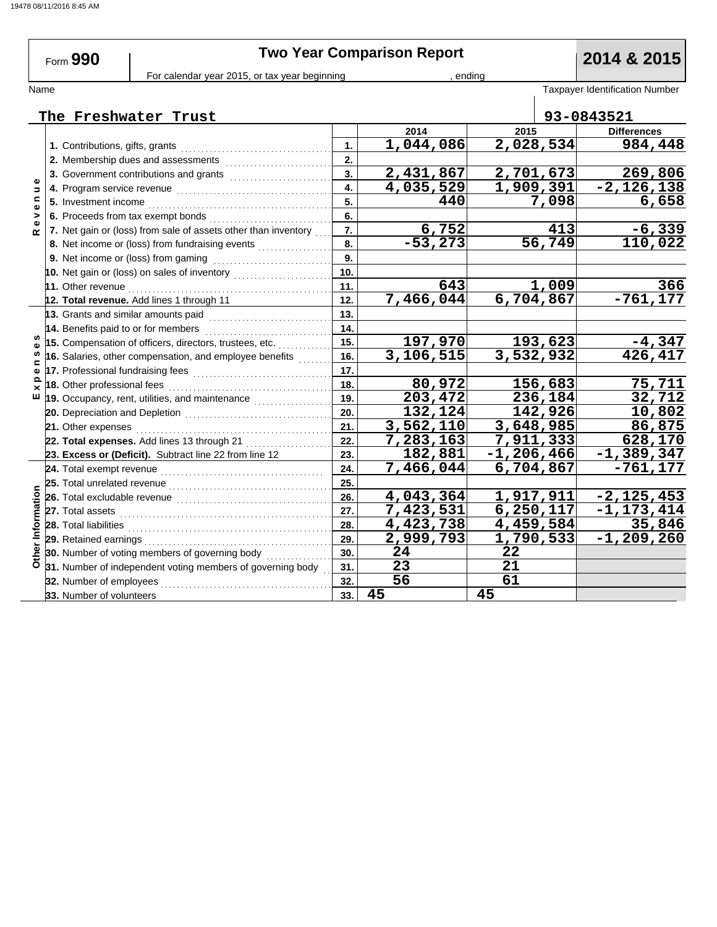# **Two Year Comparison Report 2014 & 2015**

Form **990**

### For calendar year 2015, or tax year beginning , ending , ending

Name Taxpayer Identification Number<br>
I

|                              | The Freshwater Trust                                           |     |                         |                |           | 93-0843521                |
|------------------------------|----------------------------------------------------------------|-----|-------------------------|----------------|-----------|---------------------------|
|                              |                                                                |     | 2014                    | 2015           |           | <b>Differences</b>        |
|                              | 1. Contributions, gifts, grants                                | 1.  | 1,044,086               | 2,028,534      |           | 984,448                   |
|                              | 2. Membership dues and assessments                             | 2.  |                         |                |           |                           |
|                              | 3. Government contributions and grants                         | 3.  | 2,431,867               | 2,701,673      |           | 269,806                   |
| $\Rightarrow$                | 4. Program service revenue                                     | 4.  | 4,035,529               | 1,909,391      |           | $-2,126,138$              |
| $\mathbf{C}$<br>$\mathbf{Q}$ | 5. Investment income                                           | 5.  | 440                     |                | 7,098     | 6,658                     |
| >                            | 6. Proceeds from tax exempt bonds                              | 6.  |                         |                |           |                           |
| œ                            | 7. Net gain or (loss) from sale of assets other than inventory | 7.  |                         |                | 413       | $-6,339$                  |
|                              | 8. Net income or (loss) from fundraising events                | 8.  | $\frac{6,752}{-53,273}$ |                | 56,749    | 110,022                   |
|                              | 9. Net income or (loss) from gaming                            | 9.  |                         |                |           |                           |
|                              | 10. Net gain or (loss) on sales of inventory                   | 10. |                         |                |           |                           |
|                              | 11. Other revenue                                              | 11. | 643                     |                | 1,009     | 366                       |
|                              | 12. Total revenue. Add lines 1 through 11                      | 12. | 7,466,044               |                | 6,704,867 | $-761, 177$               |
|                              | 13. Grants and similar amounts paid                            | 13. |                         |                |           |                           |
|                              | 14. Benefits paid to or for members                            | 14. |                         |                |           |                           |
|                              | 15. Compensation of officers, directors, trustees, etc.        | 15. | 197,970                 |                | 193,623   | $-4,347$                  |
| ⊆                            | 16. Salaries, other compensation, and employee benefits        | 16. | 3,106,515               | 3,532,932      |           | 426,417                   |
| Φ                            | 17. Professional fundraising fees                              | 17. |                         |                |           |                           |
| ᇰ<br>$\times$                | 18. Other professional fees                                    | 18. | 80,972                  |                | 156,683   | 75,711                    |
| ш                            | 19. Occupancy, rent, utilities, and maintenance                | 19. | 203,472                 |                | 236,184   | 32,712                    |
|                              | 20. Depreciation and Depletion                                 | 20. | 132,124                 |                | 142,926   | 10,802                    |
|                              | 21. Other expenses                                             | 21. | $\overline{3,}562,110$  | 3,648,985      |           | 86,875                    |
|                              | 22. Total expenses. Add lines 13 through 21                    | 22. | 7,283,163               | 7,911,333      |           | 628,170                   |
|                              | 23. Excess or (Deficit). Subtract line 22 from line 12         | 23. | 182,881                 | $-1, 206, 466$ |           | $-1,389,347$              |
|                              | 24. Total exempt revenue                                       | 24. | 7,466,044               | 6,704,867      |           | $-761, 177$               |
|                              | 25. Total unrelated revenue                                    | 25. |                         |                |           |                           |
|                              | 26. Total excludable revenue                                   | 26. | 4,043,364               | 1,917,911      |           | $-2, 12\overline{5}, 453$ |
| Informatio                   | 27. Total assets                                               | 27. | 7,423,531               | 6, 250, 117    |           | $-1, 173, 414$            |
|                              | 28. Total liabilities                                          | 28. | 4,423,738               | 4,459,584      |           | 35,846                    |
|                              | 29. Retained earnings                                          | 29. | 2,999,793               | 1,790,533      |           | $-1, 209, 260$            |
| Other                        | 30. Number of voting members of governing body                 | 30. | 24                      | 22             |           |                           |
|                              | 31. Number of independent voting members of governing body     | 31. | 23                      | 21             |           |                           |
|                              | 32. Number of employees                                        | 32. | 56                      | 61             |           |                           |
|                              | 33. Number of volunteers                                       | 33. | 45                      | 45             |           |                           |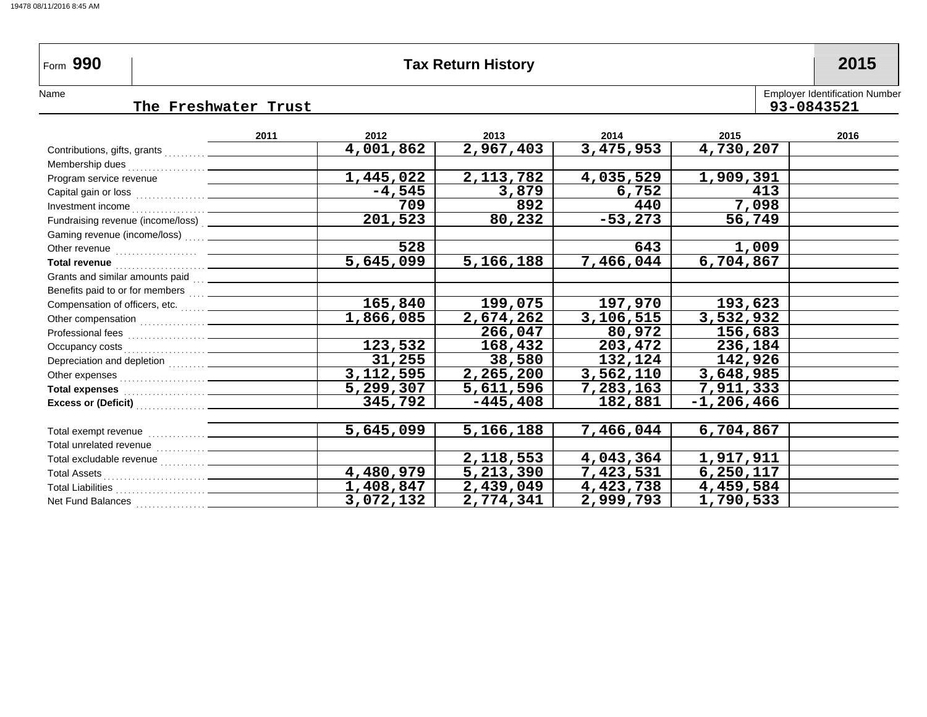| ՠ 990 | <b>Tax Return History</b> | 2015 |
|-------|---------------------------|------|
|       |                           |      |

Form 990

NameEmployer Identification Number

### **The Freshwater Trust**

|                                                                                                                                                                                                                                      | 2011 | 2012             | 2013        | 2014       | 2015             | 2016 |
|--------------------------------------------------------------------------------------------------------------------------------------------------------------------------------------------------------------------------------------|------|------------------|-------------|------------|------------------|------|
| Contributions, gifts, grants                                                                                                                                                                                                         |      | <u>4,001,862</u> | 2,967,403   | 3,475,953  | 4,730,207        |      |
| Membership dues                                                                                                                                                                                                                      |      |                  |             |            |                  |      |
| Program service revenue                                                                                                                                                                                                              |      | 1,445,022        | 2,113,782   | 4,035,529  | 1,909,391        |      |
|                                                                                                                                                                                                                                      |      | $-4,545$         | 3,879       | 6,752      | 413              |      |
|                                                                                                                                                                                                                                      |      | 709              | 892         | 440        | 7,098            |      |
| Fundraising revenue (income/loss) [ __________                                                                                                                                                                                       |      | 201,523          | 80,232      | $-53, 273$ | 56,749           |      |
| Gaming revenue (income/loss)                                                                                                                                                                                                         |      |                  |             |            |                  |      |
|                                                                                                                                                                                                                                      |      | 528              |             | 643        | 1,009            |      |
|                                                                                                                                                                                                                                      |      | 5,645,099        | 5,166,188   | 7,466,044  | 6,704,867        |      |
| Grants and similar amounts paid [11] ___________                                                                                                                                                                                     |      |                  |             |            |                  |      |
| Benefits paid to or for members [111] _________                                                                                                                                                                                      |      |                  |             |            |                  |      |
| Compensation of officers, etc.                                                                                                                                                                                                       |      | 165,840          | 199,075     | 197,970    | 193,623          |      |
|                                                                                                                                                                                                                                      |      | 1,866,085        | 2,674,262   | 3,106,515  | 3,532,932        |      |
|                                                                                                                                                                                                                                      |      |                  | 266,047     | 80,972     | 156,683          |      |
|                                                                                                                                                                                                                                      |      | 123,532          | 168,432     | 203,472    | 236,184          |      |
|                                                                                                                                                                                                                                      |      | 31,255           | 38,580      | 132,124    | 142,926          |      |
|                                                                                                                                                                                                                                      |      | 3, 112, 595      | 2,265,200   | 3,562,110  | 3,648,985        |      |
| Total expenses <b>container the contract of the contract of the contract of the contract of the contract of the contract of the contract of the contract of the contract of the contract of the contract of the contract of the </b> |      | 5,299,307        | 5,611,596   | 7,283,163  | 7,911,333        |      |
| Excess or (Deficit) <b>Container and Container Container and Container and Container</b>                                                                                                                                             |      | 345,792          | $-445, 408$ | 182,881    | $-1, 206, 466$   |      |
|                                                                                                                                                                                                                                      |      |                  |             |            |                  |      |
|                                                                                                                                                                                                                                      |      | 5,645,099        | 5,166,188   | 7,466,044  | 6,704,867        |      |
|                                                                                                                                                                                                                                      |      |                  |             |            |                  |      |
|                                                                                                                                                                                                                                      |      |                  | 2,118,553   | 4,043,364  | 1,917,911        |      |
|                                                                                                                                                                                                                                      |      | 4,480,979        | 5,213,390   | 7,423,531  | 6,250,117        |      |
|                                                                                                                                                                                                                                      |      | 1,408,847        | 2, 439, 049 | 4,423,738  | 4,459,584        |      |
| Net Fund Balances<br>. <u>.</u>                                                                                                                                                                                                      |      | 3,072,132        | 2,774,341   | 2,999,793  | <u>1,790,533</u> |      |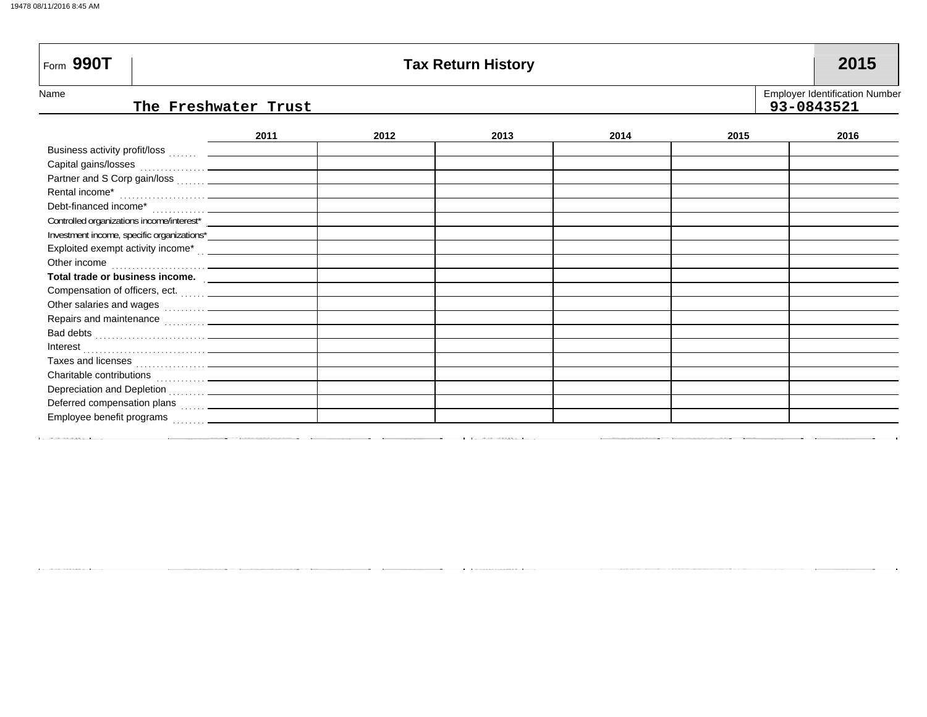| Form $990T$                                                                                                    |      |      | <b>Tax Return History</b> |      |      | 2015                                                |
|----------------------------------------------------------------------------------------------------------------|------|------|---------------------------|------|------|-----------------------------------------------------|
| Name<br>The Freshwater Trust                                                                                   |      |      |                           |      |      | <b>Employer Identification Number</b><br>93-0843521 |
|                                                                                                                | 2011 | 2012 | 2013                      | 2014 | 2015 | 2016                                                |
|                                                                                                                |      |      |                           |      |      |                                                     |
|                                                                                                                |      |      |                           |      |      |                                                     |
|                                                                                                                |      |      |                           |      |      |                                                     |
|                                                                                                                |      |      |                           |      |      |                                                     |
|                                                                                                                |      |      |                           |      |      |                                                     |
|                                                                                                                |      |      |                           |      |      |                                                     |
|                                                                                                                |      |      |                           |      |      |                                                     |
| Exploited exempt activity income* contain and the set of the set of the set of the set of the set of the set o |      |      |                           |      |      |                                                     |
|                                                                                                                |      |      |                           |      |      |                                                     |
| Total trade or business income.                                                                                |      |      |                           |      |      |                                                     |
|                                                                                                                |      |      |                           |      |      |                                                     |
|                                                                                                                |      |      |                           |      |      |                                                     |
| Repairs and maintenance <b>container and maintenance</b>                                                       |      |      |                           |      |      |                                                     |
|                                                                                                                |      |      |                           |      |      |                                                     |
|                                                                                                                |      |      |                           |      |      |                                                     |
|                                                                                                                |      |      |                           |      |      |                                                     |
|                                                                                                                |      |      |                           |      |      |                                                     |
| Depreciation and Depletion                                                                                     |      |      |                           |      |      |                                                     |

 ${\sf Employee}$  benefit programs  $\begin{smallmatrix} \dots \dots \end{smallmatrix}$ Deferred compensation plans  $\begin{array}{ccc} \dots \end{array}$ 

**Contractor Contractor**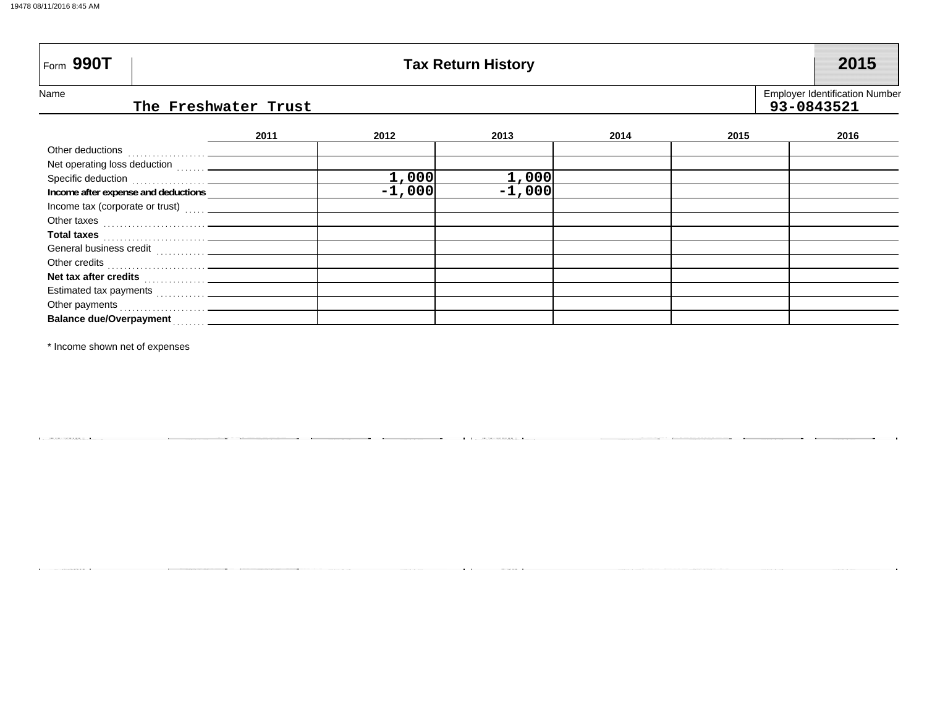|  | 19478 08/11/2016 8:45 AM |  |
|--|--------------------------|--|
|  |                          |  |

Form 990T

## **Part Assets Assets Assets Assets Assets Assets Assets Assets Assets Assets Assets Assets Assets Assets Assets Assets Assets Assets Assets Assets Assets Assets Assets Assets Assets Assets Assets Assets Assets Assets Assets**

Name

### **The Freshwater Trust 93-0843521**

Employer Identification Number

|                                                      | 2011 | 2012     | 2013     | 2014 | 2015 | 2016 |
|------------------------------------------------------|------|----------|----------|------|------|------|
|                                                      |      |          |          |      |      |      |
| Net operating loss deduction [1, 1, 2010]            |      |          |          |      |      |      |
|                                                      |      | 1,000    | 1,000    |      |      |      |
| Income after expense and deductions                  |      | $-1,000$ | $-1,000$ |      |      |      |
| Income tax (corporate or trust)                      |      |          |          |      |      |      |
| Other taxes                                          |      |          |          |      |      |      |
| <b>Total taxes</b>                                   |      |          |          |      |      |      |
|                                                      |      |          |          |      |      |      |
|                                                      |      |          |          |      |      |      |
| Net tax after credits <b>Net and Allen Container</b> |      |          |          |      |      |      |
| Estimated tax payments                               |      |          |          |      |      |      |
| Other payments                                       |      |          |          |      |      |      |
| <b>Balance due/Overpayment</b>                       |      |          |          |      |      |      |

\* Income shown net of expenses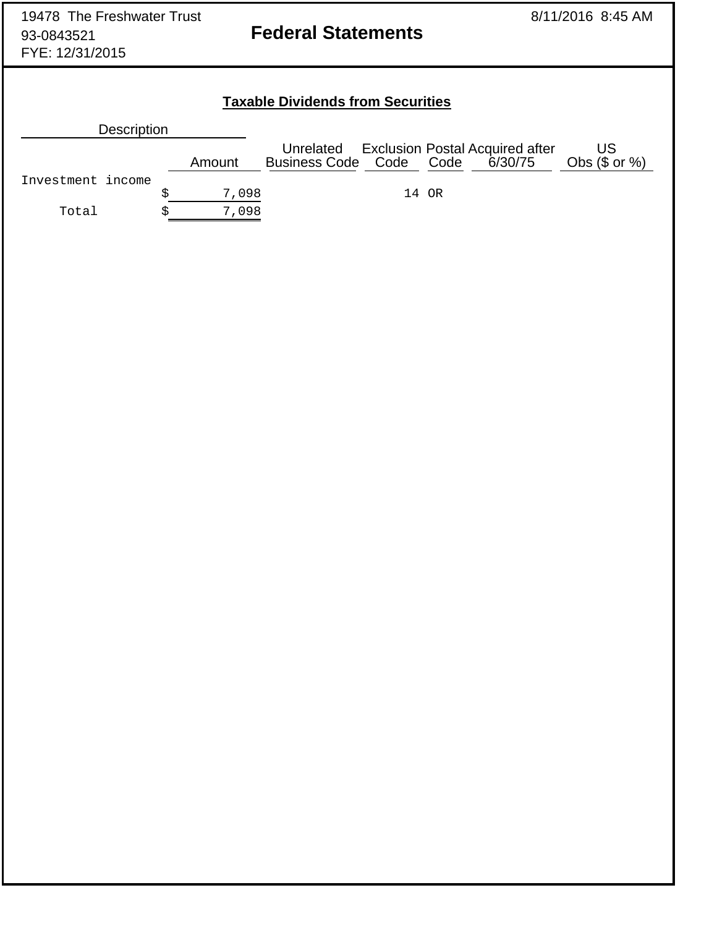## **Taxable Dividends from Securities**

| <b>Description</b> |        |                                              |       |                                        |                        |
|--------------------|--------|----------------------------------------------|-------|----------------------------------------|------------------------|
|                    | Amount | Unrelated<br>Business Code Code Code 6/30/75 |       | <b>Exclusion Postal Acquired after</b> | US<br>Obs $(\$$ or $%$ |
| Investment income  |        |                                              |       |                                        |                        |
|                    | 7,098  |                                              | 14 OR |                                        |                        |
| Total              | 7,098  |                                              |       |                                        |                        |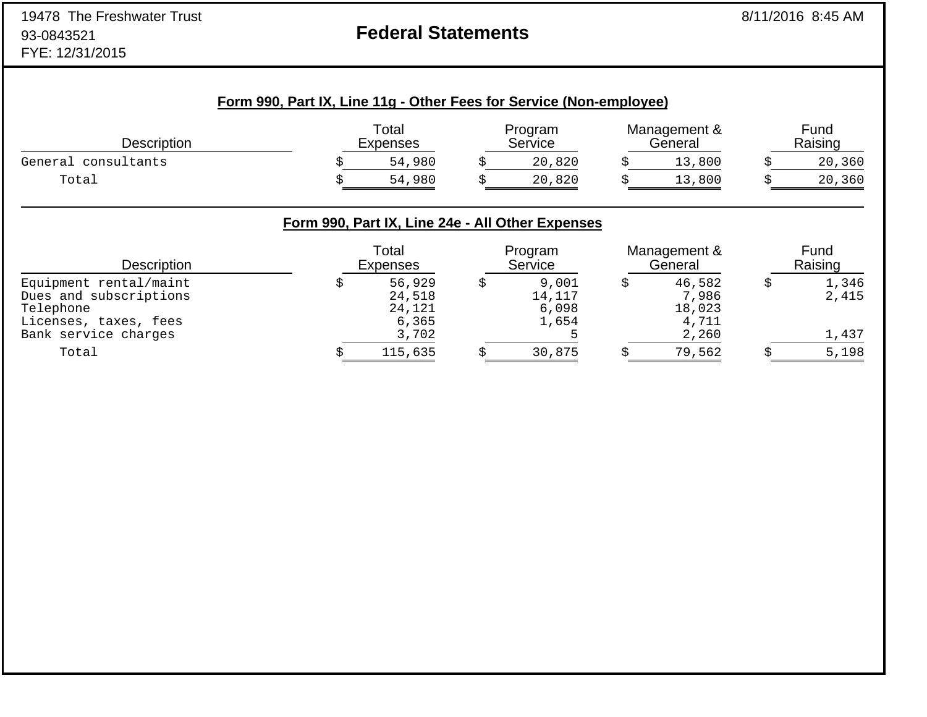## **Federal Statements**

| <b>Description</b>  | Total<br><b>Expenses</b> | Program<br>Service | Management &<br>General | Fund<br>Raising |
|---------------------|--------------------------|--------------------|-------------------------|-----------------|
| General consultants | 54,980                   | 20,820             | 13,800                  | 20,360          |
| Total               | 54,980                   | 20,820             | 13,800                  | 20,360          |

### **Form 990, Part IX, Line 24e - All Other Expenses**

| Description                                                                            | Total<br><b>Expenses</b>            | Program<br>Service                | Management &<br>General            | Fund<br>Raising |
|----------------------------------------------------------------------------------------|-------------------------------------|-----------------------------------|------------------------------------|-----------------|
| Equipment rental/maint<br>Dues and subscriptions<br>Telephone<br>Licenses, taxes, fees | 56,929<br>24,518<br>24,121<br>6,365 | 9,001<br>14,117<br>6,098<br>1,654 | 46,582<br>7,986<br>18,023<br>4,711 | 1,346<br>2,415  |
| Bank service charges                                                                   | 3,702                               |                                   | 2,260                              | 1,437           |
| Total                                                                                  | 115,635                             | 30,875                            | 79,562                             | 5,198           |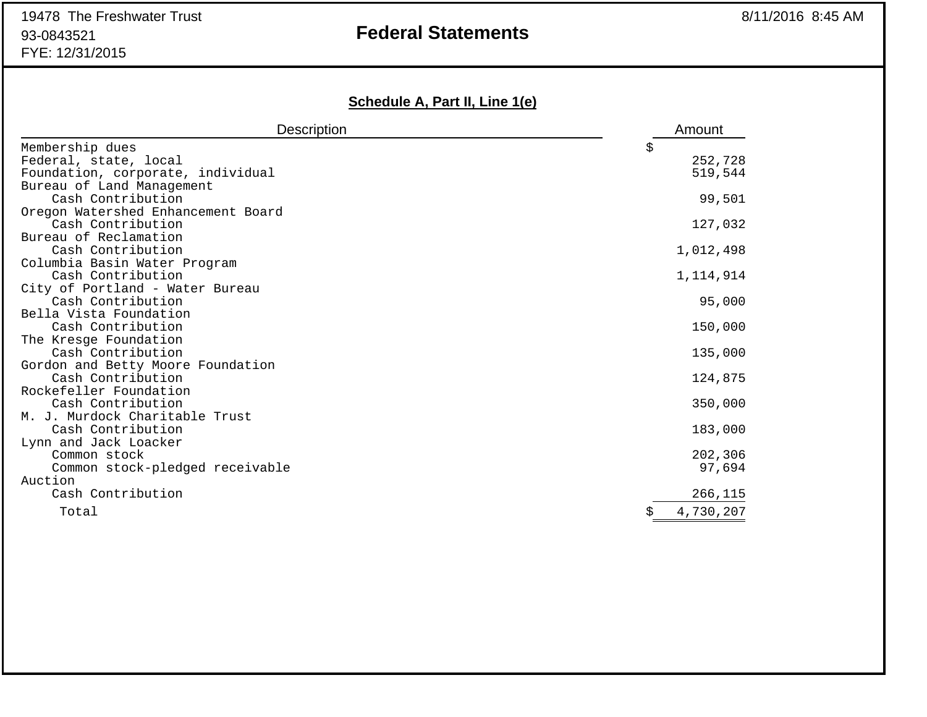## **Federal Statements**

## **Schedule A, Part II, Line 1(e)**

| Description                                       | Amount      |
|---------------------------------------------------|-------------|
| Membership dues                                   | \$          |
| Federal, state, local                             | 252,728     |
| Foundation, corporate, individual                 | 519,544     |
| Bureau of Land Management                         |             |
| Cash Contribution                                 | 99,501      |
| Oregon Watershed Enhancement Board                |             |
| Cash Contribution                                 | 127,032     |
| Bureau of Reclamation                             |             |
| Cash Contribution                                 | 1,012,498   |
| Columbia Basin Water Program<br>Cash Contribution | 1, 114, 914 |
| City of Portland - Water Bureau                   |             |
| Cash Contribution                                 | 95,000      |
| Bella Vista Foundation                            |             |
| Cash Contribution                                 | 150,000     |
| The Kresge Foundation                             |             |
| Cash Contribution                                 | 135,000     |
| Gordon and Betty Moore Foundation                 |             |
| Cash Contribution                                 | 124,875     |
| Rockefeller Foundation                            |             |
| Cash Contribution                                 | 350,000     |
| M. J. Murdock Charitable Trust                    |             |
| Cash Contribution                                 | 183,000     |
| Lynn and Jack Loacker                             |             |
| Common stock                                      | 202,306     |
| Common stock-pledged receivable<br>Auction        | 97,694      |
| Cash Contribution                                 | 266,115     |
|                                                   |             |
| Total                                             | 4,730,207   |